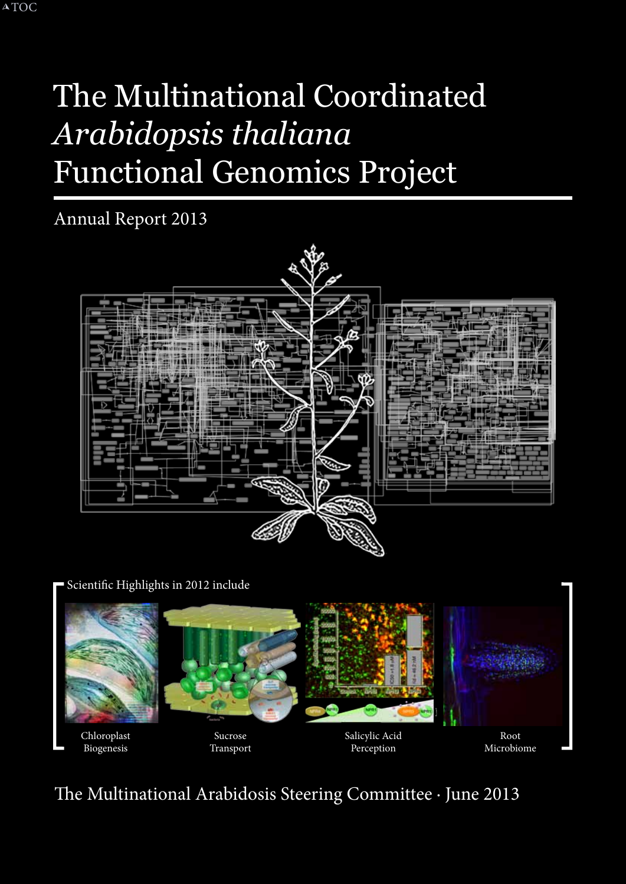# The Multinational Coordinated *Arabidopsis thaliana*  Functional Genomics Project

Annual Report 2013



Scientific Highlights in 2012 include



The Multinational Arabidosis Steering Committee · June 2013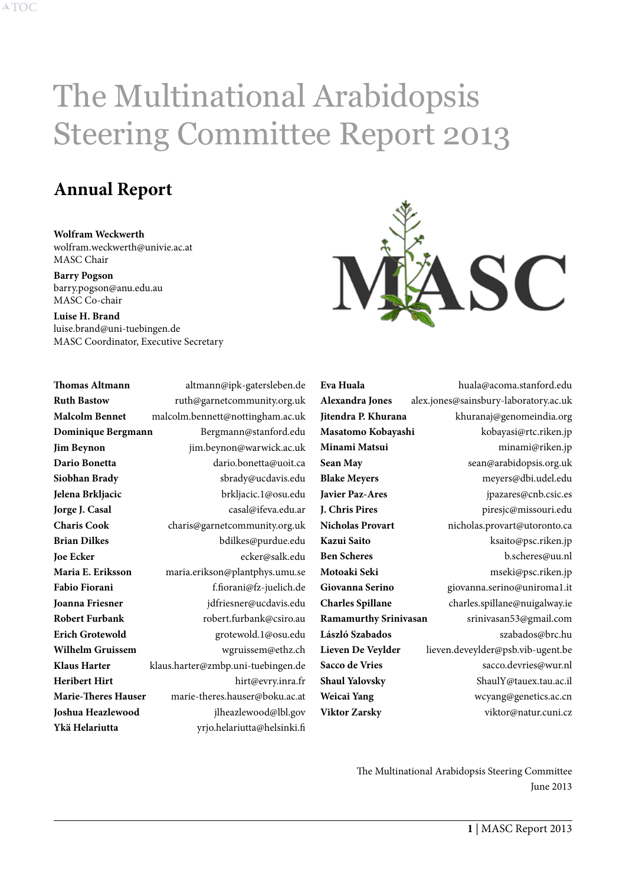# The Multinational Arabidopsis Steering Committee Report 2013

# **Annual Report**

**Wolfram Weckwerth** wolfram.weckwerth@univie.ac.at MASC Chair

**Barry Pogson** barry.pogson@anu.edu.au MASC Co-chair

**Luise H. Brand** luise.brand@uni-tuebingen.de MASC Coordinator, Executive Secretary

| <b>Thomas Altmann</b>      | altmann@ipk-gatersleben.de         |
|----------------------------|------------------------------------|
| <b>Ruth Bastow</b>         | ruth@garnetcommunity.org.uk        |
| <b>Malcolm Bennet</b>      | malcolm.bennett@nottingham.ac.uk   |
| Dominique Bergmann         | Bergmann@stanford.edu              |
| <b>Jim Beynon</b>          | jim.beynon@warwick.ac.uk           |
| Dario Bonetta              | dario.bonetta@uoit.ca              |
| Siobhan Brady              | sbrady@ucdavis.edu                 |
| Jelena Brkljacic           | brkljacic.1@osu.edu                |
| Jorge J. Casal             | casal@ifeva.edu.ar                 |
| <b>Charis Cook</b>         | charis@garnetcommunity.org.uk      |
| <b>Brian Dilkes</b>        | bdilkes@purdue.edu                 |
| <b>Joe Ecker</b>           | ecker@salk.edu                     |
| Maria E. Eriksson          | maria.erikson@plantphys.umu.se     |
| <b>Fabio Fiorani</b>       | f.fiorani@fz-juelich.de            |
| Joanna Friesner            | jdfriesner@ucdavis.edu             |
| <b>Robert Furbank</b>      | robert.furbank@csiro.au            |
| <b>Erich Grotewold</b>     | grotewold.1@osu.edu                |
| Wilhelm Gruissem           | wgruissem@ethz.ch                  |
| <b>Klaus Harter</b>        | klaus.harter@zmbp.uni-tuebingen.de |
| <b>Heribert Hirt</b>       | hirt@evry.inra.fr                  |
| <b>Marie-Theres Hauser</b> | marie-theres.hauser@boku.ac.at     |
| Joshua Heazlewood          | jlheazlewood@lbl.gov               |
| Ykä Helariutta             | yrjo.helariutta@helsinki.fi        |



**Eva Huala** huala@acoma.stanford.edu **Alexandra Jones** alex.jones@sainsbury-laboratory.ac.uk **Jitendra P. Khurana** khuranaj@genomeindia.org **Masatomo Kobayashi** kobayasi@rtc.riken.jp **Minami Matsui** minami@riken.jp Sean May sean@arabidopsis.org.uk **Blake Meyers** meyers@dbi.udel.edu **Javier Paz-Ares** jpazares@cnb.csic.es **J. Chris Pires** piresjc@missouri.edu **Nicholas Provart** nicholas.provart@utoronto.ca **Kazui Saito** ksaito@psc.riken.jp **Ben Scheres** b.scheres@uu.nl **Motoaki Seki** mseki@psc.riken.jp **Giovanna Serino** giovanna.serino@uniroma1.it **Charles Spillane** charles.spillane@nuigalway.ie **Ramamurthy Srinivasan** srinivasan53@gmail.com László Szabados szabados@brc.hu **Lieven De Veylder** lieven.deveylder@psb.vib-ugent.be **Sacco de Vries** sacco.devries@wur.nl **Shaul Yalovsky** ShaulY@tauex.tau.ac.il **Weicai Yang** wcyang@genetics.ac.cn **Viktor Zarsky** viktor@natur.cuni.cz

> The Multinational Arabidopsis Steering Committee June 2013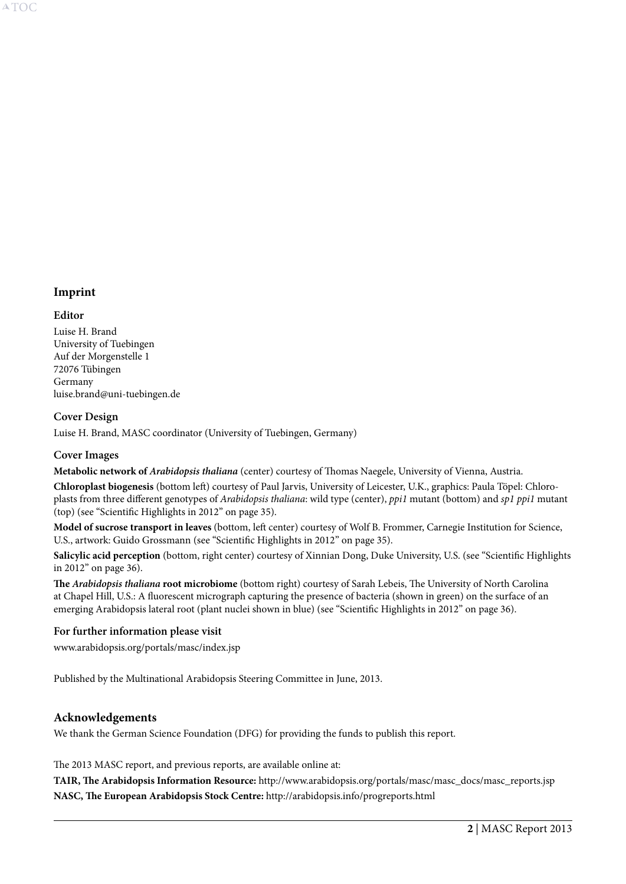# **Imprint**

#### **Editor**

Luise H. Brand University of Tuebingen Auf der Morgenstelle 1 72076 Tübingen Germany luise.brand@uni-tuebingen.de

## **Cover Design**

Luise H. Brand, MASC coordinator (University of Tuebingen, Germany)

#### **Cover Images**

**Metabolic network of** *Arabidopsis thaliana* (center) courtesy of Thomas Naegele, University of Vienna, Austria.

**Chloroplast biogenesis** (bottom left) courtesy of Paul Jarvis, University of Leicester, U.K., graphics: Paula Töpel: Chloroplasts from three different genotypes of *Arabidopsis thaliana*: wild type (center), *ppi1* mutant (bottom) and *sp1 ppi1* mutant (top) (see "Scientific Highlights in 2012" on [page 35\)](#page-35-0).

**Model of sucrose transport in leaves** (bottom, left center) courtesy of Wolf B. Frommer, Carnegie Institution for Science, U.S., artwork: Guido Grossmann (see "Scientific Highlights in 2012" on [page 35](#page-35-1)).

**Salicylic acid perception** (bottom, right center) courtesy of Xinnian Dong, Duke University, U.S. (see "Scientific Highlights in 2012" on [page 36](#page-36-0)).

**The** *Arabidopsis thaliana* **root microbiome** (bottom right) courtesy of Sarah Lebeis, The University of North Carolina at Chapel Hill, U.S.: A fluorescent micrograph capturing the presence of bacteria (shown in green) on the surface of an emerging Arabidopsis lateral root (plant nuclei shown in blue) (see "Scientific Highlights in 2012" on [page 36\)](#page-36-1).

#### **For further information please visit**

www.arabidopsis.org/portals/masc/index.jsp

Published by the Multinational Arabidopsis Steering Committee in June, 2013.

#### **Acknowledgements**

We thank the German Science Foundation (DFG) for providing the funds to publish this report.

The 2013 MASC report, and previous reports, are available online at:

**TAIR, The Arabidopsis Information Resource:** http://www.arabidopsis.org/portals/masc/masc\_docs/masc\_reports.jsp **NASC, The European Arabidopsis Stock Centre:** http://arabidopsis.info/progreports.html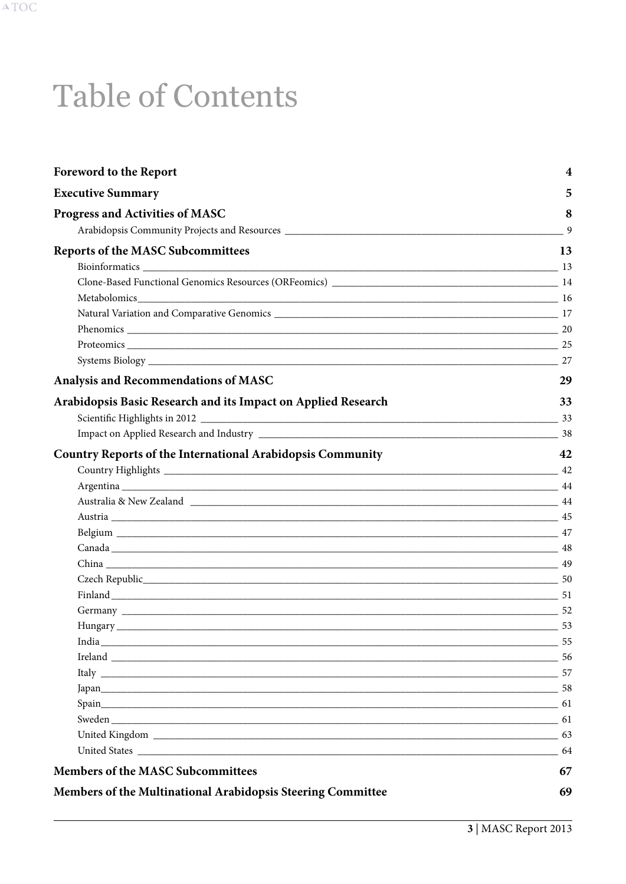# <span id="page-3-0"></span>**Table of Contents**

| <b>Foreword to the Report</b>                                                                                                                                                                                                  | 4    |
|--------------------------------------------------------------------------------------------------------------------------------------------------------------------------------------------------------------------------------|------|
| <b>Executive Summary</b>                                                                                                                                                                                                       | 5    |
| <b>Progress and Activities of MASC</b>                                                                                                                                                                                         | 8    |
|                                                                                                                                                                                                                                | 9    |
| <b>Reports of the MASC Subcommittees</b>                                                                                                                                                                                       | 13   |
| Bioinformatics 13                                                                                                                                                                                                              |      |
|                                                                                                                                                                                                                                |      |
|                                                                                                                                                                                                                                |      |
| Natural Variation and Comparative Genomics 2022 2023 17 20 20:00 17                                                                                                                                                            |      |
|                                                                                                                                                                                                                                |      |
|                                                                                                                                                                                                                                |      |
|                                                                                                                                                                                                                                |      |
| Analysis and Recommendations of MASC                                                                                                                                                                                           | 29   |
| Arabidopsis Basic Research and its Impact on Applied Research                                                                                                                                                                  | 33   |
|                                                                                                                                                                                                                                |      |
|                                                                                                                                                                                                                                |      |
| <b>Country Reports of the International Arabidopsis Community</b>                                                                                                                                                              | 42   |
|                                                                                                                                                                                                                                |      |
|                                                                                                                                                                                                                                |      |
|                                                                                                                                                                                                                                |      |
|                                                                                                                                                                                                                                |      |
|                                                                                                                                                                                                                                |      |
|                                                                                                                                                                                                                                |      |
|                                                                                                                                                                                                                                |      |
|                                                                                                                                                                                                                                |      |
|                                                                                                                                                                                                                                |      |
|                                                                                                                                                                                                                                |      |
|                                                                                                                                                                                                                                | - 53 |
| India experimental contractor of the contractor of the contractor of the contractor of the contractor of the contractor of the contractor of the contractor of the contractor of the contractor of the contractor of the contr | 55   |
|                                                                                                                                                                                                                                |      |
| Italy 257                                                                                                                                                                                                                      |      |
| $Japan$ $58$                                                                                                                                                                                                                   |      |
|                                                                                                                                                                                                                                | 61   |
|                                                                                                                                                                                                                                |      |
|                                                                                                                                                                                                                                | 63   |
|                                                                                                                                                                                                                                | 64   |
| <b>Members of the MASC Subcommittees</b>                                                                                                                                                                                       | 67   |
| Members of the Multinational Arabidopsis Steering Committee                                                                                                                                                                    | 69   |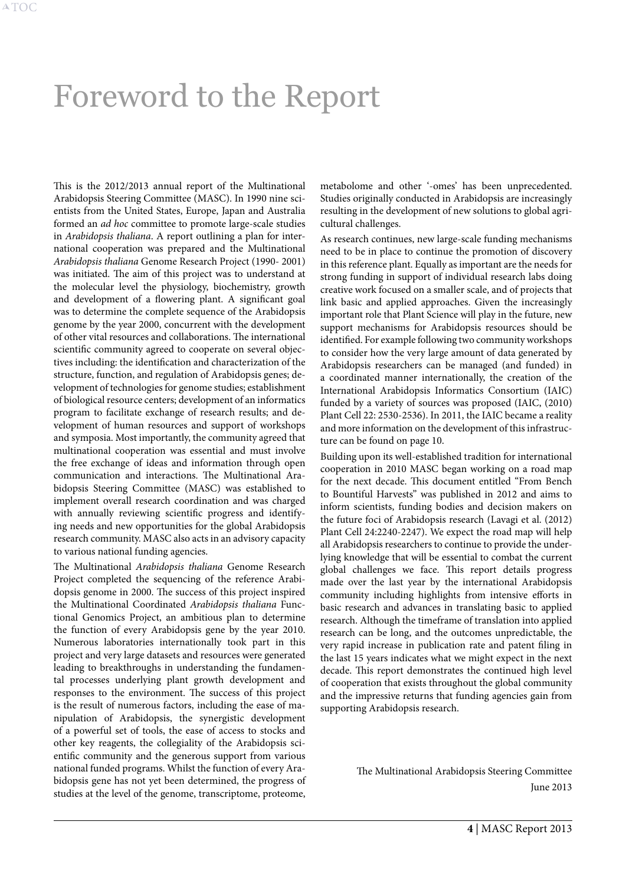# <span id="page-4-0"></span>Foreword to the Report

This is the 2012/2013 annual report of the Multinational Arabidopsis Steering Committee (MASC). In 1990 nine scientists from the United States, Europe, Japan and Australia formed an *ad hoc* committee to promote large-scale studies in *Arabidopsis thaliana*. A report outlining a plan for international cooperation was prepared and the Multinational *Arabidopsis thaliana* Genome Research Project (1990- 2001) was initiated. The aim of this project was to understand at the molecular level the physiology, biochemistry, growth and development of a flowering plant. A significant goal was to determine the complete sequence of the Arabidopsis genome by the year 2000, concurrent with the development of other vital resources and collaborations. The international scientific community agreed to cooperate on several objectives including: the identification and characterization of the structure, function, and regulation of Arabidopsis genes; development of technologies for genome studies; establishment of biological resource centers; development of an informatics program to facilitate exchange of research results; and development of human resources and support of workshops and symposia. Most importantly, the community agreed that multinational cooperation was essential and must involve the free exchange of ideas and information through open communication and interactions. The Multinational Arabidopsis Steering Committee (MASC) was established to implement overall research coordination and was charged with annually reviewing scientific progress and identifying needs and new opportunities for the global Arabidopsis research community. MASC also acts in an advisory capacity to various national funding agencies.

The Multinational *Arabidopsis thaliana* Genome Research Project completed the sequencing of the reference Arabidopsis genome in 2000. The success of this project inspired the Multinational Coordinated *Arabidopsis thaliana* Functional Genomics Project, an ambitious plan to determine the function of every Arabidopsis gene by the year 2010. Numerous laboratories internationally took part in this project and very large datasets and resources were generated leading to breakthroughs in understanding the fundamental processes underlying plant growth development and responses to the environment. The success of this project is the result of numerous factors, including the ease of manipulation of Arabidopsis, the synergistic development of a powerful set of tools, the ease of access to stocks and other key reagents, the collegiality of the Arabidopsis scientific community and the generous support from various national funded programs. Whilst the function of every Arabidopsis gene has not yet been determined, the progress of studies at the level of the genome, transcriptome, proteome, metabolome and other '-omes' has been unprecedented. Studies originally conducted in Arabidopsis are increasingly resulting in the development of new solutions to global agricultural challenges.

As research continues, new large-scale funding mechanisms need to be in place to continue the promotion of discovery in this reference plant. Equally as important are the needs for strong funding in support of individual research labs doing creative work focused on a smaller scale, and of projects that link basic and applied approaches. Given the increasingly important role that Plant Science will play in the future, new support mechanisms for Arabidopsis resources should be identified. For example following two community workshops to consider how the very large amount of data generated by Arabidopsis researchers can be managed (and funded) in a coordinated manner internationally, the creation of the International Arabidopsis Informatics Consortium (IAIC) funded by a variety of sources was proposed (IAIC, (2010) Plant Cell 22: 2530-2536). In 2011, the IAIC became a reality and more information on the development of this infrastructure can be found on [page 10](#page-10-0).

Building upon its well-established tradition for international cooperation in 2010 MASC began working on a road map for the next decade. This document entitled "From Bench to Bountiful Harvests" was published in 2012 and aims to inform scientists, funding bodies and decision makers on the future foci of Arabidopsis research (Lavagi et al. (2012) Plant Cell 24:2240-2247). We expect the road map will help all Arabidopsis researchers to continue to provide the underlying knowledge that will be essential to combat the current global challenges we face. This report details progress made over the last year by the international Arabidopsis community including highlights from intensive efforts in basic research and advances in translating basic to applied research. Although the timeframe of translation into applied research can be long, and the outcomes unpredictable, the very rapid increase in publication rate and patent filing in the last 15 years indicates what we might expect in the next decade. This report demonstrates the continued high level of cooperation that exists throughout the global community and the impressive returns that funding agencies gain from supporting Arabidopsis research.

> The Multinational Arabidopsis Steering Committee June 2013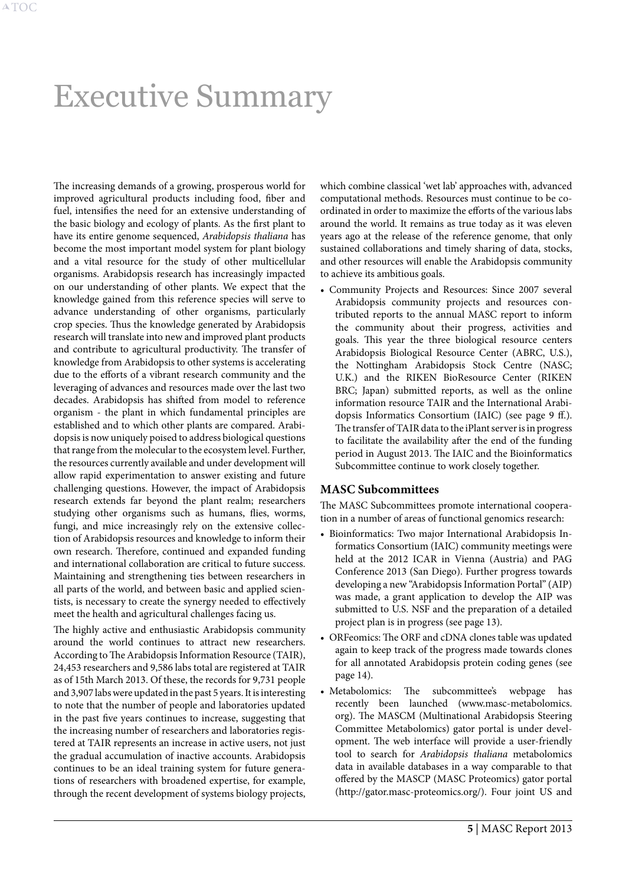# <span id="page-5-0"></span>Executive Summary

The increasing demands of a growing, prosperous world for improved agricultural products including food, fiber and fuel, intensifies the need for an extensive understanding of the basic biology and ecology of plants. As the first plant to have its entire genome sequenced, *Arabidopsis thaliana* has become the most important model system for plant biology and a vital resource for the study of other multicellular organisms. Arabidopsis research has increasingly impacted on our understanding of other plants. We expect that the knowledge gained from this reference species will serve to advance understanding of other organisms, particularly crop species. Thus the knowledge generated by Arabidopsis research will translate into new and improved plant products and contribute to agricultural productivity. The transfer of knowledge from Arabidopsis to other systems is accelerating due to the efforts of a vibrant research community and the leveraging of advances and resources made over the last two decades. Arabidopsis has shifted from model to reference organism - the plant in which fundamental principles are established and to which other plants are compared. Arabidopsis is now uniquely poised to address biological questions that range from the molecular to the ecosystem level. Further, the resources currently available and under development will allow rapid experimentation to answer existing and future challenging questions. However, the impact of Arabidopsis research extends far beyond the plant realm; researchers studying other organisms such as humans, flies, worms, fungi, and mice increasingly rely on the extensive collection of Arabidopsis resources and knowledge to inform their own research. Therefore, continued and expanded funding and international collaboration are critical to future success. Maintaining and strengthening ties between researchers in all parts of the world, and between basic and applied scientists, is necessary to create the synergy needed to effectively meet the health and agricultural challenges facing us.

The highly active and enthusiastic Arabidopsis community around the world continues to attract new researchers. According to The Arabidopsis Information Resource (TAIR), 24,453 researchers and 9,586 labs total are registered at TAIR as of 15th March 2013. Of these, the records for 9,731 people and 3,907 labs were updated in the past 5 years. It is interesting to note that the number of people and laboratories updated in the past five years continues to increase, suggesting that the increasing number of researchers and laboratories registered at TAIR represents an increase in active users, not just the gradual accumulation of inactive accounts. Arabidopsis continues to be an ideal training system for future generations of researchers with broadened expertise, for example, through the recent development of systems biology projects,

which combine classical 'wet lab' approaches with, advanced computational methods. Resources must continue to be coordinated in order to maximize the efforts of the various labs around the world. It remains as true today as it was eleven years ago at the release of the reference genome, that only sustained collaborations and timely sharing of data, stocks, and other resources will enable the Arabidopsis community to achieve its ambitious goals.

• Community Projects and Resources: Since 2007 several Arabidopsis community projects and resources contributed reports to the annual MASC report to inform the community about their progress, activities and goals. This year the three biological resource centers Arabidopsis Biological Resource Center (ABRC, U.S.), the Nottingham Arabidopsis Stock Centre (NASC; U.K.) and the RIKEN BioResource Center (RIKEN BRC; Japan) submitted reports, as well as the online information resource TAIR and the International Arabidopsis Informatics Consortium (IAIC) (see [page 9 ff.\)](#page-9-1). The transfer of TAIR data to the iPlant server is in progress to facilitate the availability after the end of the funding period in August 2013. The IAIC and the Bioinformatics Subcommittee continue to work closely together.

#### **MASC Subcommittees**

The MASC Subcommittees promote international cooperation in a number of areas of functional genomics research:

- • Bioinformatics: Two major International Arabidopsis Informatics Consortium (IAIC) community meetings were held at the 2012 ICAR in Vienna (Austria) and PAG Conference 2013 (San Diego). Further progress towards developing a new "Arabidopsis Information Portal" (AIP) was made, a grant application to develop the AIP was submitted to U.S. NSF and the preparation of a detailed project plan is in progress (see [page 13](#page-13-1)).
- ORFeomics: The ORF and cDNA clones table was updated again to keep track of the progress made towards clones for all annotated Arabidopsis protein coding genes (see [page 14](#page-14-1)).
- • Metabolomics: The subcommittee's webpage has recently been launched (www.masc-metabolomics. org). The MASCM (Multinational Arabidopsis Steering Committee Metabolomics) gator portal is under development. The web interface will provide a user-friendly tool to search for *Arabidopsis thaliana* metabolomics data in available databases in a way comparable to that offered by the MASCP (MASC Proteomics) gator portal (http://gator.masc-proteomics.org/). Four joint US and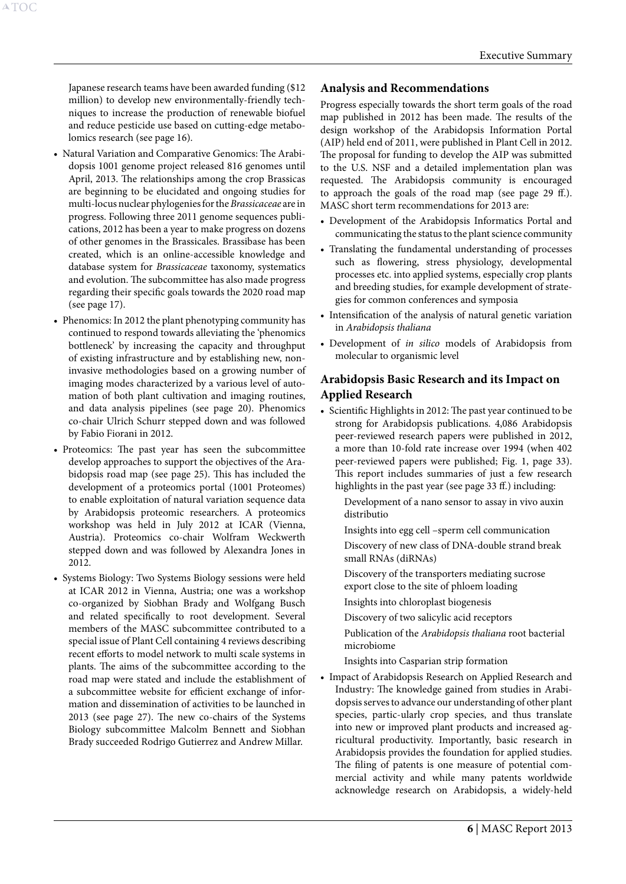Japanese research teams have been awarded funding (\$12 million) to develop new environmentally-friendly techniques to increase the production of renewable biofuel and reduce pesticide use based on cutting-edge metabolomics research (see [page 16\)](#page-16-1).

A[TOC](#page-3-0)

- • Natural Variation and Comparative Genomics: The Arabidopsis 1001 genome project released 816 genomes until April, 2013. The relationships among the crop Brassicas are beginning to be elucidated and ongoing studies for multi-locus nuclear phylogenies for the *Brassicaceae* are in progress. Following three 2011 genome sequences publications, 2012 has been a year to make progress on dozens of other genomes in the Brassicales. Brassibase has been created, which is an online-accessible knowledge and database system for *Brassicaceae* taxonomy, systematics and evolution. The subcommittee has also made progress regarding their specific goals towards the 2020 road map (see [page 17\)](#page-17-1).
- Phenomics: In 2012 the plant phenotyping community has continued to respond towards alleviating the 'phenomics bottleneck' by increasing the capacity and throughput of existing infrastructure and by establishing new, noninvasive methodologies based on a growing number of imaging modes characterized by a various level of automation of both plant cultivation and imaging routines, and data analysis pipelines (see [page 20\)](#page-20-1). Phenomics co-chair Ulrich Schurr stepped down and was followed by Fabio Fiorani in 2012.
- • Proteomics: The past year has seen the subcommittee develop approaches to support the objectives of the Arabidopsis road map (see [page 25](#page-25-1)). This has included the development of a proteomics portal (1001 Proteomes) to enable exploitation of natural variation sequence data by Arabidopsis proteomic researchers. A proteomics workshop was held in July 2012 at ICAR (Vienna, Austria). Proteomics co-chair Wolfram Weckwerth stepped down and was followed by Alexandra Jones in 2012.
- • Systems Biology: Two Systems Biology sessions were held at ICAR 2012 in Vienna, Austria; one was a workshop co-organized by Siobhan Brady and Wolfgang Busch and related specifically to root development. Several members of the MASC subcommittee contributed to a special issue of Plant Cell containing 4 reviews describing recent efforts to model network to multi scale systems in plants. The aims of the subcommittee according to the road map were stated and include the establishment of a subcommittee website for efficient exchange of information and dissemination of activities to be launched in 2013 (see [page 27](#page-27-1)). The new co-chairs of the Systems Biology subcommittee Malcolm Bennett and Siobhan Brady succeeded Rodrigo Gutierrez and Andrew Millar.

#### **Analysis and Recommendations**

Progress especially towards the short term goals of the road map published in 2012 has been made. The results of the design workshop of the Arabidopsis Information Portal (AIP) held end of 2011, were published in Plant Cell in 2012. The proposal for funding to develop the AIP was submitted to the U.S. NSF and a detailed implementation plan was requested. The Arabidopsis community is encouraged to approach the goals of the road map (see [page 29 ff.\)](#page-29-1). MASC short term recommendations for 2013 are:

- • Development of the Arabidopsis Informatics Portal and communicating the status to the plant science community
- Translating the fundamental understanding of processes such as flowering, stress physiology, developmental processes etc. into applied systems, especially crop plants and breeding studies, for example development of strategies for common conferences and symposia
- Intensification of the analysis of natural genetic variation in *Arabidopsis thaliana*
- • Development of *in silico* models of Arabidopsis from molecular to organismic level

## **Arabidopsis Basic Research and its Impact on Applied Research**

• Scientific Highlights in 2012: The past year continued to be strong for Arabidopsis publications. 4,086 Arabidopsis peer-reviewed research papers were published in 2012, a more than 10-fold rate increase over 1994 (when 402 peer-reviewed papers were published; Fig. 1, [page 33\)](#page-33-1). This report includes summaries of just a few research highlights in the past year (see [page 33 ff.\)](#page-33-2) including:

Development of a nano sensor to assay in vivo auxin distributio

Insights into egg cell –sperm cell communication Discovery of new class of DNA-double strand break small RNAs (diRNAs)

Discovery of the transporters mediating sucrose export close to the site of phloem loading

Insights into chloroplast biogenesis

Discovery of two salicylic acid receptors

Publication of the *Arabidopsis thaliana* root bacterial microbiome

Insights into Casparian strip formation

• Impact of Arabidopsis Research on Applied Research and Industry: The knowledge gained from studies in Arabidopsis serves to advance our understanding of other plant species, partic-ularly crop species, and thus translate into new or improved plant products and increased agricultural productivity. Importantly, basic research in Arabidopsis provides the foundation for applied studies. The filing of patents is one measure of potential commercial activity and while many patents worldwide acknowledge research on Arabidopsis, a widely-held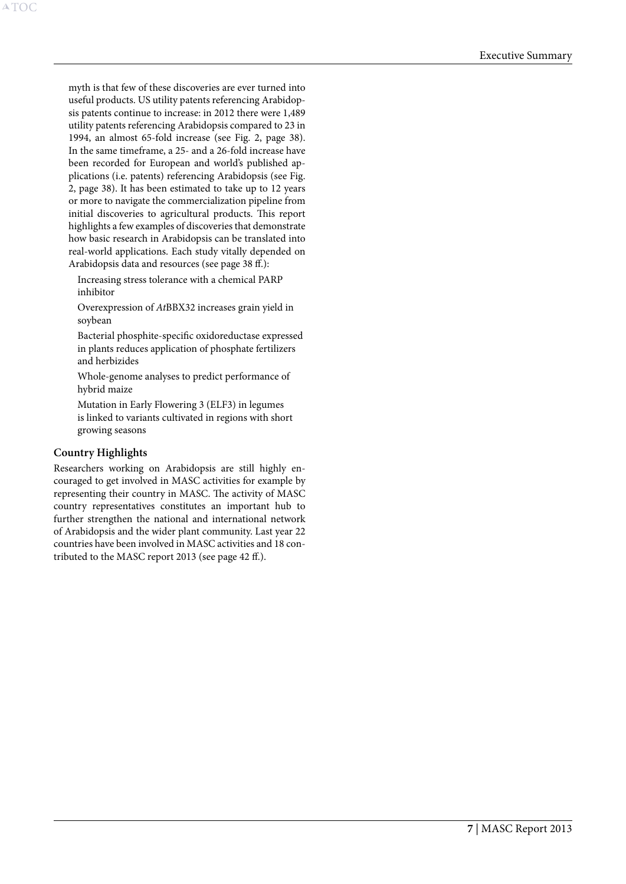myth is that few of these discoveries are ever turned into useful products. US utility patents referencing Arabidopsis patents continue to increase: in 2012 there were 1,489 utility patents referencing Arabidopsis compared to 23 in 1994, an almost 65-fold increase (see Fig. 2, [page 38\)](#page-38-1). In the same timeframe, a 25- and a 26-fold increase have been recorded for European and world's published applications (i.e. patents) referencing Arabidopsis (see Fig. 2, [page 38](#page-38-1)). It has been estimated to take up to 12 years or more to navigate the commercialization pipeline from initial discoveries to agricultural products. This report highlights a few examples of discoveries that demonstrate how basic research in Arabidopsis can be translated into real-world applications. Each study vitally depended on Arabidopsis data and resources (see [page 38 ff.](#page-38-2)):

Increasing stress tolerance with a chemical PARP inhibitor

Overexpression of *At*BBX32 increases grain yield in soybean

Bacterial phosphite-specific oxidoreductase expressed in plants reduces application of phosphate fertilizers and herbizides

Whole-genome analyses to predict performance of hybrid maize

Mutation in Early Flowering 3 (ELF3) in legumes is linked to variants cultivated in regions with short growing seasons

#### **Country Highlights**

A[TOC](#page-3-0)

Researchers working on Arabidopsis are still highly encouraged to get involved in MASC activities for example by representing their country in MASC. The activity of MASC country representatives constitutes an important hub to further strengthen the national and international network of Arabidopsis and the wider plant community. Last year 22 countries have been involved in MASC activities and 18 contributed to the MASC report 2013 (see [page 42 ff.\)](#page-42-1).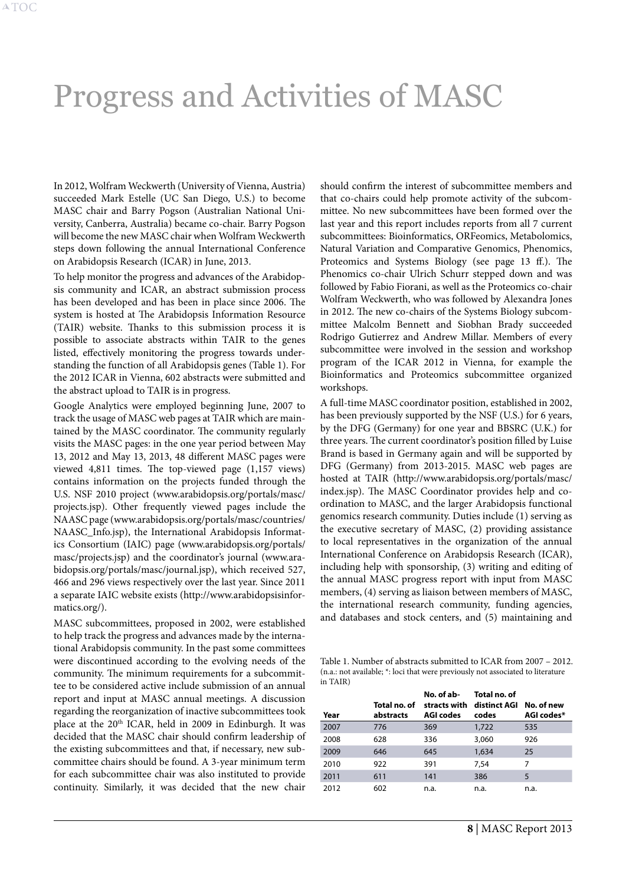# <span id="page-8-1"></span><span id="page-8-0"></span>Progress and Activities of MASC

In 2012, Wolfram Weckwerth (University of Vienna, Austria) succeeded Mark Estelle (UC San Diego, U.S.) to become MASC chair and Barry Pogson (Australian National University, Canberra, Australia) became co-chair. Barry Pogson will become the new MASC chair when Wolfram Weckwerth steps down following the annual International Conference on Arabidopsis Research (ICAR) in June, 2013.

To help monitor the progress and advances of the Arabidopsis community and ICAR, an abstract submission process has been developed and has been in place since 2006. The system is hosted at The Arabidopsis Information Resource (TAIR) website. Thanks to this submission process it is possible to associate abstracts within TAIR to the genes listed, effectively monitoring the progress towards understanding the function of all Arabidopsis genes (Table 1). For the 2012 ICAR in Vienna, 602 abstracts were submitted and the abstract upload to TAIR is in progress.

Google Analytics were employed beginning June, 2007 to track the usage of MASC web pages at TAIR which are maintained by the MASC coordinator. The community regularly visits the MASC pages: in the one year period between May 13, 2012 and May 13, 2013, 48 different MASC pages were viewed 4,811 times. The top-viewed page (1,157 views) contains information on the projects funded through the U.S. NSF 2010 project ([www.arabidopsis.org/portals/masc/](http://www.arabidopsis.org/portals/masc/projects.jsp) [projects.jsp](http://www.arabidopsis.org/portals/masc/projects.jsp)). Other frequently viewed pages include the NAASC page [\(www.arabidopsis.org/portals/masc/countries/](http://www.arabidopsis.org/portals/masc/countries/NAASC_Info.jsp) [NAASC\\_Info.jsp](http://www.arabidopsis.org/portals/masc/countries/NAASC_Info.jsp)), the International Arabidopsis Informatics Consortium (IAIC) page ([www.arabidopsis.org/portals/](http://www.arabidopsis.org/portals/masc/projects.jsp) [masc/projects.jsp](http://www.arabidopsis.org/portals/masc/projects.jsp)) and the coordinator's journal [\(www.ara](http://www.arabidopsis.org/portals/masc/journal.jsp)[bidopsis.org/portals/masc/journal.jsp\)](http://www.arabidopsis.org/portals/masc/journal.jsp), which received 527, 466 and 296 views respectively over the last year. Since 2011 a separate IAIC website exists ([http://www.arabidopsisinfor](http://www.arabidopsisinformatics.org/)[matics.org/\)](http://www.arabidopsisinformatics.org/).

MASC subcommittees, proposed in 2002, were established to help track the progress and advances made by the international Arabidopsis community. In the past some committees were discontinued according to the evolving needs of the community. The minimum requirements for a subcommittee to be considered active include submission of an annual report and input at MASC annual meetings. A discussion regarding the reorganization of inactive subcommittees took place at the 20<sup>th</sup> ICAR, held in 2009 in Edinburgh. It was decided that the MASC chair should confirm leadership of the existing subcommittees and that, if necessary, new subcommittee chairs should be found. A 3-year minimum term for each subcommittee chair was also instituted to provide continuity. Similarly, it was decided that the new chair

should confirm the interest of subcommittee members and that co-chairs could help promote activity of the subcommittee. No new subcommittees have been formed over the last year and this report includes reports from all 7 current subcommittees: Bioinformatics, ORFeomics, Metabolomics, Natural Variation and Comparative Genomics, Phenomics, Proteomics and Systems Biology (see [page 13 ff.](#page-13-2)). The Phenomics co-chair Ulrich Schurr stepped down and was followed by Fabio Fiorani, as well as the Proteomics co-chair Wolfram Weckwerth, who was followed by Alexandra Jones in 2012. The new co-chairs of the Systems Biology subcommittee Malcolm Bennett and Siobhan Brady succeeded Rodrigo Gutierrez and Andrew Millar. Members of every subcommittee were involved in the session and workshop program of the ICAR 2012 in Vienna, for example the Bioinformatics and Proteomics subcommittee organized workshops.

A full-time MASC coordinator position, established in 2002, has been previously supported by the NSF (U.S.) for 6 years, by the DFG (Germany) for one year and BBSRC (U.K.) for three years. The current coordinator's position filled by Luise Brand is based in Germany again and will be supported by DFG (Germany) from 2013-2015. MASC web pages are hosted at TAIR (http://www.arabidopsis.org/portals/masc/ index.jsp). The MASC Coordinator provides help and coordination to MASC, and the larger Arabidopsis functional genomics research community. Duties include (1) serving as the executive secretary of MASC, (2) providing assistance to local representatives in the organization of the annual International Conference on Arabidopsis Research (ICAR), including help with sponsorship, (3) writing and editing of the annual MASC progress report with input from MASC members, (4) serving as liaison between members of MASC, the international research community, funding agencies, and databases and stock centers, and (5) maintaining and

Table 1. Number of abstracts submitted to ICAR from 2007 – 2012. (n.a.: not available; \*: loci that were previously not associated to literature in TAIR)

| Year | Total no. of<br>abstracts | No. of ab-<br><b>AGI codes</b> | Total no. of<br>stracts with distinct AGI No. of new<br>codes | AGI codes* |
|------|---------------------------|--------------------------------|---------------------------------------------------------------|------------|
| 2007 | 776                       | 369                            | 1,722                                                         | 535        |
| 2008 | 628                       | 336                            | 3,060                                                         | 926        |
| 2009 | 646                       | 645                            | 1,634                                                         | 25         |
| 2010 | 922                       | 391                            | 7,54                                                          | 7          |
| 2011 | 611                       | 141                            | 386                                                           | 5          |
| 2012 | 602                       | n.a.                           | n.a.                                                          | n.a.       |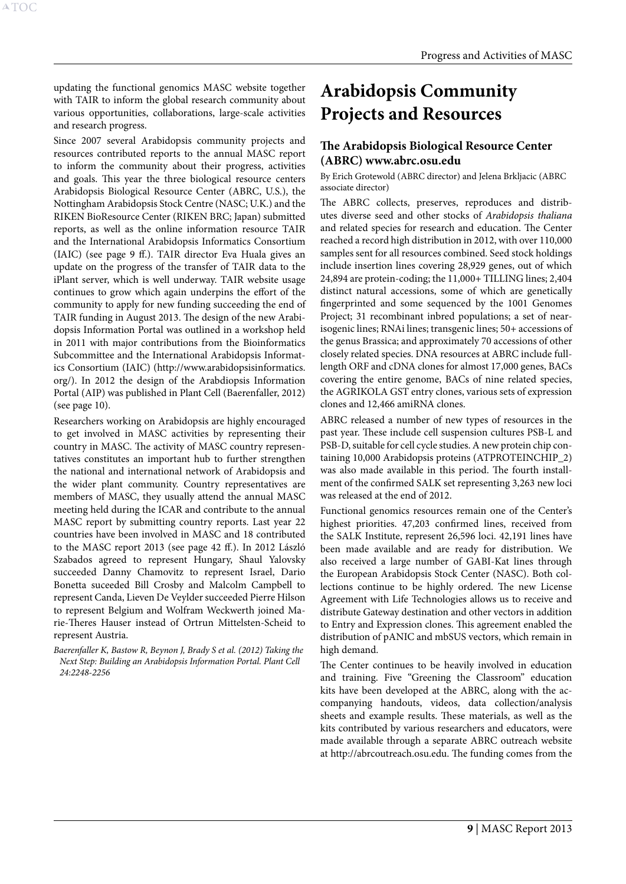<span id="page-9-0"></span>updating the functional genomics MASC website together with TAIR to inform the global research community about various opportunities, collaborations, large-scale activities and research progress.

Since 2007 several Arabidopsis community projects and resources contributed reports to the annual MASC report to inform the community about their progress, activities and goals. This year the three biological resource centers Arabidopsis Biological Resource Center (ABRC, U.S.), the Nottingham Arabidopsis Stock Centre (NASC; U.K.) and the RIKEN BioResource Center (RIKEN BRC; Japan) submitted reports, as well as the online information resource TAIR and the International Arabidopsis Informatics Consortium (IAIC) (see [page 9 ff.\)](#page-9-1). TAIR director Eva Huala gives an update on the progress of the transfer of TAIR data to the iPlant server, which is well underway. TAIR website usage continues to grow which again underpins the effort of the community to apply for new funding succeeding the end of TAIR funding in August 2013. The design of the new Arabidopsis Information Portal was outlined in a workshop held in 2011 with major contributions from the Bioinformatics Subcommittee and the International Arabidopsis Informatics Consortium (IAIC) (http://www.arabidopsisinformatics. org/). In 2012 the design of the Arabdiopsis Information Portal (AIP) was published in Plant Cell (Baerenfaller, 2012) (see [page 10](#page-10-0)).

Researchers working on Arabidopsis are highly encouraged to get involved in MASC activities by representing their country in MASC. The activity of MASC country representatives constitutes an important hub to further strengthen the national and international network of Arabidopsis and the wider plant community. Country representatives are members of MASC, they usually attend the annual MASC meeting held during the ICAR and contribute to the annual MASC report by submitting country reports. Last year 22 countries have been involved in MASC and 18 contributed to the MASC report 2013 (see [page 42 ff.\)](#page-42-1). In 2012 László Szabados agreed to represent Hungary, Shaul Yalovsky succeeded Danny Chamovitz to represent Israel, Dario Bonetta suceeded Bill Crosby and Malcolm Campbell to represent Canda, Lieven De Veylder succeeded Pierre Hilson to represent Belgium and Wolfram Weckwerth joined Marie-Theres Hauser instead of Ortrun Mittelsten-Scheid to represent Austria.

*Baerenfaller K, Bastow R, Beynon J, Brady S et al. (2012) Taking the Next Step: Building an Arabidopsis Information Portal. Plant Cell 24:2248-2256*

# <span id="page-9-1"></span>**Arabidopsis Community Projects and Resources**

# **The Arabidopsis Biological Resource Center (ABRC) www.abrc.osu.edu**

By Erich Grotewold (ABRC director) and Jelena Brkljacic (ABRC associate director)

The ABRC collects, preserves, reproduces and distributes diverse seed and other stocks of *Arabidopsis thaliana*  and related species for research and education. The Center reached a record high distribution in 2012, with over 110,000 samples sent for all resources combined. Seed stock holdings include insertion lines covering 28,929 genes, out of which 24,894 are protein-coding; the 11,000+ TILLING lines; 2,404 distinct natural accessions, some of which are genetically fingerprinted and some sequenced by the 1001 Genomes Project; 31 recombinant inbred populations; a set of nearisogenic lines; RNAi lines; transgenic lines; 50+ accessions of the genus Brassica; and approximately 70 accessions of other closely related species. DNA resources at ABRC include fulllength ORF and cDNA clones for almost 17,000 genes, BACs covering the entire genome, BACs of nine related species, the AGRIKOLA GST entry clones, various sets of expression clones and 12,466 amiRNA clones.

ABRC released a number of new types of resources in the past year. These include cell suspension cultures PSB-L and PSB-D, suitable for cell cycle studies. A new protein chip containing 10,000 Arabidopsis proteins (ATPROTEINCHIP\_2) was also made available in this period. The fourth installment of the confirmed SALK set representing 3,263 new loci was released at the end of 2012.

Functional genomics resources remain one of the Center's highest priorities. 47,203 confirmed lines, received from the SALK Institute, represent 26,596 loci. 42,191 lines have been made available and are ready for distribution. We also received a large number of GABI-Kat lines through the European Arabidopsis Stock Center (NASC). Both collections continue to be highly ordered. The new License Agreement with Life Technologies allows us to receive and distribute Gateway destination and other vectors in addition to Entry and Expression clones. This agreement enabled the distribution of pANIC and mbSUS vectors, which remain in high demand.

The Center continues to be heavily involved in education and training. Five "Greening the Classroom" education kits have been developed at the ABRC, along with the accompanying handouts, videos, data collection/analysis sheets and example results. These materials, as well as the kits contributed by various researchers and educators, were made available through a separate ABRC outreach website at http://abrcoutreach.osu.edu. The funding comes from the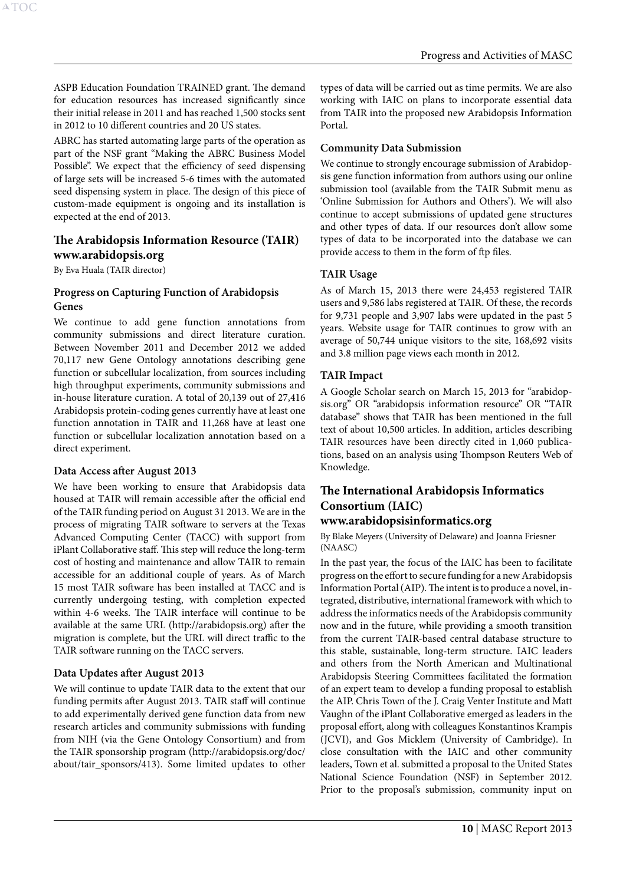ASPB Education Foundation TRAINED grant. The demand for education resources has increased significantly since their initial release in 2011 and has reached 1,500 stocks sent in 2012 to 10 different countries and 20 US states.

ABRC has started automating large parts of the operation as part of the NSF grant "Making the ABRC Business Model Possible". We expect that the efficiency of seed dispensing of large sets will be increased 5-6 times with the automated seed dispensing system in place. The design of this piece of custom-made equipment is ongoing and its installation is expected at the end of 2013.

## **The Arabidopsis Information Resource (TAIR) www.arabidopsis.org**

By Eva Huala (TAIR director)

## **Progress on Capturing Function of Arabidopsis Genes**

We continue to add gene function annotations from community submissions and direct literature curation. Between November 2011 and December 2012 we added 70,117 new Gene Ontology annotations describing gene function or subcellular localization, from sources including high throughput experiments, community submissions and in-house literature curation. A total of 20,139 out of 27,416 Arabidopsis protein-coding genes currently have at least one function annotation in TAIR and 11,268 have at least one function or subcellular localization annotation based on a direct experiment.

#### **Data Access after August 2013**

We have been working to ensure that Arabidopsis data housed at TAIR will remain accessible after the official end of the TAIR funding period on August 31 2013. We are in the process of migrating TAIR software to servers at the Texas Advanced Computing Center (TACC) with support from iPlant Collaborative staff. This step will reduce the long-term cost of hosting and maintenance and allow TAIR to remain accessible for an additional couple of years. As of March 15 most TAIR software has been installed at TACC and is currently undergoing testing, with completion expected within 4-6 weeks. The TAIR interface will continue to be available at the same URL (http://arabidopsis.org) after the migration is complete, but the URL will direct traffic to the TAIR software running on the TACC servers.

# **Data Updates after August 2013**

We will continue to update TAIR data to the extent that our funding permits after August 2013. TAIR staff will continue to add experimentally derived gene function data from new research articles and community submissions with funding from NIH (via the Gene Ontology Consortium) and from the TAIR sponsorship program (http://arabidopsis.org/doc/ about/tair\_sponsors/413). Some limited updates to other types of data will be carried out as time permits. We are also working with IAIC on plans to incorporate essential data from TAIR into the proposed new Arabidopsis Information Portal.

# **Community Data Submission**

We continue to strongly encourage submission of Arabidopsis gene function information from authors using our online submission tool (available from the TAIR Submit menu as 'Online Submission for Authors and Others'). We will also continue to accept submissions of updated gene structures and other types of data. If our resources don't allow some types of data to be incorporated into the database we can provide access to them in the form of ftp files.

# **TAIR Usage**

As of March 15, 2013 there were 24,453 registered TAIR users and 9,586 labs registered at TAIR. Of these, the records for 9,731 people and 3,907 labs were updated in the past 5 years. Website usage for TAIR continues to grow with an average of 50,744 unique visitors to the site, 168,692 visits and 3.8 million page views each month in 2012.

# **TAIR Impact**

A Google Scholar search on March 15, 2013 for "arabidopsis.org" OR "arabidopsis information resource" OR "TAIR database" shows that TAIR has been mentioned in the full text of about 10,500 articles. In addition, articles describing TAIR resources have been directly cited in 1,060 publications, based on an analysis using Thompson Reuters Web of Knowledge.

# <span id="page-10-0"></span>**The International Arabidopsis Informatics Consortium (IAIC)**

# **www.arabidopsisinformatics.org**

By Blake Meyers (University of Delaware) and Joanna Friesner (NAASC)

In the past year, the focus of the IAIC has been to facilitate progress on the effort to secure funding for a new Arabidopsis Information Portal (AIP). The intent is to produce a novel, integrated, distributive, international framework with which to address the informatics needs of the Arabidopsis community now and in the future, while providing a smooth transition from the current TAIR-based central database structure to this stable, sustainable, long-term structure. IAIC leaders and others from the North American and Multinational Arabidopsis Steering Committees facilitated the formation of an expert team to develop a funding proposal to establish the AIP. Chris Town of the J. Craig Venter Institute and Matt Vaughn of the iPlant Collaborative emerged as leaders in the proposal effort, along with colleagues Konstantinos Krampis (JCVI), and Gos Micklem (University of Cambridge). In close consultation with the IAIC and other community leaders, Town et al. submitted a proposal to the United States National Science Foundation (NSF) in September 2012. Prior to the proposal's submission, community input on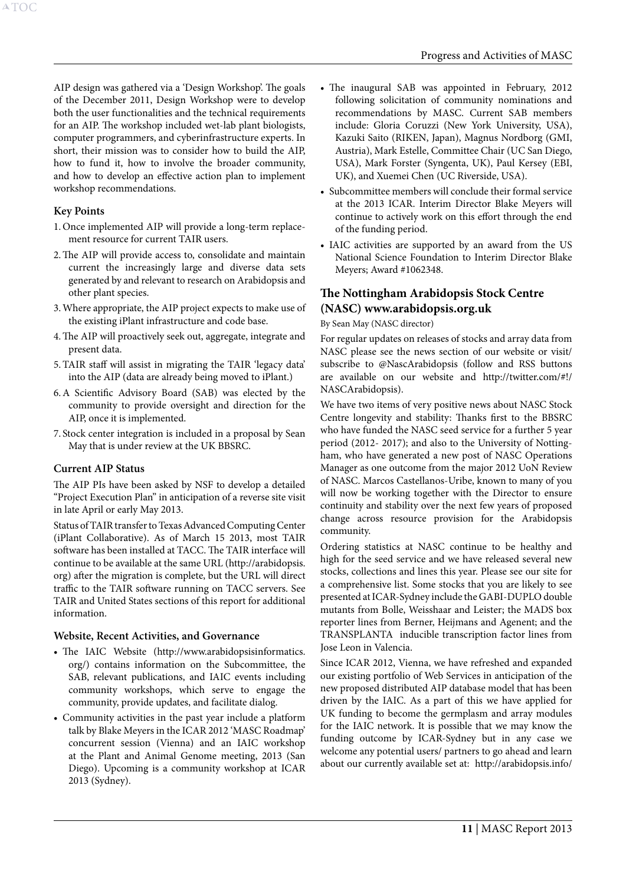AIP design was gathered via a 'Design Workshop'. The goals of the December 2011, Design Workshop were to develop both the user functionalities and the technical requirements for an AIP. The workshop included wet-lab plant biologists, computer programmers, and cyberinfrastructure experts. In short, their mission was to consider how to build the AIP, how to fund it, how to involve the broader community, and how to develop an effective action plan to implement workshop recommendations.

#### **Key Points**

A[TOC](#page-3-0)

- 1.Once implemented AIP will provide a long-term replacement resource for current TAIR users.
- 2.The AIP will provide access to, consolidate and maintain current the increasingly large and diverse data sets generated by and relevant to research on Arabidopsis and other plant species.
- 3.Where appropriate, the AIP project expects to make use of the existing iPlant infrastructure and code base.
- 4.The AIP will proactively seek out, aggregate, integrate and present data.
- 5.TAIR staff will assist in migrating the TAIR 'legacy data' into the AIP (data are already being moved to iPlant.)
- 6.A Scientific Advisory Board (SAB) was elected by the community to provide oversight and direction for the AIP, once it is implemented.
- 7. Stock center integration is included in a proposal by Sean May that is under review at the UK BBSRC.

#### **Current AIP Status**

The AIP PIs have been asked by NSF to develop a detailed "Project Execution Plan" in anticipation of a reverse site visit in late April or early May 2013.

Status of TAIR transfer to Texas Advanced Computing Center (iPlant Collaborative). As of March 15 2013, most TAIR software has been installed at TACC. The TAIR interface will continue to be available at the same URL (http://arabidopsis. org) after the migration is complete, but the URL will direct traffic to the TAIR software running on TACC servers. See TAIR and United States sections of this report for additional information.

#### **Website, Recent Activities, and Governance**

- The IAIC Website (http://www.arabidopsisinformatics. org/) contains information on the Subcommittee, the SAB, relevant publications, and IAIC events including community workshops, which serve to engage the community, provide updates, and facilitate dialog.
- • Community activities in the past year include a platform talk by Blake Meyers in the ICAR 2012 'MASC Roadmap' concurrent session (Vienna) and an IAIC workshop at the Plant and Animal Genome meeting, 2013 (San Diego). Upcoming is a community workshop at ICAR 2013 (Sydney).
- The inaugural SAB was appointed in February, 2012 following solicitation of community nominations and recommendations by MASC. Current SAB members include: Gloria Coruzzi (New York University, USA), Kazuki Saito (RIKEN, Japan), Magnus Nordborg (GMI, Austria), Mark Estelle, Committee Chair (UC San Diego, USA), Mark Forster (Syngenta, UK), Paul Kersey (EBI, UK), and Xuemei Chen (UC Riverside, USA).
- Subcommittee members will conclude their formal service at the 2013 ICAR. Interim Director Blake Meyers will continue to actively work on this effort through the end of the funding period.
- IAIC activities are supported by an award from the US National Science Foundation to Interim Director Blake Meyers; Award #1062348.

# **The Nottingham Arabidopsis Stock Centre (NASC) www.arabidopsis.org.uk**

#### By Sean May (NASC director)

For regular updates on releases of stocks and array data from NASC please see the news section of our website or visit/ subscribe to @NascArabidopsis (follow and RSS buttons are available on our website and http://twitter.com/#!/ NASCArabidopsis).

We have two items of very positive news about NASC Stock Centre longevity and stability: Thanks first to the BBSRC who have funded the NASC seed service for a further 5 year period (2012- 2017); and also to the University of Nottingham, who have generated a new post of NASC Operations Manager as one outcome from the major 2012 UoN Review of NASC. Marcos Castellanos-Uribe, known to many of you will now be working together with the Director to ensure continuity and stability over the next few years of proposed change across resource provision for the Arabidopsis community.

Ordering statistics at NASC continue to be healthy and high for the seed service and we have released several new stocks, collections and lines this year. Please see our site for a comprehensive list. Some stocks that you are likely to see presented at ICAR-Sydney include the GABI-DUPLO double mutants from Bolle, Weisshaar and Leister; the MADS box reporter lines from Berner, Heijmans and Agenent; and the TRANSPLANTA inducible transcription factor lines from Jose Leon in Valencia.

Since ICAR 2012, Vienna, we have refreshed and expanded our existing portfolio of Web Services in anticipation of the new proposed distributed AIP database model that has been driven by the IAIC. As a part of this we have applied for UK funding to become the germplasm and array modules for the IAIC network. It is possible that we may know the funding outcome by ICAR-Sydney but in any case we welcome any potential users/ partners to go ahead and learn about our currently available set at: http://arabidopsis.info/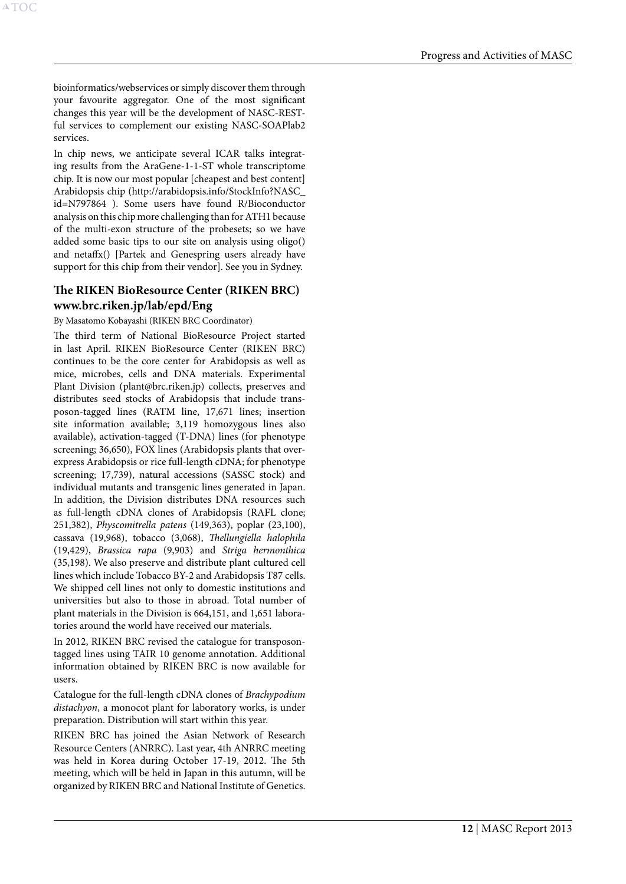bioinformatics/webservices or simply discover them through your favourite aggregator. One of the most significant changes this year will be the development of NASC-RESTful services to complement our existing NASC-SOAPlab2 services.

In chip news, we anticipate several ICAR talks integrating results from the AraGene-1-1-ST whole transcriptome chip. It is now our most popular [cheapest and best content] Arabidopsis chip (http://arabidopsis.info/StockInfo?NASC\_ id=N797864 ). Some users have found R/Bioconductor analysis on this chip more challenging than for ATH1 because of the multi-exon structure of the probesets; so we have added some basic tips to our site on analysis using oligo() and netaffx() [Partek and Genespring users already have support for this chip from their vendor]. See you in Sydney.

# **The RIKEN BioResource Center (RIKEN BRC) www.brc.riken.jp/lab/epd/Eng**

By Masatomo Kobayashi (RIKEN BRC Coordinator)

The third term of National BioResource Project started in last April. RIKEN BioResource Center (RIKEN BRC) continues to be the core center for Arabidopsis as well as mice, microbes, cells and DNA materials. Experimental Plant Division (plant@brc.riken.jp) collects, preserves and distributes seed stocks of Arabidopsis that include transposon-tagged lines (RATM line, 17,671 lines; insertion site information available; 3,119 homozygous lines also available), activation-tagged (T-DNA) lines (for phenotype screening; 36,650), FOX lines (Arabidopsis plants that overexpress Arabidopsis or rice full-length cDNA; for phenotype screening; 17,739), natural accessions (SASSC stock) and individual mutants and transgenic lines generated in Japan. In addition, the Division distributes DNA resources such as full-length cDNA clones of Arabidopsis (RAFL clone; 251,382), *Physcomitrella patens* (149,363), poplar (23,100), cassava (19,968), tobacco (3,068), *Thellungiella halophila*  (19,429), *Brassica rapa* (9,903) and *Striga hermonthica*  (35,198). We also preserve and distribute plant cultured cell lines which include Tobacco BY-2 and Arabidopsis T87 cells. We shipped cell lines not only to domestic institutions and universities but also to those in abroad. Total number of plant materials in the Division is 664,151, and 1,651 laboratories around the world have received our materials.

In 2012, RIKEN BRC revised the catalogue for transposontagged lines using TAIR 10 genome annotation. Additional information obtained by RIKEN BRC is now available for users.

Catalogue for the full-length cDNA clones of *Brachypodium distachyon*, a monocot plant for laboratory works, is under preparation. Distribution will start within this year.

RIKEN BRC has joined the Asian Network of Research Resource Centers (ANRRC). Last year, 4th ANRRC meeting was held in Korea during October 17-19, 2012. The 5th meeting, which will be held in Japan in this autumn, will be organized by RIKEN BRC and National Institute of Genetics.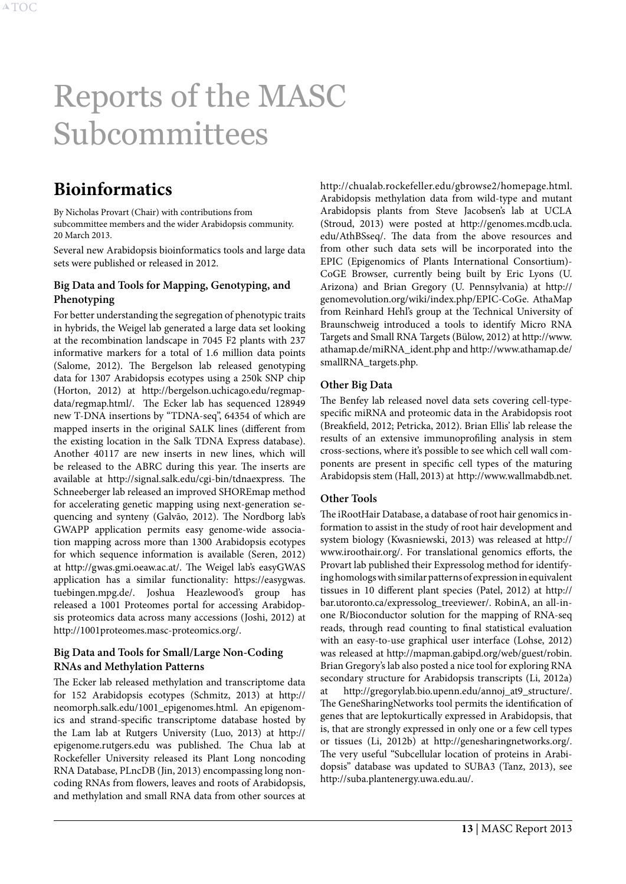# <span id="page-13-2"></span><span id="page-13-0"></span>Reports of the MASC Subcommittees

# <span id="page-13-1"></span>**Bioinformatics**

By Nicholas Provart (Chair) with contributions from subcommittee members and the wider Arabidopsis community. 20 March 2013.

Several new Arabidopsis bioinformatics tools and large data sets were published or released in 2012.

#### **Big Data and Tools for Mapping, Genotyping, and Phenotyping**

For better understanding the segregation of phenotypic traits in hybrids, the Weigel lab generated a large data set looking at the recombination landscape in 7045 F2 plants with 237 informative markers for a total of 1.6 million data points (Salome, 2012). The Bergelson lab released genotyping data for 1307 Arabidopsis ecotypes using a 250k SNP chip (Horton, 2012) at http://bergelson.uchicago.edu/regmapdata/regmap.html/. The Ecker lab has sequenced 128949 new T-DNA insertions by "TDNA-seq", 64354 of which are mapped inserts in the original SALK lines (different from the existing location in the Salk TDNA Express database). Another 40117 are new inserts in new lines, which will be released to the ABRC during this year. The inserts are available at http://signal.salk.edu/cgi-bin/tdnaexpress. The Schneeberger lab released an improved SHOREmap method for accelerating genetic mapping using next-generation sequencing and synteny (Galvão, 2012). The Nordborg lab's GWAPP application permits easy genome-wide association mapping across more than 1300 Arabidopsis ecotypes for which sequence information is available (Seren, 2012) at http://gwas.gmi.oeaw.ac.at/. The Weigel lab's easyGWAS application has a similar functionality: https://easygwas. tuebingen.mpg.de/. Joshua Heazlewood's group has released a 1001 Proteomes portal for accessing Arabidopsis proteomics data across many accessions (Joshi, 2012) at http://1001proteomes.masc-proteomics.org/.

## **Big Data and Tools for Small/Large Non-Coding RNAs and Methylation Patterns**

The Ecker lab released methylation and transcriptome data for 152 Arabidopsis ecotypes (Schmitz, 2013) at http:// neomorph.salk.edu/1001\_epigenomes.html. An epigenomics and strand-specific transcriptome database hosted by the Lam lab at Rutgers University (Luo, 2013) at http:// epigenome.rutgers.edu was published. The Chua lab at Rockefeller University released its Plant Long noncoding RNA Database, PLncDB (Jin, 2013) encompassing long noncoding RNAs from flowers, leaves and roots of Arabidopsis, and methylation and small RNA data from other sources at http://chualab.rockefeller.edu/gbrowse2/homepage.html. Arabidopsis methylation data from wild-type and mutant Arabidopsis plants from Steve Jacobsen's lab at UCLA (Stroud, 2013) were posted at http://genomes.mcdb.ucla. edu/AthBSseq/. The data from the above resources and from other such data sets will be incorporated into the EPIC (Epigenomics of Plants International Consortium)- CoGE Browser, currently being built by Eric Lyons (U. Arizona) and Brian Gregory (U. Pennsylvania) at http:// genomevolution.org/wiki/index.php/EPIC-CoGe. AthaMap from Reinhard Hehl's group at the Technical University of Braunschweig introduced a tools to identify Micro RNA Targets and Small RNA Targets (Bülow, 2012) at http://www. athamap.de/miRNA\_ident.php and http://www.athamap.de/ smallRNA\_targets.php.

# **Other Big Data**

The Benfey lab released novel data sets covering cell-typespecific miRNA and proteomic data in the Arabidopsis root (Breakfield, 2012; Petricka, 2012). Brian Ellis' lab release the results of an extensive immunoprofiling analysis in stem cross-sections, where it's possible to see which cell wall components are present in specific cell types of the maturing Arabidopsis stem (Hall, 2013) at http://www.wallmabdb.net.

# **Other Tools**

The iRootHair Database, a database of root hair genomics information to assist in the study of root hair development and system biology (Kwasniewski, 2013) was released at http:// www.iroothair.org/. For translational genomics efforts, the Provart lab published their Expressolog method for identifying homologs with similar patterns of expression in equivalent tissues in 10 different plant species (Patel, 2012) at http:// bar.utoronto.ca/expressolog\_treeviewer/. RobinA, an all-inone R/Bioconductor solution for the mapping of RNA-seq reads, through read counting to final statistical evaluation with an easy-to-use graphical user interface (Lohse, 2012) was released at http://mapman.gabipd.org/web/guest/robin. Brian Gregory's lab also posted a nice tool for exploring RNA secondary structure for Arabidopsis transcripts (Li, 2012a) at http://gregorylab.bio.upenn.edu/annoj\_at9\_structure/. The GeneSharingNetworks tool permits the identification of genes that are leptokurtically expressed in Arabidopsis, that is, that are strongly expressed in only one or a few cell types or tissues (Li, 2012b) at http://genesharingnetworks.org/. The very useful "Subcellular location of proteins in Arabidopsis" database was updated to SUBA3 (Tanz, 2013), see http://suba.plantenergy.uwa.edu.au/.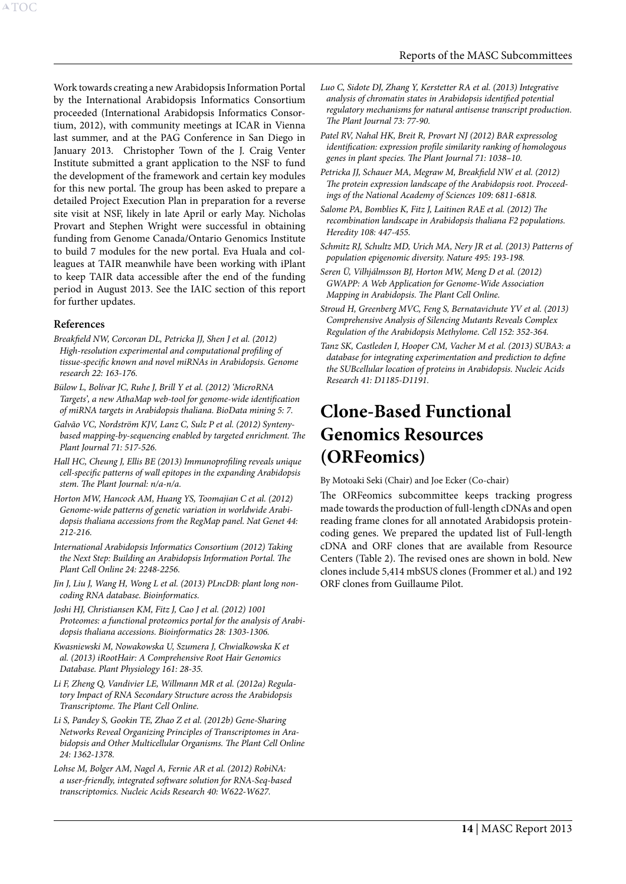<span id="page-14-0"></span>Work towards creating a new Arabidopsis Information Portal by the International Arabidopsis Informatics Consortium proceeded (International Arabidopsis Informatics Consortium, 2012), with community meetings at ICAR in Vienna last summer, and at the PAG Conference in San Diego in January 2013. Christopher Town of the J. Craig Venter Institute submitted a grant application to the NSF to fund the development of the framework and certain key modules for this new portal. The group has been asked to prepare a detailed Project Execution Plan in preparation for a reverse site visit at NSF, likely in late April or early May. Nicholas Provart and Stephen Wright were successful in obtaining funding from Genome Canada/Ontario Genomics Institute to build 7 modules for the new portal. Eva Huala and colleagues at TAIR meanwhile have been working with iPlant to keep TAIR data accessible after the end of the funding period in August 2013. See the IAIC section of this report for further updates.

#### **References**

- *Breakfield NW, Corcoran DL, Petricka JJ, Shen J et al. (2012) High-resolution experimental and computational profiling of tissue-specific known and novel miRNAs in Arabidopsis. Genome research 22: 163-176.*
- *Bülow L, Bolívar JC, Ruhe J, Brill Y et al. (2012) 'MicroRNA Targets', a new AthaMap web-tool for genome-wide identification of miRNA targets in Arabidopsis thaliana. BioData mining 5: 7.*
- *Galvão VC, Nordström KJV, Lanz C, Sulz P et al. (2012) Syntenybased mapping-by-sequencing enabled by targeted enrichment. The Plant Journal 71: 517-526.*
- *Hall HC, Cheung J, Ellis BE (2013) Immunoprofiling reveals unique cell-specific patterns of wall epitopes in the expanding Arabidopsis stem. The Plant Journal: n/a-n/a.*
- *Horton MW, Hancock AM, Huang YS, Toomajian C et al. (2012) Genome-wide patterns of genetic variation in worldwide Arabidopsis thaliana accessions from the RegMap panel. Nat Genet 44: 212-216.*
- *International Arabidopsis Informatics Consortium (2012) Taking the Next Step: Building an Arabidopsis Information Portal. The Plant Cell Online 24: 2248-2256.*
- *Jin J, Liu J, Wang H, Wong L et al. (2013) PLncDB: plant long noncoding RNA database. Bioinformatics.*
- *Joshi HJ, Christiansen KM, Fitz J, Cao J et al. (2012) 1001 Proteomes: a functional proteomics portal for the analysis of Arabidopsis thaliana accessions. Bioinformatics 28: 1303-1306.*
- *Kwasniewski M, Nowakowska U, Szumera J, Chwialkowska K et al. (2013) iRootHair: A Comprehensive Root Hair Genomics Database. Plant Physiology 161: 28-35.*
- *Li F, Zheng Q, Vandivier LE, Willmann MR et al. (2012a) Regulatory Impact of RNA Secondary Structure across the Arabidopsis Transcriptome. The Plant Cell Online.*
- *Li S, Pandey S, Gookin TE, Zhao Z et al. (2012b) Gene-Sharing Networks Reveal Organizing Principles of Transcriptomes in Arabidopsis and Other Multicellular Organisms. The Plant Cell Online 24: 1362-1378.*
- *Lohse M, Bolger AM, Nagel A, Fernie AR et al. (2012) RobiNA: a user-friendly, integrated software solution for RNA-Seq-based transcriptomics. Nucleic Acids Research 40: W622-W627.*
- *Luo C, Sidote DJ, Zhang Y, Kerstetter RA et al. (2013) Integrative analysis of chromatin states in Arabidopsis identified potential regulatory mechanisms for natural antisense transcript production. The Plant Journal 73: 77-90.*
- *Patel RV, Nahal HK, Breit R, Provart NJ (2012) BAR expressolog identification: expression profile similarity ranking of homologous genes in plant species. The Plant Journal 71: 1038–10.*
- *Petricka JJ, Schauer MA, Megraw M, Breakfield NW et al. (2012) The protein expression landscape of the Arabidopsis root. Proceedings of the National Academy of Sciences 109: 6811-6818.*
- *Salome PA, Bomblies K, Fitz J, Laitinen RAE et al. (2012) The recombination landscape in Arabidopsis thaliana F2 populations. Heredity 108: 447-455.*
- *Schmitz RJ, Schultz MD, Urich MA, Nery JR et al. (2013) Patterns of population epigenomic diversity. Nature 495: 193-198.*
- *Seren Ü, Vilhjálmsson BJ, Horton MW, Meng D et al. (2012) GWAPP: A Web Application for Genome-Wide Association Mapping in Arabidopsis. The Plant Cell Online.*
- *Stroud H, Greenberg MVC, Feng S, Bernatavichute YV et al. (2013) Comprehensive Analysis of Silencing Mutants Reveals Complex Regulation of the Arabidopsis Methylome. Cell 152: 352-364.*
- *Tanz SK, Castleden I, Hooper CM, Vacher M et al. (2013) SUBA3: a database for integrating experimentation and prediction to define the SUBcellular location of proteins in Arabidopsis. Nucleic Acids Research 41: D1185-D1191.*

# <span id="page-14-1"></span>**Clone-Based Functional Genomics Resources (ORFeomics)**

By Motoaki Seki (Chair) and Joe Ecker (Co-chair)

The ORFeomics subcommittee keeps tracking progress made towards the production of full-length cDNAs and open reading frame clones for all annotated Arabidopsis proteincoding genes. We prepared the updated list of Full-length cDNA and ORF clones that are available from Resource Centers (Table 2). The revised ones are shown in bold. New clones include 5,414 mbSUS clones (Frommer et al.) and 192 ORF clones from Guillaume Pilot.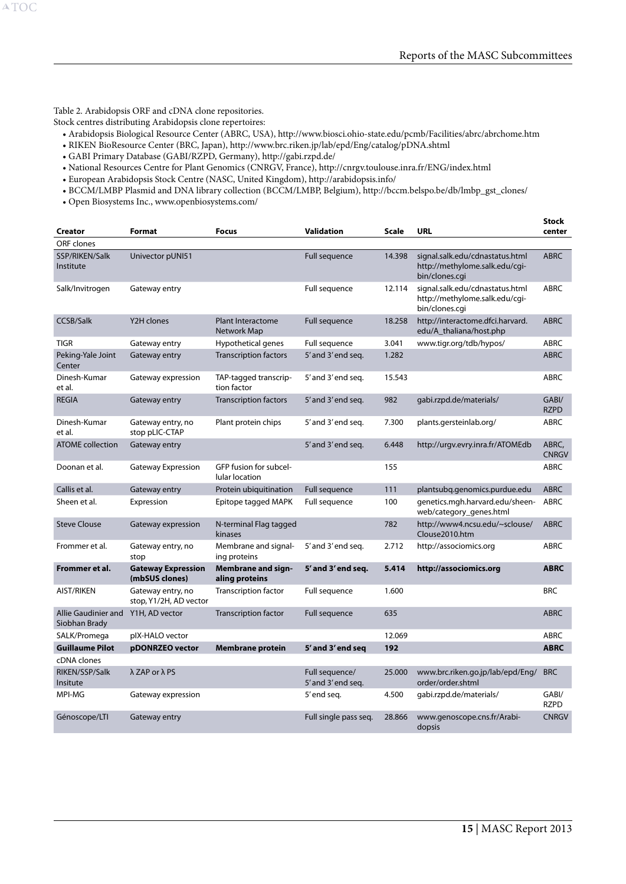Table 2. Arabidopsis ORF and cDNA clone repositories.

A[TOC](#page-3-0)

Stock centres distributing Arabidopsis clone repertoires:

- • Arabidopsis Biological Resource Center (ABRC, USA), http://www.biosci.ohio-state.edu/pcmb/Facilities/abrc/abrchome.htm
- • RIKEN BioResource Center (BRC, Japan), http://www.brc.riken.jp/lab/epd/Eng/catalog/pDNA.shtml
- • GABI Primary Database (GABI/RZPD, Germany), http://gabi.rzpd.de/
- • National Resources Centre for Plant Genomics (CNRGV, France), http://cnrgv.toulouse.inra.fr/ENG/index.html
- • European Arabidopsis Stock Centre (NASC, United Kingdom), http://arabidopsis.info/
- • BCCM/LMBP Plasmid and DNA library collection (BCCM/LMBP, Belgium), http://bccm.belspo.be/db/lmbp\_gst\_clones/
- • Open Biosystems Inc., www.openbiosystems.com/

| <b>Creator</b>                       | Format                                      | <b>Focus</b>                                    | <b>Validation</b>                    | Scale  | <b>URL</b>                                                                          | <b>Stock</b><br>center |
|--------------------------------------|---------------------------------------------|-------------------------------------------------|--------------------------------------|--------|-------------------------------------------------------------------------------------|------------------------|
| ORF clones                           |                                             |                                                 |                                      |        |                                                                                     |                        |
| SSP/RIKEN/Salk<br>Institute          | Univector pUNI51                            |                                                 | <b>Full sequence</b>                 | 14.398 | signal.salk.edu/cdnastatus.html<br>http://methylome.salk.edu/cgi-<br>bin/clones.cgi | <b>ABRC</b>            |
| Salk/Invitrogen                      | Gateway entry                               |                                                 | Full sequence                        | 12.114 | signal.salk.edu/cdnastatus.html<br>http://methylome.salk.edu/cgi-<br>bin/clones.cqi | <b>ABRC</b>            |
| <b>CCSB/Salk</b>                     | Y2H clones                                  | <b>Plant Interactome</b><br>Network Map         | <b>Full sequence</b>                 | 18.258 | http://interactome.dfci.harvard.<br>edu/A_thaliana/host.php                         | <b>ABRC</b>            |
| <b>TIGR</b>                          | Gateway entry                               | Hypothetical genes                              | Full sequence                        | 3.041  | www.tigr.org/tdb/hypos/                                                             | <b>ABRC</b>            |
| Peking-Yale Joint<br>Center          | Gateway entry                               | <b>Transcription factors</b>                    | 5' and 3' end seq.                   | 1.282  |                                                                                     | <b>ABRC</b>            |
| Dinesh-Kumar<br>et al.               | Gateway expression                          | TAP-tagged transcrip-<br>tion factor            | 5' and 3' end seq.                   | 15.543 |                                                                                     | <b>ABRC</b>            |
| <b>REGIA</b>                         | Gateway entry                               | <b>Transcription factors</b>                    | 5' and 3' end seq.                   | 982    | qabi.rzpd.de/materials/                                                             | GABI/<br><b>RZPD</b>   |
| Dinesh-Kumar<br>et al.               | Gateway entry, no<br>stop pLIC-CTAP         | Plant protein chips                             | 5' and 3' end seq.                   | 7.300  | plants.gersteinlab.org/                                                             | <b>ABRC</b>            |
| <b>ATOME</b> collection              | Gateway entry                               |                                                 | 5' and 3' end seq.                   | 6.448  | http://urgv.evry.inra.fr/ATOMEdb                                                    | ABRC.<br><b>CNRGV</b>  |
| Doonan et al.                        | Gateway Expression                          | GFP fusion for subcel-<br><b>lular location</b> |                                      | 155    |                                                                                     | <b>ABRC</b>            |
| Callis et al.                        | Gateway entry                               | Protein ubiquitination                          | Full sequence                        | 111    | plantsubg.genomics.purdue.edu                                                       | <b>ABRC</b>            |
| Sheen et al.                         | Expression                                  | Epitope tagged MAPK                             | Full sequence                        | 100    | genetics.mgh.harvard.edu/sheen-<br>web/category_genes.html                          | <b>ABRC</b>            |
| <b>Steve Clouse</b>                  | Gateway expression                          | N-terminal Flag tagged<br>kinases               |                                      | 782    | http://www4.ncsu.edu/~sclouse/<br>Clouse2010.htm                                    | <b>ABRC</b>            |
| Frommer et al.                       | Gateway entry, no<br>stop                   | Membrane and signal-<br>ing proteins            | 5' and 3' end seq.                   | 2.712  | http://associomics.org                                                              | <b>ABRC</b>            |
| Frommer et al.                       | <b>Gateway Expression</b><br>(mbSUS clones) | <b>Membrane and sign-</b><br>aling proteins     | 5' and 3' end seq.                   | 5.414  | http://associomics.org                                                              | <b>ABRC</b>            |
| <b>AIST/RIKEN</b>                    | Gateway entry, no<br>stop, Y1/2H, AD vector | <b>Transcription factor</b>                     | Full sequence                        | 1.600  |                                                                                     | <b>BRC</b>             |
| Allie Gaudinier and<br>Siobhan Brady | Y1H, AD vector                              | <b>Transcription factor</b>                     | <b>Full sequence</b>                 | 635    |                                                                                     | <b>ABRC</b>            |
| SALK/Promega                         | pIX-HALO vector                             |                                                 |                                      | 12.069 |                                                                                     | <b>ABRC</b>            |
| <b>Guillaume Pilot</b>               | pDONRZEO vector                             | <b>Membrane protein</b>                         | 5' and 3' end seq                    | 192    |                                                                                     | <b>ABRC</b>            |
| cDNA clones                          |                                             |                                                 |                                      |        |                                                                                     |                        |
| RIKEN/SSP/Salk<br>Insitute           | λ ZAP or λ PS                               |                                                 | Full sequence/<br>5' and 3' end seq. | 25.000 | www.brc.riken.go.jp/lab/epd/Eng/<br>order/order.shtml                               | <b>BRC</b>             |
| MPI-MG                               | Gateway expression                          |                                                 | 5'end seq.                           | 4.500  | qabi.rzpd.de/materials/                                                             | GABI/<br><b>RZPD</b>   |
| Génoscope/LTI                        | Gateway entry                               |                                                 | Full single pass seg.                | 28.866 | www.genoscope.cns.fr/Arabi-<br>dopsis                                               | <b>CNRGV</b>           |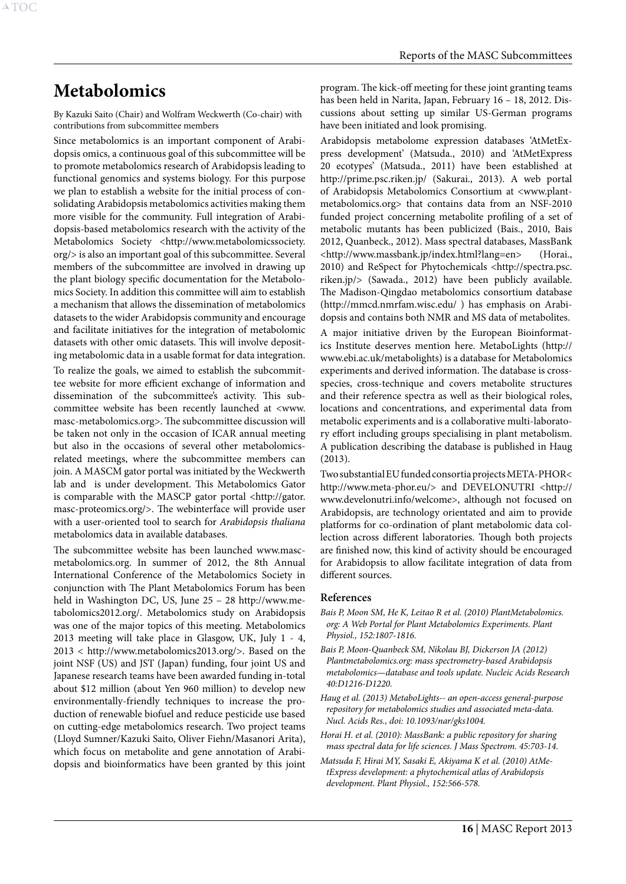# <span id="page-16-1"></span><span id="page-16-0"></span>**Metabolomics**

By Kazuki Saito (Chair) and Wolfram Weckwerth (Co-chair) with contributions from subcommittee members

Since metabolomics is an important component of Arabidopsis omics, a continuous goal of this subcommittee will be to promote metabolomics research of Arabidopsis leading to functional genomics and systems biology. For this purpose we plan to establish a website for the initial process of consolidating Arabidopsis metabolomics activities making them more visible for the community. Full integration of Arabidopsis-based metabolomics research with the activity of the Metabolomics Society <http://www.metabolomicssociety. org/> is also an important goal of this subcommittee. Several members of the subcommittee are involved in drawing up the plant biology specific documentation for the Metabolomics Society. In addition this committee will aim to establish a mechanism that allows the dissemination of metabolomics datasets to the wider Arabidopsis community and encourage and facilitate initiatives for the integration of metabolomic datasets with other omic datasets. This will involve depositing metabolomic data in a usable format for data integration.

To realize the goals, we aimed to establish the subcommittee website for more efficient exchange of information and dissemination of the subcommittee's activity. This subcommittee website has been recently launched at <www. masc-metabolomics.org>. The subcommittee discussion will be taken not only in the occasion of ICAR annual meeting but also in the occasions of several other metabolomicsrelated meetings, where the subcommittee members can join. A MASCM gator portal was initiated by the Weckwerth lab and is under development. This Metabolomics Gator is comparable with the MASCP gator portal <http://gator. masc-proteomics.org/>. The webinterface will provide user with a user-oriented tool to search for *Arabidopsis thaliana* metabolomics data in available databases.

The subcommittee website has been launched www.mascmetabolomics.org. In summer of 2012, the 8th Annual International Conference of the Metabolomics Society in conjunction with The Plant Metabolomics Forum has been held in Washington DC, US, June 25 – 28 http://www.metabolomics2012.org/. Metabolomics study on Arabidopsis was one of the major topics of this meeting. Metabolomics 2013 meeting will take place in Glasgow, UK, July 1 - 4, 2013 < http://www.metabolomics2013.org/>. Based on the joint NSF (US) and JST (Japan) funding, four joint US and Japanese research teams have been awarded funding in-total about \$12 million (about Yen 960 million) to develop new environmentally-friendly techniques to increase the production of renewable biofuel and reduce pesticide use based on cutting-edge metabolomics research. Two project teams (Lloyd Sumner/Kazuki Saito, Oliver Fiehn/Masanori Arita), which focus on metabolite and gene annotation of Arabidopsis and bioinformatics have been granted by this joint

program. The kick-off meeting for these joint granting teams has been held in Narita, Japan, February 16 – 18, 2012. Discussions about setting up similar US-German programs have been initiated and look promising.

Arabidopsis metabolome expression databases 'AtMetExpress development' (Matsuda., 2010) and 'AtMetExpress 20 ecotypes' (Matsuda., 2011) have been established at http://prime.psc.riken.jp/ (Sakurai., 2013). A web portal of Arabidopsis Metabolomics Consortium at <www.plantmetabolomics.org> that contains data from an NSF-2010 funded project concerning metabolite profiling of a set of metabolic mutants has been publicized (Bais., 2010, Bais 2012, Quanbeck., 2012). Mass spectral databases, MassBank <http://www.massbank.jp/index.html?lang=en> (Horai., 2010) and ReSpect for Phytochemicals <http://spectra.psc. riken.jp/> (Sawada., 2012) have been publicly available. The Madison-Qingdao metabolomics consortium database (http://mmcd.nmrfam.wisc.edu/ ) has emphasis on Arabidopsis and contains both NMR and MS data of metabolites.

A major initiative driven by the European Bioinformatics Institute deserves mention here. MetaboLights (http:// www.ebi.ac.uk/metabolights) is a database for Metabolomics experiments and derived information. The database is crossspecies, cross-technique and covers metabolite structures and their reference spectra as well as their biological roles, locations and concentrations, and experimental data from metabolic experiments and is a collaborative multi-laboratory effort including groups specialising in plant metabolism. A publication describing the database is published in Haug (2013).

Two substantial EU funded consortia projects META-PHOR< http://www.meta-phor.eu/> and DEVELONUTRI <http:// www.develonutri.info/welcome>, although not focused on Arabidopsis, are technology orientated and aim to provide platforms for co-ordination of plant metabolomic data collection across different laboratories. Though both projects are finished now, this kind of activity should be encouraged for Arabidopsis to allow facilitate integration of data from different sources.

#### **References**

- *Bais P, Moon SM, He K, Leitao R et al. (2010) PlantMetabolomics. org: A Web Portal for Plant Metabolomics Experiments. Plant Physiol., 152:1807-1816.*
- *Bais P, Moon-Quanbeck SM, Nikolau BJ, Dickerson JA (2012) Plantmetabolomics.org: mass spectrometry-based Arabidopsis metabolomics—database and tools update. Nucleic Acids Research 40:D1216-D1220.*
- *Haug et al. (2013) MetaboLights-- an open-access general-purpose repository for metabolomics studies and associated meta-data. Nucl. Acids Res., doi: 10.1093/nar/gks1004.*
- *Horai H. et al. (2010): MassBank: a public repository for sharing mass spectral data for life sciences. J Mass Spectrom. 45:703-14.*
- *Matsuda F, Hirai MY, Sasaki E, Akiyama K et al. (2010) AtMetExpress development: a phytochemical atlas of Arabidopsis development. Plant Physiol., 152:566-578.*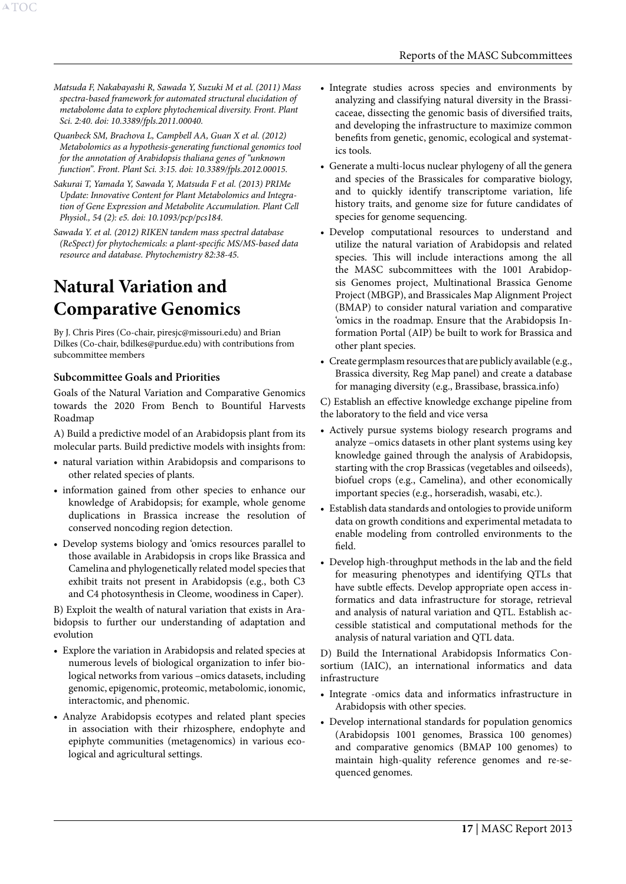*Matsuda F, Nakabayashi R, Sawada Y, Suzuki M et al. (2011) Mass spectra-based framework for automated structural elucidation of metabolome data to explore phytochemical diversity. Front. Plant Sci. 2:40. doi: 10.3389/fpls.2011.00040.*

<span id="page-17-0"></span>A[TOC](#page-3-0)

*Quanbeck SM, Brachova L, Campbell AA, Guan X et al. (2012) Metabolomics as a hypothesis-generating functional genomics tool for the annotation of Arabidopsis thaliana genes of "unknown function". Front. Plant Sci. 3:15. doi: 10.3389/fpls.2012.00015.*

*Sakurai T, Yamada Y, Sawada Y, Matsuda F et al. (2013) PRIMe Update: Innovative Content for Plant Metabolomics and Integration of Gene Expression and Metabolite Accumulation. Plant Cell Physiol., 54 (2): e5. doi: 10.1093/pcp/pcs184.*

*Sawada Y. et al. (2012) RIKEN tandem mass spectral database (ReSpect) for phytochemicals: a plant-specific MS/MS-based data resource and database. Phytochemistry 82:38-45.*

# <span id="page-17-1"></span>**Natural Variation and Comparative Genomics**

By J. Chris Pires (Co-chair, piresjc@missouri.edu) and Brian Dilkes (Co-chair, bdilkes@purdue.edu) with contributions from subcommittee members

#### **Subcommittee Goals and Priorities**

Goals of the Natural Variation and Comparative Genomics towards the 2020 From Bench to Bountiful Harvests Roadmap

A) Build a predictive model of an Arabidopsis plant from its molecular parts. Build predictive models with insights from:

- • natural variation within Arabidopsis and comparisons to other related species of plants.
- information gained from other species to enhance our knowledge of Arabidopsis; for example, whole genome duplications in Brassica increase the resolution of conserved noncoding region detection.
- • Develop systems biology and 'omics resources parallel to those available in Arabidopsis in crops like Brassica and Camelina and phylogenetically related model species that exhibit traits not present in Arabidopsis (e.g., both C3 and C4 photosynthesis in Cleome, woodiness in Caper).

B) Exploit the wealth of natural variation that exists in Arabidopsis to further our understanding of adaptation and evolution

- Explore the variation in Arabidopsis and related species at numerous levels of biological organization to infer biological networks from various –omics datasets, including genomic, epigenomic, proteomic, metabolomic, ionomic, interactomic, and phenomic.
- • Analyze Arabidopsis ecotypes and related plant species in association with their rhizosphere, endophyte and epiphyte communities (metagenomics) in various ecological and agricultural settings.
- Integrate studies across species and environments by analyzing and classifying natural diversity in the Brassicaceae, dissecting the genomic basis of diversified traits, and developing the infrastructure to maximize common benefits from genetic, genomic, ecological and systematics tools.
- • Generate a multi-locus nuclear phylogeny of all the genera and species of the Brassicales for comparative biology, and to quickly identify transcriptome variation, life history traits, and genome size for future candidates of species for genome sequencing.
- • Develop computational resources to understand and utilize the natural variation of Arabidopsis and related species. This will include interactions among the all the MASC subcommittees with the 1001 Arabidopsis Genomes project, Multinational Brassica Genome Project (MBGP), and Brassicales Map Alignment Project (BMAP) to consider natural variation and comparative 'omics in the roadmap. Ensure that the Arabidopsis Information Portal (AIP) be built to work for Brassica and other plant species.
- • Create germplasm resources that are publicly available (e.g., Brassica diversity, Reg Map panel) and create a database for managing diversity (e.g., Brassibase, brassica.info)

C) Establish an effective knowledge exchange pipeline from the laboratory to the field and vice versa

- • Actively pursue systems biology research programs and analyze –omics datasets in other plant systems using key knowledge gained through the analysis of Arabidopsis, starting with the crop Brassicas (vegetables and oilseeds), biofuel crops (e.g., Camelina), and other economically important species (e.g., horseradish, wasabi, etc.).
- Establish data standards and ontologies to provide uniform data on growth conditions and experimental metadata to enable modeling from controlled environments to the field.
- • Develop high-throughput methods in the lab and the field for measuring phenotypes and identifying QTLs that have subtle effects. Develop appropriate open access informatics and data infrastructure for storage, retrieval and analysis of natural variation and QTL. Establish accessible statistical and computational methods for the analysis of natural variation and QTL data.

D) Build the International Arabidopsis Informatics Consortium (IAIC), an international informatics and data infrastructure

- • Integrate -omics data and informatics infrastructure in Arabidopsis with other species.
- Develop international standards for population genomics (Arabidopsis 1001 genomes, Brassica 100 genomes) and comparative genomics (BMAP 100 genomes) to maintain high-quality reference genomes and re-sequenced genomes.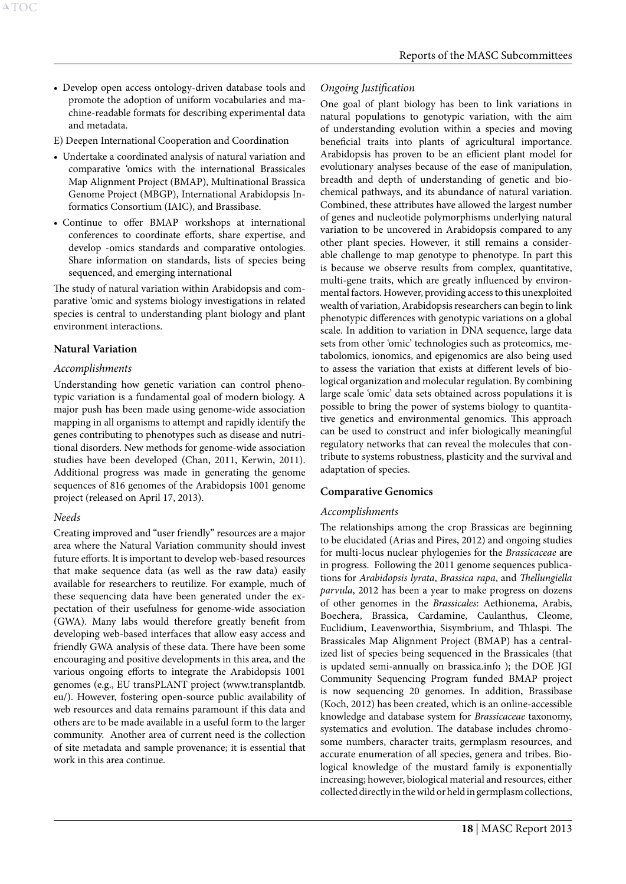- Develop open access ontology-driven database tools and promote the adoption of uniform vocabularies and machine-readable formats for describing experimental data and metadata.
- E) Deepen International Cooperation and Coordination
- Undertake a coordinated analysis of natural variation and comparative 'omics with the international Brassicales Map Alignment Project (BMAP), Multinational Brassica Genome Project (MBGP), International Arabidopsis Informatics Consortium (IAIC), and Brassibase.
- • Continue to offer BMAP workshops at international conferences to coordinate efforts, share expertise, and develop -omics standards and comparative ontologies. Share information on standards, lists of species being sequenced, and emerging international

The study of natural variation within Arabidopsis and comparative 'omic and systems biology investigations in related species is central to understanding plant biology and plant environment interactions.

## **Natural Variation**

## *Accomplishments*

Understanding how genetic variation can control phenotypic variation is a fundamental goal of modern biology. A major push has been made using genome-wide association mapping in all organisms to attempt and rapidly identify the genes contributing to phenotypes such as disease and nutritional disorders. New methods for genome-wide association studies have been developed (Chan, 2011, Kerwin, 2011). Additional progress was made in generating the genome sequences of 816 genomes of the Arabidopsis 1001 genome project (released on April 17, 2013).

#### *Needs*

Creating improved and "user friendly" resources are a major area where the Natural Variation community should invest future efforts. It is important to develop web-based resources that make sequence data (as well as the raw data) easily available for researchers to reutilize. For example, much of these sequencing data have been generated under the expectation of their usefulness for genome-wide association (GWA). Many labs would therefore greatly benefit from developing web-based interfaces that allow easy access and friendly GWA analysis of these data. There have been some encouraging and positive developments in this area, and the various ongoing efforts to integrate the Arabidopsis 1001 genomes (e.g., EU transPLANT project [\(www.transplantdb.](http://www.transplantdb.eu/) [eu/\)](http://www.transplantdb.eu/). However, fostering open-source public availability of web resources and data remains paramount if this data and others are to be made available in a useful form to the larger community. Another area of current need is the collection of site metadata and sample provenance; it is essential that work in this area continue.

## *Ongoing Justification*

One goal of plant biology has been to link variations in natural populations to genotypic variation, with the aim of understanding evolution within a species and moving beneficial traits into plants of agricultural importance. Arabidopsis has proven to be an efficient plant model for evolutionary analyses because of the ease of manipulation, breadth and depth of understanding of genetic and biochemical pathways, and its abundance of natural variation. Combined, these attributes have allowed the largest number of genes and nucleotide polymorphisms underlying natural variation to be uncovered in Arabidopsis compared to any other plant species. However, it still remains a considerable challenge to map genotype to phenotype. In part this is because we observe results from complex, quantitative, multi-gene traits, which are greatly influenced by environmental factors. However, providing access to this unexploited wealth of variation, Arabidopsis researchers can begin to link phenotypic differences with genotypic variations on a global scale. In addition to variation in DNA sequence, large data sets from other 'omic' technologies such as proteomics, metabolomics, ionomics, and epigenomics are also being used to assess the variation that exists at different levels of biological organization and molecular regulation. By combining large scale 'omic' data sets obtained across populations it is possible to bring the power of systems biology to quantitative genetics and environmental genomics. This approach can be used to construct and infer biologically meaningful regulatory networks that can reveal the molecules that contribute to systems robustness, plasticity and the survival and adaptation of species.

# **Comparative Genomics**

# *Accomplishments*

The relationships among the crop Brassicas are beginning to be elucidated (Arias and Pires, 2012) and ongoing studies for multi-locus nuclear phylogenies for the *Brassicaceae* are in progress. Following the 2011 genome sequences publications for *Arabidopsis lyrata*, *Brassica rapa*, and *Thellungiella parvula*, 2012 has been a year to make progress on dozens of other genomes in the *Brassicales*: Aethionema, Arabis, Boechera, Brassica, Cardamine, Caulanthus, Cleome, Euclidium, Leavenworthia, Sisymbrium, and Thlaspi. The Brassicales Map Alignment Project (BMAP) has a centralized list of species being sequenced in the Brassicales (that is updated semi-annually on brassica.info ); the DOE JGI Community Sequencing Program funded BMAP project is now sequencing 20 genomes. In addition, Brassibase (Koch, 2012) has been created, which is an online-accessible knowledge and database system for *Brassicaceae* taxonomy, systematics and evolution. The database includes chromosome numbers, character traits, germplasm resources, and accurate enumeration of all species, genera and tribes. Biological knowledge of the mustard family is exponentially increasing; however, biological material and resources, either collected directly in the wild or held in germplasm collections,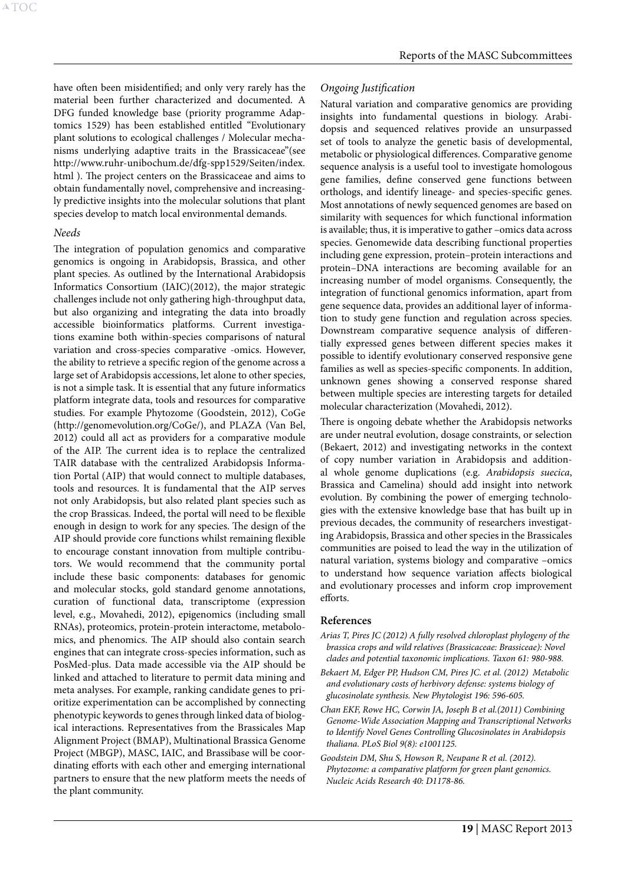have often been misidentified; and only very rarely has the material been further characterized and documented. A DFG funded knowledge base (priority programme Adaptomics 1529) has been established entitled "Evolutionary plant solutions to ecological challenges / Molecular mechanisms underlying adaptive traits in the Brassicaceae"(see http://www.ruhr-unibochum.de/dfg-spp1529/Seiten/index. html ). The project centers on the Brassicaceae and aims to obtain fundamentally novel, comprehensive and increasingly predictive insights into the molecular solutions that plant species develop to match local environmental demands.

#### *Needs*

The integration of population genomics and comparative genomics is ongoing in Arabidopsis, Brassica, and other plant species. As outlined by the International Arabidopsis Informatics Consortium (IAIC)(2012), the major strategic challenges include not only gathering high-throughput data, but also organizing and integrating the data into broadly accessible bioinformatics platforms. Current investigations examine both within-species comparisons of natural variation and cross-species comparative -omics. However, the ability to retrieve a specific region of the genome across a large set of Arabidopsis accessions, let alone to other species, is not a simple task. It is essential that any future informatics platform integrate data, tools and resources for comparative studies. For example Phytozome (Goodstein, 2012), CoGe (http://genomevolution.org/CoGe/), and PLAZA (Van Bel, 2012) could all act as providers for a comparative module of the AIP. The current idea is to replace the centralized TAIR database with the centralized Arabidopsis Information Portal (AIP) that would connect to multiple databases, tools and resources. It is fundamental that the AIP serves not only Arabidopsis, but also related plant species such as the crop Brassicas. Indeed, the portal will need to be flexible enough in design to work for any species. The design of the AIP should provide core functions whilst remaining flexible to encourage constant innovation from multiple contributors. We would recommend that the community portal include these basic components: databases for genomic and molecular stocks, gold standard genome annotations, curation of functional data, transcriptome (expression level, e.g., Movahedi, 2012), epigenomics (including small RNAs), proteomics, protein-protein interactome, metabolomics, and phenomics. The AIP should also contain search engines that can integrate cross-species information, such as PosMed-plus. Data made accessible via the AIP should be linked and attached to literature to permit data mining and meta analyses. For example, ranking candidate genes to prioritize experimentation can be accomplished by connecting phenotypic keywords to genes through linked data of biological interactions. Representatives from the Brassicales Map Alignment Project (BMAP), Multinational Brassica Genome Project (MBGP), MASC, IAIC, and Brassibase will be coordinating efforts with each other and emerging international partners to ensure that the new platform meets the needs of the plant community.

#### *Ongoing Justification*

Natural variation and comparative genomics are providing insights into fundamental questions in biology. Arabidopsis and sequenced relatives provide an unsurpassed set of tools to analyze the genetic basis of developmental, metabolic or physiological differences. Comparative genome sequence analysis is a useful tool to investigate homologous gene families, define conserved gene functions between orthologs, and identify lineage- and species-specific genes. Most annotations of newly sequenced genomes are based on similarity with sequences for which functional information is available; thus, it is imperative to gather –omics data across species. Genomewide data describing functional properties including gene expression, protein–protein interactions and protein–DNA interactions are becoming available for an increasing number of model organisms. Consequently, the integration of functional genomics information, apart from gene sequence data, provides an additional layer of information to study gene function and regulation across species. Downstream comparative sequence analysis of differentially expressed genes between different species makes it possible to identify evolutionary conserved responsive gene families as well as species-specific components. In addition, unknown genes showing a conserved response shared between multiple species are interesting targets for detailed molecular characterization (Movahedi, 2012).

There is ongoing debate whether the Arabidopsis networks are under neutral evolution, dosage constraints, or selection (Bekaert, 2012) and investigating networks in the context of copy number variation in Arabidopsis and additional whole genome duplications (e.g. *Arabidopsis suecica*, Brassica and Camelina) should add insight into network evolution. By combining the power of emerging technologies with the extensive knowledge base that has built up in previous decades, the community of researchers investigating Arabidopsis, Brassica and other species in the Brassicales communities are poised to lead the way in the utilization of natural variation, systems biology and comparative –omics to understand how sequence variation affects biological and evolutionary processes and inform crop improvement efforts.

#### **References**

- *Arias T, Pires JC (2012) A fully resolved chloroplast phylogeny of the brassica crops and wild relatives (Brassicaceae: Brassiceae): Novel clades and potential taxonomic implications. Taxon 61: 980-988.*
- *Bekaert M, Edger PP, Hudson CM, Pires JC. et al. (2012) Metabolic and evolutionary costs of herbivory defense: systems biology of glucosinolate synthesis. New Phytologist 196: 596-605.*
- *Chan EKF, Rowe HC, Corwin JA, Joseph B et al.(2011) Combining Genome-Wide Association Mapping and Transcriptional Networks to Identify Novel Genes Controlling Glucosinolates in Arabidopsis thaliana. PLoS Biol 9(8): e1001125.*
- *Goodstein DM, Shu S, Howson R, Neupane R et al. (2012). Phytozome: a comparative platform for green plant genomics. Nucleic Acids Research 40: D1178-86.*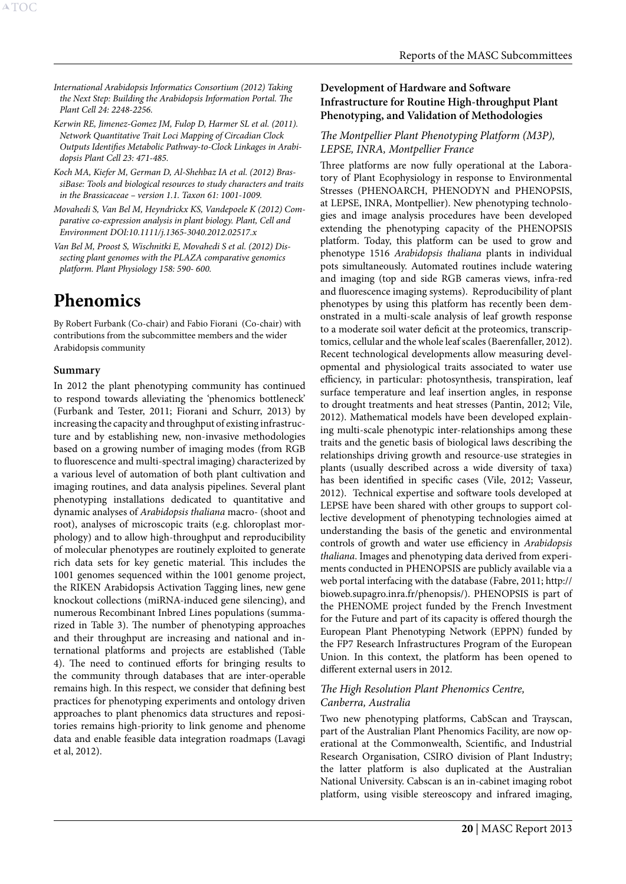<span id="page-20-0"></span>*International Arabidopsis Informatics Consortium (2012) Taking the Next Step: Building the Arabidopsis Information Portal. The Plant Cell 24: 2248-2256.*

- *Kerwin RE, Jimenez-Gomez JM, Fulop D, Harmer SL et al. (2011). Network Quantitative Trait Loci Mapping of Circadian Clock Outputs Identifies Metabolic Pathway-to-Clock Linkages in Arabidopsis Plant Cell 23: 471-485.*
- *Koch MA, Kiefer M, German D, Al-Shehbaz IA et al. (2012) BrassiBase: Tools and biological resources to study characters and traits in the Brassicaceae – version 1.1. Taxon 61: 1001-1009.*
- *Movahedi S, Van Bel M, Heyndrickx KS, Vandepoele K (2012) Comparative co-expression analysis in plant biology. Plant, Cell and Environment DOI:10.1111/j.1365-3040.2012.02517.x*
- *Van Bel M, Proost S, Wischnitki E, Movahedi S et al. (2012) Dissecting plant genomes with the PLAZA comparative genomics platform. Plant Physiology 158: 590- 600.*

# <span id="page-20-1"></span>**Phenomics**

By Robert Furbank (Co-chair) and Fabio Fiorani (Co-chair) with contributions from the subcommittee members and the wider Arabidopsis community

#### **Summary**

In 2012 the plant phenotyping community has continued to respond towards alleviating the 'phenomics bottleneck' (Furbank and Tester, 2011; Fiorani and Schurr, 2013) by increasing the capacity and throughput of existing infrastructure and by establishing new, non-invasive methodologies based on a growing number of imaging modes (from RGB to fluorescence and multi-spectral imaging) characterized by a various level of automation of both plant cultivation and imaging routines, and data analysis pipelines. Several plant phenotyping installations dedicated to quantitative and dynamic analyses of *Arabidopsis thaliana* macro- (shoot and root), analyses of microscopic traits (e.g. chloroplast morphology) and to allow high-throughput and reproducibility of molecular phenotypes are routinely exploited to generate rich data sets for key genetic material. This includes the 1001 genomes sequenced within the 1001 genome project, the RIKEN Arabidopsis Activation Tagging lines, new gene knockout collections (miRNA-induced gene silencing), and numerous Recombinant Inbred Lines populations (summarized in Table 3). The number of phenotyping approaches and their throughput are increasing and national and international platforms and projects are established (Table 4). The need to continued efforts for bringing results to the community through databases that are inter-operable remains high. In this respect, we consider that defining best practices for phenotyping experiments and ontology driven approaches to plant phenomics data structures and repositories remains high-priority to link genome and phenome data and enable feasible data integration roadmaps (Lavagi et al, 2012).

#### **Development of Hardware and Software Infrastructure for Routine High-throughput Plant Phenotyping, and Validation of Methodologies**

#### *The Montpellier Plant Phenotyping Platform (M3P), LEPSE, INRA, Montpellier France*

Three platforms are now fully operational at the Laboratory of Plant Ecophysiology in response to Environmental Stresses (PHENOARCH, PHENODYN and PHENOPSIS, at LEPSE, INRA, Montpellier). New phenotyping technologies and image analysis procedures have been developed extending the phenotyping capacity of the PHENOPSIS platform. Today, this platform can be used to grow and phenotype 1516 *Arabidopsis thaliana* plants in individual pots simultaneously. Automated routines include watering and imaging (top and side RGB cameras views, infra-red and fluorescence imaging systems). Reproducibility of plant phenotypes by using this platform has recently been demonstrated in a multi-scale analysis of leaf growth response to a moderate soil water deficit at the proteomics, transcriptomics, cellular and the whole leaf scales (Baerenfaller, 2012). Recent technological developments allow measuring developmental and physiological traits associated to water use efficiency, in particular: photosynthesis, transpiration, leaf surface temperature and leaf insertion angles, in response to drought treatments and heat stresses (Pantin, 2012; Vile, 2012). Mathematical models have been developed explaining multi-scale phenotypic inter-relationships among these traits and the genetic basis of biological laws describing the relationships driving growth and resource-use strategies in plants (usually described across a wide diversity of taxa) has been identified in specific cases (Vile, 2012; Vasseur, 2012). Technical expertise and software tools developed at LEPSE have been shared with other groups to support collective development of phenotyping technologies aimed at understanding the basis of the genetic and environmental controls of growth and water use efficiency in *Arabidopsis thaliana*. Images and phenotyping data derived from experiments conducted in PHENOPSIS are publicly available via a web portal interfacing with the database (Fabre, 2011; [http://](http://bioweb.supagro.inra.fr/phenopsis/) [bioweb.supagro.inra.fr/phenopsis/](http://bioweb.supagro.inra.fr/phenopsis/)). PHENOPSIS is part of the PHENOME project funded by the French Investment for the Future and part of its capacity is offered thourgh the European Plant Phenotyping Network (EPPN) funded by the FP7 Research Infrastructures Program of the European Union. In this context, the platform has been opened to different external users in 2012.

#### *The High Resolution Plant Phenomics Centre, Canberra, Australia*

Two new phenotyping platforms, CabScan and Trayscan, part of the Australian Plant Phenomics Facility, are now operational at the Commonwealth, Scientific, and Industrial Research Organisation, CSIRO division of Plant Industry; the latter platform is also duplicated at the Australian National University. Cabscan is an in-cabinet imaging robot platform, using visible stereoscopy and infrared imaging,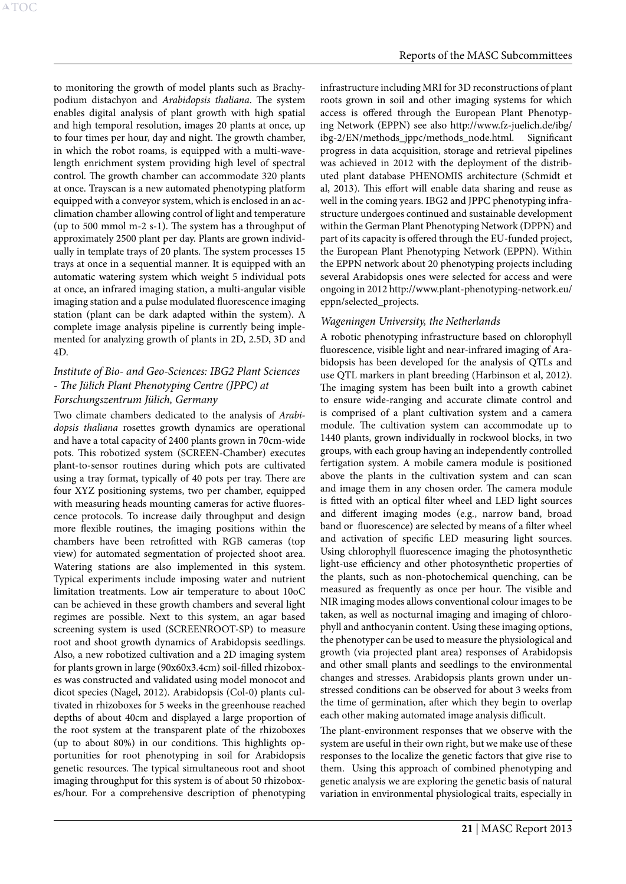to monitoring the growth of model plants such as Brachypodium distachyon and *Arabidopsis thaliana*. The system enables digital analysis of plant growth with high spatial and high temporal resolution, images 20 plants at once, up to four times per hour, day and night. The growth chamber, in which the robot roams, is equipped with a multi-wavelength enrichment system providing high level of spectral control. The growth chamber can accommodate 320 plants at once. Trayscan is a new automated phenotyping platform equipped with a conveyor system, which is enclosed in an acclimation chamber allowing control of light and temperature (up to 500 mmol m-2 s-1). The system has a throughput of approximately 2500 plant per day. Plants are grown individually in template trays of 20 plants. The system processes 15 trays at once in a sequential manner. It is equipped with an automatic watering system which weight 5 individual pots at once, an infrared imaging station, a multi-angular visible imaging station and a pulse modulated fluorescence imaging station (plant can be dark adapted within the system). A complete image analysis pipeline is currently being implemented for analyzing growth of plants in 2D, 2.5D, 3D and 4D.

# *Institute of Bio- and Geo-Sciences: IBG2 Plant Sciences - The Jülich Plant Phenotyping Centre (JPPC) at Forschungszentrum Jülich, Germany*

Two climate chambers dedicated to the analysis of *Arabidopsis thaliana* rosettes growth dynamics are operational and have a total capacity of 2400 plants grown in 70cm-wide pots. This robotized system (SCREEN-Chamber) executes plant-to-sensor routines during which pots are cultivated using a tray format, typically of 40 pots per tray. There are four XYZ positioning systems, two per chamber, equipped with measuring heads mounting cameras for active fluorescence protocols. To increase daily throughput and design more flexible routines, the imaging positions within the chambers have been retrofitted with RGB cameras (top view) for automated segmentation of projected shoot area. Watering stations are also implemented in this system. Typical experiments include imposing water and nutrient limitation treatments. Low air temperature to about 10oC can be achieved in these growth chambers and several light regimes are possible. Next to this system, an agar based screening system is used (SCREENROOT-SP) to measure root and shoot growth dynamics of Arabidopsis seedlings. Also, a new robotized cultivation and a 2D imaging system for plants grown in large (90x60x3.4cm) soil-filled rhizoboxes was constructed and validated using model monocot and dicot species (Nagel, 2012). Arabidopsis (Col-0) plants cultivated in rhizoboxes for 5 weeks in the greenhouse reached depths of about 40cm and displayed a large proportion of the root system at the transparent plate of the rhizoboxes (up to about 80%) in our conditions. This highlights opportunities for root phenotyping in soil for Arabidopsis genetic resources. The typical simultaneous root and shoot imaging throughput for this system is of about 50 rhizoboxes/hour. For a comprehensive description of phenotyping infrastructure including MRI for 3D reconstructions of plant roots grown in soil and other imaging systems for which access is offered through the European Plant Phenotyping Network (EPPN) see also [http://www.fz-juelich.de/ibg/](http://www.fz-juelich.de/ibg/ibg-2/EN/methods_jppc/methods_node.html) [ibg-2/EN/methods\\_jppc/methods\\_node.html.](http://www.fz-juelich.de/ibg/ibg-2/EN/methods_jppc/methods_node.html) Significant progress in data acquisition, storage and retrieval pipelines was achieved in 2012 with the deployment of the distributed plant database PHENOMIS architecture (Schmidt et al, 2013). This effort will enable data sharing and reuse as well in the coming years. IBG2 and JPPC phenotyping infrastructure undergoes continued and sustainable development within the German Plant Phenotyping Network (DPPN) and part of its capacity is offered through the EU-funded project, the European Plant Phenotyping Network (EPPN). Within the EPPN network about 20 phenotyping projects including several Arabidopsis ones were selected for access and were ongoing in 2012 [http://www.plant-phenotyping-network.eu/](http://www.plant-phenotyping-network.eu/eppn/selected_projects) [eppn/selected\\_projects](http://www.plant-phenotyping-network.eu/eppn/selected_projects).

## *Wageningen University, the Netherlands*

A robotic phenotyping infrastructure based on chlorophyll fluorescence, visible light and near-infrared imaging of Arabidopsis has been developed for the analysis of QTLs and use QTL markers in plant breeding (Harbinson et al, 2012). The imaging system has been built into a growth cabinet to ensure wide-ranging and accurate climate control and is comprised of a plant cultivation system and a camera module. The cultivation system can accommodate up to 1440 plants, grown individually in rockwool blocks, in two groups, with each group having an independently controlled fertigation system. A mobile camera module is positioned above the plants in the cultivation system and can scan and image them in any chosen order. The camera module is fitted with an optical filter wheel and LED light sources and different imaging modes (e.g., narrow band, broad band or fluorescence) are selected by means of a filter wheel and activation of specific LED measuring light sources. Using chlorophyll fluorescence imaging the photosynthetic light-use efficiency and other photosynthetic properties of the plants, such as non-photochemical quenching, can be measured as frequently as once per hour. The visible and NIR imaging modes allows conventional colour images to be taken, as well as nocturnal imaging and imaging of chlorophyll and anthocyanin content. Using these imaging options, the phenotyper can be used to measure the physiological and growth (via projected plant area) responses of Arabidopsis and other small plants and seedlings to the environmental changes and stresses. Arabidopsis plants grown under unstressed conditions can be observed for about 3 weeks from the time of germination, after which they begin to overlap each other making automated image analysis difficult.

The plant-environment responses that we observe with the system are useful in their own right, but we make use of these responses to the localize the genetic factors that give rise to them. Using this approach of combined phenotyping and genetic analysis we are exploring the genetic basis of natural variation in environmental physiological traits, especially in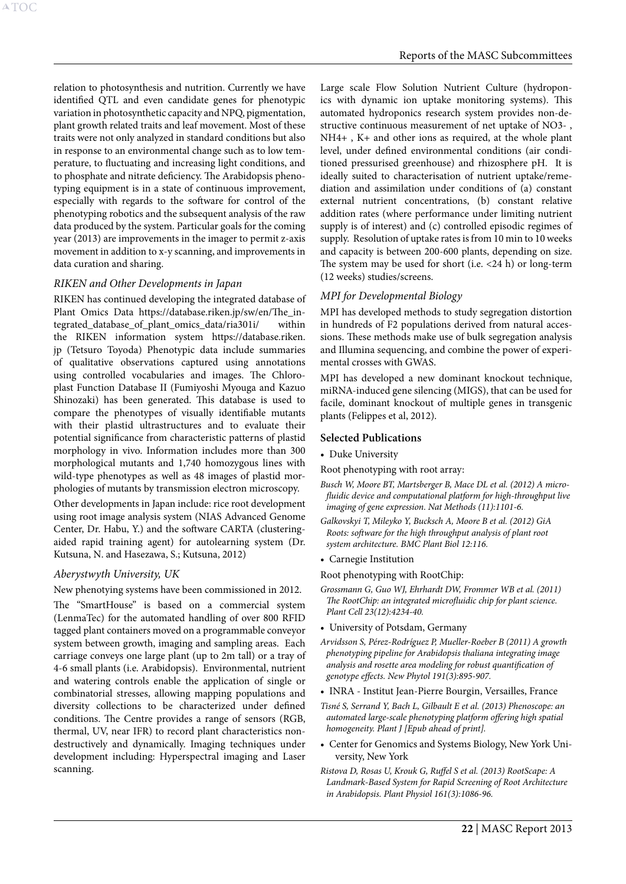relation to photosynthesis and nutrition. Currently we have identified QTL and even candidate genes for phenotypic variation in photosynthetic capacity and NPQ, pigmentation, plant growth related traits and leaf movement. Most of these traits were not only analyzed in standard conditions but also in response to an environmental change such as to low temperature, to fluctuating and increasing light conditions, and to phosphate and nitrate deficiency. The Arabidopsis phenotyping equipment is in a state of continuous improvement, especially with regards to the software for control of the phenotyping robotics and the subsequent analysis of the raw data produced by the system. Particular goals for the coming year (2013) are improvements in the imager to permit z-axis movement in addition to x-y scanning, and improvements in data curation and sharing.

#### *RIKEN and Other Developments in Japan*

RIKEN has continued developing the integrated database of Plant Omics Data [https://database.riken.jp/sw/en/The\\_in](https://database.riken.jp/sw/en/The_integrated_database_of_plant_omics_data/ria301i/)[tegrated\\_database\\_of\\_plant\\_omics\\_data/ria301i/](https://database.riken.jp/sw/en/The_integrated_database_of_plant_omics_data/ria301i/) within the RIKEN information system [https://database.riken.](https://database.riken.jp) [jp](https://database.riken.jp) (Tetsuro Toyoda) Phenotypic data include summaries of qualitative observations captured using annotations using controlled vocabularies and images. The Chloroplast Function Database II (Fumiyoshi Myouga and Kazuo Shinozaki) has been generated. This database is used to compare the phenotypes of visually identifiable mutants with their plastid ultrastructures and to evaluate their potential significance from characteristic patterns of plastid morphology in vivo. Information includes more than 300 morphological mutants and 1,740 homozygous lines with wild-type phenotypes as well as 48 images of plastid morphologies of mutants by transmission electron microscopy.

Other developments in Japan include: rice root development using root image analysis system (NIAS Advanced Genome Center, Dr. Habu, Y.) and the software CARTA (clusteringaided rapid training agent) for autolearning system (Dr. Kutsuna, N. and Hasezawa, S.; Kutsuna, 2012)

#### *Aberystwyth University, UK*

#### New phenotying systems have been commissioned in 2012.

The "SmartHouse" is based on a commercial system (LenmaTec) for the automated handling of over 800 RFID tagged plant containers moved on a programmable conveyor system between growth, imaging and sampling areas. Each carriage conveys one large plant (up to 2m tall) or a tray of 4-6 small plants (i.e. Arabidopsis). Environmental, nutrient and watering controls enable the application of single or combinatorial stresses, allowing mapping populations and diversity collections to be characterized under defined conditions. The Centre provides a range of sensors (RGB, thermal, UV, near IFR) to record plant characteristics nondestructively and dynamically. Imaging techniques under development including: Hyperspectral imaging and Laser scanning.

Large scale Flow Solution Nutrient Culture (hydroponics with dynamic ion uptake monitoring systems). This automated hydroponics research system provides non-destructive continuous measurement of net uptake of NO3- , NH4+ , K+ and other ions as required, at the whole plant level, under defined environmental conditions (air conditioned pressurised greenhouse) and rhizosphere pH. It is ideally suited to characterisation of nutrient uptake/remediation and assimilation under conditions of (a) constant external nutrient concentrations, (b) constant relative addition rates (where performance under limiting nutrient supply is of interest) and (c) controlled episodic regimes of supply. Resolution of uptake rates is from 10 min to 10 weeks and capacity is between 200-600 plants, depending on size. The system may be used for short (i.e. <24 h) or long-term (12 weeks) studies/screens.

#### *MPI for Developmental Biology*

MPI has developed methods to study segregation distortion in hundreds of F2 populations derived from natural accessions. These methods make use of bulk segregation analysis and Illumina sequencing, and combine the power of experimental crosses with GWAS.

MPI has developed a new dominant knockout technique, miRNA-induced gene silencing (MIGS), that can be used for facile, dominant knockout of multiple genes in transgenic plants (Felippes et al, 2012).

#### **Selected Publications**

• Duke University

Root phenotyping with root array:

- *Busch W, Moore BT, Martsberger B, Mace DL et al. (2012) A microfluidic device and computational platform for high-throughput live imaging of gene expression. Nat Methods (11):1101-6.*
- *Galkovskyi T, Mileyko Y, Bucksch A, Moore B et al. (2012) GiA Roots: software for the high throughput analysis of plant root system architecture. BMC Plant Biol 12:116.*
- • Carnegie Institution

Root phenotyping with RootChip:

- *Grossmann G, Guo WJ, Ehrhardt DW, Frommer WB et al. (2011) The RootChip: an integrated microfluidic chip for plant science. Plant Cell 23(12):4234-40.*
- University of Potsdam, Germany
- *[Arvidsson S](http://www.ncbi.nlm.nih.gov/pubmed?term=Arvidsson%20S%5BAuthor%5D&cauthor=true&cauthor_uid=21569033), [Pérez-Rodríguez P,](http://www.ncbi.nlm.nih.gov/pubmed?term=P%C3%A9rez-Rodr%C3%ADguez%20P%5BAuthor%5D&cauthor=true&cauthor_uid=21569033) [Mueller-Roeber B](http://www.ncbi.nlm.nih.gov/pubmed?term=Mueller-Roeber%20B%5BAuthor%5D&cauthor=true&cauthor_uid=21569033) (2011) A growth phenotyping pipeline for Arabidopsis thaliana integrating image analysis and rosette area modeling for robust quantification of genotype effects. New Phytol 191(3):895-907.*
- INRA Institut Jean-Pierre Bourgin, Versailles, France
- *[Tisné S,](http://www.ncbi.nlm.nih.gov/pubmed?term=Tisn%C3%A9%20S%5BAuthor%5D&cauthor=true&cauthor_uid=23452317) [Serrand Y](http://www.ncbi.nlm.nih.gov/pubmed?term=Serrand%20Y%5BAuthor%5D&cauthor=true&cauthor_uid=23452317), [Bach L](http://www.ncbi.nlm.nih.gov/pubmed?term=Bach%20L%5BAuthor%5D&cauthor=true&cauthor_uid=23452317), [Gilbault E](http://www.ncbi.nlm.nih.gov/pubmed?term=Gilbault%20E%5BAuthor%5D&cauthor=true&cauthor_uid=23452317) et al. (2013) Phenoscope: an automated large-scale phenotyping platform offering high spatial homogeneity. Plant J [Epub ahead of print].*
- Center for Genomics and Systems Biology, New York University, New York
- *[Ristova D,](http://www.ncbi.nlm.nih.gov/pubmed?term=Ristova%20D%5BAuthor%5D&cauthor=true&cauthor_uid=23335624) [Rosas U,](http://www.ncbi.nlm.nih.gov/pubmed?term=Rosas%20U%5BAuthor%5D&cauthor=true&cauthor_uid=23335624) [Krouk G](http://www.ncbi.nlm.nih.gov/pubmed?term=Krouk%20G%5BAuthor%5D&cauthor=true&cauthor_uid=23335624), [Ruffel S](http://www.ncbi.nlm.nih.gov/pubmed?term=Ruffel%20S%5BAuthor%5D&cauthor=true&cauthor_uid=23335624) et al. (2013) RootScape: A Landmark-Based System for Rapid Screening of Root Architecture in Arabidopsis. Plant Physiol 161(3):1086-96.*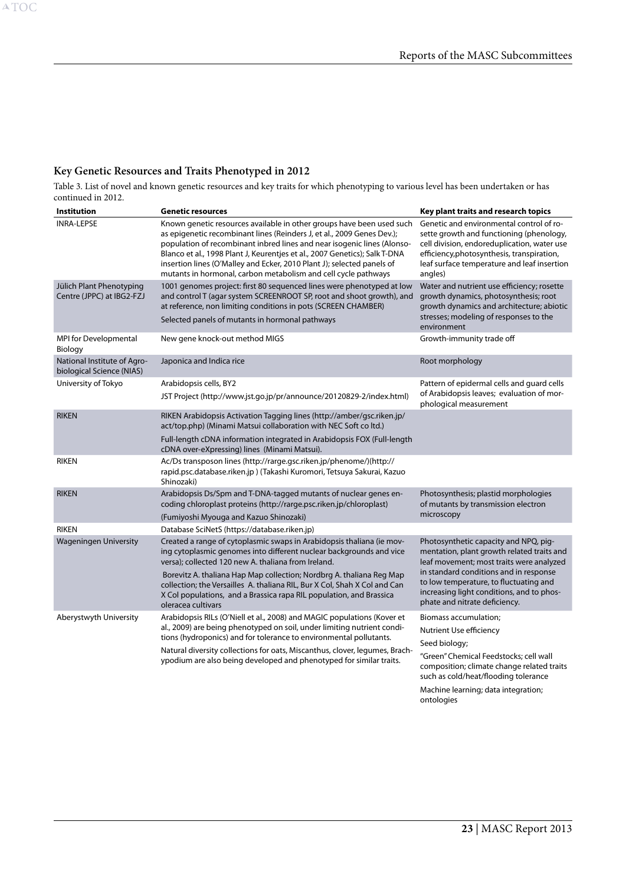# **Key Genetic Resources and Traits Phenotyped in 2012**

Table 3. List of novel and known genetic resources and key traits for which phenotyping to various level has been undertaken or has continued in 2012.

| Institution                                              | <b>Genetic resources</b>                                                                                                                                                                                                                                                                                                                                                                                                                             | Key plant traits and research topics                                                                                                                                                                                                        |
|----------------------------------------------------------|------------------------------------------------------------------------------------------------------------------------------------------------------------------------------------------------------------------------------------------------------------------------------------------------------------------------------------------------------------------------------------------------------------------------------------------------------|---------------------------------------------------------------------------------------------------------------------------------------------------------------------------------------------------------------------------------------------|
| <b>INRA-LEPSE</b>                                        | Known genetic resources available in other groups have been used such<br>as epigenetic recombinant lines (Reinders J, et al., 2009 Genes Dev.);<br>population of recombinant inbred lines and near isogenic lines (Alonso-<br>Blanco et al., 1998 Plant J, Keurentjes et al., 2007 Genetics); Salk T-DNA<br>insertion lines (O'Malley and Ecker, 2010 Plant J); selected panels of<br>mutants in hormonal, carbon metabolism and cell cycle pathways | Genetic and environmental control of ro-<br>sette growth and functioning (phenology,<br>cell division, endoreduplication, water use<br>efficiency, photosynthesis, transpiration,<br>leaf surface temperature and leaf insertion<br>angles) |
| Jülich Plant Phenotyping<br>Centre (JPPC) at IBG2-FZJ    | 1001 genomes project: first 80 sequenced lines were phenotyped at low<br>and control T (agar system SCREENROOT SP, root and shoot growth), and<br>at reference, non limiting conditions in pots (SCREEN CHAMBER)<br>Selected panels of mutants in hormonal pathways                                                                                                                                                                                  | Water and nutrient use efficiency; rosette<br>growth dynamics, photosynthesis; root<br>growth dynamics and architecture; abiotic<br>stresses; modeling of responses to the<br>environment                                                   |
| MPI for Developmental<br>Biology                         | New gene knock-out method MIGS                                                                                                                                                                                                                                                                                                                                                                                                                       | Growth-immunity trade off                                                                                                                                                                                                                   |
| National Institute of Agro-<br>biological Science (NIAS) | Japonica and Indica rice                                                                                                                                                                                                                                                                                                                                                                                                                             | Root morphology                                                                                                                                                                                                                             |
| University of Tokyo                                      | Arabidopsis cells, BY2<br>JST Project (http://www.jst.go.jp/pr/announce/20120829-2/index.html)                                                                                                                                                                                                                                                                                                                                                       | Pattern of epidermal cells and guard cells<br>of Arabidopsis leaves; evaluation of mor-<br>phological measurement                                                                                                                           |
| <b>RIKEN</b>                                             | RIKEN Arabidopsis Activation Tagging lines (http://amber/gsc.riken.jp/<br>act/top.php) (Minami Matsui collaboration with NEC Soft co ltd.)<br>Full-length cDNA information integrated in Arabidopsis FOX (Full-length<br>cDNA over-eXpressing) lines (Minami Matsui).                                                                                                                                                                                |                                                                                                                                                                                                                                             |
| <b>RIKEN</b>                                             | Ac/Ds transposon lines (http://rarge.gsc.riken.jp/phenome/)(http://<br>rapid.psc.database.riken.jp ) (Takashi Kuromori, Tetsuya Sakurai, Kazuo<br>Shinozaki)                                                                                                                                                                                                                                                                                         |                                                                                                                                                                                                                                             |
| <b>RIKEN</b>                                             | Arabidopsis Ds/Spm and T-DNA-tagged mutants of nuclear genes en-<br>coding chloroplast proteins (http://rarge.psc.riken.jp/chloroplast)<br>(Fumiyoshi Myouga and Kazuo Shinozaki)                                                                                                                                                                                                                                                                    | Photosynthesis; plastid morphologies<br>of mutants by transmission electron<br>microscopy                                                                                                                                                   |
| <b>RIKEN</b>                                             | Database SciNetS (https://database.riken.jp)                                                                                                                                                                                                                                                                                                                                                                                                         |                                                                                                                                                                                                                                             |
| <b>Wageningen University</b>                             | Created a range of cytoplasmic swaps in Arabidopsis thaliana (ie mov-<br>ing cytoplasmic genomes into different nuclear backgrounds and vice<br>versa); collected 120 new A. thaliana from Ireland.                                                                                                                                                                                                                                                  | Photosynthetic capacity and NPQ, pig-<br>mentation, plant growth related traits and<br>leaf movement; most traits were analyzed                                                                                                             |
|                                                          | Borevitz A. thaliana Hap Map collection; Nordbrg A. thaliana Reg Map<br>collection; the Versailles A. thaliana RIL, Bur X Col, Shah X Col and Can<br>X Col populations, and a Brassica rapa RIL population, and Brassica<br>oleracea cultivars                                                                                                                                                                                                       | in standard conditions and in response<br>to low temperature, to fluctuating and<br>increasing light conditions, and to phos-<br>phate and nitrate deficiency.                                                                              |
| Aberystwyth University                                   | Arabidopsis RILs (O'Niell et al., 2008) and MAGIC populations (Kover et                                                                                                                                                                                                                                                                                                                                                                              | Biomass accumulation;                                                                                                                                                                                                                       |
|                                                          | al., 2009) are being phenotyped on soil, under limiting nutrient condi-<br>tions (hydroponics) and for tolerance to environmental pollutants.                                                                                                                                                                                                                                                                                                        | Nutrient Use efficiency                                                                                                                                                                                                                     |
|                                                          | Natural diversity collections for oats, Miscanthus, clover, legumes, Brach-<br>ypodium are also being developed and phenotyped for similar traits.                                                                                                                                                                                                                                                                                                   | Seed biology;<br>"Green" Chemical Feedstocks; cell wall<br>composition; climate change related traits<br>such as cold/heat/flooding tolerance                                                                                               |

Machine learning; data integration; ontologies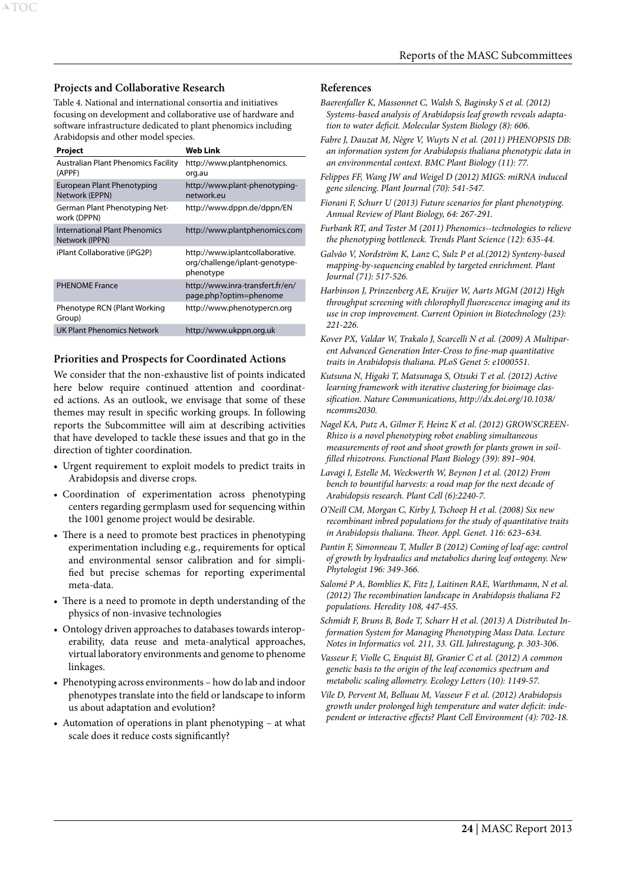#### **Projects and Collaborative Research**

Table 4. National and international consortia and initiatives focusing on development and collaborative use of hardware and software infrastructure dedicated to plant phenomics including Arabidopsis and other model species.

#### **Project Web Link** Australian Plant Phenomics Facility (APPF) [http://www.plantphenomics.](http://www.plantphenomics.org.au) [org.au](http://www.plantphenomics.org.au)  European Plant Phenotyping Network (EPPN) [http://www.plant-phenotyping](http://www.plant-phenotyping-network.eu)[network.eu](http://www.plant-phenotyping-network.eu)  German Plant Phenotyping Network (DPPN) <http://www.dppn.de/dppn/EN> International Plant Phenomics Network (IPPN) <http://www.plantphenomics.com> iPlant Collaborative (iPG2P) [http://www.iplantcollaborative.](http://www.iplantcollaborative.org/challenge/iplant-genotype-phenotype) [org/challenge/iplant-genotype](http://www.iplantcollaborative.org/challenge/iplant-genotype-phenotype)[phenotype](http://www.iplantcollaborative.org/challenge/iplant-genotype-phenotype)  PHENOME France [http://www.inra-transfert.fr/en/](http://www.inra-transfert.fr/en/page.php?optim=phenome) [page.php?optim=phenome](http://www.inra-transfert.fr/en/page.php?optim=phenome) Phenotype RCN (Plant Working Group) <http://www.phenotypercn.org> UK Plant Phenomics Network <http://www.ukppn.org.uk>

#### **Priorities and Prospects for Coordinated Actions**

We consider that the non-exhaustive list of points indicated here below require continued attention and coordinated actions. As an outlook, we envisage that some of these themes may result in specific working groups. In following reports the Subcommittee will aim at describing activities that have developed to tackle these issues and that go in the direction of tighter coordination.

- • Urgent requirement to exploit models to predict traits in Arabidopsis and diverse crops.
- • Coordination of experimentation across phenotyping centers regarding germplasm used for sequencing within the 1001 genome project would be desirable.
- There is a need to promote best practices in phenotyping experimentation including e.g., requirements for optical and environmental sensor calibration and for simplified but precise schemas for reporting experimental meta-data.
- There is a need to promote in depth understanding of the physics of non-invasive technologies
- Ontology driven approaches to databases towards interoperability, data reuse and meta-analytical approaches, virtual laboratory environments and genome to phenome linkages.
- • Phenotyping across environments how do lab and indoor phenotypes translate into the field or landscape to inform us about adaptation and evolution?
- Automation of operations in plant phenotyping at what scale does it reduce costs significantly?

#### **References**

- *Baerenfaller K, Massonnet C, Walsh S, Baginsky S et al. (2012) Systems-based analysis of Arabidopsis leaf growth reveals adaptation to water deficit. Molecular System Biology (8): 606.*
- *Fabre J, Dauzat M, Nègre V, Wuyts N et al. (2011) PHENOPSIS DB: an information system for Arabidopsis thaliana phenotypic data in an environmental context. BMC Plant Biology (11): 77.*
- *Felippes FF, Wang JW and Weigel D (2012) MIGS: miRNA induced gene silencing. Plant Journal (70): 541-547.*
- *Fiorani F, Schurr U (2013) Future scenarios for plant phenotyping. Annual Review of Plant Biology, 64: 267-291.*
- *Furbank RT, and Tester M (2011) Phenomics--technologies to relieve the phenotyping bottleneck. Trends Plant Science (12): 635-44.*
- *Galvão V, Nordström K, Lanz C, Sulz P et al.(2012) Synteny-based mapping-by-sequencing enabled by targeted enrichment. Plant Journal (71): 517-526.*
- *Harbinson J, Prinzenberg AE, Kruijer W, Aarts MGM (2012) High throughput screening with chlorophyll fluorescence imaging and its use in crop improvement. Current Opinion in Biotechnology (23): 221-226.*
- *Kover PX, Valdar W, Trakalo J, Scarcelli N et al. (2009) A Multiparent Advanced Generation Inter-Cross to fine-map quantitative traits in Arabidopsis thaliana. PLoS Genet 5: e1000551.*
- *Kutsuna N, Higaki T, Matsunaga S, Otsuki T et al. (2012) Active learning framework with iterative clustering for bioimage classification. Nature Communications, http://dx.doi.org/10.1038/ ncomms2030.*
- *Nagel KA, Putz A, Gilmer F, Heinz K et al. (2012) GROWSCREEN-Rhizo is a novel phenotyping robot enabling simultaneous measurements of root and shoot growth for plants grown in soilfilled rhizotrons. Functional Plant Biology (39): 891–904.*
- *Lavagi I, Estelle M, Weckwerth W, Beynon J et al. (2012) From bench to bountiful harvests: a road map for the next decade of Arabidopsis research. Plant Cell (6):2240-7.*
- *O'Neill CM, Morgan C, Kirby J, Tschoep H et al. (2008) Six new recombinant inbred populations for the study of quantitative traits in Arabidopsis thaliana. Theor. Appl. Genet. 116: 623–634.*
- Pantin F, Simonneau T, Muller B (2012) Coming of leaf age: control *of growth by hydraulics and metabolics during leaf ontogeny. New Phytologist 196: 349-366.*
- *Salomé P A, Bomblies K, Fitz J, Laitinen RAE, Warthmann, N et al. (2012) The recombination landscape in Arabidopsis thaliana F2 populations. Heredity 108, 447-455.*
- *Schmidt F, Bruns B, Bode T, Scharr H et al. (2013) A Distributed Information System for Managing Phenotyping Mass Data. Lecture Notes in Informatics vol. 211, 33. GIL Jahrestagung, p. 303-306.*
- *Vasseur F, Violle C, Enquist BJ, Granier C et al. (2012) A common genetic basis to the origin of the leaf economics spectrum and metabolic scaling allometry. Ecology Letters (10): 1149-57.*
- *Vile D, Pervent M, Belluau M, Vasseur F et al. (2012) Arabidopsis growth under prolonged high temperature and water deficit: independent or interactive effects? Plant Cell Environment (4): 702-18.*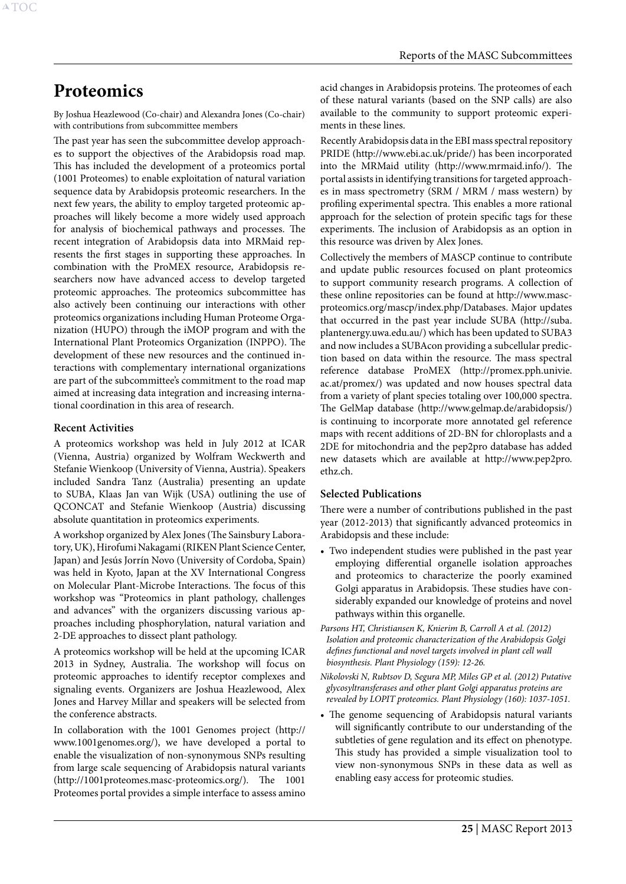# <span id="page-25-1"></span>**Proteomics**

<span id="page-25-0"></span>A[TOC](#page-3-0)

By Joshua Heazlewood (Co-chair) and Alexandra Jones (Co-chair) with contributions from subcommittee members

The past year has seen the subcommittee develop approaches to support the objectives of the Arabidopsis road map. This has included the development of a proteomics portal (1001 Proteomes) to enable exploitation of natural variation sequence data by Arabidopsis proteomic researchers. In the next few years, the ability to employ targeted proteomic approaches will likely become a more widely used approach for analysis of biochemical pathways and processes. The recent integration of Arabidopsis data into MRMaid represents the first stages in supporting these approaches. In combination with the ProMEX resource, Arabidopsis researchers now have advanced access to develop targeted proteomic approaches. The proteomics subcommittee has also actively been continuing our interactions with other proteomics organizations including Human Proteome Organization (HUPO) through the iMOP program and with the International Plant Proteomics Organization (INPPO). The development of these new resources and the continued interactions with complementary international organizations are part of the subcommittee's commitment to the road map aimed at increasing data integration and increasing international coordination in this area of research.

#### **Recent Activities**

A proteomics workshop was held in July 2012 at ICAR (Vienna, Austria) organized by Wolfram Weckwerth and Stefanie Wienkoop (University of Vienna, Austria). Speakers included Sandra Tanz (Australia) presenting an update to SUBA, Klaas Jan van Wijk (USA) outlining the use of QCONCAT and Stefanie Wienkoop (Austria) discussing absolute quantitation in proteomics experiments.

A workshop organized by Alex Jones (The Sainsbury Laboratory, UK), Hirofumi Nakagami (RIKEN Plant Science Center, Japan) and Jesús Jorrín Novo (University of Cordoba, Spain) was held in Kyoto, Japan at the XV International Congress on Molecular Plant-Microbe Interactions. The focus of this workshop was "Proteomics in plant pathology, challenges and advances" with the organizers discussing various approaches including phosphorylation, natural variation and 2-DE approaches to dissect plant pathology.

A proteomics workshop will be held at the upcoming ICAR 2013 in Sydney, Australia. The workshop will focus on proteomic approaches to identify receptor complexes and signaling events. Organizers are Joshua Heazlewood, Alex Jones and Harvey Millar and speakers will be selected from the conference abstracts.

In collaboration with the 1001 Genomes project (http:// www.1001genomes.org/), we have developed a portal to enable the visualization of non-synonymous SNPs resulting from large scale sequencing of Arabidopsis natural variants (http://1001proteomes.masc-proteomics.org/). The 1001 Proteomes portal provides a simple interface to assess amino acid changes in Arabidopsis proteins. The proteomes of each of these natural variants (based on the SNP calls) are also available to the community to support proteomic experiments in these lines.

Recently Arabidopsis data in the EBI mass spectral repository PRIDE (http://www.ebi.ac.uk/pride/) has been incorporated into the MRMaid utility (http://www.mrmaid.info/). The portal assists in identifying transitions for targeted approaches in mass spectrometry (SRM / MRM / mass western) by profiling experimental spectra. This enables a more rational approach for the selection of protein specific tags for these experiments. The inclusion of Arabidopsis as an option in this resource was driven by Alex Jones.

Collectively the members of MASCP continue to contribute and update public resources focused on plant proteomics to support community research programs. A collection of these online repositories can be found at http://www.mascproteomics.org/mascp/index.php/Databases. Major updates that occurred in the past year include SUBA (http://suba. plantenergy.uwa.edu.au/) which has been updated to SUBA3 and now includes a SUBAcon providing a subcellular prediction based on data within the resource. The mass spectral reference database ProMEX (http://promex.pph.univie. ac.at/promex/) was updated and now houses spectral data from a variety of plant species totaling over 100,000 spectra. The GelMap database (http://www.gelmap.de/arabidopsis/) is continuing to incorporate more annotated gel reference maps with recent additions of 2D-BN for chloroplasts and a 2DE for mitochondria and the pep2pro database has added new datasets which are available at http://www.pep2pro. ethz.ch.

#### **Selected Publications**

There were a number of contributions published in the past year (2012-2013) that significantly advanced proteomics in Arabidopsis and these include:

- Two independent studies were published in the past year employing differential organelle isolation approaches and proteomics to characterize the poorly examined Golgi apparatus in Arabidopsis. These studies have considerably expanded our knowledge of proteins and novel pathways within this organelle.
- *Parsons HT, Christiansen K, Knierim B, Carroll A et al. (2012) Isolation and proteomic characterization of the Arabidopsis Golgi defines functional and novel targets involved in plant cell wall biosynthesis. Plant Physiology (159): 12-26.*
- *Nikolovski N, Rubtsov D, Segura MP, Miles GP et al. (2012) Putative glycosyltransferases and other plant Golgi apparatus proteins are revealed by LOPIT proteomics. Plant Physiology (160): 1037-1051.*
- • The genome sequencing of Arabidopsis natural variants will significantly contribute to our understanding of the subtleties of gene regulation and its effect on phenotype. This study has provided a simple visualization tool to view non-synonymous SNPs in these data as well as enabling easy access for proteomic studies.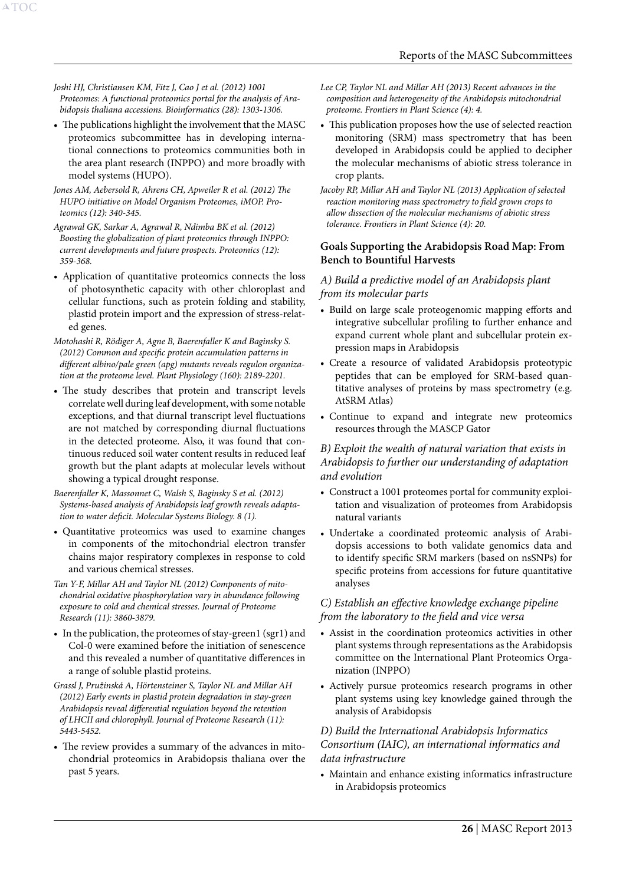*Joshi HJ, Christiansen KM, Fitz J, Cao J et al. (2012) 1001 Proteomes: A functional proteomics portal for the analysis of Arabidopsis thaliana accessions. Bioinformatics (28): 1303-1306.*

A[TOC](#page-3-0)

• The publications highlight the involvement that the MASC proteomics subcommittee has in developing international connections to proteomics communities both in the area plant research (INPPO) and more broadly with model systems (HUPO).

*Jones AM, Aebersold R, Ahrens CH, Apweiler R et al. (2012) The HUPO initiative on Model Organism Proteomes, iMOP. Proteomics (12): 340-345.*

*Agrawal GK, Sarkar A, Agrawal R, Ndimba BK et al. (2012) Boosting the globalization of plant proteomics through INPPO: current developments and future prospects. Proteomics (12): 359-368.*

• Application of quantitative proteomics connects the loss of photosynthetic capacity with other chloroplast and cellular functions, such as protein folding and stability, plastid protein import and the expression of stress-related genes.

*Motohashi R, Rödiger A, Agne B, Baerenfaller K and Baginsky S. (2012) Common and specific protein accumulation patterns in different albino/pale green (apg) mutants reveals regulon organization at the proteome level. Plant Physiology (160): 2189-2201.*

- The study describes that protein and transcript levels correlate well during leaf development, with some notable exceptions, and that diurnal transcript level fluctuations are not matched by corresponding diurnal fluctuations in the detected proteome. Also, it was found that continuous reduced soil water content results in reduced leaf growth but the plant adapts at molecular levels without showing a typical drought response.
- *Baerenfaller K, Massonnet C, Walsh S, Baginsky S et al. (2012) Systems-based analysis of Arabidopsis leaf growth reveals adaptation to water deficit. Molecular Systems Biology. 8 (1).*
- • Quantitative proteomics was used to examine changes in components of the mitochondrial electron transfer chains major respiratory complexes in response to cold and various chemical stresses.
- *Tan Y-F, Millar AH and Taylor NL (2012) Components of mitochondrial oxidative phosphorylation vary in abundance following exposure to cold and chemical stresses. Journal of Proteome Research (11): 3860-3879.*
- In the publication, the proteomes of stay-green1 (sgr1) and Col-0 were examined before the initiation of senescence and this revealed a number of quantitative differences in a range of soluble plastid proteins.

*Grassl J, Pružinská A, Hörtensteiner S, Taylor NL and Millar AH (2012) Early events in plastid protein degradation in stay-green Arabidopsis reveal differential regulation beyond the retention of LHCII and chlorophyll. Journal of Proteome Research (11): 5443-5452.* 

• The review provides a summary of the advances in mitochondrial proteomics in Arabidopsis thaliana over the past 5 years.

- *Lee CP, Taylor NL and Millar AH (2013) Recent advances in the composition and heterogeneity of the Arabidopsis mitochondrial proteome. Frontiers in Plant Science (4): 4.*
- This publication proposes how the use of selected reaction monitoring (SRM) mass spectrometry that has been developed in Arabidopsis could be applied to decipher the molecular mechanisms of abiotic stress tolerance in crop plants.
- *Jacoby RP, Millar AH and Taylor NL (2013) Application of selected reaction monitoring mass spectrometry to field grown crops to allow dissection of the molecular mechanisms of abiotic stress tolerance. Frontiers in Plant Science (4): 20.*

#### **Goals Supporting the Arabidopsis Road Map: From Bench to Bountiful Harvests**

#### *A) Build a predictive model of an Arabidopsis plant from its molecular parts*

- • Build on large scale proteogenomic mapping efforts and integrative subcellular profiling to further enhance and expand current whole plant and subcellular protein expression maps in Arabidopsis
- • Create a resource of validated Arabidopsis proteotypic peptides that can be employed for SRM-based quantitative analyses of proteins by mass spectrometry (e.g. AtSRM Atlas)
- • Continue to expand and integrate new proteomics resources through the MASCP Gator

#### *B) Exploit the wealth of natural variation that exists in Arabidopsis to further our understanding of adaptation and evolution*

- • Construct a 1001 proteomes portal for community exploitation and visualization of proteomes from Arabidopsis natural variants
- • Undertake a coordinated proteomic analysis of Arabidopsis accessions to both validate genomics data and to identify specific SRM markers (based on nsSNPs) for specific proteins from accessions for future quantitative analyses

#### *C) Establish an effective knowledge exchange pipeline from the laboratory to the field and vice versa*

- Assist in the coordination proteomics activities in other plant systems through representations as the Arabidopsis committee on the International Plant Proteomics Organization (INPPO)
- Actively pursue proteomics research programs in other plant systems using key knowledge gained through the analysis of Arabidopsis

#### *D) Build the International Arabidopsis Informatics Consortium (IAIC), an international informatics and data infrastructure*

• Maintain and enhance existing informatics infrastructure in Arabidopsis proteomics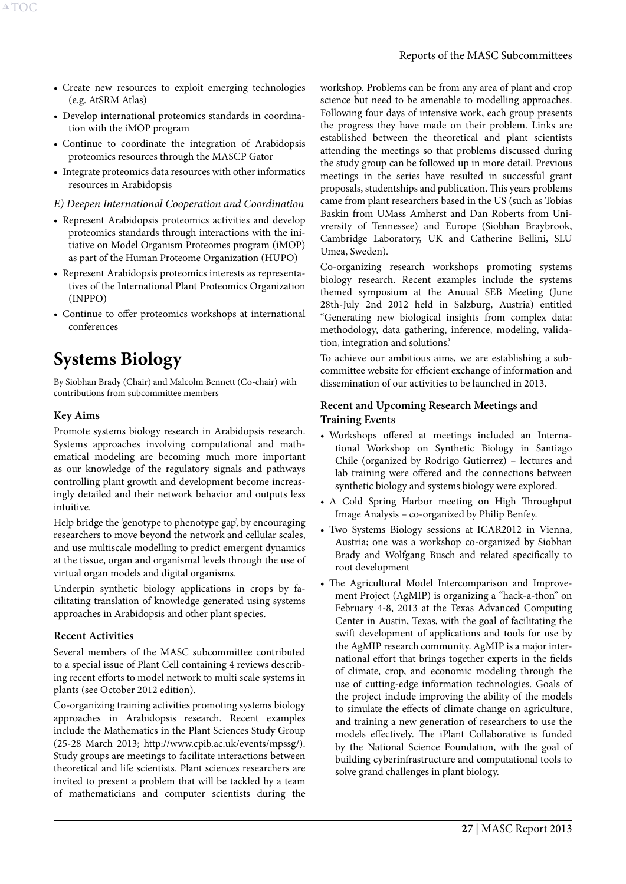- <span id="page-27-0"></span>• Create new resources to exploit emerging technologies (e.g. AtSRM Atlas)
- • Develop international proteomics standards in coordination with the iMOP program
- • Continue to coordinate the integration of Arabidopsis proteomics resources through the MASCP Gator
- Integrate proteomics data resources with other informatics resources in Arabidopsis

*E) Deepen International Cooperation and Coordination*

- • Represent Arabidopsis proteomics activities and develop proteomics standards through interactions with the initiative on Model Organism Proteomes program (iMOP) as part of the Human Proteome Organization (HUPO)
- Represent Arabidopsis proteomics interests as representatives of the International Plant Proteomics Organization (INPPO)
- • Continue to offer proteomics workshops at international conferences

# <span id="page-27-1"></span>**Systems Biology**

By Siobhan Brady (Chair) and Malcolm Bennett (Co-chair) with contributions from subcommittee members

# **Key Aims**

Promote systems biology research in Arabidopsis research. Systems approaches involving computational and mathematical modeling are becoming much more important as our knowledge of the regulatory signals and pathways controlling plant growth and development become increasingly detailed and their network behavior and outputs less intuitive.

Help bridge the 'genotype to phenotype gap', by encouraging researchers to move beyond the network and cellular scales, and use multiscale modelling to predict emergent dynamics at the tissue, organ and organismal levels through the use of virtual organ models and digital organisms.

Underpin synthetic biology applications in crops by facilitating translation of knowledge generated using systems approaches in Arabidopsis and other plant species.

#### **Recent Activities**

Several members of the MASC subcommittee contributed to a special issue of Plant Cell containing 4 reviews describing recent efforts to model network to multi scale systems in plants (see October 2012 edition).

Co-organizing training activities promoting systems biology approaches in Arabidopsis research. Recent examples include the Mathematics in the Plant Sciences Study Group (25-28 March 2013; http://www.cpib.ac.uk/events/mpssg/). Study groups are meetings to facilitate interactions between theoretical and life scientists. Plant sciences researchers are invited to present a problem that will be tackled by a team of mathematicians and computer scientists during the

workshop. Problems can be from any area of plant and crop science but need to be amenable to modelling approaches. Following four days of intensive work, each group presents the progress they have made on their problem. Links are established between the theoretical and plant scientists attending the meetings so that problems discussed during the study group can be followed up in more detail. Previous meetings in the series have resulted in successful grant proposals, studentships and publication. This years problems came from plant researchers based in the US (such as Tobias Baskin from UMass Amherst and Dan Roberts from Univrersity of Tennessee) and Europe (Siobhan Braybrook, Cambridge Laboratory, UK and Catherine Bellini, SLU Umea, Sweden).

Co-organizing research workshops promoting systems biology research. Recent examples include the systems themed symposium at the Anuual SEB Meeting (June 28th-July 2nd 2012 held in Salzburg, Austria) entitled "Generating new biological insights from complex data: methodology, data gathering, inference, modeling, validation, integration and solutions.'

To achieve our ambitious aims, we are establishing a subcommittee website for efficient exchange of information and dissemination of our activities to be launched in 2013.

## **Recent and Upcoming Research Meetings and Training Events**

- • Workshops offered at meetings included an International Workshop on Synthetic Biology in Santiago Chile (organized by Rodrigo Gutierrez) – lectures and lab training were offered and the connections between synthetic biology and systems biology were explored.
- A Cold Spring Harbor meeting on High Throughput Image Analysis – co-organized by Philip Benfey.
- Two Systems Biology sessions at ICAR2012 in Vienna, Austria; one was a workshop co-organized by Siobhan Brady and Wolfgang Busch and related specifically to root development
- The Agricultural Model Intercomparison and Improvement Project (AgMIP) is organizing a "hack-a-thon" on February 4-8, 2013 at the Texas Advanced Computing Center in Austin, Texas, with the goal of facilitating the swift development of applications and tools for use by the AgMIP research community. AgMIP is a major international effort that brings together experts in the fields of climate, crop, and economic modeling through the use of cutting-edge information technologies. Goals of the project include improving the ability of the models to simulate the effects of climate change on agriculture, and training a new generation of researchers to use the models effectively. The iPlant Collaborative is funded by the National Science Foundation, with the goal of building cyberinfrastructure and computational tools to solve grand challenges in plant biology.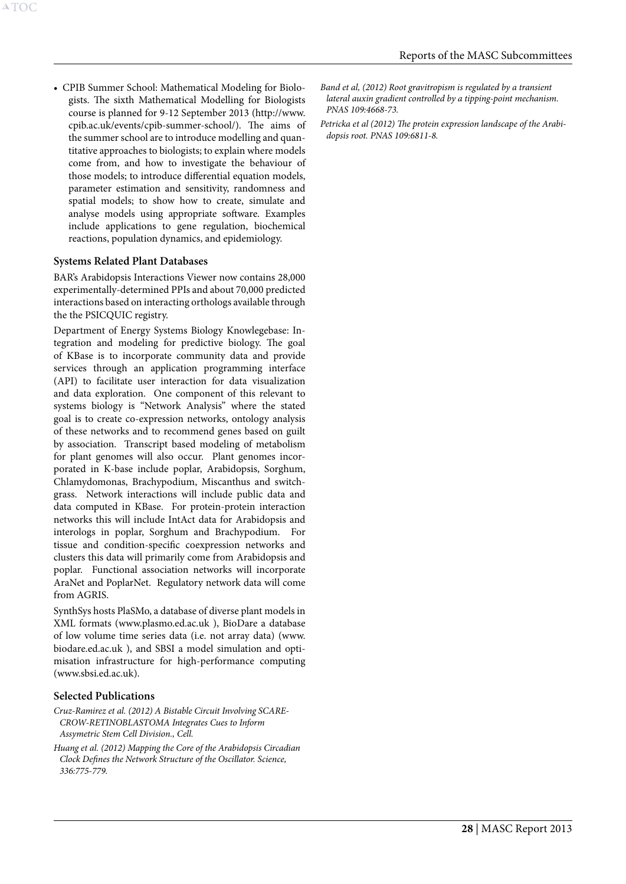• CPIB Summer School: Mathematical Modeling for Biologists. The sixth Mathematical Modelling for Biologists course is planned for 9-12 September 2013 (http://www. cpib.ac.uk/events/cpib-summer-school/). The aims of the summer school are to introduce modelling and quantitative approaches to biologists; to explain where models come from, and how to investigate the behaviour of those models; to introduce differential equation models, parameter estimation and sensitivity, randomness and spatial models; to show how to create, simulate and analyse models using appropriate software. Examples include applications to gene regulation, biochemical reactions, population dynamics, and epidemiology.

#### **Systems Related Plant Databases**

BAR's Arabidopsis Interactions Viewer now contains 28,000 experimentally-determined PPIs and about 70,000 predicted interactions based on interacting orthologs available through the the PSICQUIC registry.

Department of Energy Systems Biology Knowlegebase: Integration and modeling for predictive biology. The goal of KBase is to incorporate community data and provide services through an application programming interface (API) to facilitate user interaction for data visualization and data exploration. One component of this relevant to systems biology is "Network Analysis" where the stated goal is to create co-expression networks, ontology analysis of these networks and to recommend genes based on guilt by association. Transcript based modeling of metabolism for plant genomes will also occur. Plant genomes incorporated in K-base include poplar, Arabidopsis, Sorghum, Chlamydomonas, Brachypodium, Miscanthus and switchgrass. Network interactions will include public data and data computed in KBase. For protein-protein interaction networks this will include IntAct data for Arabidopsis and interologs in poplar, Sorghum and Brachypodium. For tissue and condition-specific coexpression networks and clusters this data will primarily come from Arabidopsis and poplar. Functional association networks will incorporate AraNet and PoplarNet. Regulatory network data will come from AGRIS

SynthSys hosts PlaSMo, a database of diverse plant models in XML formats (www.plasmo.ed.ac.uk ), BioDare a database of low volume time series data (i.e. not array data) (www. biodare.ed.ac.uk ), and SBSI a model simulation and optimisation infrastructure for high-performance computing (www.sbsi.ed.ac.uk).

#### **Selected Publications**

*Cruz-Ramirez et al. (2012) A Bistable Circuit Involving SCARE-CROW-RETINOBLASTOMA Integrates Cues to Inform Assymetric Stem Cell Division., Cell.*

*Huang et al. (2012) Mapping the Core of the Arabidopsis Circadian Clock Defines the Network Structure of the Oscillator. Science, 336:775-779.*

- *Band et al, (2012) Root gravitropism is regulated by a transient lateral auxin gradient controlled by a tipping-point mechanism. PNAS 109:4668-73.*
- *Petricka et al (2012) The protein expression landscape of the Arabidopsis root. PNAS 109:6811-8.*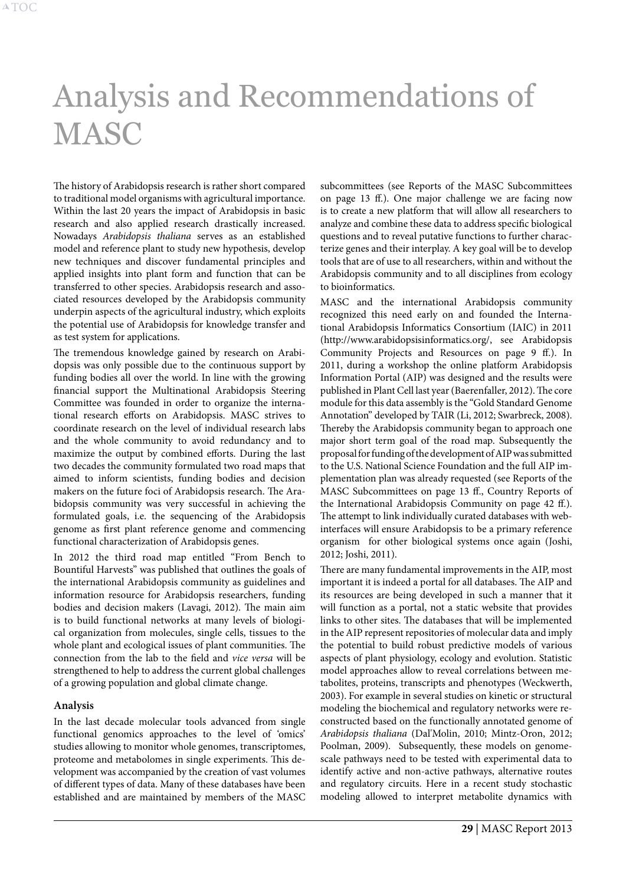# <span id="page-29-1"></span><span id="page-29-0"></span>Analysis and Recommendations of **MASC**

The history of Arabidopsis research is rather short compared to traditional model organisms with agricultural importance. Within the last 20 years the impact of Arabidopsis in basic research and also applied research drastically increased. Nowadays *Arabidopsis thaliana* serves as an established model and reference plant to study new hypothesis, develop new techniques and discover fundamental principles and applied insights into plant form and function that can be transferred to other species. Arabidopsis research and associated resources developed by the Arabidopsis community underpin aspects of the agricultural industry, which exploits the potential use of Arabidopsis for knowledge transfer and as test system for applications.

The tremendous knowledge gained by research on Arabidopsis was only possible due to the continuous support by funding bodies all over the world. In line with the growing financial support the Multinational Arabidopsis Steering Committee was founded in order to organize the international research efforts on Arabidopsis. MASC strives to coordinate research on the level of individual research labs and the whole community to avoid redundancy and to maximize the output by combined efforts. During the last two decades the community formulated two road maps that aimed to inform scientists, funding bodies and decision makers on the future foci of Arabidopsis research. The Arabidopsis community was very successful in achieving the formulated goals, i.e. the sequencing of the Arabidopsis genome as first plant reference genome and commencing functional characterization of Arabidopsis genes.

In 2012 the third road map entitled "From Bench to Bountiful Harvests" was published that outlines the goals of the international Arabidopsis community as guidelines and information resource for Arabidopsis researchers, funding bodies and decision makers (Lavagi, 2012). The main aim is to build functional networks at many levels of biological organization from molecules, single cells, tissues to the whole plant and ecological issues of plant communities. The connection from the lab to the field and *vice versa* will be strengthened to help to address the current global challenges of a growing population and global climate change.

#### **Analysis**

In the last decade molecular tools advanced from single functional genomics approaches to the level of 'omics' studies allowing to monitor whole genomes, transcriptomes, proteome and metabolomes in single experiments. This development was accompanied by the creation of vast volumes of different types of data. Many of these databases have been established and are maintained by members of the MASC subcommittees (see [Reports of the MASC Subcommittees](#page-13-2) [on page 13 ff.](#page-13-2)). One major challenge we are facing now is to create a new platform that will allow all researchers to analyze and combine these data to address specific biological questions and to reveal putative functions to further characterize genes and their interplay. A key goal will be to develop tools that are of use to all researchers, within and without the Arabidopsis community and to all disciplines from ecology to bioinformatics.

MASC and the international Arabidopsis community recognized this need early on and founded the International Arabidopsis Informatics Consortium (IAIC) in 2011 (http://www.arabidopsisinformatics.org/, see [Arabidopsis](#page-9-1) [Community Projects and Resources on page 9 ff.\)](#page-9-1). In 2011, during a workshop the online platform Arabidopsis Information Portal (AIP) was designed and the results were published in Plant Cell last year (Baerenfaller, 2012). The core module for this data assembly is the "Gold Standard Genome Annotation" developed by TAIR (Li, 2012; Swarbreck, 2008). Thereby the Arabidopsis community began to approach one major short term goal of the road map. Subsequently the proposal for funding of the development of AIP was submitted to the U.S. National Science Foundation and the full AIP implementation plan was already requested (see [Reports of the](#page-13-2) [MASC Subcommittees on page 13 ff.,](#page-13-2) [Country Reports of](#page-42-1) [the International Arabidopsis Community on page 42 ff.\)](#page-42-1). The attempt to link individually curated databases with webinterfaces will ensure Arabidopsis to be a primary reference organism for other biological systems once again (Joshi, 2012; Joshi, 2011).

There are many fundamental improvements in the AIP, most important it is indeed a portal for all databases. The AIP and its resources are being developed in such a manner that it will function as a portal, not a static website that provides links to other sites. The databases that will be implemented in the AIP represent repositories of molecular data and imply the potential to build robust predictive models of various aspects of plant physiology, ecology and evolution. Statistic model approaches allow to reveal correlations between metabolites, proteins, transcripts and phenotypes (Weckwerth, 2003). For example in several studies on kinetic or structural modeling the biochemical and regulatory networks were reconstructed based on the functionally annotated genome of *Arabidopsis thaliana* (Dal'Molin, 2010; Mintz-Oron, 2012; Poolman, 2009). Subsequently, these models on genomescale pathways need to be tested with experimental data to identify active and non-active pathways, alternative routes and regulatory circuits. Here in a recent study stochastic modeling allowed to interpret metabolite dynamics with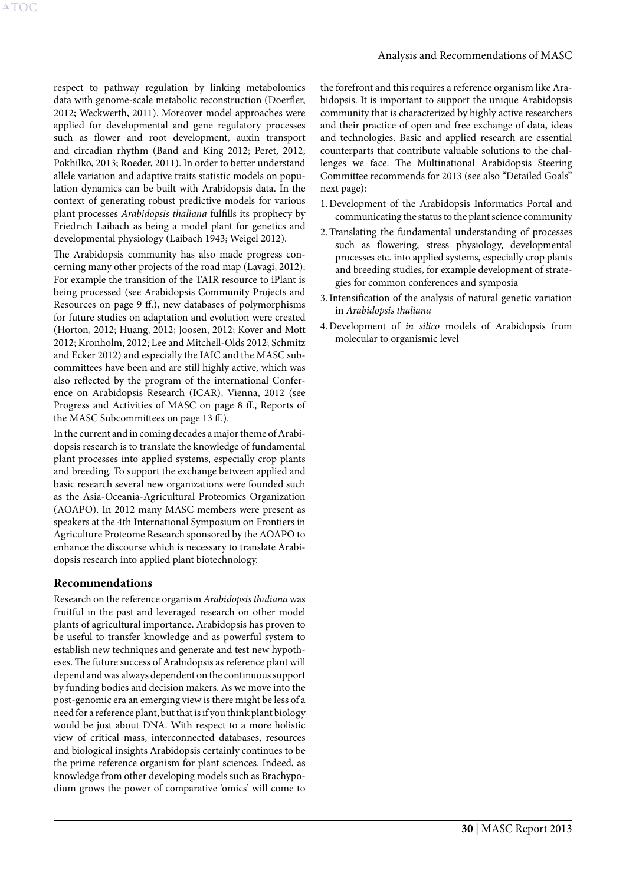respect to pathway regulation by linking metabolomics data with genome-scale metabolic reconstruction (Doerfler, 2012; Weckwerth, 2011). Moreover model approaches were applied for developmental and gene regulatory processes such as flower and root development, auxin transport and circadian rhythm (Band and King 2012; Peret, 2012; Pokhilko, 2013; Roeder, 2011). In order to better understand allele variation and adaptive traits statistic models on population dynamics can be built with Arabidopsis data. In the context of generating robust predictive models for various plant processes *Arabidopsis thaliana* fulfills its prophecy by Friedrich Laibach as being a model plant for genetics and developmental physiology (Laibach 1943; Weigel 2012).

The Arabidopsis community has also made progress concerning many other projects of the road map (Lavagi, 2012). For example the transition of the TAIR resource to iPlant is being processed (see [Arabidopsis Community Projects and](#page-9-1)  [Resources on page 9 ff.](#page-9-1)), new databases of polymorphisms for future studies on adaptation and evolution were created (Horton, 2012; Huang, 2012; Joosen, 2012; Kover and Mott 2012; Kronholm, 2012; Lee and Mitchell-Olds 2012; Schmitz and Ecker 2012) and especially the IAIC and the MASC subcommittees have been and are still highly active, which was also reflected by the program of the international Conference on Arabidopsis Research (ICAR), Vienna, 2012 (see [Progress and Activities of MASC on page 8 ff.](#page-8-1), [Reports of](#page-13-2)  [the MASC Subcommittees on page 13 ff.](#page-13-2)).

In the current and in coming decades a major theme of Arabidopsis research is to translate the knowledge of fundamental plant processes into applied systems, especially crop plants and breeding. To support the exchange between applied and basic research several new organizations were founded such as the Asia-Oceania-Agricultural Proteomics Organization (AOAPO). In 2012 many MASC members were present as speakers at the 4th International Symposium on Frontiers in Agriculture Proteome Research sponsored by the AOAPO to enhance the discourse which is necessary to translate Arabidopsis research into applied plant biotechnology.

# **Recommendations**

Research on the reference organism *Arabidopsis thaliana* was fruitful in the past and leveraged research on other model plants of agricultural importance. Arabidopsis has proven to be useful to transfer knowledge and as powerful system to establish new techniques and generate and test new hypotheses. The future success of Arabidopsis as reference plant will depend and was always dependent on the continuous support by funding bodies and decision makers. As we move into the post-genomic era an emerging view is there might be less of a need for a reference plant, but that is if you think plant biology would be just about DNA. With respect to a more holistic view of critical mass, interconnected databases, resources and biological insights Arabidopsis certainly continues to be the prime reference organism for plant sciences. Indeed, as knowledge from other developing models such as Brachypodium grows the power of comparative 'omics' will come to

the forefront and this requires a reference organism like Arabidopsis. It is important to support the unique Arabidopsis community that is characterized by highly active researchers and their practice of open and free exchange of data, ideas and technologies. Basic and applied research are essential counterparts that contribute valuable solutions to the challenges we face. The Multinational Arabidopsis Steering Committee recommends for 2013 (see also "Detailed Goals" next page):

- 1.Development of the Arabidopsis Informatics Portal and communicating the status to the plant science community
- 2.Translating the fundamental understanding of processes such as flowering, stress physiology, developmental processes etc. into applied systems, especially crop plants and breeding studies, for example development of strategies for common conferences and symposia
- 3.Intensification of the analysis of natural genetic variation in *Arabidopsis thaliana*
- 4.Development of *in silico* models of Arabidopsis from molecular to organismic level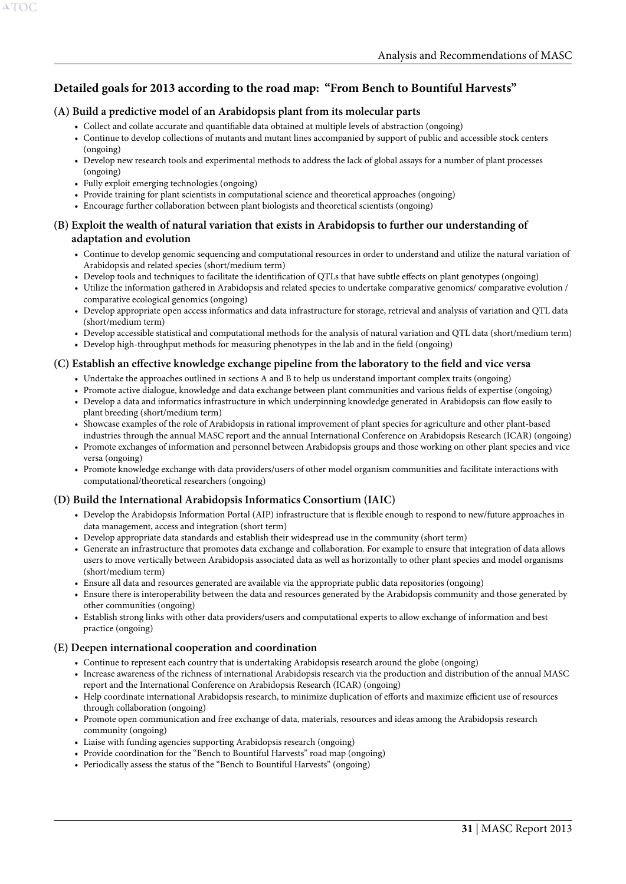# **Detailed goals for 2013 according to the road map: "From Bench to Bountiful Harvests"**

#### **(A) Build a predictive model of an Arabidopsis plant from its molecular parts**

- • Collect and collate accurate and quantifiable data obtained at multiple levels of abstraction (ongoing)
- • Continue to develop collections of mutants and mutant lines accompanied by support of public and accessible stock centers (ongoing)
- • Develop new research tools and experimental methods to address the lack of global assays for a number of plant processes (ongoing)
- • Fully exploit emerging technologies (ongoing)
- Provide training for plant scientists in computational science and theoretical approaches (ongoing)
- Encourage further collaboration between plant biologists and theoretical scientists (ongoing)

#### **(B) Exploit the wealth of natural variation that exists in Arabidopsis to further our understanding of adaptation and evolution**

- • Continue to develop genomic sequencing and computational resources in order to understand and utilize the natural variation of Arabidopsis and related species (short/medium term)
- • Develop tools and techniques to facilitate the identification of QTLs that have subtle effects on plant genotypes (ongoing)
- • Utilize the information gathered in Arabidopsis and related species to undertake comparative genomics/ comparative evolution / comparative ecological genomics (ongoing)
- • Develop appropriate open access informatics and data infrastructure for storage, retrieval and analysis of variation and QTL data (short/medium term)
- • Develop accessible statistical and computational methods for the analysis of natural variation and QTL data (short/medium term)
- • Develop high-throughput methods for measuring phenotypes in the lab and in the field (ongoing)

#### **(C) Establish an effective knowledge exchange pipeline from the laboratory to the field and vice versa**

- • Undertake the approaches outlined in sections A and B to help us understand important complex traits (ongoing)
- • Promote active dialogue, knowledge and data exchange between plant communities and various fields of expertise (ongoing)
- • Develop a data and informatics infrastructure in which underpinning knowledge generated in Arabidopsis can flow easily to plant breeding (short/medium term)
- • Showcase examples of the role of Arabidopsis in rational improvement of plant species for agriculture and other plant-based industries through the annual MASC report and the annual International Conference on Arabidopsis Research (ICAR) (ongoing)
- • Promote exchanges of information and personnel between Arabidopsis groups and those working on other plant species and vice versa (ongoing)
- • Promote knowledge exchange with data providers/users of other model organism communities and facilitate interactions with computational/theoretical researchers (ongoing)

#### **(D) Build the International Arabidopsis Informatics Consortium (IAIC)**

- • Develop the Arabidopsis Information Portal (AIP) infrastructure that is flexible enough to respond to new/future approaches in data management, access and integration (short term)
- • Develop appropriate data standards and establish their widespread use in the community (short term)
- • Generate an infrastructure that promotes data exchange and collaboration. For example to ensure that integration of data allows users to move vertically between Arabidopsis associated data as well as horizontally to other plant species and model organisms (short/medium term)
- • Ensure all data and resources generated are available via the appropriate public data repositories (ongoing)
- • Ensure there is interoperability between the data and resources generated by the Arabidopsis community and those generated by other communities (ongoing)
- • Establish strong links with other data providers/users and computational experts to allow exchange of information and best practice (ongoing)

#### **(E) Deepen international cooperation and coordination**

- • Continue to represent each country that is undertaking Arabidopsis research around the globe (ongoing)
- • Increase awareness of the richness of international Arabidopsis research via the production and distribution of the annual MASC report and the International Conference on Arabidopsis Research (ICAR) (ongoing)
- • Help coordinate international Arabidopsis research, to minimize duplication of efforts and maximize efficient use of resources through collaboration (ongoing)
- • Promote open communication and free exchange of data, materials, resources and ideas among the Arabidopsis research community (ongoing)
- Liaise with funding agencies supporting Arabidopsis research (ongoing)
- Provide coordination for the "Bench to Bountiful Harvests" road map (ongoing)
- Periodically assess the status of the "Bench to Bountiful Harvests" (ongoing)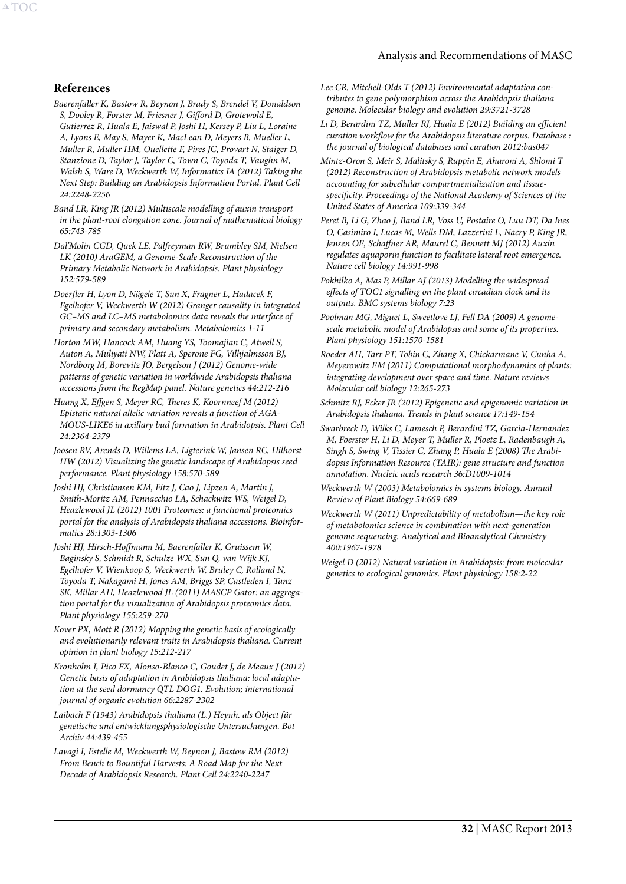#### **References**

A[TOC](#page-3-0)

- *Baerenfaller K, Bastow R, Beynon J, Brady S, Brendel V, Donaldson S, Dooley R, Forster M, Friesner J, Gifford D, Grotewold E, Gutierrez R, Huala E, Jaiswal P, Joshi H, Kersey P, Liu L, Loraine A, Lyons E, May S, Mayer K, MacLean D, Meyers B, Mueller L, Muller R, Muller HM, Ouellette F, Pires JC, Provart N, Staiger D, Stanzione D, Taylor J, Taylor C, Town C, Toyoda T, Vaughn M, Walsh S, Ware D, Weckwerth W, Informatics IA (2012) Taking the Next Step: Building an Arabidopsis Information Portal. Plant Cell 24:2248-2256*
- *Band LR, King JR (2012) Multiscale modelling of auxin transport in the plant-root elongation zone. Journal of mathematical biology 65:743-785*
- *Dal'Molin CGD, Quek LE, Palfreyman RW, Brumbley SM, Nielsen LK (2010) AraGEM, a Genome-Scale Reconstruction of the Primary Metabolic Network in Arabidopsis. Plant physiology 152:579-589*
- *Doerfler H, Lyon D, Nägele T, Sun X, Fragner L, Hadacek F, Egelhofer V, Weckwerth W (2012) Granger causality in integrated GC–MS and LC–MS metabolomics data reveals the interface of primary and secondary metabolism. Metabolomics 1-11*
- *Horton MW, Hancock AM, Huang YS, Toomajian C, Atwell S, Auton A, Muliyati NW, Platt A, Sperone FG, Vilhjalmsson BJ, Nordborg M, Borevitz JO, Bergelson J (2012) Genome-wide patterns of genetic variation in worldwide Arabidopsis thaliana accessions from the RegMap panel. Nature genetics 44:212-216*
- *Huang X, Effgen S, Meyer RC, Theres K, Koornneef M (2012) Epistatic natural allelic variation reveals a function of AGA-MOUS-LIKE6 in axillary bud formation in Arabidopsis. Plant Cell 24:2364-2379*
- *Joosen RV, Arends D, Willems LA, Ligterink W, Jansen RC, Hilhorst HW (2012) Visualizing the genetic landscape of Arabidopsis seed performance. Plant physiology 158:570-589*
- *Joshi HJ, Christiansen KM, Fitz J, Cao J, Lipzen A, Martin J, Smith-Moritz AM, Pennacchio LA, Schackwitz WS, Weigel D, Heazlewood JL (2012) 1001 Proteomes: a functional proteomics portal for the analysis of Arabidopsis thaliana accessions. Bioinformatics 28:1303-1306*
- *Joshi HJ, Hirsch-Hoffmann M, Baerenfaller K, Gruissem W, Baginsky S, Schmidt R, Schulze WX, Sun Q, van Wijk KJ, Egelhofer V, Wienkoop S, Weckwerth W, Bruley C, Rolland N, Toyoda T, Nakagami H, Jones AM, Briggs SP, Castleden I, Tanz SK, Millar AH, Heazlewood JL (2011) MASCP Gator: an aggregation portal for the visualization of Arabidopsis proteomics data. Plant physiology 155:259-270*
- *Kover PX, Mott R (2012) Mapping the genetic basis of ecologically and evolutionarily relevant traits in Arabidopsis thaliana. Current opinion in plant biology 15:212-217*
- *Kronholm I, Pico FX, Alonso-Blanco C, Goudet J, de Meaux J (2012) Genetic basis of adaptation in Arabidopsis thaliana: local adaptation at the seed dormancy QTL DOG1. Evolution; international journal of organic evolution 66:2287-2302*
- *Laibach F (1943) Arabidopsis thaliana (L.) Heynh. als Object für genetische und entwicklungsphysiologische Untersuchungen. Bot Archiv 44:439-455*
- *Lavagi I, Estelle M, Weckwerth W, Beynon J, Bastow RM (2012) From Bench to Bountiful Harvests: A Road Map for the Next Decade of Arabidopsis Research. Plant Cell 24:2240-2247*
- *Lee CR, Mitchell-Olds T (2012) Environmental adaptation contributes to gene polymorphism across the Arabidopsis thaliana genome. Molecular biology and evolution 29:3721-3728*
- *Li D, Berardini TZ, Muller RJ, Huala E (2012) Building an efficient curation workflow for the Arabidopsis literature corpus. Database : the journal of biological databases and curation 2012:bas047*
- *Mintz-Oron S, Meir S, Malitsky S, Ruppin E, Aharoni A, Shlomi T (2012) Reconstruction of Arabidopsis metabolic network models accounting for subcellular compartmentalization and tissuespecificity. Proceedings of the National Academy of Sciences of the United States of America 109:339-344*
- Peret B, Li G, Zhao J, Band LR, Voss U, Postaire O, Luu DT, Da Ines *O, Casimiro I, Lucas M, Wells DM, Lazzerini L, Nacry P, King JR, Jensen OE, Schaffner AR, Maurel C, Bennett MJ (2012) Auxin regulates aquaporin function to facilitate lateral root emergence. Nature cell biology 14:991-998*
- *Pokhilko A, Mas P, Millar AJ (2013) Modelling the widespread effects of TOC1 signalling on the plant circadian clock and its outputs. BMC systems biology 7:23*
- *Poolman MG, Miguet L, Sweetlove LJ, Fell DA (2009) A genomescale metabolic model of Arabidopsis and some of its properties. Plant physiology 151:1570-1581*
- *Roeder AH, Tarr PT, Tobin C, Zhang X, Chickarmane V, Cunha A, Meyerowitz EM (2011) Computational morphodynamics of plants: integrating development over space and time. Nature reviews Molecular cell biology 12:265-273*
- *Schmitz RJ, Ecker JR (2012) Epigenetic and epigenomic variation in Arabidopsis thaliana. Trends in plant science 17:149-154*
- *Swarbreck D, Wilks C, Lamesch P, Berardini TZ, Garcia-Hernandez M, Foerster H, Li D, Meyer T, Muller R, Ploetz L, Radenbaugh A, Singh S, Swing V, Tissier C, Zhang P, Huala E (2008) The Arabidopsis Information Resource (TAIR): gene structure and function annotation. Nucleic acids research 36:D1009-1014*
- *Weckwerth W (2003) Metabolomics in systems biology. Annual Review of Plant Biology 54:669-689*
- *Weckwerth W (2011) Unpredictability of metabolism—the key role of metabolomics science in combination with next-generation genome sequencing. Analytical and Bioanalytical Chemistry 400:1967-1978*
- *Weigel D (2012) Natural variation in Arabidopsis: from molecular genetics to ecological genomics. Plant physiology 158:2-22*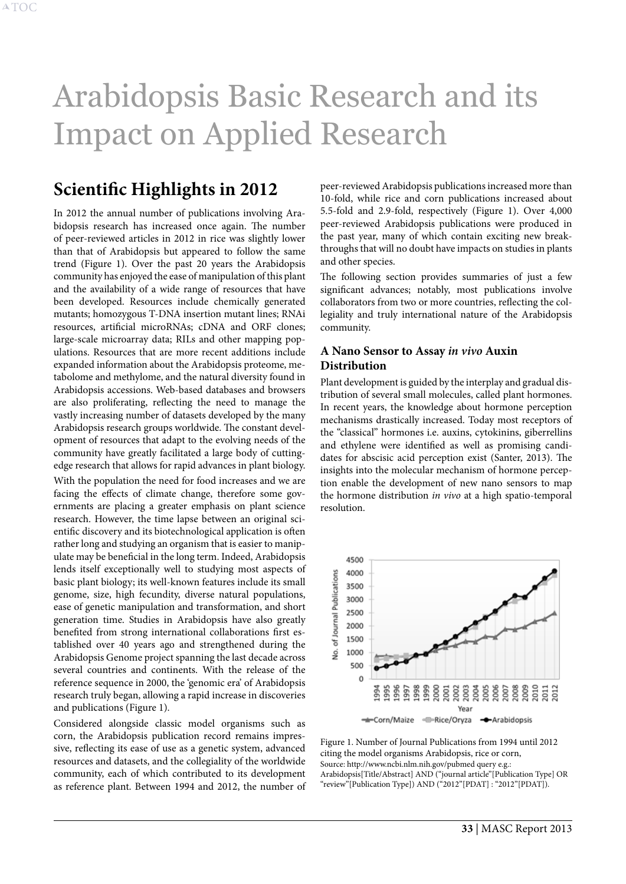# <span id="page-33-0"></span>Arabidopsis Basic Research and its Impact on Applied Research

# <span id="page-33-2"></span>**Scientific Highlights in 2012**

In 2012 the annual number of publications involving Arabidopsis research has increased once again. The number of peer-reviewed articles in 2012 in rice was slightly lower than that of Arabidopsis but appeared to follow the same trend (Figure 1). Over the past 20 years the Arabidopsis community has enjoyed the ease of manipulation of this plant and the availability of a wide range of resources that have been developed. Resources include chemically generated mutants; homozygous T-DNA insertion mutant lines; RNAi resources, artificial microRNAs; cDNA and ORF clones; large-scale microarray data; RILs and other mapping populations. Resources that are more recent additions include expanded information about the Arabidopsis proteome, metabolome and methylome, and the natural diversity found in Arabidopsis accessions. Web-based databases and browsers are also proliferating, reflecting the need to manage the vastly increasing number of datasets developed by the many Arabidopsis research groups worldwide. The constant development of resources that adapt to the evolving needs of the community have greatly facilitated a large body of cuttingedge research that allows for rapid advances in plant biology. With the population the need for food increases and we are facing the effects of climate change, therefore some governments are placing a greater emphasis on plant science research. However, the time lapse between an original scientific discovery and its biotechnological application is often rather long and studying an organism that is easier to manipulate may be beneficial in the long term. Indeed, Arabidopsis lends itself exceptionally well to studying most aspects of basic plant biology; its well-known features include its small genome, size, high fecundity, diverse natural populations, ease of genetic manipulation and transformation, and short generation time. Studies in Arabidopsis have also greatly benefited from strong international collaborations first established over 40 years ago and strengthened during the Arabidopsis Genome project spanning the last decade across several countries and continents. With the release of the reference sequence in 2000, the 'genomic era' of Arabidopsis research truly began, allowing a rapid increase in discoveries and publications (Figure 1).

Considered alongside classic model organisms such as corn, the Arabidopsis publication record remains impressive, reflecting its ease of use as a genetic system, advanced resources and datasets, and the collegiality of the worldwide community, each of which contributed to its development as reference plant. Between 1994 and 2012, the number of

peer-reviewed Arabidopsis publications increased more than 10-fold, while rice and corn publications increased about 5.5-fold and 2.9-fold, respectively (Figure 1). Over 4,000 peer-reviewed Arabidopsis publications were produced in the past year, many of which contain exciting new breakthroughs that will no doubt have impacts on studies in plants and other species.

The following section provides summaries of just a few significant advances; notably, most publications involve collaborators from two or more countries, reflecting the collegiality and truly international nature of the Arabidopsis community.

## **A Nano Sensor to Assay** *in vivo* **Auxin Distribution**

Plant development is guided by the interplay and gradual distribution of several small molecules, called plant hormones. In recent years, the knowledge about hormone perception mechanisms drastically increased. Today most receptors of the "classical" hormones i.e. auxins, cytokinins, giberrellins and ethylene were identified as well as promising candidates for abscisic acid perception exist (Santer, 2013). The insights into the molecular mechanism of hormone perception enable the development of new nano sensors to map the hormone distribution *in vivo* at a high spatio-temporal resolution.



<span id="page-33-1"></span>Figure 1. Number of Journal Publications from 1994 until 2012 citing the model organisms Arabidopsis, rice or corn, Source: http://www.ncbi.nlm.nih.gov/pubmed query e.g.: Arabidopsis[Title/Abstract] AND ("journal article"[Publication Type] OR "review"[Publication Type]) AND ("2012"[PDAT] : "2012"[PDAT]).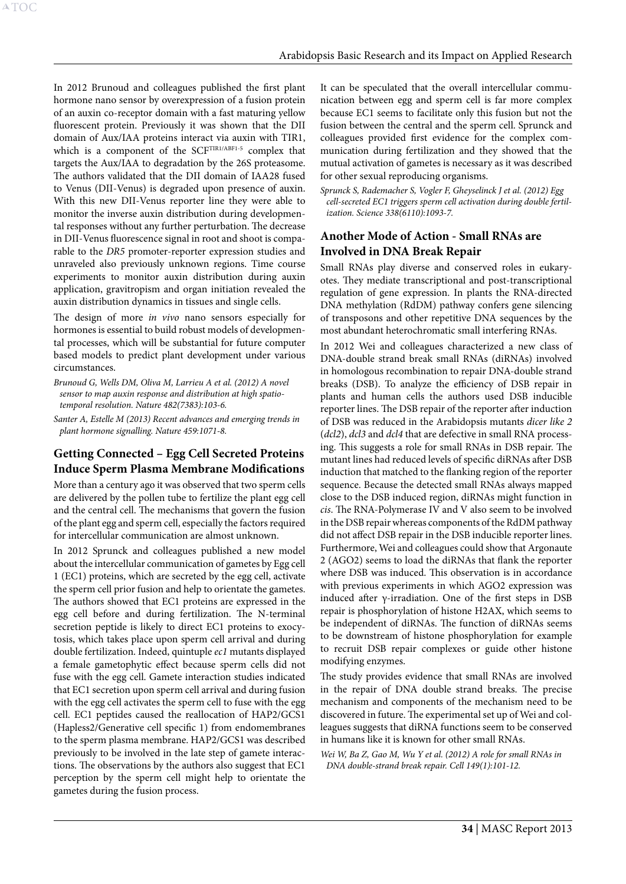In 2012 Brunoud and colleagues published the first plant hormone nano sensor by overexpression of a fusion protein of an auxin co-receptor domain with a fast maturing yellow fluorescent protein. Previously it was shown that the DII domain of Aux/IAA proteins interact via auxin with TIR1, which is a component of the SCFTIR1/ABF1-5 complex that targets the Aux/IAA to degradation by the 26S proteasome. The authors validated that the DII domain of IAA28 fused to Venus (DII-Venus) is degraded upon presence of auxin. With this new DII-Venus reporter line they were able to monitor the inverse auxin distribution during developmental responses without any further perturbation. The decrease in DII-Venus fluorescence signal in root and shoot is comparable to the *DR5* promoter-reporter expression studies and unraveled also previously unknown regions. Time course experiments to monitor auxin distribution during auxin application, gravitropism and organ initiation revealed the auxin distribution dynamics in tissues and single cells.

The design of more *in vivo* nano sensors especially for hormones is essential to build robust models of developmental processes, which will be substantial for future computer based models to predict plant development under various circumstances.

*Brunoud G, Wells DM, Oliva M, Larrieu A et al. (2012) A novel sensor to map auxin response and distribution at high spatiotemporal resolution. Nature 482(7383):103-6.*

*Santer A, Estelle M (2013) Recent advances and emerging trends in plant hormone signalling. Nature 459:1071-8.* 

# **Getting Connected – Egg Cell Secreted Proteins Induce Sperm Plasma Membrane Modifications**

More than a century ago it was observed that two sperm cells are delivered by the pollen tube to fertilize the plant egg cell and the central cell. The mechanisms that govern the fusion of the plant egg and sperm cell, especially the factors required for intercellular communication are almost unknown.

In 2012 Sprunck and colleagues published a new model about the intercellular communication of gametes by Egg cell 1 (EC1) proteins, which are secreted by the egg cell, activate the sperm cell prior fusion and help to orientate the gametes. The authors showed that EC1 proteins are expressed in the egg cell before and during fertilization. The N-terminal secretion peptide is likely to direct EC1 proteins to exocytosis, which takes place upon sperm cell arrival and during double fertilization. Indeed, quintuple *ec1* mutants displayed a female gametophytic effect because sperm cells did not fuse with the egg cell. Gamete interaction studies indicated that EC1 secretion upon sperm cell arrival and during fusion with the egg cell activates the sperm cell to fuse with the egg cell. EC1 peptides caused the reallocation of HAP2/GCS1 (Hapless2/Generative cell specific 1) from endomembranes to the sperm plasma membrane. HAP2/GCS1 was described previously to be involved in the late step of gamete interactions. The observations by the authors also suggest that EC1 perception by the sperm cell might help to orientate the gametes during the fusion process.

It can be speculated that the overall intercellular communication between egg and sperm cell is far more complex because EC1 seems to facilitate only this fusion but not the fusion between the central and the sperm cell. Sprunck and colleagues provided first evidence for the complex communication during fertilization and they showed that the mutual activation of gametes is necessary as it was described for other sexual reproducing organisms.

*Sprunck S, Rademacher S, Vogler F, Gheyselinck J et al. (2012) Egg cell-secreted EC1 triggers sperm cell activation during double fertilization. Science 338(6110):1093-7.*

# **Another Mode of Action - Small RNAs are Involved in DNA Break Repair**

Small RNAs play diverse and conserved roles in eukaryotes. They mediate transcriptional and post-transcriptional regulation of gene expression. In plants the RNA-directed DNA methylation (RdDM) pathway confers gene silencing of transposons and other repetitive DNA sequences by the most abundant heterochromatic small interfering RNAs.

In 2012 Wei and colleagues characterized a new class of DNA-double strand break small RNAs (diRNAs) involved in homologous recombination to repair DNA-double strand breaks (DSB). To analyze the efficiency of DSB repair in plants and human cells the authors used DSB inducible reporter lines. The DSB repair of the reporter after induction of DSB was reduced in the Arabidopsis mutants *dicer like 2*  (*dcl2*), *dcl3* and *dcl4* that are defective in small RNA processing. This suggests a role for small RNAs in DSB repair. The mutant lines had reduced levels of specific diRNAs after DSB induction that matched to the flanking region of the reporter sequence. Because the detected small RNAs always mapped close to the DSB induced region, diRNAs might function in *cis*. The RNA-Polymerase IV and V also seem to be involved in the DSB repair whereas components of the RdDM pathway did not affect DSB repair in the DSB inducible reporter lines. Furthermore, Wei and colleagues could show that Argonaute 2 (AGO2) seems to load the diRNAs that flank the reporter where DSB was induced. This observation is in accordance with previous experiments in which AGO2 expression was induced after γ-irradiation. One of the first steps in DSB repair is phosphorylation of histone H2AX, which seems to be independent of diRNAs. The function of diRNAs seems to be downstream of histone phosphorylation for example to recruit DSB repair complexes or guide other histone modifying enzymes.

The study provides evidence that small RNAs are involved in the repair of DNA double strand breaks. The precise mechanism and components of the mechanism need to be discovered in future. The experimental set up of Wei and colleagues suggests that diRNA functions seem to be conserved in humans like it is known for other small RNAs.

*Wei W, Ba Z, Gao M, Wu Y et al. (2012) A role for small RNAs in DNA double-strand break repair. Cell 149(1):101-12.*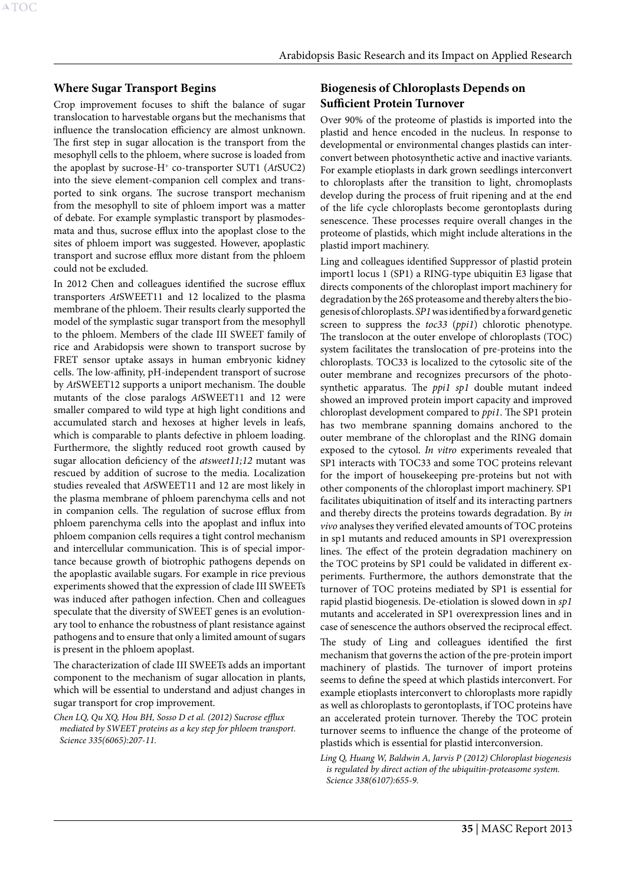#### <span id="page-35-1"></span>**Where Sugar Transport Begins**

Crop improvement focuses to shift the balance of sugar translocation to harvestable organs but the mechanisms that influence the translocation efficiency are almost unknown. The first step in sugar allocation is the transport from the mesophyll cells to the phloem, where sucrose is loaded from the apoplast by sucrose-H+ co-transporter SUT1 (*At*SUC2) into the sieve element-companion cell complex and transported to sink organs. The sucrose transport mechanism from the mesophyll to site of phloem import was a matter of debate. For example symplastic transport by plasmodesmata and thus, sucrose efflux into the apoplast close to the sites of phloem import was suggested. However, apoplastic transport and sucrose efflux more distant from the phloem could not be excluded.

In 2012 Chen and colleagues identified the sucrose efflux transporters *At*SWEET11 and 12 localized to the plasma membrane of the phloem. Their results clearly supported the model of the symplastic sugar transport from the mesophyll to the phloem. Members of the clade III SWEET family of rice and Arabidopsis were shown to transport sucrose by FRET sensor uptake assays in human embryonic kidney cells. The low-affinity, pH-independent transport of sucrose by *At*SWEET12 supports a uniport mechanism. The double mutants of the close paralogs *At*SWEET11 and 12 were smaller compared to wild type at high light conditions and accumulated starch and hexoses at higher levels in leafs, which is comparable to plants defective in phloem loading. Furthermore, the slightly reduced root growth caused by sugar allocation deficiency of the *atsweet11;12* mutant was rescued by addition of sucrose to the media. Localization studies revealed that *At*SWEET11 and 12 are most likely in the plasma membrane of phloem parenchyma cells and not in companion cells. The regulation of sucrose efflux from phloem parenchyma cells into the apoplast and influx into phloem companion cells requires a tight control mechanism and intercellular communication. This is of special importance because growth of biotrophic pathogens depends on the apoplastic available sugars. For example in rice previous experiments showed that the expression of clade III SWEETs was induced after pathogen infection. Chen and colleagues speculate that the diversity of SWEET genes is an evolutionary tool to enhance the robustness of plant resistance against pathogens and to ensure that only a limited amount of sugars is present in the phloem apoplast.

The characterization of clade III SWEETs adds an important component to the mechanism of sugar allocation in plants, which will be essential to understand and adjust changes in sugar transport for crop improvement.

*Chen LQ, Qu XQ, Hou BH, Sosso D et al. (2012) Sucrose efflux mediated by SWEET proteins as a key step for phloem transport. Science 335(6065):207-11.*

# <span id="page-35-0"></span>**Biogenesis of Chloroplasts Depends on Sufficient Protein Turnover**

Over 90% of the proteome of plastids is imported into the plastid and hence encoded in the nucleus. In response to developmental or environmental changes plastids can interconvert between photosynthetic active and inactive variants. For example etioplasts in dark grown seedlings interconvert to chloroplasts after the transition to light, chromoplasts develop during the process of fruit ripening and at the end of the life cycle chloroplasts become gerontoplasts during senescence. These processes require overall changes in the proteome of plastids, which might include alterations in the plastid import machinery.

Ling and colleagues identified Suppressor of plastid protein import1 locus 1 (SP1) a RING-type ubiquitin E3 ligase that directs components of the chloroplast import machinery for degradation by the 26S proteasome and thereby alters the biogenesis of chloroplasts. *SP1* was identified by a forward genetic screen to suppress the *toc33* (*ppi1*) chlorotic phenotype. The translocon at the outer envelope of chloroplasts (TOC) system facilitates the translocation of pre-proteins into the chloroplasts. TOC33 is localized to the cytosolic site of the outer membrane and recognizes precursors of the photosynthetic apparatus. The *ppi1 sp1* double mutant indeed showed an improved protein import capacity and improved chloroplast development compared to *ppi1*. The SP1 protein has two membrane spanning domains anchored to the outer membrane of the chloroplast and the RING domain exposed to the cytosol. *In vitro* experiments revealed that SP1 interacts with TOC33 and some TOC proteins relevant for the import of housekeeping pre-proteins but not with other components of the chloroplast import machinery. SP1 facilitates ubiquitination of itself and its interacting partners and thereby directs the proteins towards degradation. By *in vivo* analyses they verified elevated amounts of TOC proteins in sp1 mutants and reduced amounts in SP1 overexpression lines. The effect of the protein degradation machinery on the TOC proteins by SP1 could be validated in different experiments. Furthermore, the authors demonstrate that the turnover of TOC proteins mediated by SP1 is essential for rapid plastid biogenesis. De-etiolation is slowed down in *sp1* mutants and accelerated in SP1 overexpression lines and in case of senescence the authors observed the reciprocal effect. The study of Ling and colleagues identified the first mechanism that governs the action of the pre-protein import machinery of plastids. The turnover of import proteins seems to define the speed at which plastids interconvert. For example etioplasts interconvert to chloroplasts more rapidly as well as chloroplasts to gerontoplasts, if TOC proteins have an accelerated protein turnover. Thereby the TOC protein turnover seems to influence the change of the proteome of plastids which is essential for plastid interconversion.

*Ling Q, Huang W, Baldwin A, Jarvis P (2012) Chloroplast biogenesis is regulated by direct action of the ubiquitin-proteasome system. Science 338(6107):655-9.*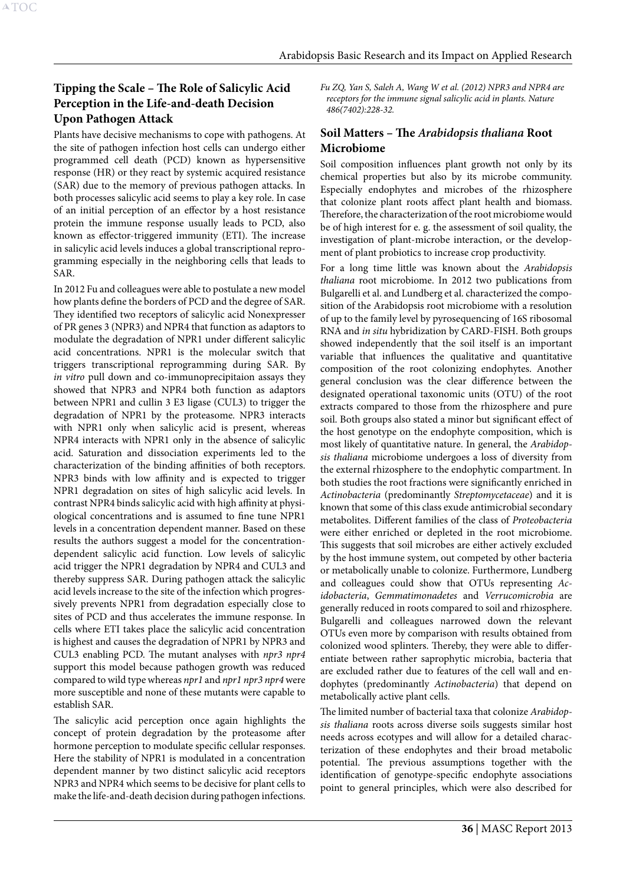# <span id="page-36-0"></span>**Tipping the Scale – The Role of Salicylic Acid Perception in the Life-and-death Decision Upon Pathogen Attack**

Plants have decisive mechanisms to cope with pathogens. At the site of pathogen infection host cells can undergo either programmed cell death (PCD) known as hypersensitive response (HR) or they react by systemic acquired resistance (SAR) due to the memory of previous pathogen attacks. In both processes salicylic acid seems to play a key role. In case of an initial perception of an effector by a host resistance protein the immune response usually leads to PCD, also known as effector-triggered immunity (ETI). The increase in salicylic acid levels induces a global transcriptional reprogramming especially in the neighboring cells that leads to SAR.

In 2012 Fu and colleagues were able to postulate a new model how plants define the borders of PCD and the degree of SAR. They identified two receptors of salicylic acid Nonexpresser of PR genes 3 (NPR3) and NPR4 that function as adaptors to modulate the degradation of NPR1 under different salicylic acid concentrations. NPR1 is the molecular switch that triggers transcriptional reprogramming during SAR. By *in vitro* pull down and co-immunoprecipitaion assays they showed that NPR3 and NPR4 both function as adaptors between NPR1 and cullin 3 E3 ligase (CUL3) to trigger the degradation of NPR1 by the proteasome. NPR3 interacts with NPR1 only when salicylic acid is present, whereas NPR4 interacts with NPR1 only in the absence of salicylic acid. Saturation and dissociation experiments led to the characterization of the binding affinities of both receptors. NPR3 binds with low affinity and is expected to trigger NPR1 degradation on sites of high salicylic acid levels. In contrast NPR4 binds salicylic acid with high affinity at physiological concentrations and is assumed to fine tune NPR1 levels in a concentration dependent manner. Based on these results the authors suggest a model for the concentrationdependent salicylic acid function. Low levels of salicylic acid trigger the NPR1 degradation by NPR4 and CUL3 and thereby suppress SAR. During pathogen attack the salicylic acid levels increase to the site of the infection which progressively prevents NPR1 from degradation especially close to sites of PCD and thus accelerates the immune response. In cells where ETI takes place the salicylic acid concentration is highest and causes the degradation of NPR1 by NPR3 and CUL3 enabling PCD. The mutant analyses with *npr3 npr4* support this model because pathogen growth was reduced compared to wild type whereas *npr1* and *npr1 npr3 npr4* were more susceptible and none of these mutants were capable to establish SAR.

The salicylic acid perception once again highlights the concept of protein degradation by the proteasome after hormone perception to modulate specific cellular responses. Here the stability of NPR1 is modulated in a concentration dependent manner by two distinct salicylic acid receptors NPR3 and NPR4 which seems to be decisive for plant cells to make the life-and-death decision during pathogen infections. *Fu ZQ, Yan S, Saleh A, Wang W et al. (2012) NPR3 and NPR4 are receptors for the immune signal salicylic acid in plants. Nature 486(7402):228-32.*

# <span id="page-36-1"></span>**Soil Matters – The** *Arabidopsis thaliana* **Root Microbiome**

Soil composition influences plant growth not only by its chemical properties but also by its microbe community. Especially endophytes and microbes of the rhizosphere that colonize plant roots affect plant health and biomass. Therefore, the characterization of the root microbiome would be of high interest for e. g. the assessment of soil quality, the investigation of plant-microbe interaction, or the development of plant probiotics to increase crop productivity.

For a long time little was known about the *Arabidopsis thaliana* root microbiome. In 2012 two publications from Bulgarelli et al. and Lundberg et al. characterized the composition of the Arabidopsis root microbiome with a resolution of up to the family level by pyrosequencing of 16S ribosomal RNA and *in situ* hybridization by CARD-FISH. Both groups showed independently that the soil itself is an important variable that influences the qualitative and quantitative composition of the root colonizing endophytes. Another general conclusion was the clear difference between the designated operational taxonomic units (OTU) of the root extracts compared to those from the rhizosphere and pure soil. Both groups also stated a minor but significant effect of the host genotype on the endophyte composition, which is most likely of quantitative nature. In general, the *Arabidopsis thaliana* microbiome undergoes a loss of diversity from the external rhizosphere to the endophytic compartment. In both studies the root fractions were significantly enriched in *Actinobacteria* (predominantly *Streptomycetaceae*) and it is known that some of this class exude antimicrobial secondary metabolites. Different families of the class of *Proteobacteria* were either enriched or depleted in the root microbiome. This suggests that soil microbes are either actively excluded by the host immune system, out competed by other bacteria or metabolically unable to colonize. Furthermore, Lundberg and colleagues could show that OTUs representing *Acidobacteria*, *Gemmatimonadetes* and *Verrucomicrobia* are generally reduced in roots compared to soil and rhizosphere. Bulgarelli and colleagues narrowed down the relevant OTUs even more by comparison with results obtained from colonized wood splinters. Thereby, they were able to differentiate between rather saprophytic microbia, bacteria that are excluded rather due to features of the cell wall and endophytes (predominantly *Actinobacteria*) that depend on metabolically active plant cells.

The limited number of bacterial taxa that colonize *Arabidopsis thaliana* roots across diverse soils suggests similar host needs across ecotypes and will allow for a detailed characterization of these endophytes and their broad metabolic potential. The previous assumptions together with the identification of genotype-specific endophyte associations point to general principles, which were also described for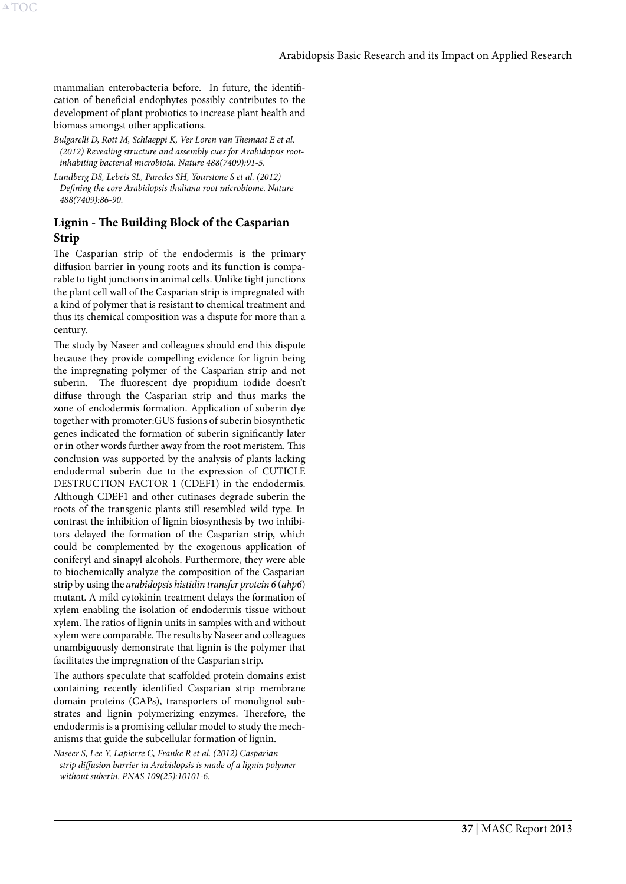mammalian enterobacteria before. In future, the identification of beneficial endophytes possibly contributes to the development of plant probiotics to increase plant health and biomass amongst other applications.

A[TOC](#page-3-0)

*Bulgarelli D, Rott M, Schlaeppi K, Ver Loren van Themaat E et al. (2012) Revealing structure and assembly cues for Arabidopsis rootinhabiting bacterial microbiota. Nature 488(7409):91-5.*

*Lundberg DS, Lebeis SL, Paredes SH, Yourstone S et al. (2012) Defining the core Arabidopsis thaliana root microbiome. Nature 488(7409):86-90.*

# **Lignin - The Building Block of the Casparian Strip**

The Casparian strip of the endodermis is the primary diffusion barrier in young roots and its function is comparable to tight junctions in animal cells. Unlike tight junctions the plant cell wall of the Casparian strip is impregnated with a kind of polymer that is resistant to chemical treatment and thus its chemical composition was a dispute for more than a century.

The study by Naseer and colleagues should end this dispute because they provide compelling evidence for lignin being the impregnating polymer of the Casparian strip and not suberin. The fluorescent dye propidium iodide doesn't diffuse through the Casparian strip and thus marks the zone of endodermis formation. Application of suberin dye together with promoter:GUS fusions of suberin biosynthetic genes indicated the formation of suberin significantly later or in other words further away from the root meristem. This conclusion was supported by the analysis of plants lacking endodermal suberin due to the expression of CUTICLE DESTRUCTION FACTOR 1 (CDEF1) in the endodermis. Although CDEF1 and other cutinases degrade suberin the roots of the transgenic plants still resembled wild type. In contrast the inhibition of lignin biosynthesis by two inhibitors delayed the formation of the Casparian strip, which could be complemented by the exogenous application of coniferyl and sinapyl alcohols. Furthermore, they were able to biochemically analyze the composition of the Casparian strip by using the *arabidopsis histidin transfer protein 6* (*ahp6*) mutant. A mild cytokinin treatment delays the formation of xylem enabling the isolation of endodermis tissue without xylem. The ratios of lignin units in samples with and without xylem were comparable. The results by Naseer and colleagues unambiguously demonstrate that lignin is the polymer that facilitates the impregnation of the Casparian strip.

The authors speculate that scaffolded protein domains exist containing recently identified Casparian strip membrane domain proteins (CAPs), transporters of monolignol substrates and lignin polymerizing enzymes. Therefore, the endodermis is a promising cellular model to study the mechanisms that guide the subcellular formation of lignin.

*Naseer S, Lee Y, Lapierre C, Franke R et al. (2012) Casparian strip diffusion barrier in Arabidopsis is made of a lignin polymer without suberin. PNAS 109(25):10101-6.*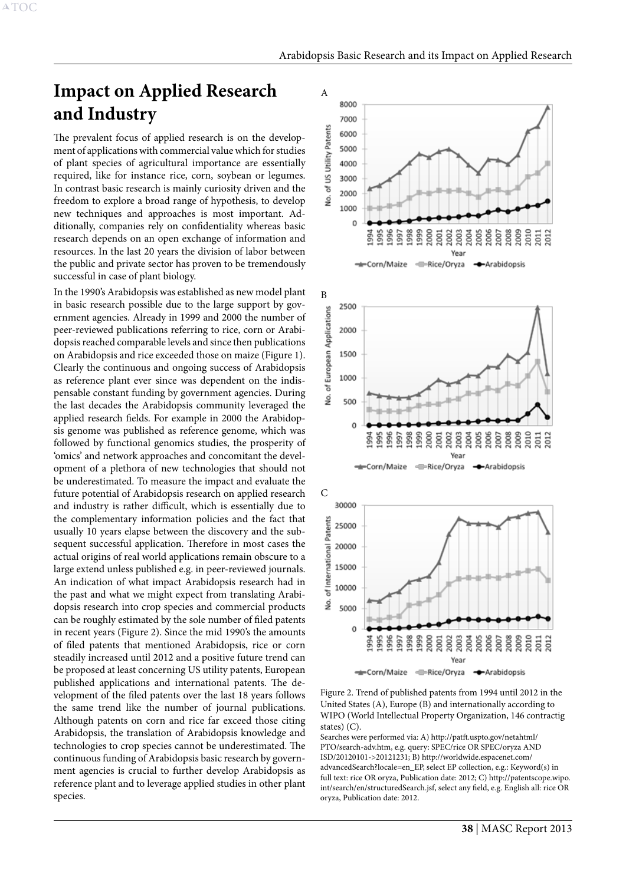# <span id="page-38-2"></span><span id="page-38-0"></span>**Impact on Applied Research and Industry**

The prevalent focus of applied research is on the development of applications with commercial value which for studies of plant species of agricultural importance are essentially required, like for instance rice, corn, soybean or legumes. In contrast basic research is mainly curiosity driven and the freedom to explore a broad range of hypothesis, to develop new techniques and approaches is most important. Additionally, companies rely on confidentiality whereas basic research depends on an open exchange of information and resources. In the last 20 years the division of labor between the public and private sector has proven to be tremendously successful in case of plant biology.

In the 1990's Arabidopsis was established as new model plant in basic research possible due to the large support by government agencies. Already in 1999 and 2000 the number of peer-reviewed publications referring to rice, corn or Arabidopsis reached comparable levels and since then publications on Arabidopsis and rice exceeded those on maize (Figure 1). Clearly the continuous and ongoing success of Arabidopsis as reference plant ever since was dependent on the indispensable constant funding by government agencies. During the last decades the Arabidopsis community leveraged the applied research fields. For example in 2000 the Arabidopsis genome was published as reference genome, which was followed by functional genomics studies, the prosperity of 'omics' and network approaches and concomitant the development of a plethora of new technologies that should not be underestimated. To measure the impact and evaluate the future potential of Arabidopsis research on applied research and industry is rather difficult, which is essentially due to the complementary information policies and the fact that usually 10 years elapse between the discovery and the subsequent successful application. Therefore in most cases the actual origins of real world applications remain obscure to a large extend unless published e.g. in peer-reviewed journals. An indication of what impact Arabidopsis research had in the past and what we might expect from translating Arabidopsis research into crop species and commercial products can be roughly estimated by the sole number of filed patents in recent years (Figure 2). Since the mid 1990's the amounts of filed patents that mentioned Arabidopsis, rice or corn steadily increased until 2012 and a positive future trend can be proposed at least concerning US utility patents, European published applications and international patents. The development of the filed patents over the last 18 years follows the same trend like the number of journal publications. Although patents on corn and rice far exceed those citing Arabidopsis, the translation of Arabidopsis knowledge and technologies to crop species cannot be underestimated. The continuous funding of Arabidopsis basic research by government agencies is crucial to further develop Arabidopsis as reference plant and to leverage applied studies in other plant species.



<span id="page-38-1"></span>Figure 2. Trend of published patents from 1994 until 2012 in the United States (A), Europe (B) and internationally according to WIPO (World Intellectual Property Organization, 146 contractig states) (C).

Searches were performed via: A) http://patft.uspto.gov/netahtml/ PTO/search-adv.htm, e.g. query: SPEC/rice OR SPEC/oryza AND ISD/20120101->20121231; B) http://worldwide.espacenet.com/ advancedSearch?locale=en\_EP, select EP collection, e.g.: Keyword(s) in full text: rice OR oryza, Publication date: 2012; C) http://patentscope.wipo. int/search/en/structuredSearch.jsf, select any field, e.g. English all: rice OR oryza, Publication date: 2012.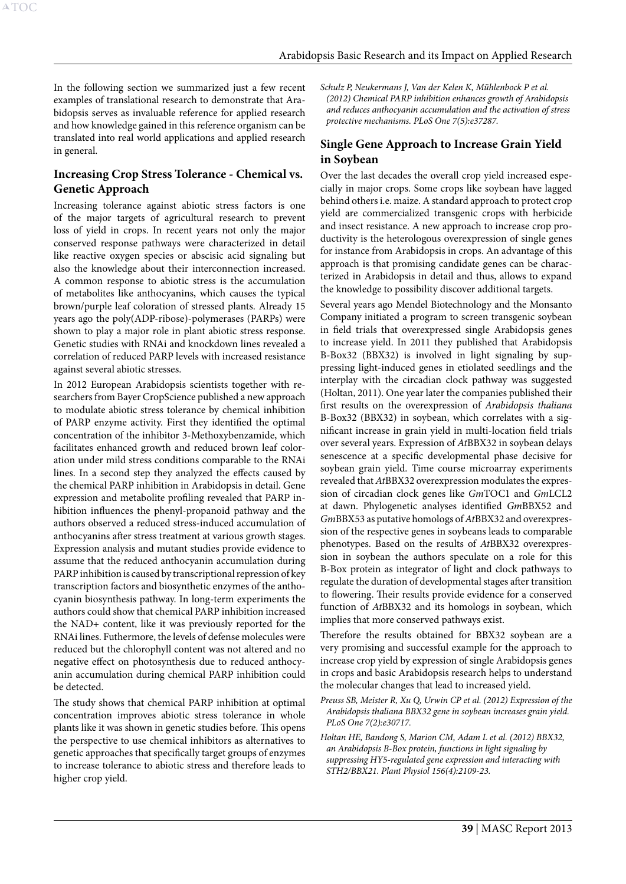In the following section we summarized just a few recent examples of translational research to demonstrate that Arabidopsis serves as invaluable reference for applied research and how knowledge gained in this reference organism can be translated into real world applications and applied research in general.

# **Increasing Crop Stress Tolerance - Chemical vs. Genetic Approach**

Increasing tolerance against abiotic stress factors is one of the major targets of agricultural research to prevent loss of yield in crops. In recent years not only the major conserved response pathways were characterized in detail like reactive oxygen species or abscisic acid signaling but also the knowledge about their interconnection increased. A common response to abiotic stress is the accumulation of metabolites like anthocyanins, which causes the typical brown/purple leaf coloration of stressed plants. Already 15 years ago the poly(ADP-ribose)-polymerases (PARPs) were shown to play a major role in plant abiotic stress response. Genetic studies with RNAi and knockdown lines revealed a correlation of reduced PARP levels with increased resistance against several abiotic stresses.

In 2012 European Arabidopsis scientists together with researchers from Bayer CropScience published a new approach to modulate abiotic stress tolerance by chemical inhibition of PARP enzyme activity. First they identified the optimal concentration of the inhibitor 3-Methoxybenzamide, which facilitates enhanced growth and reduced brown leaf coloration under mild stress conditions comparable to the RNAi lines. In a second step they analyzed the effects caused by the chemical PARP inhibition in Arabidopsis in detail. Gene expression and metabolite profiling revealed that PARP inhibition influences the phenyl-propanoid pathway and the authors observed a reduced stress-induced accumulation of anthocyanins after stress treatment at various growth stages. Expression analysis and mutant studies provide evidence to assume that the reduced anthocyanin accumulation during PARP inhibition is caused by transcriptional repression of key transcription factors and biosynthetic enzymes of the anthocyanin biosynthesis pathway. In long-term experiments the authors could show that chemical PARP inhibition increased the NAD+ content, like it was previously reported for the RNAi lines. Futhermore, the levels of defense molecules were reduced but the chlorophyll content was not altered and no negative effect on photosynthesis due to reduced anthocyanin accumulation during chemical PARP inhibition could be detected.

The study shows that chemical PARP inhibition at optimal concentration improves abiotic stress tolerance in whole plants like it was shown in genetic studies before. This opens the perspective to use chemical inhibitors as alternatives to genetic approaches that specifically target groups of enzymes to increase tolerance to abiotic stress and therefore leads to higher crop yield.

*Schulz P, Neukermans J, Van der Kelen K, Mühlenbock P et al. (2012) Chemical PARP inhibition enhances growth of Arabidopsis and reduces anthocyanin accumulation and the activation of stress protective mechanisms. PLoS One 7(5):e37287.*

# **Single Gene Approach to Increase Grain Yield in Soybean**

Over the last decades the overall crop yield increased especially in major crops. Some crops like soybean have lagged behind others i.e. maize. A standard approach to protect crop yield are commercialized transgenic crops with herbicide and insect resistance. A new approach to increase crop productivity is the heterologous overexpression of single genes for instance from Arabidopsis in crops. An advantage of this approach is that promising candidate genes can be characterized in Arabidopsis in detail and thus, allows to expand the knowledge to possibility discover additional targets.

Several years ago Mendel Biotechnology and the Monsanto Company initiated a program to screen transgenic soybean in field trials that overexpressed single Arabidopsis genes to increase yield. In 2011 they published that Arabidopsis B-Box32 (BBX32) is involved in light signaling by suppressing light-induced genes in etiolated seedlings and the interplay with the circadian clock pathway was suggested (Holtan, 2011). One year later the companies published their first results on the overexpression of *Arabidopsis thaliana*  B-Box32 (BBX32) in soybean, which correlates with a significant increase in grain yield in multi-location field trials over several years. Expression of *At*BBX32 in soybean delays senescence at a specific developmental phase decisive for soybean grain yield. Time course microarray experiments revealed that *At*BBX32 overexpression modulates the expression of circadian clock genes like *Gm*TOC1 and *Gm*LCL2 at dawn. Phylogenetic analyses identified *Gm*BBX52 and *Gm*BBX53 as putative homologs of *At*BBX32 and overexpression of the respective genes in soybeans leads to comparable phenotypes. Based on the results of *At*BBX32 overexpression in soybean the authors speculate on a role for this B-Box protein as integrator of light and clock pathways to regulate the duration of developmental stages after transition to flowering. Their results provide evidence for a conserved function of *At*BBX32 and its homologs in soybean, which implies that more conserved pathways exist.

Therefore the results obtained for BBX32 soybean are a very promising and successful example for the approach to increase crop yield by expression of single Arabidopsis genes in crops and basic Arabidopsis research helps to understand the molecular changes that lead to increased yield.

- *Preuss SB, Meister R, Xu Q, Urwin CP et al. (2012) Expression of the Arabidopsis thaliana BBX32 gene in soybean increases grain yield. PLoS One 7(2):e30717.*
- *Holtan HE, Bandong S, Marion CM, Adam L et al. (2012) BBX32, an Arabidopsis B-Box protein, functions in light signaling by suppressing HY5-regulated gene expression and interacting with STH2/BBX21. Plant Physiol 156(4):2109-23.*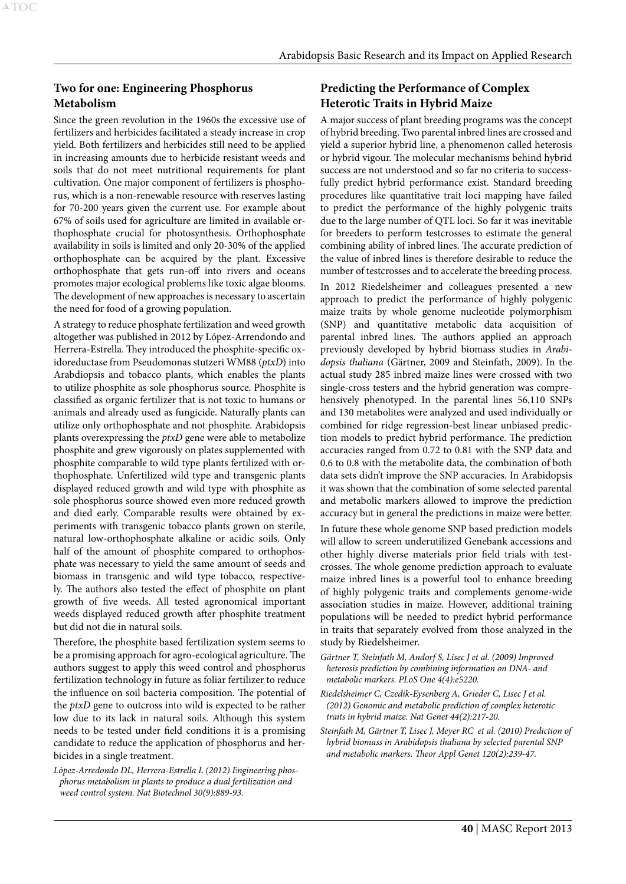# **Two for one: Engineering Phosphorus Metabolism**

Since the green revolution in the 1960s the excessive use of fertilizers and herbicides facilitated a steady increase in crop yield. Both fertilizers and herbicides still need to be applied in increasing amounts due to herbicide resistant weeds and soils that do not meet nutritional requirements for plant cultivation. One major component of fertilizers is phosphorus, which is a non-renewable resource with reserves lasting for 70-200 years given the current use. For example about 67% of soils used for agriculture are limited in available orthophosphate crucial for photosynthesis. Orthophosphate availability in soils is limited and only 20-30% of the applied orthophosphate can be acquired by the plant. Excessive orthophosphate that gets run-off into rivers and oceans promotes major ecological problems like toxic algae blooms. The development of new approaches is necessary to ascertain the need for food of a growing population.

A strategy to reduce phosphate fertilization and weed growth altogether was published in 2012 by López-Arrendondo and Herrera-Estrella. They introduced the phosphite-specific oxidoreductase from Pseudomonas stutzeri WM88 (*ptxD*) into Arabdiopsis and tobacco plants, which enables the plants to utilize phosphite as sole phosphorus source. Phosphite is classified as organic fertilizer that is not toxic to humans or animals and already used as fungicide. Naturally plants can utilize only orthophosphate and not phosphite. Arabidopsis plants overexpressing the *ptxD* gene were able to metabolize phosphite and grew vigorously on plates supplemented with phosphite comparable to wild type plants fertilized with orthophosphate. Unfertilized wild type and transgenic plants displayed reduced growth and wild type with phosphite as sole phosphorus source showed even more reduced growth and died early. Comparable results were obtained by experiments with transgenic tobacco plants grown on sterile, natural low-orthophosphate alkaline or acidic soils. Only half of the amount of phosphite compared to orthophosphate was necessary to yield the same amount of seeds and biomass in transgenic and wild type tobacco, respectively. The authors also tested the effect of phosphite on plant growth of five weeds. All tested agronomical important weeds displayed reduced growth after phosphite treatment but did not die in natural soils.

Therefore, the phosphite based fertilization system seems to be a promising approach for agro-ecological agriculture. The authors suggest to apply this weed control and phosphorus fertilization technology in future as foliar fertilizer to reduce the influence on soil bacteria composition. The potential of the *ptxD* gene to outcross into wild is expected to be rather low due to its lack in natural soils. Although this system needs to be tested under field conditions it is a promising candidate to reduce the application of phosphorus and herbicides in a single treatment.

*López-Arredondo DL, Herrera-Estrella L (2012) Engineering phosphorus metabolism in plants to produce a dual fertilization and weed control system. Nat Biotechnol 30(9):889-93.*

# **Predicting the Performance of Complex Heterotic Traits in Hybrid Maize**

A major success of plant breeding programs was the concept of hybrid breeding. Two parental inbred lines are crossed and yield a superior hybrid line, a phenomenon called heterosis or hybrid vigour. The molecular mechanisms behind hybrid success are not understood and so far no criteria to successfully predict hybrid performance exist. Standard breeding procedures like quantitative trait loci mapping have failed to predict the performance of the highly polygenic traits due to the large number of QTL loci. So far it was inevitable for breeders to perform testcrosses to estimate the general combining ability of inbred lines. The accurate prediction of the value of inbred lines is therefore desirable to reduce the number of testcrosses and to accelerate the breeding process.

In 2012 Riedelsheimer and colleagues presented a new approach to predict the performance of highly polygenic maize traits by whole genome nucleotide polymorphism (SNP) and quantitative metabolic data acquisition of parental inbred lines. The authors applied an approach previously developed by hybrid biomass studies in *Arabidopsis thaliana* (Gärtner, 2009 and Steinfath, 2009). In the actual study 285 inbred maize lines were crossed with two single-cross testers and the hybrid generation was comprehensively phenotyped. In the parental lines 56,110 SNPs and 130 metabolites were analyzed and used individually or combined for ridge regression-best linear unbiased prediction models to predict hybrid performance. The prediction accuracies ranged from 0.72 to 0.81 with the SNP data and 0.6 to 0.8 with the metabolite data, the combination of both data sets didn't improve the SNP accuracies. In Arabidopsis it was shown that the combination of some selected parental and metabolic markers allowed to improve the prediction accuracy but in general the predictions in maize were better.

In future these whole genome SNP based prediction models will allow to screen underutilized Genebank accessions and other highly diverse materials prior field trials with testcrosses. The whole genome prediction approach to evaluate maize inbred lines is a powerful tool to enhance breeding of highly polygenic traits and complements genome-wide association studies in maize. However, additional training populations will be needed to predict hybrid performance in traits that separately evolved from those analyzed in the study by Riedelsheimer.

*Gärtner T, Steinfath M, Andorf S, Lisec J et al. (2009) Improved heterosis prediction by combining information on DNA- and metabolic markers. PLoS One 4(4):e5220.*

- *Riedelsheimer C, Czedik-Eysenberg A, Grieder C, Lisec J et al. (2012) Genomic and metabolic prediction of complex heterotic traits in hybrid maize. Nat Genet 44(2):217-20.*
- *Steinfath M, Gärtner T, Lisec J, Meyer RC et al. (2010) Prediction of hybrid biomass in Arabidopsis thaliana by selected parental SNP and metabolic markers. Theor Appl Genet 120(2):239-47.*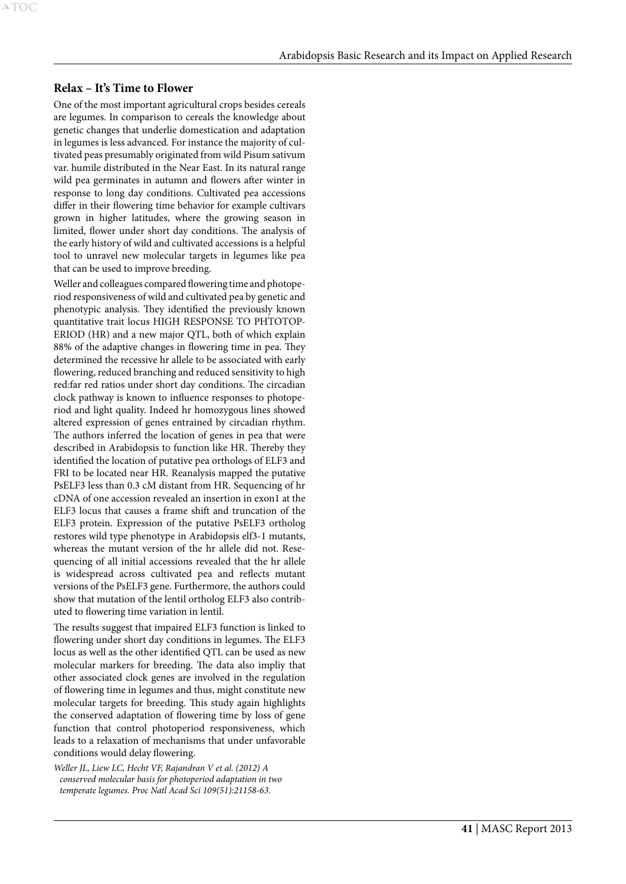#### **Relax – It's Time to Flower**

A[TOC](#page-3-0)

One of the most important agricultural crops besides cereals are legumes. In comparison to cereals the knowledge about genetic changes that underlie domestication and adaptation in legumes is less advanced. For instance the majority of cultivated peas presumably originated from wild Pisum sativum var. humile distributed in the Near East. In its natural range wild pea germinates in autumn and flowers after winter in response to long day conditions. Cultivated pea accessions differ in their flowering time behavior for example cultivars grown in higher latitudes, where the growing season in limited, flower under short day conditions. The analysis of the early history of wild and cultivated accessions is a helpful tool to unravel new molecular targets in legumes like pea that can be used to improve breeding.

Weller and colleagues compared flowering time and photoperiod responsiveness of wild and cultivated pea by genetic and phenotypic analysis. They identified the previously known quantitative trait locus HIGH RESPONSE TO PHTOTOP-ERIOD (HR) and a new major QTL, both of which explain 88% of the adaptive changes in flowering time in pea. They determined the recessive hr allele to be associated with early flowering, reduced branching and reduced sensitivity to high red:far red ratios under short day conditions. The circadian clock pathway is known to influence responses to photoperiod and light quality. Indeed hr homozygous lines showed altered expression of genes entrained by circadian rhythm. The authors inferred the location of genes in pea that were described in Arabidopsis to function like HR. Thereby they identified the location of putative pea orthologs of ELF3 and FRI to be located near HR. Reanalysis mapped the putative PsELF3 less than 0.3 cM distant from HR. Sequencing of hr cDNA of one accession revealed an insertion in exon1 at the ELF3 locus that causes a frame shift and truncation of the ELF3 protein. Expression of the putative PsELF3 ortholog restores wild type phenotype in Arabidopsis elf3-1 mutants, whereas the mutant version of the hr allele did not. Resequencing of all initial accessions revealed that the hr allele is widespread across cultivated pea and reflects mutant versions of the PsELF3 gene. Furthermore, the authors could show that mutation of the lentil ortholog ELF3 also contributed to flowering time variation in lentil.

The results suggest that impaired ELF3 function is linked to flowering under short day conditions in legumes. The ELF3 locus as well as the other identified QTL can be used as new molecular markers for breeding. The data also impliy that other associated clock genes are involved in the regulation of flowering time in legumes and thus, might constitute new molecular targets for breeding. This study again highlights the conserved adaptation of flowering time by loss of gene function that control photoperiod responsiveness, which leads to a relaxation of mechanisms that under unfavorable conditions would delay flowering.

*Weller JL, Liew LC, Hecht VF, Rajandran V et al. (2012) A conserved molecular basis for photoperiod adaptation in two temperate legumes. Proc Natl Acad Sci 109(51):21158-63.*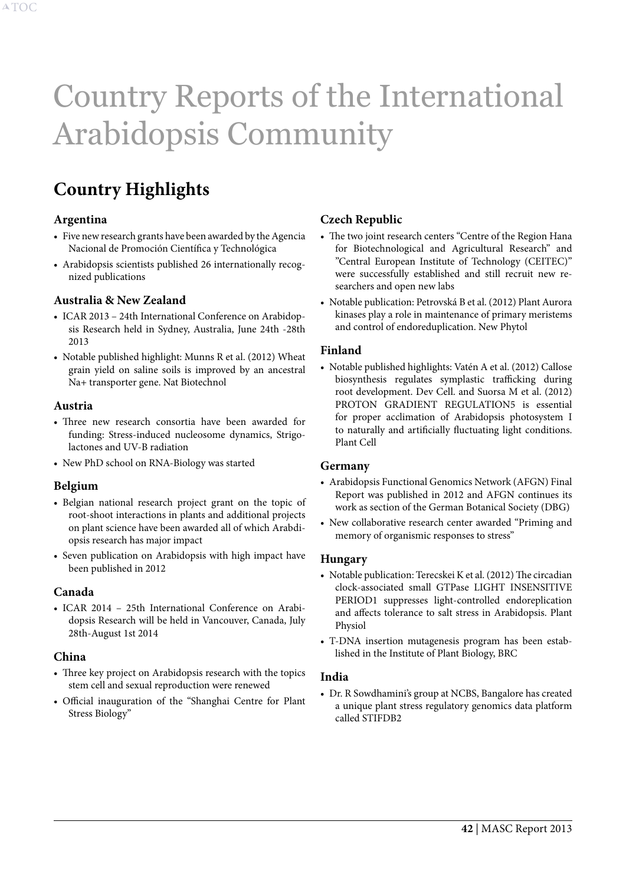# <span id="page-42-1"></span><span id="page-42-0"></span>Country Reports of the International Arabidopsis Community

# **Country Highlights**

## **Argentina**

- Five new research grants have been awarded by the Agencia Nacional de Promoción Científica y Technológica
- Arabidopsis scientists published 26 internationally recognized publications

# **Australia & New Zealand**

- ICAR 2013 24th International Conference on Arabidopsis Research held in Sydney, Australia, June 24th -28th 2013
- Notable published highlight: Munns R et al. (2012) Wheat grain yield on saline soils is improved by an ancestral Na+ transporter gene. Nat Biotechnol

#### **Austria**

- Three new research consortia have been awarded for funding: Stress-induced nucleosome dynamics, Strigolactones and UV-B radiation
- New PhD school on RNA-Biology was started

# **Belgium**

- • Belgian national research project grant on the topic of root-shoot interactions in plants and additional projects on plant science have been awarded all of which Arabdiopsis research has major impact
- • Seven publication on Arabidopsis with high impact have been published in 2012

#### **Canada**

• ICAR 2014 - 25th International Conference on Arabidopsis Research will be held in Vancouver, Canada, July 28th-August 1st 2014

# **China**

- Three key project on Arabidopsis research with the topics stem cell and sexual reproduction were renewed
- • Official inauguration of the "Shanghai Centre for Plant Stress Biology"

# **Czech Republic**

- The two joint research centers "Centre of the Region Hana for Biotechnological and Agricultural Research" and "Central European Institute of Technology (CEITEC)" were successfully established and still recruit new researchers and open new labs
- • Notable publication: Petrovská B et al. (2012) Plant Aurora kinases play a role in maintenance of primary meristems and control of endoreduplication. New Phytol

## **Finland**

• Notable published highlights: Vatén A et al. (2012) Callose biosynthesis regulates symplastic trafficking during root development. Dev Cell. and Suorsa M et al. (2012) PROTON GRADIENT REGULATION5 is essential for proper acclimation of Arabidopsis photosystem I to naturally and artificially fluctuating light conditions. Plant Cell

#### **Germany**

- Arabidopsis Functional Genomics Network (AFGN) Final Report was published in 2012 and AFGN continues its work as section of the German Botanical Society (DBG)
- • New collaborative research center awarded "Priming and memory of organismic responses to stress"

#### **Hungary**

- Notable publication: Terecskei K et al. (2012) The circadian clock-associated small GTPase LIGHT INSENSITIVE PERIOD1 suppresses light-controlled endoreplication and affects tolerance to salt stress in Arabidopsis. Plant Physiol
- T-DNA insertion mutagenesis program has been established in the Institute of Plant Biology, BRC

#### **India**

• Dr. R Sowdhamini's group at NCBS, Bangalore has created a unique plant stress regulatory genomics data platform called STIFDB2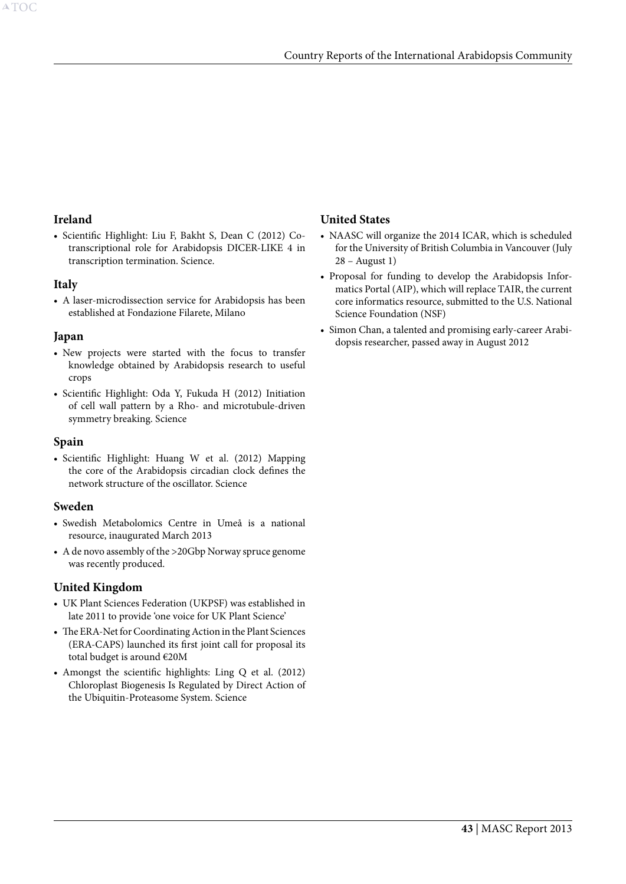## **Ireland**

• Scientific Highlight: Liu F, Bakht S, Dean C (2012) Cotranscriptional role for Arabidopsis DICER-LIKE 4 in transcription termination. Science.

## **Italy**

• A laser-microdissection service for Arabidopsis has been established at Fondazione Filarete, Milano

## **Japan**

- New projects were started with the focus to transfer knowledge obtained by Arabidopsis research to useful crops
- • Scientific Highlight: Oda Y, Fukuda H (2012) Initiation of cell wall pattern by a Rho- and microtubule-driven symmetry breaking. Science

#### **Spain**

• Scientific Highlight: Huang W et al. (2012) Mapping the core of the Arabidopsis circadian clock defines the network structure of the oscillator. Science

#### **Sweden**

- • Swedish Metabolomics Centre in Umeå is a national resource, inaugurated March 2013
- A de novo assembly of the >20Gbp Norway spruce genome was recently produced.

# **United Kingdom**

- • UK Plant Sciences Federation (UKPSF) was established in late 2011 to provide 'one voice for UK Plant Science'
- The ERA-Net for Coordinating Action in the Plant Sciences (ERA-CAPS) launched its first joint call for proposal its total budget is around €20M
- Amongst the scientific highlights: Ling Q et al. (2012) Chloroplast Biogenesis Is Regulated by Direct Action of the Ubiquitin-Proteasome System. Science

# **United States**

- NAASC will organize the 2014 ICAR, which is scheduled for the University of British Columbia in Vancouver (July 28 – August 1)
- Proposal for funding to develop the Arabidopsis Informatics Portal (AIP), which will replace TAIR, the current core informatics resource, submitted to the U.S. National Science Foundation (NSF)
- Simon Chan, a talented and promising early-career Arabidopsis researcher, passed away in August 2012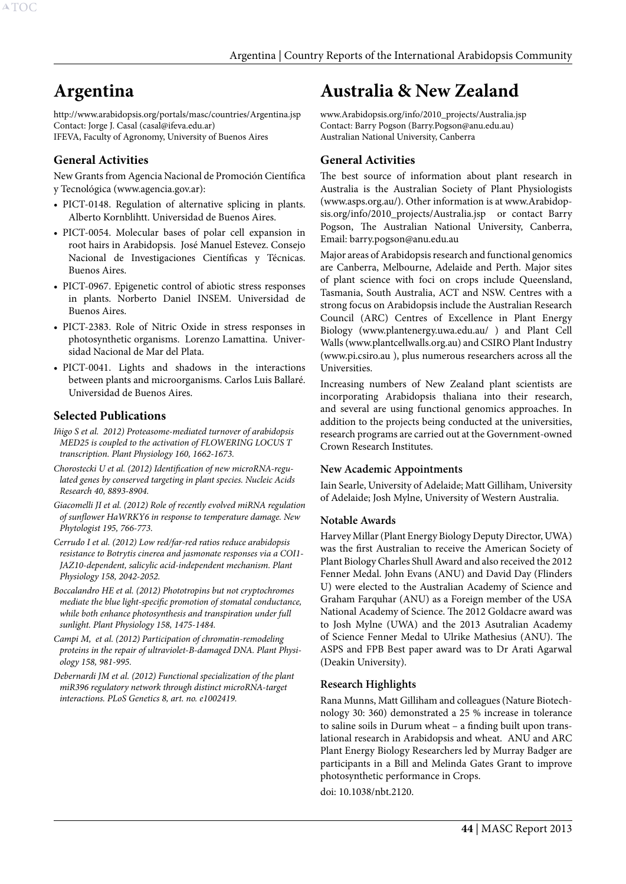# <span id="page-44-0"></span>**Argentina**

http://www.arabidopsis.org/portals/masc/countries/Argentina.jsp Contact: Jorge J. Casal (casal@ifeva.edu.ar) IFEVA, Faculty of Agronomy, University of Buenos Aires

# **General Activities**

New Grants from Agencia Nacional de Promoción Científica y Tecnológica (www.agencia.gov.ar):

- PICT-0148. Regulation of alternative splicing in plants. Alberto Kornblihtt. Universidad de Buenos Aires.
- PICT-0054. Molecular bases of polar cell expansion in root hairs in Arabidopsis. José Manuel Estevez. Consejo Nacional de Investigaciones Científicas y Técnicas. Buenos Aires.
- PICT-0967. Epigenetic control of abiotic stress responses in plants. Norberto Daniel INSEM. Universidad de Buenos Aires.
- • PICT-2383. Role of Nitric Oxide in stress responses in photosynthetic organisms. Lorenzo Lamattina. Universidad Nacional de Mar del Plata.
- PICT-0041. Lights and shadows in the interactions between plants and microorganisms. Carlos Luis Ballaré. Universidad de Buenos Aires.

# **Selected Publications**

- *Iñigo S et al. 2012) Proteasome-mediated turnover of arabidopsis MED25 is coupled to the activation of FLOWERING LOCUS T transcription. Plant Physiology 160, 1662-1673.*
- *Chorostecki U et al. (2012) Identification of new microRNA-regulated genes by conserved targeting in plant species. Nucleic Acids Research 40, 8893-8904.*
- *Giacomelli JI et al. (2012) Role of recently evolved miRNA regulation of sunflower HaWRKY6 in response to temperature damage. New Phytologist 195, 766-773.*
- *Cerrudo I et al. (2012) Low red/far-red ratios reduce arabidopsis resistance to Botrytis cinerea and jasmonate responses via a COI1- JAZ10-dependent, salicylic acid-independent mechanism. Plant Physiology 158, 2042-2052.*
- *Boccalandro HE et al. (2012) Phototropins but not cryptochromes mediate the blue light-specific promotion of stomatal conductance, while both enhance photosynthesis and transpiration under full sunlight. Plant Physiology 158, 1475-1484.*
- *Campi M, et al. (2012) Participation of chromatin-remodeling proteins in the repair of ultraviolet-B-damaged DNA. Plant Physiology 158, 981-995.*
- *Debernardi JM et al. (2012) Functional specialization of the plant miR396 regulatory network through distinct microRNA-target interactions. PLoS Genetics 8, art. no. e1002419.*

# **Australia & New Zealand**

www.Arabidopsis.org/info/2010\_projects/Australia.jsp Contact: Barry Pogson (Barry.Pogson@anu.edu.au) Australian National University, Canberra

# **General Activities**

The best source of information about plant research in Australia is the Australian Society of Plant Physiologists (www.asps.org.au/). Other information is at www.Arabidopsis.org/info/2010\_projects/Australia.jsp or contact Barry Pogson, The Australian National University, Canberra, Email: barry.pogson@anu.edu.au

Major areas of Arabidopsis research and functional genomics are Canberra, Melbourne, Adelaide and Perth. Major sites of plant science with foci on crops include Queensland, Tasmania, South Australia, ACT and NSW. Centres with a strong focus on Arabidopsis include the Australian Research Council (ARC) Centres of Excellence in Plant Energy Biology (www.plantenergy.uwa.edu.au/ ) and Plant Cell Walls (www.plantcellwalls.org.au) and CSIRO Plant Industry (www.pi.csiro.au ), plus numerous researchers across all the Universities.

Increasing numbers of New Zealand plant scientists are incorporating Arabidopsis thaliana into their research, and several are using functional genomics approaches. In addition to the projects being conducted at the universities, research programs are carried out at the Government-owned Crown Research Institutes.

#### **New Academic Appointments**

Iain Searle, University of Adelaide; Matt Gilliham, University of Adelaide; Josh Mylne, University of Western Australia.

#### **Notable Awards**

Harvey Millar (Plant Energy Biology Deputy Director, UWA) was the first Australian to receive the American Society of Plant Biology Charles Shull Award and also received the 2012 Fenner Medal. John Evans (ANU) and David Day (Flinders U) were elected to the Australian Academy of Science and Graham Farquhar (ANU) as a Foreign member of the USA National Academy of Science. The 2012 Goldacre award was to Josh Mylne (UWA) and the 2013 Asutralian Academy of Science Fenner Medal to Ulrike Mathesius (ANU). The ASPS and FPB Best paper award was to Dr Arati Agarwal (Deakin University).

#### **Research Highlights**

Rana Munns, Matt Gilliham and colleagues (Nature Biotechnology 30: 360) demonstrated a 25 % increase in tolerance to saline soils in Durum wheat – a finding built upon translational research in Arabidopsis and wheat. ANU and ARC Plant Energy Biology Researchers led by Murray Badger are participants in a Bill and Melinda Gates Grant to improve photosynthetic performance in Crops.

doi: 10.1038/nbt.2120.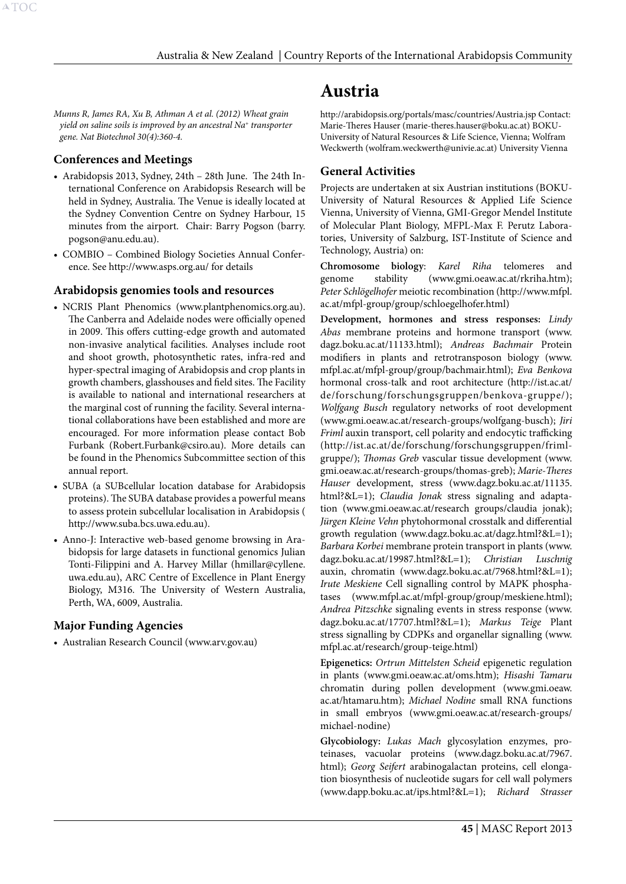<span id="page-45-0"></span>*Munns R, James RA, Xu B, Athman A et al. (2012) Wheat grain yield on saline soils is improved by an ancestral Na+ transporter gene. Nat Biotechnol 30(4):360-4.* 

# **Conferences and Meetings**

- • Arabidopsis 2013, Sydney, 24th 28th June. The 24th International Conference on Arabidopsis Research will be held in Sydney, Australia. The Venue is ideally located at the Sydney Convention Centre on Sydney Harbour, 15 minutes from the airport. Chair: Barry Pogson (barry. pogson@anu.edu.au).
- COMBIO Combined Biology Societies Annual Conference. See http://www.asps.org.au/ for details

# **Arabidopsis genomies tools and resources**

- NCRIS Plant Phenomics (www.plantphenomics.org.au). The Canberra and Adelaide nodes were officially opened in 2009. This offers cutting-edge growth and automated non-invasive analytical facilities. Analyses include root and shoot growth, photosynthetic rates, infra-red and hyper-spectral imaging of Arabidopsis and crop plants in growth chambers, glasshouses and field sites. The Facility is available to national and international researchers at the marginal cost of running the facility. Several international collaborations have been established and more are encouraged. For more information please contact Bob Furbank (Robert.Furbank@csiro.au). More details can be found in the Phenomics Subcommittee section of this annual report.
- • SUBA (a SUBcellular location database for Arabidopsis proteins). The SUBA database provides a powerful means to assess protein subcellular localisation in Arabidopsis ( http://www.suba.bcs.uwa.edu.au).
- • Anno-J: Interactive web-based genome browsing in Arabidopsis for large datasets in functional genomics Julian Tonti-Filippini and A. Harvey Millar (hmillar@cyllene. uwa.edu.au), ARC Centre of Excellence in Plant Energy Biology, M316. The University of Western Australia, Perth, WA, 6009, Australia.

# **Major Funding Agencies**

• Australian Research Council (www.arv.gov.au)

# **Austria**

http://arabidopsis.org/portals/masc/countries/Austria.jsp Contact: Marie-Theres Hauser (marie-theres.hauser@boku.ac.at) BOKU-University of Natural Resources & Life Science, Vienna; Wolfram Weckwerth (wolfram.weckwerth@univie.ac.at) University Vienna

# **General Activities**

Projects are undertaken at six Austrian institutions (BOKU-University of Natural Resources & Applied Life Science Vienna, University of Vienna, GMI-Gregor Mendel Institute of Molecular Plant Biology, MFPL-Max F. Perutz Laboratories, University of Salzburg, IST-Institute of Science and Technology, Austria) on:

**Chromosome biology**: *Karel Riha* telomeres and genome stability (www.gmi.oeaw.ac.at/rkriha.htm); *Peter Schlögelhofer* meiotic recombination (http://www.mfpl. ac.at/mfpl-group/group/schloegelhofer.html)

**Development, hormones and stress responses:** *Lindy Abas* membrane proteins and hormone transport (www. dagz.boku.ac.at/11133.html); *Andreas Bachmair* Protein modifiers in plants and retrotransposon biology (www. mfpl.ac.at/mfpl-group/group/bachmair.html); *Eva Benkova* hormonal cross-talk and root architecture (http://ist.ac.at/ de/forschung/forschungsgruppen/benkova-gruppe/); *Wolfgang Busch* regulatory networks of root development (www.gmi.oeaw.ac.at/research-groups/wolfgang-busch); *Jiri Friml* auxin transport, cell polarity and endocytic trafficking (http://ist.ac.at/de/forschung/forschungsgruppen/frimlgruppe/); *Thomas Greb* vascular tissue development (www. gmi.oeaw.ac.at/research-groups/thomas-greb); *Marie-Theres Hauser* development, stress (www.dagz.boku.ac.at/11135. html?&L=1); *Claudia Jonak* stress signaling and adaptation (www.gmi.oeaw.ac.at/research groups/claudia jonak); *Jürgen Kleine Vehn* phytohormonal crosstalk and differential growth regulation (www.dagz.boku.ac.at/dagz.html?&L=1); *Barbara Korbei* membrane protein transport in plants (www. dagz.boku.ac.at/19987.html?&L=1); *Christian Luschnig*  auxin, chromatin (www.dagz.boku.ac.at/7968.html?&L=1); *Irute Meskiene* Cell signalling control by MAPK phosphatases (www.mfpl.ac.at/mfpl-group/group/meskiene.html); *Andrea Pitzschke* signaling events in stress response (www. dagz.boku.ac.at/17707.html?&L=1); *Markus Teige* Plant stress signalling by CDPKs and organellar signalling (www. mfpl.ac.at/research/group-teige.html)

**Epigenetics:** *Ortrun Mittelsten Scheid* epigenetic regulation in plants (www.gmi.oeaw.ac.at/oms.htm); *Hisashi Tamaru* chromatin during pollen development (www.gmi.oeaw. ac.at/htamaru.htm); *Michael Nodine* small RNA functions in small embryos (www.gmi.oeaw.ac.at/research-groups/ michael-nodine)

**Glycobiology:** *Lukas Mach* glycosylation enzymes, proteinases, vacuolar proteins (www.dagz.boku.ac.at/7967. html); *Georg Seifert* arabinogalactan proteins, cell elongation biosynthesis of nucleotide sugars for cell wall polymers (www.dapp.boku.ac.at/ips.html?&L=1); *Richard Strasser*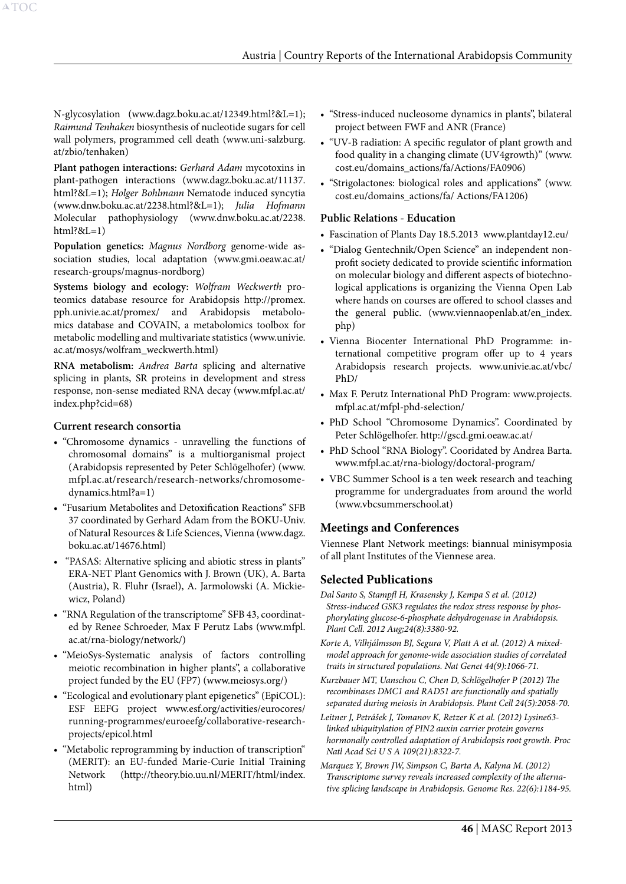N-glycosylation (www.dagz.boku.ac.at/12349.html?&L=1); *Raimund Tenhaken* biosynthesis of nucleotide sugars for cell wall polymers, programmed cell death (www.uni-salzburg. at/zbio/tenhaken)

**Plant pathogen interactions:** *Gerhard Adam* mycotoxins in plant-pathogen interactions (www.dagz.boku.ac.at/11137. html?&L=1); *Holger Bohlmann* Nematode induced syncytia (www.dnw.boku.ac.at/2238.html?&L=1); *Julia Hofmann*  Molecular pathophysiology (www.dnw.boku.ac.at/2238.  $html?&L=1)$ 

**Population genetics:** *Magnus Nordborg* genome-wide association studies, local adaptation (www.gmi.oeaw.ac.at/ research-groups/magnus-nordborg)

**Systems biology and ecology:** *Wolfram Weckwerth* proteomics database resource for Arabidopsis http://promex. pph.univie.ac.at/promex/ and Arabidopsis metabolomics database and COVAIN, a metabolomics toolbox for metabolic modelling and multivariate statistics (www.univie. ac.at/mosys/wolfram\_weckwerth.html)

**RNA metabolism:** *Andrea Barta* splicing and alternative splicing in plants, SR proteins in development and stress response, non-sense mediated RNA decay (www.mfpl.ac.at/ index.php?cid=68)

#### **Current research consortia**

- • "Chromosome dynamics unravelling the functions of chromosomal domains" is a multiorganismal project (Arabidopsis represented by Peter Schlögelhofer) (www. mfpl.ac.at/research/research-networks/chromosomedynamics.html?a=1)
- • "Fusarium Metabolites and Detoxification Reactions" SFB 37 coordinated by Gerhard Adam from the BOKU-Univ. of Natural Resources & Life Sciences, Vienna (www.dagz. boku.ac.at/14676.html)
- "PASAS: Alternative splicing and abiotic stress in plants" ERA-NET Plant Genomics with J. Brown (UK), A. Barta (Austria), R. Fluhr (Israel), A. Jarmolowski (A. Mickiewicz, Poland)
- "RNA Regulation of the transcriptome" SFB 43, coordinated by Renee Schroeder, Max F Perutz Labs (www.mfpl. ac.at/rna-biology/network/)
- "MeioSys-Systematic analysis of factors controlling meiotic recombination in higher plants", a collaborative project funded by the EU (FP7) (www.meiosys.org/)
- "Ecological and evolutionary plant epigenetics" (EpiCOL): ESF EEFG project www.esf.org/activities/eurocores/ running-programmes/euroeefg/collaborative-researchprojects/epicol.html
- "Metabolic reprogramming by induction of transcription" (MERIT): an EU-funded Marie-Curie Initial Training Network (http://theory.bio.uu.nl/MERIT/html/index. html)
- "Stress-induced nucleosome dynamics in plants", bilateral project between FWF and ANR (France)
- "UV-B radiation: A specific regulator of plant growth and food quality in a changing climate (UV4growth)" (www. cost.eu/domains\_actions/fa/Actions/FA0906)
- • "Strigolactones: biological roles and applications" (www. cost.eu/domains\_actions/fa/ Actions/FA1206)

#### **Public Relations - Education**

- • Fascination of Plants Day 18.5.2013 www.plantday12.eu/
- "Dialog Gentechnik/Open Science" an independent nonprofit society dedicated to provide scientific information on molecular biology and different aspects of biotechnological applications is organizing the Vienna Open Lab where hands on courses are offered to school classes and the general public. (www.viennaopenlab.at/en\_index. php)
- • Vienna Biocenter International PhD Programme: international competitive program offer up to 4 years Arabidopsis research projects. www.univie.ac.at/vbc/ PhD/
- Max F. Perutz International PhD Program: www.projects. mfpl.ac.at/mfpl-phd-selection/
- PhD School "Chromosome Dynamics". Coordinated by Peter Schlögelhofer. http://gscd.gmi.oeaw.ac.at/
- PhD School "RNA Biology". Cooridated by Andrea Barta. www.mfpl.ac.at/rna-biology/doctoral-program/
- VBC Summer School is a ten week research and teaching programme for undergraduates from around the world (www.vbcsummerschool.at)

# **Meetings and Conferences**

Viennese Plant Network meetings: biannual minisymposia of all plant Institutes of the Viennese area.

#### **Selected Publications**

- *Dal Santo S, Stampfl H, Krasensky J, Kempa S et al. (2012) Stress-induced GSK3 regulates the redox stress response by phosphorylating glucose-6-phosphate dehydrogenase in Arabidopsis. Plant Cell. 2012 Aug;24(8):3380-92.*
- *Korte A, Vilhjálmsson BJ, Segura V, Platt A et al. (2012) A mixedmodel approach for genome-wide association studies of correlated traits in structured populations. Nat Genet 44(9):1066-71.*
- *Kurzbauer MT, Uanschou C, Chen D, Schlögelhofer P (2012) The recombinases DMC1 and RAD51 are functionally and spatially separated during meiosis in Arabidopsis. Plant Cell 24(5):2058-70.*
- *Leitner J, Petrášek J, Tomanov K, Retzer K et al. (2012) Lysine63 linked ubiquitylation of PIN2 auxin carrier protein governs hormonally controlled adaptation of Arabidopsis root growth. Proc Natl Acad Sci U S A 109(21):8322-7.*
- *Marquez Y, Brown JW, Simpson C, Barta A, Kalyna M. (2012) Transcriptome survey reveals increased complexity of the alternative splicing landscape in Arabidopsis. Genome Res. 22(6):1184-95.*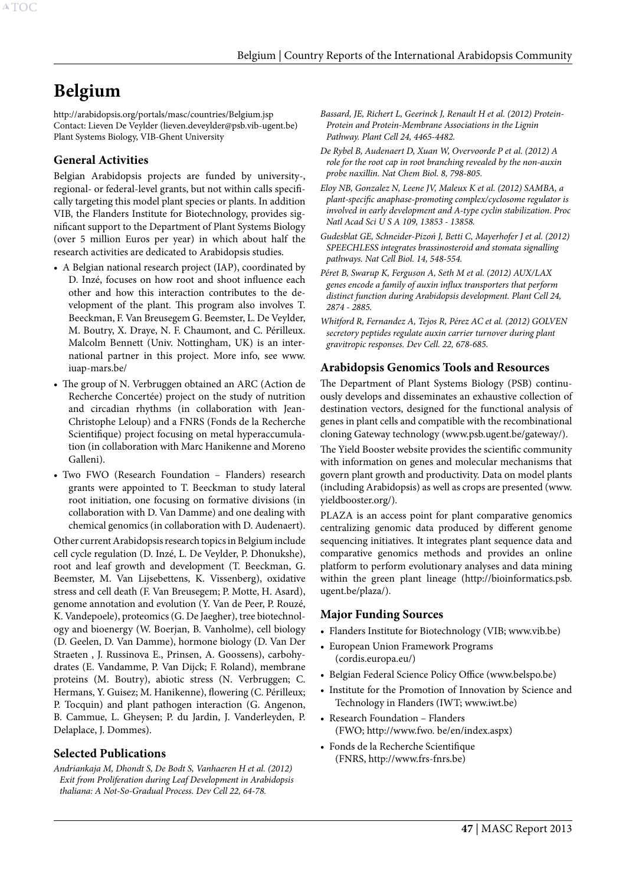# <span id="page-47-0"></span>**Belgium**

http://arabidopsis.org/portals/masc/countries/Belgium.jsp Contact: Lieven De Veylder (lieven.deveylder@psb.vib-ugent.be) Plant Systems Biology, VIB-Ghent University

## **General Activities**

Belgian Arabidopsis projects are funded by university-, regional- or federal-level grants, but not within calls specifically targeting this model plant species or plants. In addition VIB, the Flanders Institute for Biotechnology, provides significant support to the Department of Plant Systems Biology (over 5 million Euros per year) in which about half the research activities are dedicated to Arabidopsis studies.

- A Belgian national research project (IAP), coordinated by D. Inzé, focuses on how root and shoot influence each other and how this interaction contributes to the development of the plant. This program also involves T. Beeckman, F. Van Breusegem G. Beemster, L. De Veylder, M. Boutry, X. Draye, N. F. Chaumont, and C. Périlleux. Malcolm Bennett (Univ. Nottingham, UK) is an international partner in this project. More info, see www. iuap-mars.be/
- • The group of N. Verbruggen obtained an ARC (Action de Recherche Concertée) project on the study of nutrition and circadian rhythms (in collaboration with Jean-Christophe Leloup) and a FNRS (Fonds de la Recherche Scientifique) project focusing on metal hyperaccumulation (in collaboration with Marc Hanikenne and Moreno Galleni).
- • Two FWO (Research Foundation Flanders) research grants were appointed to T. Beeckman to study lateral root initiation, one focusing on formative divisions (in collaboration with D. Van Damme) and one dealing with chemical genomics (in collaboration with D. Audenaert).

Other current Arabidopsis research topics in Belgium include cell cycle regulation (D. Inzé, L. De Veylder, P. Dhonukshe), root and leaf growth and development (T. Beeckman, G. Beemster, M. Van Lijsebettens, K. Vissenberg), oxidative stress and cell death (F. Van Breusegem; P. Motte, H. Asard), genome annotation and evolution (Y. Van de Peer, P. Rouzé, K. Vandepoele), proteomics (G. De Jaegher), tree biotechnology and bioenergy (W. Boerjan, B. Vanholme), cell biology (D. Geelen, D. Van Damme), hormone biology (D. Van Der Straeten , J. Russinova E., Prinsen, A. Goossens), carbohydrates (E. Vandamme, P. Van Dijck; F. Roland), membrane proteins (M. Boutry), abiotic stress (N. Verbruggen; C. Hermans, Y. Guisez; M. Hanikenne), flowering (C. Périlleux; P. Tocquin) and plant pathogen interaction (G. Angenon, B. Cammue, L. Gheysen; P. du Jardin, J. Vanderleyden, P. Delaplace, J. Dommes).

#### **Selected Publications**

*Andriankaja M, Dhondt S, De Bodt S, Vanhaeren H et al. (2012) Exit from Proliferation during Leaf Development in Arabidopsis thaliana: A Not-So-Gradual Process. Dev Cell 22, 64-78.*

- *Bassard, JE, Richert L, Geerinck J, Renault H et al. (2012) Protein-Protein and Protein-Membrane Associations in the Lignin Pathway. Plant Cell 24, 4465-4482.*
- *De Rybel B, Audenaert D, Xuan W, Overvoorde P et al. (2012) A role for the root cap in root branching revealed by the non-auxin probe naxillin. Nat Chem Biol. 8, 798-805.*
- *Eloy NB, Gonzalez N, Leene JV, Maleux K et al. (2012) SAMBA, a plant-specific anaphase-promoting complex/cyclosome regulator is involved in early development and A-type cyclin stabilization. Proc Natl Acad Sci U S A 109, 13853 - 13858.*
- *Gudesblat GE, Schneider-Pizoń J, Betti C, Mayerhofer J et al. (2012) SPEECHLESS integrates brassinosteroid and stomata signalling pathways. Nat Cell Biol. 14, 548-554.*
- *Péret B, Swarup K, Ferguson A, Seth M et al. (2012) AUX/LAX genes encode a family of auxin influx transporters that perform distinct function during Arabidopsis development. Plant Cell 24, 2874 - 2885.*
- *Whitford R, Fernandez A, Tejos R, Pérez AC et al. (2012) GOLVEN secretory peptides regulate auxin carrier turnover during plant gravitropic responses. Dev Cell. 22, 678-685.*

# **Arabidopsis Genomics Tools and Resources**

The Department of Plant Systems Biology (PSB) continuously develops and disseminates an exhaustive collection of destination vectors, designed for the functional analysis of genes in plant cells and compatible with the recombinational cloning Gateway technology (www.psb.ugent.be/gateway/).

The Yield Booster website provides the scientific community with information on genes and molecular mechanisms that govern plant growth and productivity. Data on model plants (including Arabidopsis) as well as crops are presented (www. yieldbooster.org/).

PLAZA is an access point for plant comparative genomics centralizing genomic data produced by different genome sequencing initiatives. It integrates plant sequence data and comparative genomics methods and provides an online platform to perform evolutionary analyses and data mining within the green plant lineage (http://bioinformatics.psb. ugent.be/plaza/).

#### **Major Funding Sources**

- Flanders Institute for Biotechnology (VIB; www.vib.be)
- European Union Framework Programs (cordis.europa.eu/)
- • Belgian Federal Science Policy Office (www.belspo.be)
- Institute for the Promotion of Innovation by Science and Technology in Flanders (IWT; www.iwt.be)
- Research Foundation Flanders (FWO; http://www.fwo. be/en/index.aspx)
- • Fonds de la Recherche Scientifique (FNRS, http://www.frs-fnrs.be)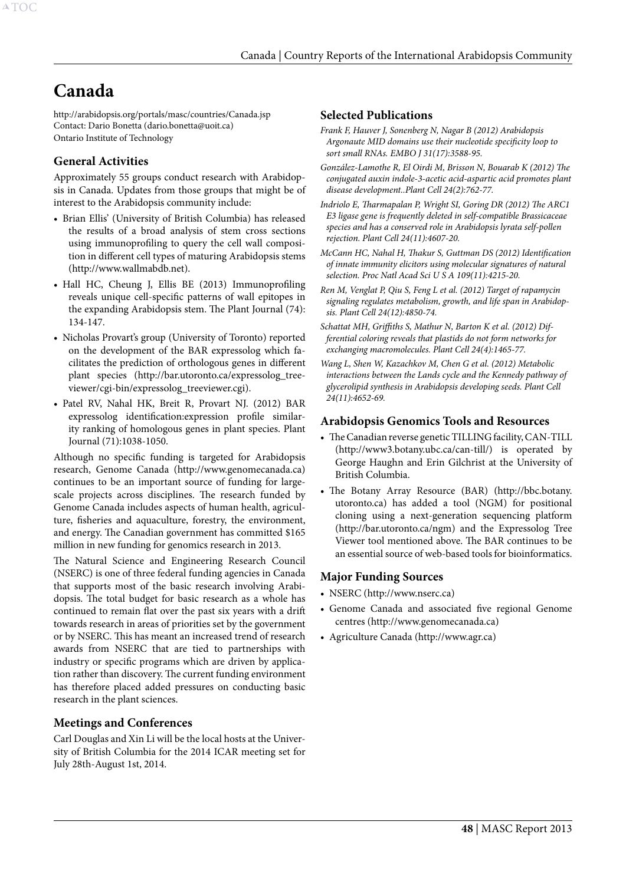# <span id="page-48-0"></span>**Canada**

http://arabidopsis.org/portals/masc/countries/Canada.jsp Contact: Dario Bonetta (dario.bonetta@uoit.ca) Ontario Institute of Technology

# **General Activities**

Approximately 55 groups conduct research with Arabidopsis in Canada. Updates from those groups that might be of interest to the Arabidopsis community include:

- • Brian Ellis' (University of British Columbia) has released the results of a broad analysis of stem cross sections using immunoprofiling to query the cell wall composition in different cell types of maturing Arabidopsis stems (http://www.wallmabdb.net).
- Hall HC, Cheung J, Ellis BE (2013) Immunoprofiling reveals unique cell-specific patterns of wall epitopes in the expanding Arabidopsis stem. The Plant Journal (74): 134-147.
- • Nicholas Provart's group (University of Toronto) reported on the development of the BAR expressolog which facilitates the prediction of orthologous genes in different plant species (http://bar.utoronto.ca/expressolog\_treeviewer/cgi-bin/expressolog\_treeviewer.cgi).
- • Patel RV, Nahal HK, Breit R, Provart NJ. (2012) BAR expressolog identification:expression profile similarity ranking of homologous genes in plant species. Plant Journal (71):1038-1050.

Although no specific funding is targeted for Arabidopsis research, Genome Canada (http://www.genomecanada.ca) continues to be an important source of funding for largescale projects across disciplines. The research funded by Genome Canada includes aspects of human health, agriculture, fisheries and aquaculture, forestry, the environment, and energy. The Canadian government has committed \$165 million in new funding for genomics research in 2013.

The Natural Science and Engineering Research Council (NSERC) is one of three federal funding agencies in Canada that supports most of the basic research involving Arabidopsis. The total budget for basic research as a whole has continued to remain flat over the past six years with a drift towards research in areas of priorities set by the government or by NSERC. This has meant an increased trend of research awards from NSERC that are tied to partnerships with industry or specific programs which are driven by application rather than discovery. The current funding environment has therefore placed added pressures on conducting basic research in the plant sciences.

# **Meetings and Conferences**

Carl Douglas and Xin Li will be the local hosts at the University of British Columbia for the 2014 ICAR meeting set for July 28th-August 1st, 2014.

## **Selected Publications**

- *Frank F, Hauver J, Sonenberg N, Nagar B (2012) Arabidopsis Argonaute MID domains use their nucleotide specificity loop to sort small RNAs. EMBO J 31(17):3588-95.*
- *González-Lamothe R, El Oirdi M, Brisson N, Bouarab K (2012) The conjugated auxin indole-3-acetic acid-aspartic acid promotes plant disease development..Plant Cell 24(2):762-77.*
- *Indriolo E, Tharmapalan P, Wright SI, Goring DR (2012) The ARC1 E3 ligase gene is frequently deleted in self-compatible Brassicaceae species and has a conserved role in Arabidopsis lyrata self-pollen rejection. Plant Cell 24(11):4607-20.*
- *McCann HC, Nahal H, Thakur S, Guttman DS (2012) Identification of innate immunity elicitors using molecular signatures of natural selection. Proc Natl Acad Sci U S A 109(11):4215-20.*
- *Ren M, Venglat P, Qiu S, Feng L et al. (2012) Target of rapamycin signaling regulates metabolism, growth, and life span in Arabidopsis. Plant Cell 24(12):4850-74.*
- *Schattat MH, Griffiths S, Mathur N, Barton K et al. (2012) Differential coloring reveals that plastids do not form networks for exchanging macromolecules. Plant Cell 24(4):1465-77.*

*Wang L, Shen W, Kazachkov M, Chen G et al. (2012) Metabolic interactions between the Lands cycle and the Kennedy pathway of glycerolipid synthesis in Arabidopsis developing seeds. Plant Cell 24(11):4652-69.*

## **Arabidopsis Genomics Tools and Resources**

- The Canadian reverse genetic TILLING facility, CAN-TILL (http://www3.botany.ubc.ca/can-till/) is operated by George Haughn and Erin Gilchrist at the University of British Columbia.
- The Botany Array Resource (BAR) (http://bbc.botany. utoronto.ca) has added a tool (NGM) for positional cloning using a next-generation sequencing platform (http://bar.utoronto.ca/ngm) and the Expressolog Tree Viewer tool mentioned above. The BAR continues to be an essential source of web-based tools for bioinformatics.

# **Major Funding Sources**

- NSERC (http://www.nserc.ca)
- • Genome Canada and associated five regional Genome centres (http://www.genomecanada.ca)
- • Agriculture Canada (http://www.agr.ca)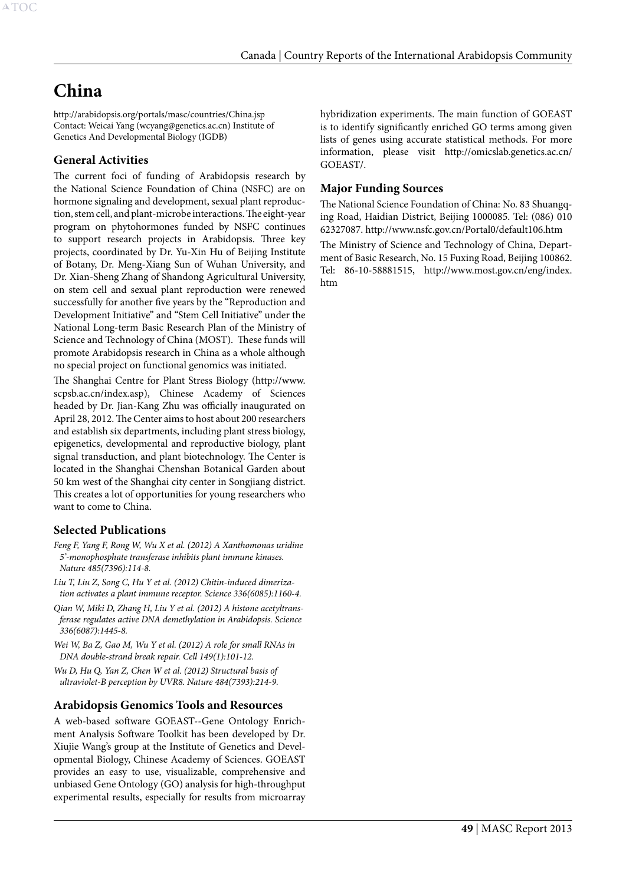# <span id="page-49-0"></span>**China**

http://arabidopsis.org/portals/masc/countries/China.jsp Contact: Weicai Yang (wcyang@genetics.ac.cn) Institute of Genetics And Developmental Biology (IGDB)

# **General Activities**

The current foci of funding of Arabidopsis research by the National Science Foundation of China (NSFC) are on hormone signaling and development, sexual plant reproduction, stem cell, and plant-microbe interactions. The eight-year program on phytohormones funded by NSFC continues to support research projects in Arabidopsis. Three key projects, coordinated by Dr. Yu-Xin Hu of Beijing Institute of Botany, Dr. Meng-Xiang Sun of Wuhan University, and Dr. Xian-Sheng Zhang of Shandong Agricultural University, on stem cell and sexual plant reproduction were renewed successfully for another five years by the "Reproduction and Development Initiative" and "Stem Cell Initiative" under the National Long-term Basic Research Plan of the Ministry of Science and Technology of China (MOST). These funds will promote Arabidopsis research in China as a whole although no special project on functional genomics was initiated.

The Shanghai Centre for Plant Stress Biology (http://www. scpsb.ac.cn/index.asp), Chinese Academy of Sciences headed by Dr. Jian-Kang Zhu was officially inaugurated on April 28, 2012. The Center aims to host about 200 researchers and establish six departments, including plant stress biology, epigenetics, developmental and reproductive biology, plant signal transduction, and plant biotechnology. The Center is located in the Shanghai Chenshan Botanical Garden about 50 km west of the Shanghai city center in Songjiang district. This creates a lot of opportunities for young researchers who want to come to China.

# **Selected Publications**

- *Feng F, Yang F, Rong W, Wu X et al. (2012) A Xanthomonas uridine 5'-monophosphate transferase inhibits plant immune kinases. Nature 485(7396):114-8.*
- *Liu T, Liu Z, Song C, Hu Y et al. (2012) Chitin-induced dimerization activates a plant immune receptor. Science 336(6085):1160-4.*
- *Qian W, Miki D, Zhang H, Liu Y et al. (2012) A histone acetyltransferase regulates active DNA demethylation in Arabidopsis. Science 336(6087):1445-8.*
- *Wei W, Ba Z, Gao M, Wu Y et al. (2012) A role for small RNAs in DNA double-strand break repair. Cell 149(1):101-12.*
- *Wu D, Hu Q, Yan Z, Chen W et al. (2012) Structural basis of ultraviolet-B perception by UVR8. Nature 484(7393):214-9.*

# **Arabidopsis Genomics Tools and Resources**

A web-based software GOEAST--Gene Ontology Enrichment Analysis Software Toolkit has been developed by Dr. Xiujie Wang's group at the Institute of Genetics and Developmental Biology, Chinese Academy of Sciences. GOEAST provides an easy to use, visualizable, comprehensive and unbiased Gene Ontology (GO) analysis for high-throughput experimental results, especially for results from microarray hybridization experiments. The main function of GOEAST is to identify significantly enriched GO terms among given lists of genes using accurate statistical methods. For more information, please visit http://omicslab.genetics.ac.cn/ GOEAST/.

# **Major Funding Sources**

The National Science Foundation of China: No. 83 Shuangqing Road, Haidian District, Beijing 1000085. Tel: (086) 010 62327087. http://www.nsfc.gov.cn/Portal0/default106.htm

The Ministry of Science and Technology of China, Department of Basic Research, No. 15 Fuxing Road, Beijing 100862. Tel: 86-10-58881515, http://www.most.gov.cn/eng/index. htm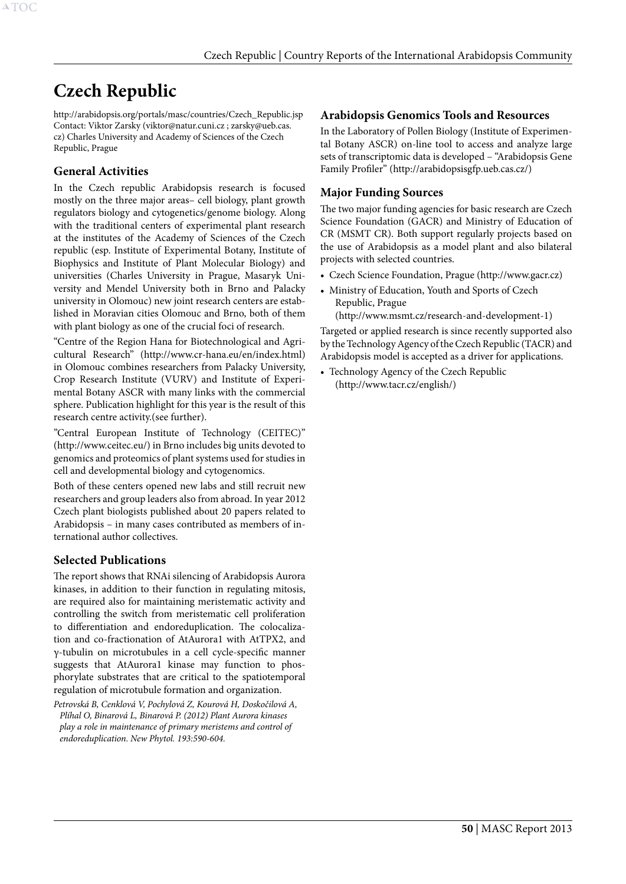# <span id="page-50-0"></span>**Czech Republic**

http://arabidopsis.org/portals/masc/countries/Czech\_Republic.jsp Contact: Viktor Zarsky (viktor@natur.cuni.cz ; zarsky@ueb.cas. cz) Charles University and Academy of Sciences of the Czech Republic, Prague

# **General Activities**

In the Czech republic Arabidopsis research is focused mostly on the three major areas– cell biology, plant growth regulators biology and cytogenetics/genome biology. Along with the traditional centers of experimental plant research at the institutes of the Academy of Sciences of the Czech republic (esp. Institute of Experimental Botany, Institute of Biophysics and Institute of Plant Molecular Biology) and universities (Charles University in Prague, Masaryk University and Mendel University both in Brno and Palacky university in Olomouc) new joint research centers are established in Moravian cities Olomouc and Brno, both of them with plant biology as one of the crucial foci of research.

"Centre of the Region Hana for Biotechnological and Agricultural Research" (http://www.cr-hana.eu/en/index.html) in Olomouc combines researchers from Palacky University, Crop Research Institute (VURV) and Institute of Experimental Botany ASCR with many links with the commercial sphere. Publication highlight for this year is the result of this research centre activity.(see further).

"Central European Institute of Technology (CEITEC)" (http://www.ceitec.eu/) in Brno includes big units devoted to genomics and proteomics of plant systems used for studies in cell and developmental biology and cytogenomics.

Both of these centers opened new labs and still recruit new researchers and group leaders also from abroad. In year 2012 Czech plant biologists published about 20 papers related to Arabidopsis – in many cases contributed as members of international author collectives.

# **Selected Publications**

The report shows that RNAi silencing of Arabidopsis Aurora kinases, in addition to their function in regulating mitosis, are required also for maintaining meristematic activity and controlling the switch from meristematic cell proliferation to differentiation and endoreduplication. The colocalization and co-fractionation of AtAurora1 with AtTPX2, and γ-tubulin on microtubules in a cell cycle-specific manner suggests that AtAurora1 kinase may function to phosphorylate substrates that are critical to the spatiotemporal regulation of microtubule formation and organization.

*Petrovská B, Cenklová V, Pochylová Z, Kourová H, Doskočilová A, Plíhal O, Binarová L, Binarová P. (2012) Plant Aurora kinases play a role in maintenance of primary meristems and control of endoreduplication. New Phytol. 193:590-604.*

# **Arabidopsis Genomics Tools and Resources**

In the Laboratory of Pollen Biology (Institute of Experimental Botany ASCR) on-line tool to access and analyze large sets of transcriptomic data is developed – "Arabidopsis Gene Family Profiler" (http://arabidopsisgfp.ueb.cas.cz/)

# **Major Funding Sources**

The two major funding agencies for basic research are Czech Science Foundation (GACR) and Ministry of Education of CR (MSMT CR). Both support regularly projects based on the use of Arabidopsis as a model plant and also bilateral projects with selected countries.

- • Czech Science Foundation, Prague (http://www.gacr.cz)
- Ministry of Education, Youth and Sports of Czech Republic, Prague

(http://www.msmt.cz/research-and-development-1)

Targeted or applied research is since recently supported also by the Technology Agency of the Czech Republic (TACR) and Arabidopsis model is accepted as a driver for applications.

• Technology Agency of the Czech Republic (http://www.tacr.cz/english/)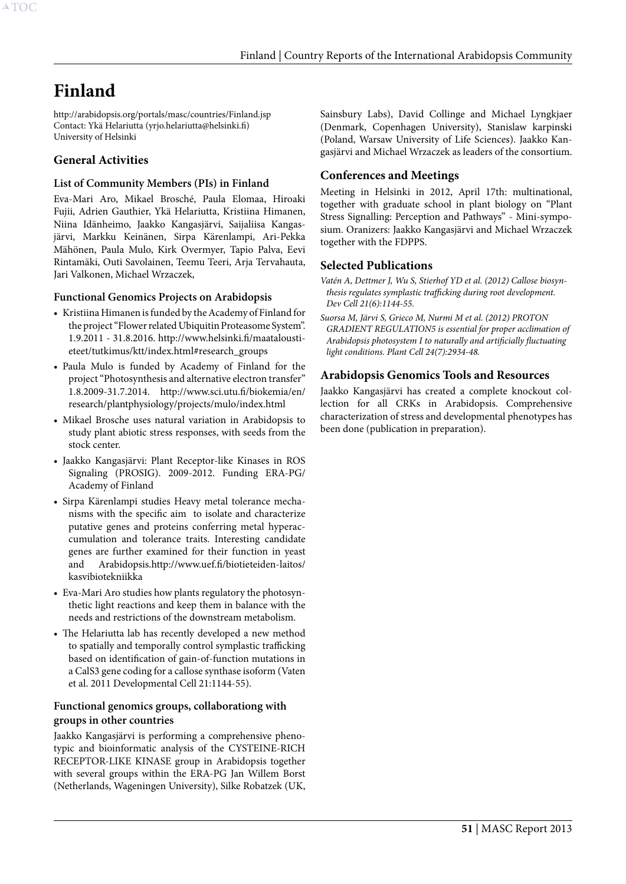# <span id="page-51-0"></span>**Finland**

http://arabidopsis.org/portals/masc/countries/Finland.jsp Contact: Ykä Helariutta (yrjo.helariutta@helsinki.fi) University of Helsinki

# **General Activities**

#### **List of Community Members (PIs) in Finland**

Eva-Mari Aro, Mikael Brosché, Paula Elomaa, Hiroaki Fujii, Adrien Gauthier, Ykä Helariutta, Kristiina Himanen, Niina Idänheimo, Jaakko Kangasjärvi, Saijaliisa Kangasjärvi, Markku Keinänen, Sirpa Kärenlampi, Ari-Pekka Mähönen, Paula Mulo, Kirk Overmyer, Tapio Palva, Eevi Rintamäki, Outi Savolainen, Teemu Teeri, Arja Tervahauta, Jari Valkonen, Michael Wrzaczek,

#### **Functional Genomics Projects on Arabidopsis**

- • Kristiina Himanen is funded by the Academy of Finland for the project "Flower related Ubiquitin Proteasome System". 1.9.2011 - 31.8.2016. http://www.helsinki.fi/maataloustieteet/tutkimus/ktt/index.html#research\_groups
- • Paula Mulo is funded by Academy of Finland for the project "Photosynthesis and alternative electron transfer" 1.8.2009-31.7.2014. http://www.sci.utu.fi/biokemia/en/ research/plantphysiology/projects/mulo/index.html
- • Mikael Brosche uses natural variation in Arabidopsis to study plant abiotic stress responses, with seeds from the stock center.
- • Jaakko Kangasjärvi: Plant Receptor-like Kinases in ROS Signaling (PROSIG). 2009-2012. Funding ERA-PG/ Academy of Finland
- • Sirpa Kärenlampi studies Heavy metal tolerance mechanisms with the specific aim to isolate and characterize putative genes and proteins conferring metal hyperaccumulation and tolerance traits. Interesting candidate genes are further examined for their function in yeast and Arabidopsis.http://www.uef.fi/biotieteiden-laitos/ kasvibiotekniikka
- Eva-Mari Aro studies how plants regulatory the photosynthetic light reactions and keep them in balance with the needs and restrictions of the downstream metabolism.
- The Helariutta lab has recently developed a new method to spatially and temporally control symplastic trafficking based on identification of gain-of-function mutations in a CalS3 gene coding for a callose synthase isoform (Vaten et al. 2011 Developmental Cell 21:1144-55).

#### **Functional genomics groups, collaborationg with groups in other countries**

Jaakko Kangasjärvi is performing a comprehensive phenotypic and bioinformatic analysis of the CYSTEINE-RICH RECEPTOR-LIKE KINASE group in Arabidopsis together with several groups within the ERA-PG Jan Willem Borst (Netherlands, Wageningen University), Silke Robatzek (UK,

Sainsbury Labs), David Collinge and Michael Lyngkjaer (Denmark, Copenhagen University), Stanislaw karpinski (Poland, Warsaw University of Life Sciences). Jaakko Kangasjärvi and Michael Wrzaczek as leaders of the consortium.

# **Conferences and Meetings**

Meeting in Helsinki in 2012, April 17th: multinational, together with graduate school in plant biology on "Plant Stress Signalling: Perception and Pathways" - Mini-symposium. Oranizers: Jaakko Kangasjärvi and Michael Wrzaczek together with the FDPPS.

## **Selected Publications**

*Vatén A, Dettmer J, Wu S, Stierhof YD et al. (2012) Callose biosynthesis regulates symplastic trafficking during root development. Dev Cell 21(6):1144-55.*

*Suorsa M, Järvi S, Grieco M, Nurmi M et al. (2012) PROTON GRADIENT REGULATION5 is essential for proper acclimation of Arabidopsis photosystem I to naturally and artificially fluctuating light conditions. Plant Cell 24(7):2934-48.*

# **Arabidopsis Genomics Tools and Resources**

Jaakko Kangasjärvi has created a complete knockout collection for all CRKs in Arabidopsis. Comprehensive characterization of stress and developmental phenotypes has been done (publication in preparation).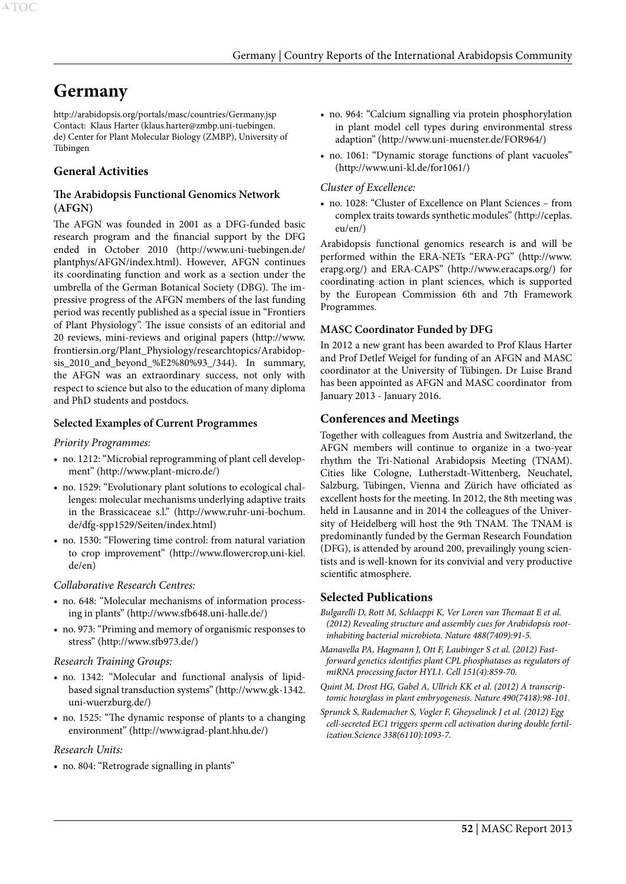# <span id="page-52-0"></span>**Germany**

http://arabidopsis.org/portals/masc/countries/Germany.jsp Contact: Klaus Harter (klaus.harter@zmbp.uni-tuebingen. de) Center for Plant Molecular Biology (ZMBP), University of Tübingen

# **General Activities**

#### **The Arabidopsis Functional Genomics Network (AFGN)**

The AFGN was founded in 2001 as a DFG-funded basic research program and the financial support by the DFG ended in October 2010 (http://www.uni-tuebingen.de/ plantphys/AFGN/index.html). However, AFGN continues its coordinating function and work as a section under the umbrella of the German Botanical Society (DBG). The impressive progress of the AFGN members of the last funding period was recently published as a special issue in "Frontiers of Plant Physiology". The issue consists of an editorial and 20 reviews, mini-reviews and original papers (http://www. frontiersin.org/Plant\_Physiology/researchtopics/Arabidopsis 2010 and beyond %E2%80%93  $/344$ ). In summary, the AFGN was an extraordinary success, not only with respect to science but also to the education of many diploma and PhD students and postdocs.

#### **Selected Examples of Current Programmes**

#### *Priority Programmes:*

- no. 1212: "Microbial reprogramming of plant cell development" (http://www.plant-micro.de/)
- • no. 1529: "Evolutionary plant solutions to ecological challenges: molecular mechanisms underlying adaptive traits in the Brassicaceae s.l." (http://www.ruhr-uni-bochum. de/dfg-spp1529/Seiten/index.html)
- • no. 1530: "Flowering time control: from natural variation to crop improvement" (http://www.flowercrop.uni-kiel. de/en)

#### *Collaborative Research Centres:*

- no. 648: "Molecular mechanisms of information processing in plants" (http://www.sfb648.uni-halle.de/)
- • no. 973: "Priming and memory of organismic responses to stress" (http://www.sfb973.de/)

#### *Research Training Groups:*

- no. 1342: "Molecular and functional analysis of lipidbased signal transduction systems" (http://www.gk-1342. uni-wuerzburg.de/)
- no. 1525: "The dynamic response of plants to a changing environment" (http://www.igrad-plant.hhu.de/)

#### *Research Units:*

• no. 804: "Retrograde signalling in plants"

- no. 964: "Calcium signalling via protein phosphorylation in plant model cell types during environmental stress adaption" (http://www.uni-muenster.de/FOR964/)
- no. 1061: "Dynamic storage functions of plant vacuoles" (http://www.uni-kl.de/for1061/)

#### *Cluster of Excellence:*

• no. 1028: "Cluster of Excellence on Plant Sciences – from complex traits towards synthetic modules" (http://ceplas. eu/en/)

Arabidopsis functional genomics research is and will be performed within the ERA-NETs "ERA-PG" (http://www. erapg.org/) and ERA-CAPS" (http://www.eracaps.org/) for coordinating action in plant sciences, which is supported by the European Commission 6th and 7th Framework Programmes.

#### **MASC Coordinator Funded by DFG**

In 2012 a new grant has been awarded to Prof Klaus Harter and Prof Detlef Weigel for funding of an AFGN and MASC coordinator at the University of Tübingen. Dr Luise Brand has been appointed as AFGN and MASC coordinator from January 2013 - January 2016.

#### **Conferences and Meetings**

Together with colleagues from Austria and Switzerland, the AFGN members will continue to organize in a two-year rhythm the Tri-National Arabidopsis Meeting (TNAM). Cities like Cologne, Lutherstadt-Wittenberg, Neuchatel, Salzburg, Tübingen, Vienna and Zürich have officiated as excellent hosts for the meeting. In 2012, the 8th meeting was held in Lausanne and in 2014 the colleagues of the University of Heidelberg will host the 9th TNAM. The TNAM is predominantly funded by the German Research Foundation (DFG), is attended by around 200, prevailingly young scientists and is well-known for its convivial and very productive scientific atmosphere.

#### **Selected Publications**

- *Bulgarelli D, Rott M, Schlaeppi K, Ver Loren van Themaat E et al. (2012) Revealing structure and assembly cues for Arabidopsis rootinhabiting bacterial microbiota. Nature 488(7409):91-5.*
- *Manavella PA, Hagmann J, Ott F, Laubinger S et al. (2012) Fastforward genetics identifies plant CPL phosphatases as regulators of miRNA processing factor HYL1. Cell 151(4):859-70.*
- *Quint M, Drost HG, Gabel A, Ullrich KK et al. (2012) A transcriptomic hourglass in plant embryogenesis. Nature 490(7418):98-101.*
- *Sprunck S, Rademacher S, Vogler F, Gheyselinck J et al. (2012) Egg cell-secreted EC1 triggers sperm cell activation during double fertilization.Science 338(6110):1093-7.*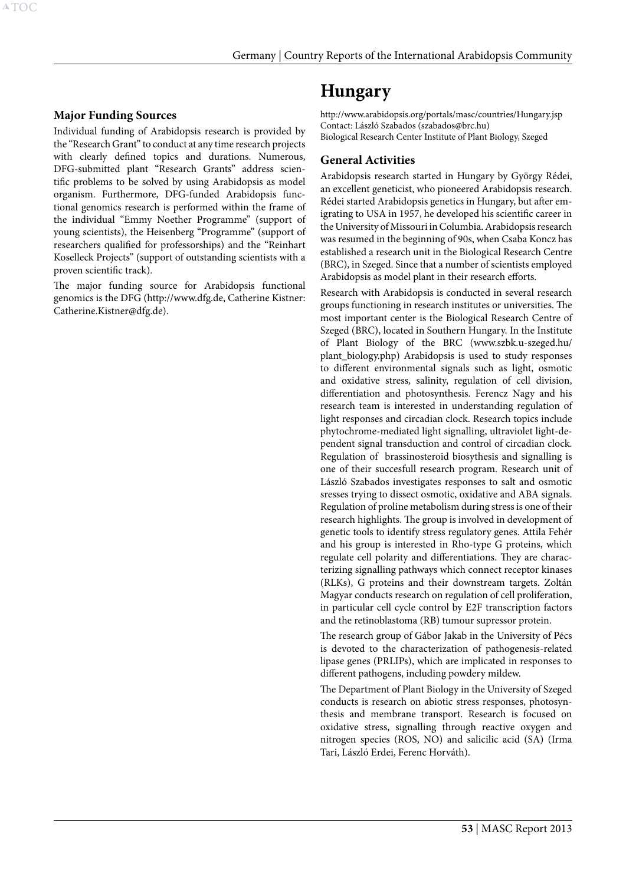## <span id="page-53-0"></span>**Major Funding Sources**

Individual funding of Arabidopsis research is provided by the "Research Grant" to conduct at any time research projects with clearly defined topics and durations. Numerous, DFG-submitted plant "Research Grants" address scientific problems to be solved by using Arabidopsis as model organism. Furthermore, DFG-funded Arabidopsis functional genomics research is performed within the frame of the individual "Emmy Noether Programme" (support of young scientists), the Heisenberg "Programme" (support of researchers qualified for professorships) and the "Reinhart Koselleck Projects" (support of outstanding scientists with a proven scientific track).

The major funding source for Arabidopsis functional genomics is the DFG (http://www.dfg.de, Catherine Kistner: Catherine.Kistner@dfg.de).

# **Hungary**

http://www.arabidopsis.org/portals/masc/countries/Hungary.jsp Contact: László Szabados (szabados@brc.hu) Biological Research Center Institute of Plant Biology, Szeged

#### **General Activities**

Arabidopsis research started in Hungary by György Rédei, an excellent geneticist, who pioneered Arabidopsis research. Rédei started Arabidopsis genetics in Hungary, but after emigrating to USA in 1957, he developed his scientific career in the University of Missouri in Columbia. Arabidopsis research was resumed in the beginning of 90s, when Csaba Koncz has established a research unit in the Biological Research Centre (BRC), in Szeged. Since that a number of scientists employed Arabidopsis as model plant in their research efforts.

Research with Arabidopsis is conducted in several research groups functioning in research institutes or universities. The most important center is the Biological Research Centre of Szeged (BRC), located in Southern Hungary. In the Institute of Plant Biology of the BRC (www.szbk.u-szeged.hu/ plant\_biology.php) Arabidopsis is used to study responses to different environmental signals such as light, osmotic and oxidative stress, salinity, regulation of cell division, differentiation and photosynthesis. Ferencz Nagy and his research team is interested in understanding regulation of light responses and circadian clock. Research topics include phytochrome-mediated light signalling, ultraviolet light-dependent signal transduction and control of circadian clock. Regulation of brassinosteroid biosythesis and signalling is one of their succesfull research program. Research unit of László Szabados investigates responses to salt and osmotic sresses trying to dissect osmotic, oxidative and ABA signals. Regulation of proline metabolism during stress is one of their research highlights. The group is involved in development of genetic tools to identify stress regulatory genes. Attila Fehér and his group is interested in Rho-type G proteins, which regulate cell polarity and differentiations. They are characterizing signalling pathways which connect receptor kinases (RLKs), G proteins and their downstream targets. Zoltán Magyar conducts research on regulation of cell proliferation, in particular cell cycle control by E2F transcription factors and the retinoblastoma (RB) tumour supressor protein.

The research group of Gábor Jakab in the University of Pécs is devoted to the characterization of pathogenesis-related lipase genes (PRLIPs), which are implicated in responses to different pathogens, including powdery mildew.

The Department of Plant Biology in the University of Szeged conducts is research on abiotic stress responses, photosynthesis and membrane transport. Research is focused on oxidative stress, signalling through reactive oxygen and nitrogen species (ROS, NO) and salicilic acid (SA) (Irma Tari, László Erdei, Ferenc Horváth).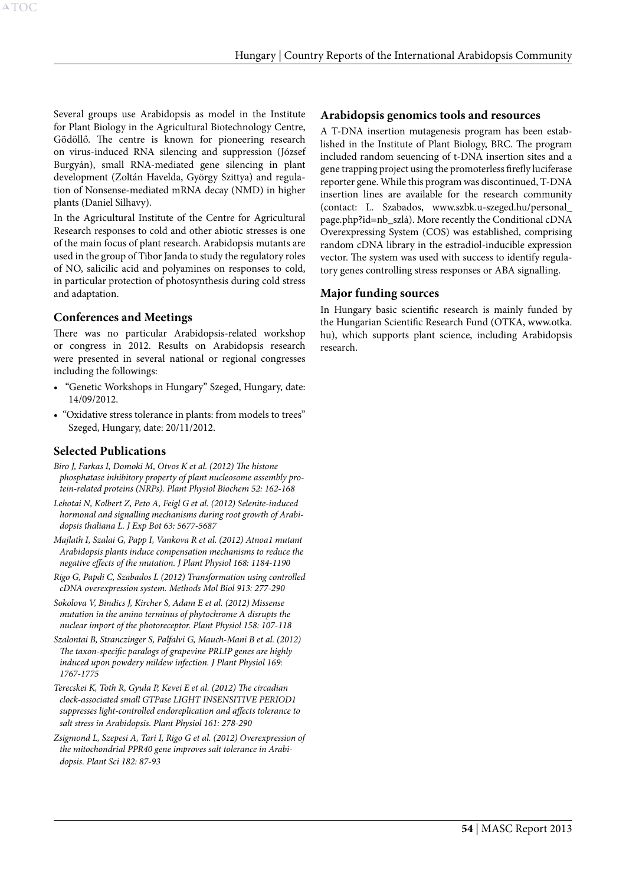Several groups use Arabidopsis as model in the Institute for Plant Biology in the Agricultural Biotechnology Centre, Gödöllő. The centre is known for pioneering research on virus-induced RNA silencing and suppression (József Burgyán), small RNA-mediated gene silencing in plant development (Zoltán Havelda, György Szittya) and regulation of Nonsense-mediated mRNA decay (NMD) in higher plants (Daniel Silhavy).

In the Agricultural Institute of the Centre for Agricultural Research responses to cold and other abiotic stresses is one of the main focus of plant research. Arabidopsis mutants are used in the group of Tibor Janda to study the regulatory roles of NO, salicilic acid and polyamines on responses to cold, in particular protection of photosynthesis during cold stress and adaptation.

## **Conferences and Meetings**

There was no particular Arabidopsis-related workshop or congress in 2012. Results on Arabidopsis research were presented in several national or regional congresses including the followings:

- • "Genetic Workshops in Hungary" Szeged, Hungary, date: 14/09/2012.
- "Oxidative stress tolerance in plants: from models to trees" Szeged, Hungary, date: 20/11/2012.

# **Selected Publications**

- *Biro J, Farkas I, Domoki M, Otvos K et al. (2012) The histone phosphatase inhibitory property of plant nucleosome assembly protein-related proteins (NRPs). Plant Physiol Biochem 52: 162-168*
- *Lehotai N, Kolbert Z, Peto A, Feigl G et al. (2012) Selenite-induced hormonal and signalling mechanisms during root growth of Arabidopsis thaliana L. J Exp Bot 63: 5677-5687*
- *Majlath I, Szalai G, Papp I, Vankova R et al. (2012) Atnoa1 mutant Arabidopsis plants induce compensation mechanisms to reduce the negative effects of the mutation. J Plant Physiol 168: 1184-1190*
- *Rigo G, Papdi C, Szabados L (2012) Transformation using controlled cDNA overexpression system. Methods Mol Biol 913: 277-290*
- *Sokolova V, Bindics J, Kircher S, Adam E et al. (2012) Missense mutation in the amino terminus of phytochrome A disrupts the nuclear import of the photoreceptor. Plant Physiol 158: 107-118*
- *Szalontai B, Stranczinger S, Palfalvi G, Mauch-Mani B et al. (2012) The taxon-specific paralogs of grapevine PRLIP genes are highly induced upon powdery mildew infection. J Plant Physiol 169: 1767-1775*
- *Terecskei K, Toth R, Gyula P, Kevei E et al. (2012) The circadian clock-associated small GTPase LIGHT INSENSITIVE PERIOD1 suppresses light-controlled endoreplication and affects tolerance to salt stress in Arabidopsis. Plant Physiol 161: 278-290*
- *Zsigmond L, Szepesi A, Tari I, Rigo G et al. (2012) Overexpression of the mitochondrial PPR40 gene improves salt tolerance in Arabidopsis. Plant Sci 182: 87-93*

## **Arabidopsis genomics tools and resources**

A T-DNA insertion mutagenesis program has been established in the Institute of Plant Biology, BRC. The program included random seuencing of t-DNA insertion sites and a gene trapping project using the promoterless firefly luciferase reporter gene. While this program was discontinued, T-DNA insertion lines are available for the research community (contact: L. Szabados, www.szbk.u-szeged.hu/personal\_ page.php?id=nb\_szlá). More recently the Conditional cDNA Overexpressing System (COS) was established, comprising random cDNA library in the estradiol-inducible expression vector. The system was used with success to identify regulatory genes controlling stress responses or ABA signalling.

## **Major funding sources**

In Hungary basic scientific research is mainly funded by the Hungarian Scientific Research Fund (OTKA, www.otka. hu), which supports plant science, including Arabidopsis research.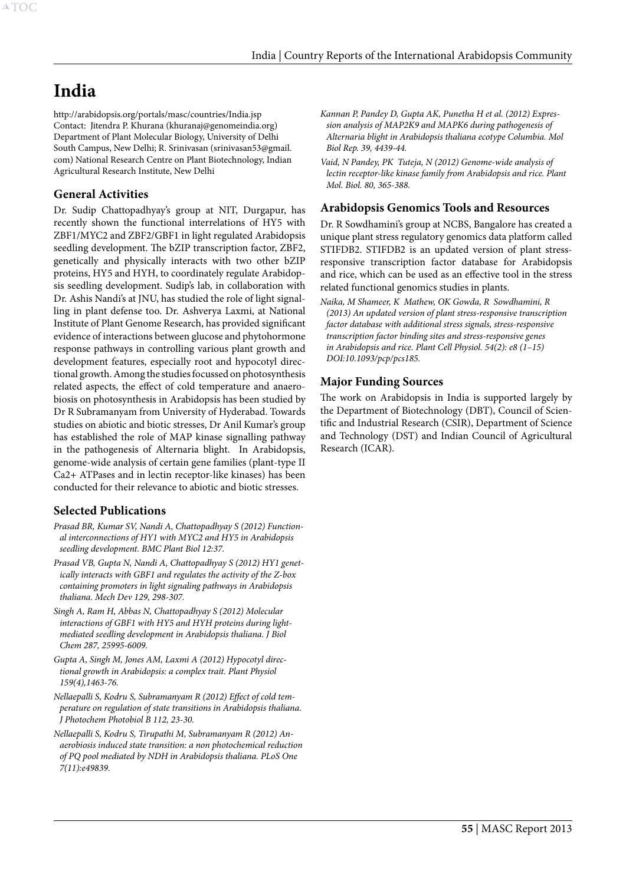# <span id="page-55-0"></span>**India**

http://arabidopsis.org/portals/masc/countries/India.jsp Contact: Jitendra P. Khurana (khuranaj@genomeindia.org) Department of Plant Molecular Biology, University of Delhi South Campus, New Delhi; R. Srinivasan (srinivasan53@gmail. com) National Research Centre on Plant Biotechnology, Indian Agricultural Research Institute, New Delhi

# **General Activities**

Dr. Sudip Chattopadhyay's group at NIT, Durgapur, has recently shown the functional interrelations of HY5 with ZBF1/MYC2 and ZBF2/GBF1 in light regulated Arabidopsis seedling development. The bZIP transcription factor, ZBF2, genetically and physically interacts with two other bZIP proteins, HY5 and HYH, to coordinately regulate Arabidopsis seedling development. Sudip's lab, in collaboration with Dr. Ashis Nandi's at JNU, has studied the role of light signalling in plant defense too. Dr. Ashverya Laxmi, at National Institute of Plant Genome Research, has provided significant evidence of interactions between glucose and phytohormone response pathways in controlling various plant growth and development features, especially root and hypocotyl directional growth. Among the studies focussed on photosynthesis related aspects, the effect of cold temperature and anaerobiosis on photosynthesis in Arabidopsis has been studied by Dr R Subramanyam from University of Hyderabad. Towards studies on abiotic and biotic stresses, Dr Anil Kumar's group has established the role of MAP kinase signalling pathway in the pathogenesis of Alternaria blight. In Arabidopsis, genome-wide analysis of certain gene families (plant-type II Ca2+ ATPases and in lectin receptor-like kinases) has been conducted for their relevance to abiotic and biotic stresses.

# **Selected Publications**

- *Prasad BR, Kumar SV, Nandi A, Chattopadhyay S (2012) Functional interconnections of HY1 with MYC2 and HY5 in Arabidopsis seedling development. BMC Plant Biol 12:37.*
- *Prasad VB, Gupta N, Nandi A, Chattopadhyay S (2012) HY1 genetically interacts with GBF1 and regulates the activity of the Z-box containing promoters in light signaling pathways in Arabidopsis thaliana. Mech Dev 129, 298-307.*
- *Singh A, Ram H, Abbas N, Chattopadhyay S (2012) Molecular interactions of GBF1 with HY5 and HYH proteins during lightmediated seedling development in Arabidopsis thaliana. J Biol Chem 287, 25995-6009.*
- *Gupta A, Singh M, Jones AM, Laxmi A (2012) Hypocotyl directional growth in Arabidopsis: a complex trait. Plant Physiol 159(4),1463-76.*
- *Nellaepalli S, Kodru S, Subramanyam R (2012) Effect of cold temperature on regulation of state transitions in Arabidopsis thaliana. J Photochem Photobiol B 112, 23-30.*
- *Nellaepalli S, Kodru S, Tirupathi M, Subramanyam R (2012) Anaerobiosis induced state transition: a non photochemical reduction of PQ pool mediated by NDH in Arabidopsis thaliana. PLoS One 7(11):e49839.*

*Kannan P, Pandey D, Gupta AK, Punetha H et al. (2012) Expression analysis of MAP2K9 and MAPK6 during pathogenesis of Alternaria blight in Arabidopsis thaliana ecotype Columbia. Mol Biol Rep. 39, 4439-44.*

*Vaid, N Pandey, PK Tuteja, N (2012) Genome-wide analysis of lectin receptor-like kinase family from Arabidopsis and rice. Plant Mol. Biol. 80, 365-388.*

## **Arabidopsis Genomics Tools and Resources**

Dr. R Sowdhamini's group at NCBS, Bangalore has created a unique plant stress regulatory genomics data platform called STIFDB2. STIFDB2 is an updated version of plant stressresponsive transcription factor database for Arabidopsis and rice, which can be used as an effective tool in the stress related functional genomics studies in plants.

*Naika, M Shameer, K Mathew, OK Gowda, R Sowdhamini, R (2013) An updated version of plant stress-responsive transcription factor database with additional stress signals, stress-responsive transcription factor binding sites and stress-responsive genes in Arabidopsis and rice. Plant Cell Physiol. 54(2): e8 (1–15) DOI:10.1093/pcp/pcs185.*

# **Major Funding Sources**

The work on Arabidopsis in India is supported largely by the Department of Biotechnology (DBT), Council of Scientific and Industrial Research (CSIR), Department of Science and Technology (DST) and Indian Council of Agricultural Research (ICAR).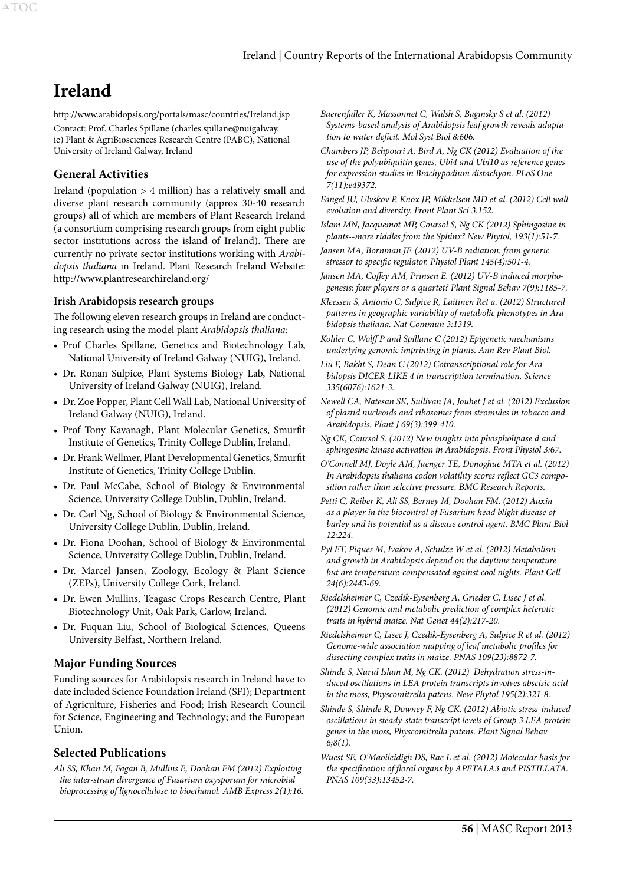# <span id="page-56-0"></span>**Ireland**

http://www.arabidopsis.org/portals/masc/countries/Ireland.jsp Contact: Prof. Charles Spillane [\(charles.spillane@nuigalway.](mailto:charles.spillane@nuigalway.ie) [ie](mailto:charles.spillane@nuigalway.ie)) Plant & AgriBiosciences Research Centre (PABC), National University of Ireland Galway, Ireland

# **General Activities**

Ireland (population > 4 million) has a relatively small and diverse plant research community (approx 30-40 research groups) all of which are members of Plant Research Ireland (a consortium comprising research groups from eight public sector institutions across the island of Ireland). There are currently no private sector institutions working with *Arabidopsis thaliana* in Ireland. Plant Research Ireland Website: http://www.plantresearchireland.org/

## **Irish Arabidopsis research groups**

The following eleven research groups in Ireland are conducting research using the model plant *Arabidopsis thaliana*:

- • Prof Charles Spillane, Genetics and Biotechnology Lab, National University of Ireland Galway (NUIG), Ireland.
- • Dr. Ronan Sulpice, Plant Systems Biology Lab, National University of Ireland Galway (NUIG), Ireland.
- • Dr. Zoe Popper, Plant Cell Wall Lab, National University of Ireland Galway (NUIG), Ireland.
- • Prof Tony Kavanagh, Plant Molecular Genetics, Smurfit Institute of Genetics, Trinity College Dublin, Ireland.
- • Dr. Frank Wellmer, Plant Developmental Genetics, Smurfit Institute of Genetics, Trinity College Dublin.
- • Dr. Paul McCabe, School of Biology & Environmental Science, University College Dublin, Dublin, Ireland.
- • Dr. Carl Ng, School of Biology & Environmental Science, University College Dublin, Dublin, Ireland.
- • Dr. Fiona Doohan, School of Biology & Environmental Science, University College Dublin, Dublin, Ireland.
- Dr. Marcel Jansen, Zoology, Ecology & Plant Science (ZEPs), University College Cork, Ireland.
- • Dr. Ewen Mullins, Teagasc Crops Research Centre, Plant Biotechnology Unit, Oak Park, Carlow, Ireland.
- Dr. Fuquan Liu, School of Biological Sciences, Queens University Belfast, Northern Ireland.

# **Major Funding Sources**

Funding sources for Arabidopsis research in Ireland have to date included Science Foundation Ireland (SFI); Department of Agriculture, Fisheries and Food; Irish Research Council for Science, Engineering and Technology; and the European Union.

#### **Selected Publications**

*Ali SS, Khan M, Fagan B, Mullins E, Doohan FM (2012) Exploiting the inter-strain divergence of Fusarium oxysporum for microbial bioprocessing of lignocellulose to bioethanol. AMB Express 2(1):16.*

- *Baerenfaller K, Massonnet C, Walsh S, Baginsky S et al. (2012) Systems-based analysis of Arabidopsis leaf growth reveals adaptation to water deficit. Mol Syst Biol 8:606.*
- *Chambers JP, Behpouri A, Bird A, Ng CK (2012) Evaluation of the use of the polyubiquitin genes, Ubi4 and Ubi10 as reference genes for expression studies in Brachypodium distachyon. PLoS One 7(11):e49372.*
- *Fangel JU, Ulvskov P, Knox JP, Mikkelsen MD et al. (2012) Cell wall evolution and diversity. Front Plant Sci 3:152.*
- *Islam MN, Jacquemot MP, Coursol S, Ng CK (2012) Sphingosine in plants--more riddles from the Sphinx? New Phytol, 193(1):51-7.*
- *Jansen MA, Bornman JF. (2012) UV-B radiation: from generic stressor to specific regulator. Physiol Plant 145(4):501-4.*
- *Jansen MA, Coffey AM, Prinsen E. (2012) UV-B induced morphogenesis: four players or a quartet? Plant Signal Behav 7(9):1185-7.*
- *Kleessen S, Antonio C, Sulpice R, Laitinen Ret a. (2012) Structured patterns in geographic variability of metabolic phenotypes in Arabidopsis thaliana. Nat Commun 3:1319.*
- *Kohler C, Wolff P and Spillane C (2012) Epigenetic mechanisms underlying genomic imprinting in plants. Ann Rev Plant Biol.*
- *Liu F, Bakht S, Dean C (2012) Cotranscriptional role for Arabidopsis DICER-LIKE 4 in transcription termination. Science 335(6076):1621-3.*
- *Newell CA, Natesan SK, Sullivan JA, Jouhet J et al. (2012) Exclusion of plastid nucleoids and ribosomes from stromules in tobacco and Arabidopsis. Plant J 69(3):399-410.*
- *Ng CK, Coursol S. (2012) New insights into phospholipase d and sphingosine kinase activation in Arabidopsis. Front Physiol 3:67.*
- *O'Connell MJ, Doyle AM, Juenger TE, Donoghue MTA et al. (2012) In Arabidopsis thaliana codon volatility scores reflect GC3 composition rather than selective pressure. BMC Research Reports.*
- *Petti C, Reiber K, Ali SS, Berney M, Doohan FM. (2012) Auxin as a player in the biocontrol of Fusarium head blight disease of barley and its potential as a disease control agent. BMC Plant Biol 12:224.*
- *Pyl ET, Piques M, Ivakov A, Schulze W et al. (2012) Metabolism and growth in Arabidopsis depend on the daytime temperature but are temperature-compensated against cool nights. Plant Cell 24(6):2443-69.*
- *Riedelsheimer C, Czedik-Eysenberg A, Grieder C, Lisec J et al. (2012) Genomic and metabolic prediction of complex heterotic traits in hybrid maize. Nat Genet 44(2):217-20.*

*Riedelsheimer C, Lisec J, Czedik-Eysenberg A, Sulpice R et al. (2012) Genome-wide association mapping of leaf metabolic profiles for dissecting complex traits in maize. PNAS 109(23):8872-7.* 

- *Shinde S, Nurul Islam M, Ng CK. (2012) Dehydration stress-induced oscillations in LEA protein transcripts involves abscisic acid in the moss, Physcomitrella patens. New Phytol 195(2):321-8.*
- *Shinde S, Shinde R, Downey F, Ng CK. (2012) Abiotic stress-induced oscillations in steady-state transcript levels of Group 3 LEA protein genes in the moss, Physcomitrella patens. Plant Signal Behav 6;8(1).*
- *Wuest SE, O'Maoileidigh DS, Rae L et al. (2012) Molecular basis for the specification of floral organs by APETALA3 and PISTILLATA. PNAS 109(33):13452-7.*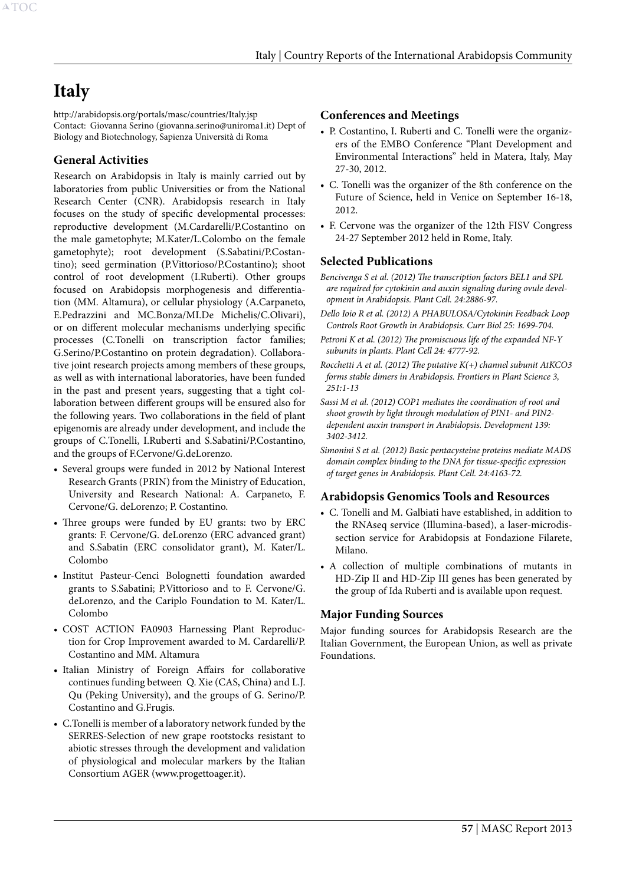# <span id="page-57-0"></span>**Italy**

http://arabidopsis.org/portals/masc/countries/Italy.jsp Contact: Giovanna Serino (giovanna.serino@uniroma1.it) Dept of Biology and Biotechnology, Sapienza Università di Roma

# **General Activities**

Research on Arabidopsis in Italy is mainly carried out by laboratories from public Universities or from the National Research Center (CNR). Arabidopsis research in Italy focuses on the study of specific developmental processes: reproductive development (M.Cardarelli/P.Costantino on the male gametophyte; M.Kater/L.Colombo on the female gametophyte); root development (S.Sabatini/P.Costantino); seed germination (P.Vittorioso/P.Costantino); shoot control of root development (I.Ruberti). Other groups focused on Arabidopsis morphogenesis and differentiation (MM. Altamura), or cellular physiology (A.Carpaneto, E.Pedrazzini and MC.Bonza/MI.De Michelis/C.Olivari), or on different molecular mechanisms underlying specific processes (C.Tonelli on transcription factor families; G.Serino/P.Costantino on protein degradation). Collaborative joint research projects among members of these groups, as well as with international laboratories, have been funded in the past and present years, suggesting that a tight collaboration between different groups will be ensured also for the following years. Two collaborations in the field of plant epigenomis are already under development, and include the groups of C.Tonelli, I.Ruberti and S.Sabatini/P.Costantino, and the groups of F.Cervone/G.deLorenzo.

- • Several groups were funded in 2012 by National Interest Research Grants (PRIN) from the Ministry of Education, University and Research National: A. Carpaneto, F. Cervone/G. deLorenzo; P. Costantino.
- Three groups were funded by EU grants: two by ERC grants: F. Cervone/G. deLorenzo (ERC advanced grant) and S.Sabatin (ERC consolidator grant), M. Kater/L. Colombo
- Institut Pasteur-Cenci Bolognetti foundation awarded grants to S.Sabatini; P.Vittorioso and to F. Cervone/G. deLorenzo, and the Cariplo Foundation to M. Kater/L. Colombo
- COST ACTION FA0903 Harnessing Plant Reproduction for Crop Improvement awarded to M. Cardarelli/P. Costantino and MM. Altamura
- • Italian Ministry of Foreign Affairs for collaborative continues funding between Q. Xie (CAS, China) and L.J. Qu (Peking University), and the groups of G. Serino/P. Costantino and G.Frugis.
- • C.Tonelli is member of a laboratory network funded by the SERRES-Selection of new grape rootstocks resistant to abiotic stresses through the development and validation of physiological and molecular markers by the Italian Consortium AGER (www.progettoager.it).

#### **Conferences and Meetings**

- P. Costantino, I. Ruberti and C. Tonelli were the organizers of the EMBO Conference "Plant Development and Environmental Interactions" held in Matera, Italy, May 27-30, 2012.
- C. Tonelli was the organizer of the 8th conference on the Future of Science, held in Venice on September 16-18, 2012.
- F. Cervone was the organizer of the 12th FISV Congress 24-27 September 2012 held in Rome, Italy.

## **Selected Publications**

- *Bencivenga S et al. (2012) The transcription factors BEL1 and SPL are required for cytokinin and auxin signaling during ovule development in Arabidopsis. Plant Cell. 24:2886-97.*
- *Dello Ioio R et al. (2012) A PHABULOSA/Cytokinin Feedback Loop Controls Root Growth in Arabidopsis. Curr Biol 25: 1699-704.*
- *Petroni K et al. (2012) The promiscuous life of the expanded NF-Y subunits in plants. Plant Cell 24: 4777-92.*
- *Rocchetti A et al. (2012) The putative K(+) channel subunit AtKCO3 forms stable dimers in Arabidopsis. Frontiers in Plant Science 3, 251:1-13*
- *Sassi M et al. (2012) COP1 mediates the coordination of root and shoot growth by light through modulation of PIN1- and PIN2 dependent auxin transport in Arabidopsis. Development 139: 3402-3412.*
- *Simonini S et al. (2012) Basic pentacysteine proteins mediate MADS domain complex binding to the DNA for tissue-specific expression of target genes in Arabidopsis. Plant Cell. 24:4163-72.*

#### **Arabidopsis Genomics Tools and Resources**

- C. Tonelli and M. Galbiati have established, in addition to the RNAseq service (Illumina-based), a laser-microdissection service for Arabidopsis at Fondazione Filarete, Milano.
- • A collection of multiple combinations of mutants in HD-Zip II and HD-Zip III genes has been generated by the group of Ida Ruberti and is available upon request.

# **Major Funding Sources**

Major funding sources for Arabidopsis Research are the Italian Government, the European Union, as well as private Foundations.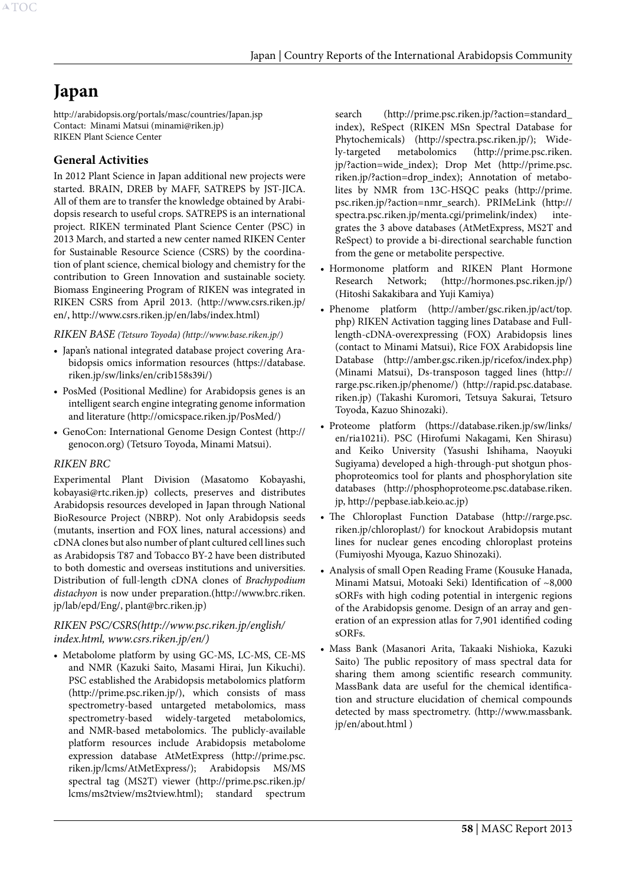# <span id="page-58-0"></span>**Japan**

http://arabidopsis.org/portals/masc/countries/Japan.jsp Contact: Minami Matsui (minami@riken.jp) RIKEN Plant Science Center

# **General Activities**

In 2012 Plant Science in Japan additional new projects were started. BRAIN, DREB by MAFF, SATREPS by JST-JICA. All of them are to transfer the knowledge obtained by Arabidopsis research to useful crops. SATREPS is an international project. RIKEN terminated Plant Science Center (PSC) in 2013 March, and started a new center named RIKEN Center for Sustainable Resource Science (CSRS) by the coordination of plant science, chemical biology and chemistry for the contribution to Green Innovation and sustainable society. Biomass Engineering Program of RIKEN was integrated in RIKEN CSRS from April 2013. (http://www.csrs.riken.jp/ en/, http://www.csrs.riken.jp/en/labs/index.html)

*RIKEN BASE (Tetsuro Toyoda) (http://www.base.riken.jp/)*

- Japan's national integrated database project covering Arabidopsis omics information resources (https://database. riken.jp/sw/links/en/crib158s39i/)
- PosMed (Positional Medline) for Arabidopsis genes is an intelligent search engine integrating genome information and literature (http://omicspace.riken.jp/PosMed/)
- • GenoCon: International Genome Design Contest (http:// genocon.org) (Tetsuro Toyoda, Minami Matsui).

#### *RIKEN BRC*

Experimental Plant Division (Masatomo Kobayashi, kobayasi@rtc.riken.jp) collects, preserves and distributes Arabidopsis resources developed in Japan through National BioResource Project (NBRP). Not only Arabidopsis seeds (mutants, insertion and FOX lines, natural accessions) and cDNA clones but also number of plant cultured cell lines such as Arabidopsis T87 and Tobacco BY-2 have been distributed to both domestic and overseas institutions and universities. Distribution of full-length cDNA clones of *Brachypodium distachyon* is now under preparation.(http://www.brc.riken. jp/lab/epd/Eng/, plant@brc.riken.jp)

# *RIKEN PSC/CSRS(http://www.psc.riken.jp/english/ index.html, www.csrs.riken.jp/en/)*

• Metabolome platform by using GC-MS, LC-MS, CE-MS and NMR (Kazuki Saito, Masami Hirai, Jun Kikuchi). PSC established the Arabidopsis metabolomics platform (http://prime.psc.riken.jp/), which consists of mass spectrometry-based untargeted metabolomics, mass spectrometry-based widely-targeted metabolomics, and NMR-based metabolomics. The publicly-available platform resources include Arabidopsis metabolome expression database AtMetExpress (http://prime.psc. riken.jp/lcms/AtMetExpress/); Arabidopsis MS/MS spectral tag (MS2T) viewer (http://prime.psc.riken.jp/ lcms/ms2tview/ms2tview.html); standard spectrum

search (http://prime.psc.riken.jp/?action=standard\_ index), ReSpect (RIKEN MSn Spectral Database for Phytochemicals) (http://spectra.psc.riken.jp/); Widely-targeted metabolomics (http://prime.psc.riken. jp/?action=wide\_index); Drop Met (http://prime.psc. riken.jp/?action=drop\_index); Annotation of metabolites by NMR from 13C-HSQC peaks (http://prime. psc.riken.jp/?action=nmr\_search). PRIMeLink (http:// spectra.psc.riken.jp/menta.cgi/primelink/index) integrates the 3 above databases (AtMetExpress, MS2T and ReSpect) to provide a bi-directional searchable function from the gene or metabolite perspective.

- • Hormonome platform and RIKEN Plant Hormone Research Network; (http://hormones.psc.riken.jp/) (Hitoshi Sakakibara and Yuji Kamiya)
- Phenome platform (http://amber/gsc.riken.jp/act/top. php) RIKEN Activation tagging lines Database and Fulllength-cDNA-overexpressing (FOX) Arabidopsis lines (contact to Minami Matsui), Rice FOX Arabidopsis line Database (http://amber.gsc.riken.jp/ricefox/index.php) (Minami Matsui), Ds-transposon tagged lines (http:// rarge.psc.riken.jp/phenome/) (http://rapid.psc.database. riken.jp) (Takashi Kuromori, Tetsuya Sakurai, Tetsuro Toyoda, Kazuo Shinozaki).
- • Proteome platform (https://database.riken.jp/sw/links/ en/ria1021i). PSC (Hirofumi Nakagami, Ken Shirasu) and Keiko University (Yasushi Ishihama, Naoyuki Sugiyama) developed a high-through-put shotgun phosphoproteomics tool for plants and phosphorylation site databases (http://phosphoproteome.psc.database.riken. jp, http://pepbase.iab.keio.ac.jp)
- The Chloroplast Function Database (http://rarge.psc. riken.jp/chloroplast/) for knockout Arabidopsis mutant lines for nuclear genes encoding chloroplast proteins (Fumiyoshi Myouga, Kazuo Shinozaki).
- • Analysis of small Open Reading Frame (Kousuke Hanada, Minami Matsui, Motoaki Seki) Identification of ~8,000 sORFs with high coding potential in intergenic regions of the Arabidopsis genome. Design of an array and generation of an expression atlas for 7,901 identified coding sORFs.
- • Mass Bank (Masanori Arita, Takaaki Nishioka, Kazuki Saito) The public repository of mass spectral data for sharing them among scientific research community. MassBank data are useful for the chemical identification and structure elucidation of chemical compounds detected by mass spectrometry. (http://www.massbank. jp/en/about.html )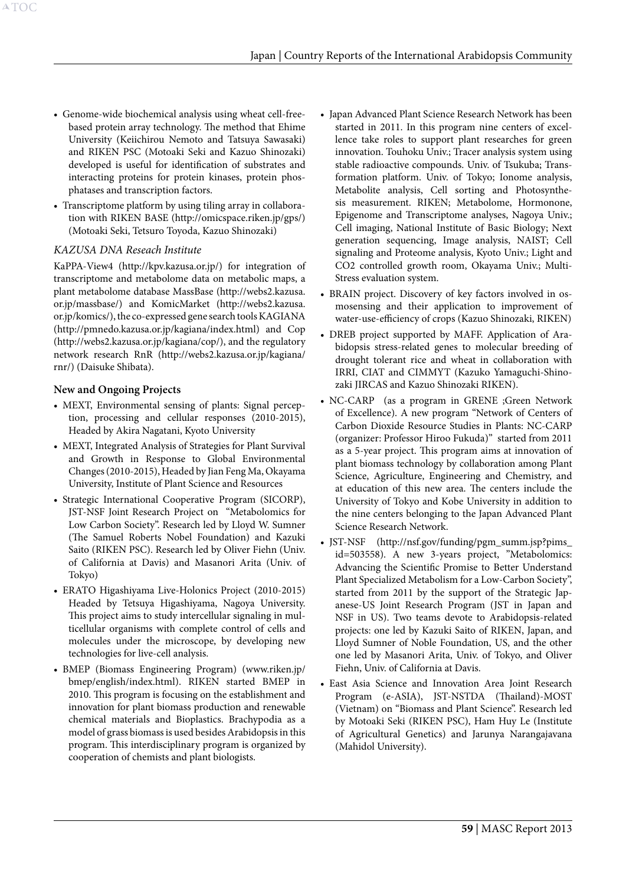- Genome-wide biochemical analysis using wheat cell-freebased protein array technology. The method that Ehime University (Keiichirou Nemoto and Tatsuya Sawasaki) and RIKEN PSC (Motoaki Seki and Kazuo Shinozaki) developed is useful for identification of substrates and interacting proteins for protein kinases, protein phosphatases and transcription factors.
- Transcriptome platform by using tiling array in collaboration with RIKEN BASE (http://omicspace.riken.jp/gps/) (Motoaki Seki, Tetsuro Toyoda, Kazuo Shinozaki)

#### *KAZUSA DNA Reseach Institute*

KaPPA-View4 (http://kpv.kazusa.or.jp/) for integration of transcriptome and metabolome data on metabolic maps, a plant metabolome database MassBase (http://webs2.kazusa. or.jp/massbase/) and KomicMarket (http://webs2.kazusa. or.jp/komics/), the co-expressed gene search tools KAGIANA (http://pmnedo.kazusa.or.jp/kagiana/index.html) and Cop (http://webs2.kazusa.or.jp/kagiana/cop/), and the regulatory network research RnR (http://webs2.kazusa.or.jp/kagiana/ rnr/) (Daisuke Shibata).

#### **New and Ongoing Projects**

- MEXT, Environmental sensing of plants: Signal perception, processing and cellular responses (2010-2015), Headed by Akira Nagatani, Kyoto University
- MEXT, Integrated Analysis of Strategies for Plant Survival and Growth in Response to Global Environmental Changes (2010-2015), Headed by Jian Feng Ma, Okayama University, Institute of Plant Science and Resources
- • Strategic International Cooperative Program (SICORP), JST-NSF Joint Research Project on "Metabolomics for Low Carbon Society". Research led by Lloyd W. Sumner (The Samuel Roberts Nobel Foundation) and Kazuki Saito (RIKEN PSC). Research led by Oliver Fiehn (Univ. of California at Davis) and Masanori Arita (Univ. of Tokyo)
- • ERATO Higashiyama Live-Holonics Project (2010-2015) Headed by Tetsuya Higashiyama, Nagoya University. This project aims to study intercellular signaling in multicellular organisms with complete control of cells and molecules under the microscope, by developing new technologies for live-cell analysis.
- BMEP (Biomass Engineering Program) (www.riken.jp/ bmep/english/index.html). RIKEN started BMEP in 2010. This program is focusing on the establishment and innovation for plant biomass production and renewable chemical materials and Bioplastics. Brachypodia as a model of grass biomass is used besides Arabidopsis in this program. This interdisciplinary program is organized by cooperation of chemists and plant biologists.
- Japan Advanced Plant Science Research Network has been started in 2011. In this program nine centers of excellence take roles to support plant researches for green innovation. Touhoku Univ.; Tracer analysis system using stable radioactive compounds. Univ. of Tsukuba; Transformation platform. Univ. of Tokyo; Ionome analysis, Metabolite analysis, Cell sorting and Photosynthesis measurement. RIKEN; Metabolome, Hormonone, Epigenome and Transcriptome analyses, Nagoya Univ.; Cell imaging, National Institute of Basic Biology; Next generation sequencing, Image analysis, NAIST; Cell signaling and Proteome analysis, Kyoto Univ.; Light and CO2 controlled growth room, Okayama Univ.; Multi-Stress evaluation system.
- BRAIN project. Discovery of key factors involved in osmosensing and their application to improvement of water-use-efficiency of crops (Kazuo Shinozaki, RIKEN)
- DREB project supported by MAFF. Application of Arabidopsis stress-related genes to molecular breeding of drought tolerant rice and wheat in collaboration with IRRI, CIAT and CIMMYT (Kazuko Yamaguchi-Shinozaki JIRCAS and Kazuo Shinozaki RIKEN).
- • NC-CARP (as a program in GRENE ;Green Network of Excellence). A new program "Network of Centers of Carbon Dioxide Resource Studies in Plants: NC-CARP (organizer: Professor Hiroo Fukuda)" started from 2011 as a 5-year project. This program aims at innovation of plant biomass technology by collaboration among Plant Science, Agriculture, Engineering and Chemistry, and at education of this new area. The centers include the University of Tokyo and Kobe University in addition to the nine centers belonging to the Japan Advanced Plant Science Research Network.
- JST-NSF (http://nsf.gov/funding/pgm\_summ.jsp?pims\_ id=503558). A new 3-years project, "Metabolomics: Advancing the Scientific Promise to Better Understand Plant Specialized Metabolism for a Low-Carbon Society", started from 2011 by the support of the Strategic Japanese-US Joint Research Program (JST in Japan and NSF in US). Two teams devote to Arabidopsis-related projects: one led by Kazuki Saito of RIKEN, Japan, and Lloyd Sumner of Noble Foundation, US, and the other one led by Masanori Arita, Univ. of Tokyo, and Oliver Fiehn, Univ. of California at Davis.
- • East Asia Science and Innovation Area Joint Research Program (e-ASIA), JST-NSTDA (Thailand)-MOST (Vietnam) on "Biomass and Plant Science". Research led by Motoaki Seki (RIKEN PSC), Ham Huy Le (Institute of Agricultural Genetics) and Jarunya Narangajavana (Mahidol University).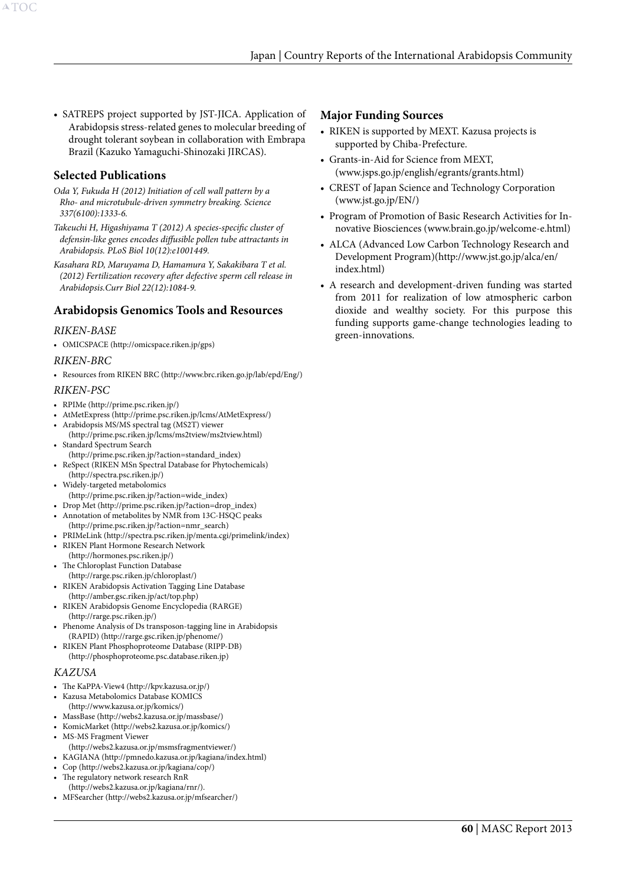• SATREPS project supported by JST-JICA. Application of Arabidopsis stress-related genes to molecular breeding of drought tolerant soybean in collaboration with Embrapa Brazil (Kazuko Yamaguchi-Shinozaki JIRCAS).

#### **Selected Publications**

*Oda Y, Fukuda H (2012) Initiation of cell wall pattern by a Rho- and microtubule-driven symmetry breaking. Science 337(6100):1333-6.*

*Takeuchi H, Higashiyama T (2012) A species-specific cluster of defensin-like genes encodes diffusible pollen tube attractants in Arabidopsis. PLoS Biol 10(12):e1001449.*

*Kasahara RD, Maruyama D, Hamamura Y, Sakakibara T et al. (2012) Fertilization recovery after defective sperm cell release in Arabidopsis.Curr Biol 22(12):1084-9.*

## **Arabidopsis Genomics Tools and Resources**

#### *RIKEN-BASE*

• OMICSPACE (http://omicspace.riken.jp/gps)

#### *RIKEN-BRC*

• Resources from RIKEN BRC (http://www.brc.riken.go.jp/lab/epd/Eng/)

#### *RIKEN-PSC*

- • RPIMe (http://prime.psc.riken.jp/)
- • AtMetExpress (http://prime.psc.riken.jp/lcms/AtMetExpress/)
- • Arabidopsis MS/MS spectral tag (MS2T) viewer (http://prime.psc.riken.jp/lcms/ms2tview/ms2tview.html) • Standard Spectrum Search
- (http://prime.psc.riken.jp/?action=standard\_index)
- ReSpect (RIKEN MSn Spectral Database for Phytochemicals) (http://spectra.psc.riken.jp/)
- • Widely-targeted metabolomics (http://prime.psc.riken.jp/?action=wide\_index)
- • Drop Met (http://prime.psc.riken.jp/?action=drop\_index)
- Annotation of metabolites by NMR from 13C-HSQC peaks (http://prime.psc.riken.jp/?action=nmr\_search)
- • PRIMeLink (http://spectra.psc.riken.jp/menta.cgi/primelink/index)
- • RIKEN Plant Hormone Research Network
- (http://hormones.psc.riken.jp/)
- The Chloroplast Function Database (http://rarge.psc.riken.jp/chloroplast/)
- RIKEN Arabidopsis Activation Tagging Line Database
- (http://amber.gsc.riken.jp/act/top.php) RIKEN Arabidopsis Genome Encyclopedia (RARGE) (http://rarge.psc.riken.jp/)
- Phenome Analysis of Ds transposon-tagging line in Arabidopsis (RAPID) (http://rarge.gsc.riken.jp/phenome/)
- RIKEN Plant Phosphoproteome Database (RIPP-DB) (http://phosphoproteome.psc.database.riken.jp)

#### *KAZUSA*

- • The KaPPA-View4 (http://kpv.kazusa.or.jp/)
- • Kazusa Metabolomics Database KOMICS (http://www.kazusa.or.jp/komics/)
- • MassBase (http://webs2.kazusa.or.jp/massbase/)
- • KomicMarket (http://webs2.kazusa.or.jp/komics/)
- MS-MS Fragment Viewer (http://webs2.kazusa.or.jp/msmsfragmentviewer/)
- • KAGIANA (http://pmnedo.kazusa.or.jp/kagiana/index.html)
- • Cop (http://webs2.kazusa.or.jp/kagiana/cop/)
- The regulatory network research RnR
- (http://webs2.kazusa.or.jp/kagiana/rnr/).
- MFSearcher (http://webs2.kazusa.or.jp/mfsearcher/)

#### **Major Funding Sources**

- RIKEN is supported by MEXT. Kazusa projects is supported by Chiba-Prefecture.
- Grants-in-Aid for Science from MEXT, (www.jsps.go.jp/english/egrants/grants.html)
- CREST of Japan Science and Technology Corporation (www.jst.go.jp/EN/)
- Program of Promotion of Basic Research Activities for Innovative Biosciences (www.brain.go.jp/welcome-e.html)
- ALCA (Advanced Low Carbon Technology Research and Development Program)(http://www.jst.go.jp/alca/en/ index.html)
- A research and development-driven funding was started from 2011 for realization of low atmospheric carbon dioxide and wealthy society. For this purpose this funding supports game-change technologies leading to green-innovations.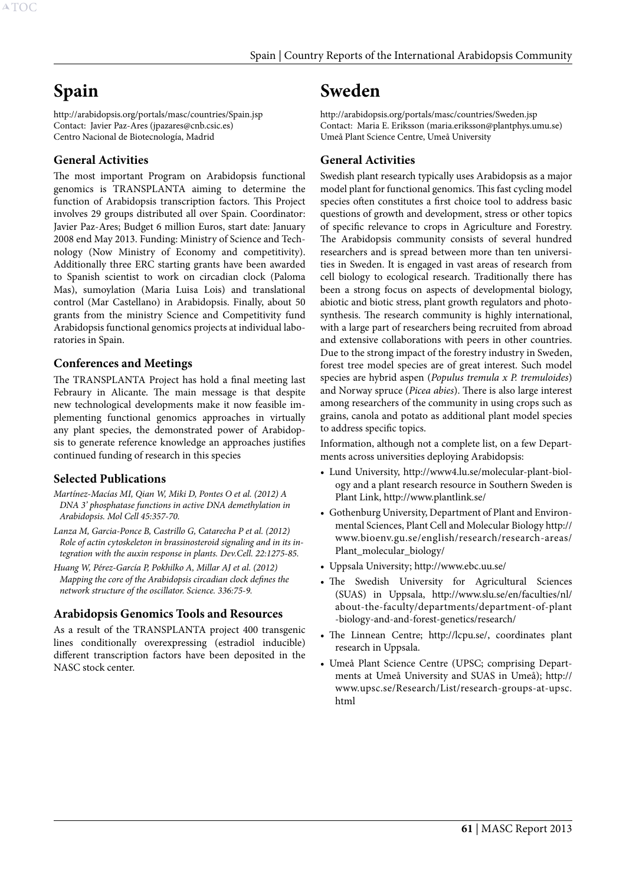# <span id="page-61-0"></span>**Spain**

http://arabidopsis.org/portals/masc/countries/Spain.jsp Contact: Javier Paz-Ares (jpazares@cnb.csic.es) Centro Nacional de Biotecnología, Madrid

# **General Activities**

The most important Program on Arabidopsis functional genomics is TRANSPLANTA aiming to determine the function of Arabidopsis transcription factors. This Project involves 29 groups distributed all over Spain. Coordinator: Javier Paz-Ares; Budget 6 million Euros, start date: January 2008 end May 2013. Funding: Ministry of Science and Technology (Now Ministry of Economy and competitivity). Additionally three ERC starting grants have been awarded to Spanish scientist to work on circadian clock (Paloma Mas), sumoylation (Maria Luisa Lois) and translational control (Mar Castellano) in Arabidopsis. Finally, about 50 grants from the ministry Science and Competitivity fund Arabidopsis functional genomics projects at individual laboratories in Spain.

## **Conferences and Meetings**

The TRANSPLANTA Project has hold a final meeting last Febraury in Alicante. The main message is that despite new technological developments make it now feasible implementing functional genomics approaches in virtually any plant species, the demonstrated power of Arabidopsis to generate reference knowledge an approaches justifies continued funding of research in this species

#### **Selected Publications**

- *Martínez-Macías MI, Qian W, Miki D, Pontes O et al. (2012) A DNA 3' phosphatase functions in active DNA demethylation in Arabidopsis. Mol Cell 45:357-70.*
- *Lanza M, Garcia-Ponce B, Castrillo G, Catarecha P et al. (2012) Role of actin cytoskeleton in brassinosteroid signaling and in its integration with the auxin response in plants. Dev.Cell. 22:1275-85.*
- *Huang W, Pérez-García P, Pokhilko A, Millar AJ et al. (2012) Mapping the core of the Arabidopsis circadian clock defines the network structure of the oscillator. Science. 336:75-9.*

# **Arabidopsis Genomics Tools and Resources**

As a result of the TRANSPLANTA project 400 transgenic lines conditionally overexpressing (estradiol inducible) different transcription factors have been deposited in the NASC stock center.

# **Sweden**

http://arabidopsis.org/portals/masc/countries/Sweden.jsp Contact: Maria E. Eriksson (maria.eriksson@plantphys.umu.se) Umeå Plant Science Centre, Umeå University

# **General Activities**

Swedish plant research typically uses Arabidopsis as a major model plant for functional genomics. This fast cycling model species often constitutes a first choice tool to address basic questions of growth and development, stress or other topics of specific relevance to crops in Agriculture and Forestry. The Arabidopsis community consists of several hundred researchers and is spread between more than ten universities in Sweden. It is engaged in vast areas of research from cell biology to ecological research. Traditionally there has been a strong focus on aspects of developmental biology, abiotic and biotic stress, plant growth regulators and photosynthesis. The research community is highly international, with a large part of researchers being recruited from abroad and extensive collaborations with peers in other countries. Due to the strong impact of the forestry industry in Sweden, forest tree model species are of great interest. Such model species are hybrid aspen (*Populus tremula x P. tremuloides*) and Norway spruce (*Picea abies*). There is also large interest among researchers of the community in using crops such as grains, canola and potato as additional plant model species to address specific topics.

Information, although not a complete list, on a few Departments across universities deploying Arabidopsis:

- • Lund University, http://www4.lu.se/molecular-plant-biology and a plant research resource in Southern Sweden is Plant Link, http://www.plantlink.se/
- Gothenburg University, Department of Plant and Environmental Sciences, Plant Cell and Molecular Biology http:// www.bioenv.gu.se/english/research/research-areas/ Plant\_molecular\_biology/
- • Uppsala University; http://www.ebc.uu.se/
- The Swedish University for Agricultural Sciences (SUAS) in Uppsala, http://www.slu.se/en/faculties/nl/ about-the-faculty/departments/department-of-plant -biology-and-and-forest-genetics/research/
- The Linnean Centre; http://lcpu.se/, coordinates plant research in Uppsala.
- • Umeå Plant Science Centre (UPSC; comprising Departments at Umeå University and SUAS in Umeå); http:// www.upsc.se/Research/List/research-groups-at-upsc. html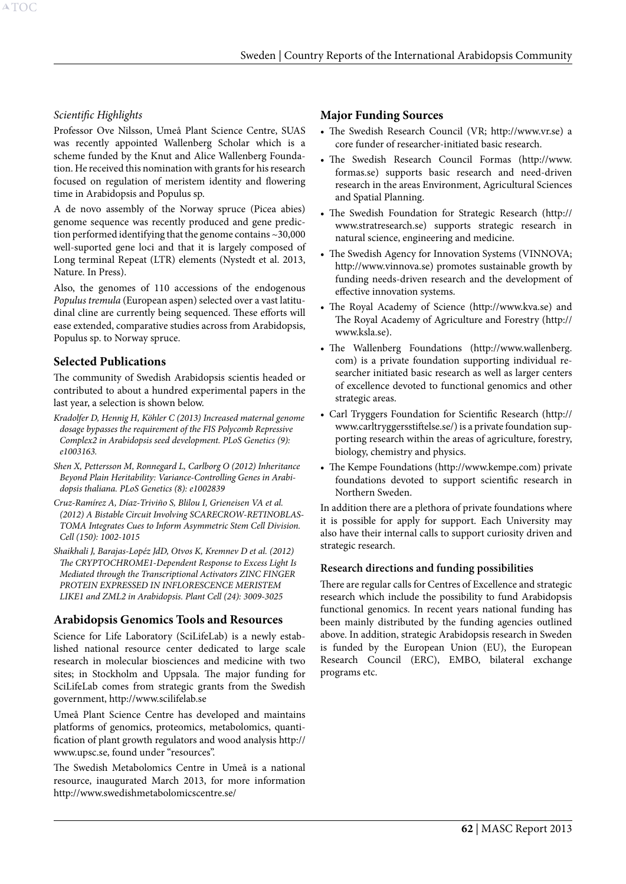#### *Scientific Highlights*

Professor Ove Nilsson, Umeå Plant Science Centre, SUAS was recently appointed Wallenberg Scholar which is a scheme funded by the Knut and Alice Wallenberg Foundation. He received this nomination with grants for his research focused on regulation of meristem identity and flowering time in Arabidopsis and Populus sp.

A de novo assembly of the Norway spruce (Picea abies) genome sequence was recently produced and gene prediction performed identifying that the genome contains ~30,000 well-suported gene loci and that it is largely composed of Long terminal Repeat (LTR) elements (Nystedt et al. 2013, Nature. In Press).

Also, the genomes of 110 accessions of the endogenous *Populus tremula* (European aspen) selected over a vast latitudinal cline are currently being sequenced. These efforts will ease extended, comparative studies across from Arabidopsis, Populus sp. to Norway spruce.

## **Selected Publications**

The community of Swedish Arabidopsis scientis headed or contributed to about a hundred experimental papers in the last year, a selection is shown below.

- *Kradolfer D, Hennig H, Köhler C (2013) Increased maternal genome dosage bypasses the requirement of the FIS Polycomb Repressive Complex2 in Arabidopsis seed development. PLoS Genetics (9): e1003163.*
- *Shen X, Pettersson M, Ronnegard L, Carlborg O (2012) Inheritance Beyond Plain Heritability: Variance-Controlling Genes in Arabidopsis thaliana. PLoS Genetics (8): e1002839*
- *Cruz-Ramírez A, Díaz-Triviño S, Blilou I, Grieneisen VA et al. (2012) A Bistable Circuit Involving SCARECROW-RETINOBLAS-TOMA Integrates Cues to Inform Asymmetric Stem Cell Division. Cell (150): 1002-1015*
- *Shaikhali J, Barajas-Lopéz JdD, Otvos K, Kremnev D et al. (2012) The CRYPTOCHROME1-Dependent Response to Excess Light Is Mediated through the Transcriptional Activators ZINC FINGER PROTEIN EXPRESSED IN INFLORESCENCE MERISTEM LIKE1 and ZML2 in Arabidopsis. Plant Cell (24): 3009-3025*

#### **Arabidopsis Genomics Tools and Resources**

Science for Life Laboratory (SciLifeLab) is a newly established national resource center dedicated to large scale research in molecular biosciences and medicine with two sites; in Stockholm and Uppsala. The major funding for SciLifeLab comes from strategic grants from the Swedish government, http://www.scilifelab.se

Umeå Plant Science Centre has developed and maintains platforms of genomics, proteomics, metabolomics, quantification of plant growth regulators and wood analysis http:// www.upsc.se, found under "resources".

The Swedish Metabolomics Centre in Umeå is a national resource, inaugurated March 2013, for more information http://www.swedishmetabolomicscentre.se/

#### **Major Funding Sources**

- • The Swedish Research Council (VR; http://www.vr.se) a core funder of researcher-initiated basic research.
- The Swedish Research Council Formas (http://www. formas.se) supports basic research and need-driven research in the areas Environment, Agricultural Sciences and Spatial Planning.
- • The Swedish Foundation for Strategic Research (http:// www.stratresearch.se) supports strategic research in natural science, engineering and medicine.
- The Swedish Agency for Innovation Systems (VINNOVA; http://www.vinnova.se) promotes sustainable growth by funding needs-driven research and the development of effective innovation systems.
- • The Royal Academy of Science (http://www.kva.se) and The Royal Academy of Agriculture and Forestry (http:// www.ksla.se).
- The Wallenberg Foundations (http://www.wallenberg. com) is a private foundation supporting individual researcher initiated basic research as well as larger centers of excellence devoted to functional genomics and other strategic areas.
- • Carl Tryggers Foundation for Scientific Research (http:// www.carltryggersstiftelse.se/) is a private foundation supporting research within the areas of agriculture, forestry, biology, chemistry and physics.
- The Kempe Foundations (http://www.kempe.com) private foundations devoted to support scientific research in Northern Sweden.

In addition there are a plethora of private foundations where it is possible for apply for support. Each University may also have their internal calls to support curiosity driven and strategic research.

#### **Research directions and funding possibilities**

There are regular calls for Centres of Excellence and strategic research which include the possibility to fund Arabidopsis functional genomics. In recent years national funding has been mainly distributed by the funding agencies outlined above. In addition, strategic Arabidopsis research in Sweden is funded by the European Union (EU), the European Research Council (ERC), EMBO, bilateral exchange programs etc.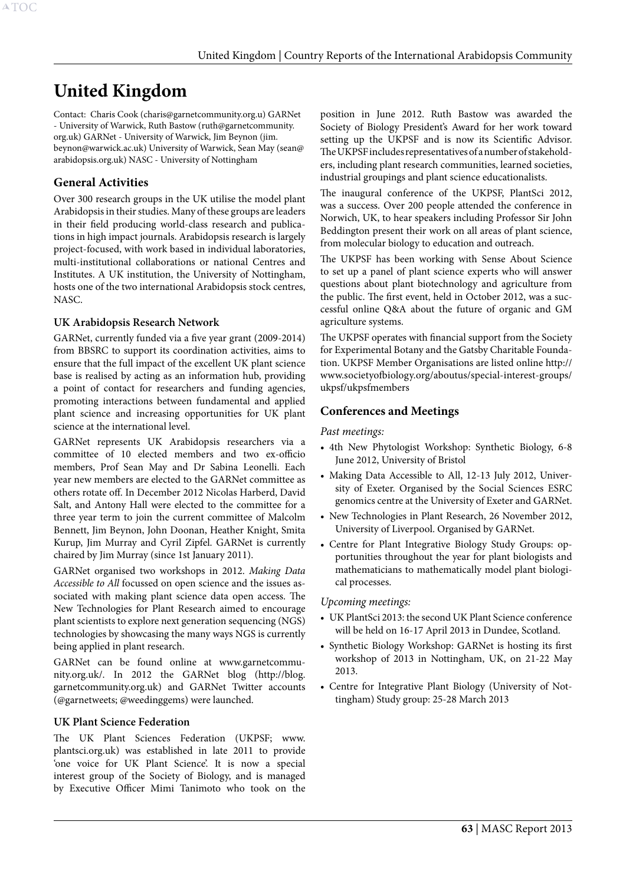# <span id="page-63-0"></span>**United Kingdom**

Contact: Charis Cook (charis@garnetcommunity.org.u) GARNet - University of Warwick, Ruth Bastow (ruth@garnetcommunity. org.uk) GARNet - University of Warwick, Jim Beynon (jim. beynon@warwick.ac.uk) University of Warwick, Sean May (sean@ arabidopsis.org.uk) NASC - University of Nottingham

# **General Activities**

Over 300 research groups in the UK utilise the model plant Arabidopsis in their studies. Many of these groups are leaders in their field producing world-class research and publications in high impact journals. Arabidopsis research is largely project-focused, with work based in individual laboratories, multi-institutional collaborations or national Centres and Institutes. A UK institution, the University of Nottingham, hosts one of the two international Arabidopsis stock centres, NASC.

## **UK Arabidopsis Research Network**

GARNet, currently funded via a five year grant (2009-2014) from BBSRC to support its coordination activities, aims to ensure that the full impact of the excellent UK plant science base is realised by acting as an information hub, providing a point of contact for researchers and funding agencies, promoting interactions between fundamental and applied plant science and increasing opportunities for UK plant science at the international level.

GARNet represents UK Arabidopsis researchers via a committee of 10 elected members and two ex-officio members, Prof Sean May and Dr Sabina Leonelli. Each year new members are elected to the GARNet committee as others rotate off. In December 2012 Nicolas Harberd, David Salt, and Antony Hall were elected to the committee for a three year term to join the current committee of Malcolm Bennett, Jim Beynon, John Doonan, Heather Knight, Smita Kurup, Jim Murray and Cyril Zipfel. GARNet is currently chaired by Jim Murray (since 1st January 2011).

GARNet organised two workshops in 2012. *Making Data Accessible to All* focussed on open science and the issues associated with making plant science data open access. The New Technologies for Plant Research aimed to encourage plant scientists to explore next generation sequencing (NGS) technologies by showcasing the many ways NGS is currently being applied in plant research.

GARNet can be found online at www.garnetcommunity.org.uk/. In 2012 the GARNet blog (http://blog. garnetcommunity.org.uk) and GARNet Twitter accounts (@garnetweets; @weedinggems) were launched.

#### **UK Plant Science Federation**

The UK Plant Sciences Federation (UKPSF; www. plantsci.org.uk) was established in late 2011 to provide 'one voice for UK Plant Science'. It is now a special interest group of the Society of Biology, and is managed by Executive Officer Mimi Tanimoto who took on the

position in June 2012. Ruth Bastow was awarded the Society of Biology President's Award for her work toward setting up the UKPSF and is now its Scientific Advisor. The UKPSF includes representatives of a number of stakeholders, including plant research communities, learned societies, industrial groupings and plant science educationalists.

The inaugural conference of the UKPSF, PlantSci 2012, was a success. Over 200 people attended the conference in Norwich, UK, to hear speakers including Professor Sir John Beddington present their work on all areas of plant science, from molecular biology to education and outreach.

The UKPSF has been working with Sense About Science to set up a panel of plant science experts who will answer questions about plant biotechnology and agriculture from the public. The first event, held in October 2012, was a successful online Q&A about the future of organic and GM agriculture systems.

The UKPSF operates with financial support from the Society for Experimental Botany and the Gatsby Charitable Foundation. UKPSF Member Organisations are listed online http:// www.societyofbiology.org/aboutus/special-interest-groups/ ukpsf/ukpsfmembers

# **Conferences and Meetings**

#### *Past meetings:*

- 4th New Phytologist Workshop: Synthetic Biology, 6-8 June 2012, University of Bristol
- Making Data Accessible to All, 12-13 July 2012, University of Exeter. Organised by the Social Sciences ESRC genomics centre at the University of Exeter and GARNet.
- New Technologies in Plant Research, 26 November 2012, University of Liverpool. Organised by GARNet.
- • Centre for Plant Integrative Biology Study Groups: opportunities throughout the year for plant biologists and mathematicians to mathematically model plant biological processes.

#### *Upcoming meetings:*

- • UK PlantSci 2013: the second UK Plant Science conference will be held on 16-17 April 2013 in Dundee, Scotland.
- • Synthetic Biology Workshop: GARNet is hosting its first workshop of 2013 in Nottingham, UK, on 21-22 May 2013.
- • Centre for Integrative Plant Biology (University of Nottingham) Study group: 25-28 March 2013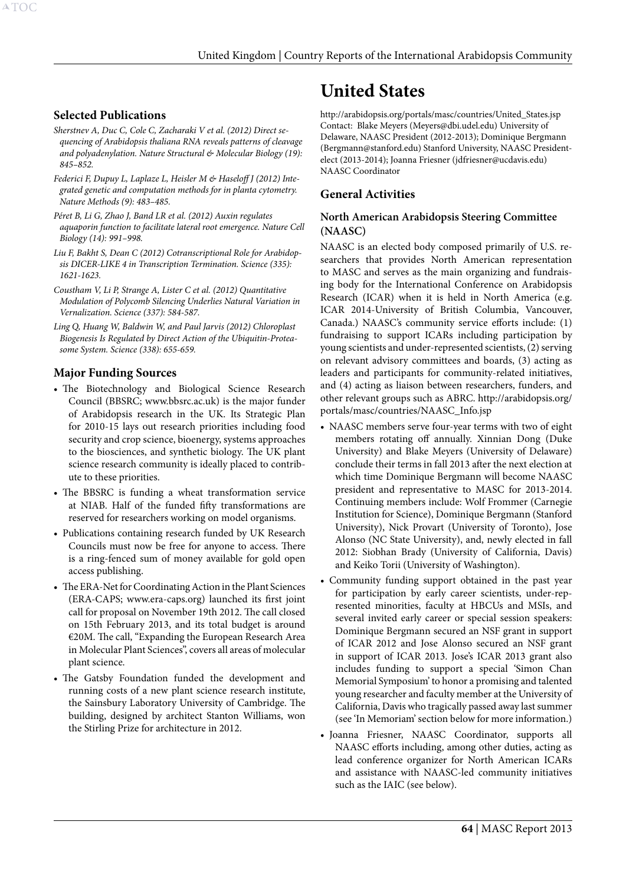# <span id="page-64-0"></span>**Selected Publications**

- *Sherstnev A, Duc C, Cole C, Zacharaki V et al. (2012) Direct sequencing of Arabidopsis thaliana RNA reveals patterns of cleavage and polyadenylation. Nature Structural & Molecular Biology (19): 845–852.*
- *Federici F, Dupuy L, Laplaze L, Heisler M & Haseloff J (2012) Integrated genetic and computation methods for in planta cytometry. Nature Methods (9): 483–485.*
- *Péret B, Li G, Zhao J, Band LR et al. (2012) Auxin regulates aquaporin function to facilitate lateral root emergence. Nature Cell Biology (14): 991–998.*
- *Liu F, Bakht S, Dean C (2012) Cotranscriptional Role for Arabidopsis DICER-LIKE 4 in Transcription Termination. Science (335): 1621-1623.*
- *Coustham V, Li P, Strange A, Lister C et al. (2012) Quantitative Modulation of Polycomb Silencing Underlies Natural Variation in Vernalization. Science (337): 584-587.*
- *Ling Q, Huang W, Baldwin W, and Paul Jarvis (2012) Chloroplast Biogenesis Is Regulated by Direct Action of the Ubiquitin-Proteasome System. Science (338): 655-659.*

# **Major Funding Sources**

- The Biotechnology and Biological Science Research Council (BBSRC; www.bbsrc.ac.uk) is the major funder of Arabidopsis research in the UK. Its Strategic Plan for 2010-15 lays out research priorities including food security and crop science, bioenergy, systems approaches to the biosciences, and synthetic biology. The UK plant science research community is ideally placed to contribute to these priorities.
- The BBSRC is funding a wheat transformation service at NIAB. Half of the funded fifty transformations are reserved for researchers working on model organisms.
- • Publications containing research funded by UK Research Councils must now be free for anyone to access. There is a ring-fenced sum of money available for gold open access publishing.
- • The ERA-Net for Coordinating Action in the Plant Sciences (ERA-CAPS; www.era-caps.org) launched its first joint call for proposal on November 19th 2012. The call closed on 15th February 2013, and its total budget is around €20M. The call, "Expanding the European Research Area in Molecular Plant Sciences", covers all areas of molecular plant science.
- The Gatsby Foundation funded the development and running costs of a new plant science research institute, the Sainsbury Laboratory University of Cambridge. The building, designed by architect Stanton Williams, won the Stirling Prize for architecture in 2012.

# **United States**

http://arabidopsis.org/portals/masc/countries/United\_States.jsp Contact: Blake Meyers (Meyers@dbi.udel.edu) University of Delaware, NAASC President (2012-2013); Dominique Bergmann (Bergmann@stanford.edu) Stanford University, NAASC Presidentelect (2013-2014); Joanna Friesner (jdfriesner@ucdavis.edu) NAASC Coordinator

# **General Activities**

#### **North American Arabidopsis Steering Committee (NAASC)**

NAASC is an elected body composed primarily of U.S. researchers that provides North American representation to MASC and serves as the main organizing and fundraising body for the International Conference on Arabidopsis Research (ICAR) when it is held in North America (e.g. ICAR 2014-University of British Columbia, Vancouver, Canada.) NAASC's community service efforts include: (1) fundraising to support ICARs including participation by young scientists and under-represented scientists, (2) serving on relevant advisory committees and boards, (3) acting as leaders and participants for community-related initiatives, and (4) acting as liaison between researchers, funders, and other relevant groups such as ABRC. http://arabidopsis.org/ portals/masc/countries/NAASC\_Info.jsp

- NAASC members serve four-year terms with two of eight members rotating off annually. Xinnian Dong (Duke University) and Blake Meyers (University of Delaware) conclude their terms in fall 2013 after the next election at which time Dominique Bergmann will become NAASC president and representative to MASC for 2013-2014. Continuing members include: Wolf Frommer (Carnegie Institution for Science), Dominique Bergmann (Stanford University), Nick Provart (University of Toronto), Jose Alonso (NC State University), and, newly elected in fall 2012: Siobhan Brady (University of California, Davis) and Keiko Torii (University of Washington).
- • Community funding support obtained in the past year for participation by early career scientists, under-represented minorities, faculty at HBCUs and MSIs, and several invited early career or special session speakers: Dominique Bergmann secured an NSF grant in support of ICAR 2012 and Jose Alonso secured an NSF grant in support of ICAR 2013. Jose's ICAR 2013 grant also includes funding to support a special 'Simon Chan Memorial Symposium' to honor a promising and talented young researcher and faculty member at the University of California, Davis who tragically passed away last summer (see 'In Memoriam' section below for more information.)
- • Joanna Friesner, NAASC Coordinator, supports all NAASC efforts including, among other duties, acting as lead conference organizer for North American ICARs and assistance with NAASC-led community initiatives such as the IAIC (see below).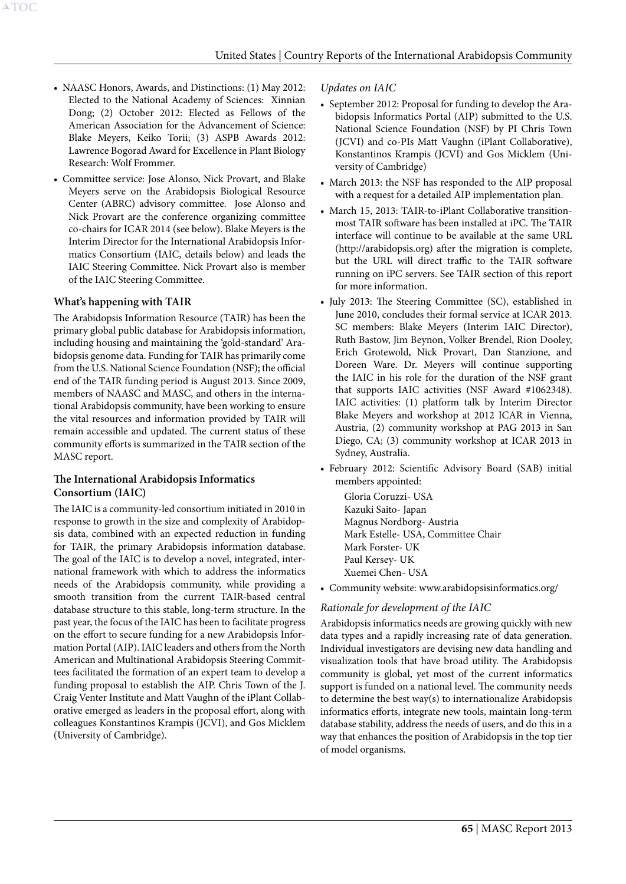- NAASC Honors, Awards, and Distinctions: (1) May 2012: Elected to the National Academy of Sciences: Xinnian Dong; (2) October 2012: Elected as Fellows of the American Association for the Advancement of Science: Blake Meyers, Keiko Torii; (3) ASPB Awards 2012: Lawrence Bogorad Award for Excellence in Plant Biology Research: Wolf Frommer.
- • Committee service: Jose Alonso, Nick Provart, and Blake Meyers serve on the Arabidopsis Biological Resource Center (ABRC) advisory committee. Jose Alonso and Nick Provart are the conference organizing committee co-chairs for ICAR 2014 (see below). Blake Meyers is the Interim Director for the International Arabidopsis Informatics Consortium (IAIC, details below) and leads the IAIC Steering Committee. Nick Provart also is member of the IAIC Steering Committee.

## **What's happening with TAIR**

The Arabidopsis Information Resource (TAIR) has been the primary global public database for Arabidopsis information, including housing and maintaining the 'gold-standard' Arabidopsis genome data. Funding for TAIR has primarily come from the U.S. National Science Foundation (NSF); the official end of the TAIR funding period is August 2013. Since 2009, members of NAASC and MASC, and others in the international Arabidopsis community, have been working to ensure the vital resources and information provided by TAIR will remain accessible and updated. The current status of these community efforts is summarized in the TAIR section of the MASC report.

# **The International Arabidopsis Informatics Consortium (IAIC)**

The IAIC is a community-led consortium initiated in 2010 in response to growth in the size and complexity of Arabidopsis data, combined with an expected reduction in funding for TAIR, the primary Arabidopsis information database. The goal of the IAIC is to develop a novel, integrated, international framework with which to address the informatics needs of the Arabidopsis community, while providing a smooth transition from the current TAIR-based central database structure to this stable, long-term structure. In the past year, the focus of the IAIC has been to facilitate progress on the effort to secure funding for a new Arabidopsis Information Portal (AIP). IAIC leaders and others from the North American and Multinational Arabidopsis Steering Committees facilitated the formation of an expert team to develop a funding proposal to establish the AIP. Chris Town of the J. Craig Venter Institute and Matt Vaughn of the iPlant Collaborative emerged as leaders in the proposal effort, along with colleagues Konstantinos Krampis (JCVI), and Gos Micklem (University of Cambridge).

## *Updates on IAIC*

- September 2012: Proposal for funding to develop the Arabidopsis Informatics Portal (AIP) submitted to the U.S. National Science Foundation (NSF) by PI Chris Town (JCVI) and co-PIs Matt Vaughn (iPlant Collaborative), Konstantinos Krampis (JCVI) and Gos Micklem (University of Cambridge)
- March 2013: the NSF has responded to the AIP proposal with a request for a detailed AIP implementation plan.
- March 15, 2013: TAIR-to-iPlant Collaborative transitionmost TAIR software has been installed at iPC. The TAIR interface will continue to be available at the same URL (http://arabidopsis.org) after the migration is complete, but the URL will direct traffic to the TAIR software running on iPC servers. See TAIR section of this report for more information.
- July 2013: The Steering Committee (SC), established in June 2010, concludes their formal service at ICAR 2013. SC members: Blake Meyers (Interim IAIC Director), Ruth Bastow, Jim Beynon, Volker Brendel, Rion Dooley, Erich Grotewold, Nick Provart, Dan Stanzione, and Doreen Ware. Dr. Meyers will continue supporting the IAIC in his role for the duration of the NSF grant that supports IAIC activities (NSF Award #1062348). IAIC activities: (1) platform talk by Interim Director Blake Meyers and workshop at 2012 ICAR in Vienna, Austria, (2) community workshop at PAG 2013 in San Diego, CA; (3) community workshop at ICAR 2013 in Sydney, Australia.
- • February 2012: Scientific Advisory Board (SAB) initial members appointed:

Gloria Coruzzi- USA Kazuki Saito- Japan Magnus Nordborg- Austria Mark Estelle- USA, Committee Chair Mark Forster- UK Paul Kersey- UK Xuemei Chen- USA

• Community website: www.arabidopsisinformatics.org/

# *Rationale for development of the IAIC*

Arabidopsis informatics needs are growing quickly with new data types and a rapidly increasing rate of data generation. Individual investigators are devising new data handling and visualization tools that have broad utility. The Arabidopsis community is global, yet most of the current informatics support is funded on a national level. The community needs to determine the best way(s) to internationalize Arabidopsis informatics efforts, integrate new tools, maintain long-term database stability, address the needs of users, and do this in a way that enhances the position of Arabidopsis in the top tier of model organisms.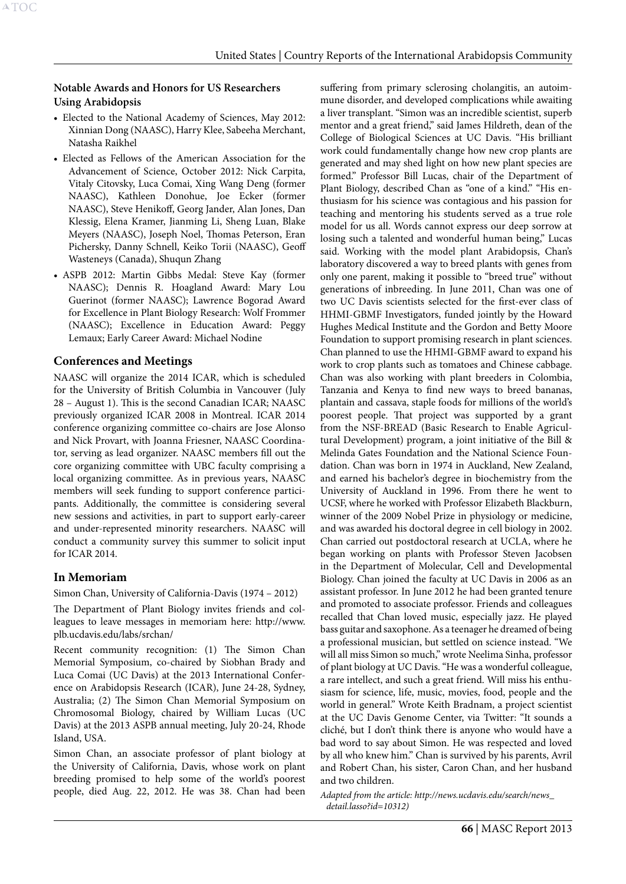## **Notable Awards and Honors for US Researchers Using Arabidopsis**

- Elected to the National Academy of Sciences, May 2012: Xinnian Dong (NAASC), Harry Klee, Sabeeha Merchant, Natasha Raikhel
- • Elected as Fellows of the American Association for the Advancement of Science, October 2012: Nick Carpita, Vitaly Citovsky, Luca Comai, Xing Wang Deng (former NAASC), Kathleen Donohue, Joe Ecker (former NAASC), Steve Henikoff, Georg Jander, Alan Jones, Dan Klessig, Elena Kramer, Jianming Li, Sheng Luan, Blake Meyers (NAASC), Joseph Noel, Thomas Peterson, Eran Pichersky, Danny Schnell, Keiko Torii (NAASC), Geoff Wasteneys (Canada), Shuqun Zhang
- • ASPB 2012: Martin Gibbs Medal: Steve Kay (former NAASC); Dennis R. Hoagland Award: Mary Lou Guerinot (former NAASC); Lawrence Bogorad Award for Excellence in Plant Biology Research: Wolf Frommer (NAASC); Excellence in Education Award: Peggy Lemaux; Early Career Award: Michael Nodine

## **Conferences and Meetings**

NAASC will organize the 2014 ICAR, which is scheduled for the University of British Columbia in Vancouver (July 28 – August 1). This is the second Canadian ICAR; NAASC previously organized ICAR 2008 in Montreal. ICAR 2014 conference organizing committee co-chairs are Jose Alonso and Nick Provart, with Joanna Friesner, NAASC Coordinator, serving as lead organizer. NAASC members fill out the core organizing committee with UBC faculty comprising a local organizing committee. As in previous years, NAASC members will seek funding to support conference participants. Additionally, the committee is considering several new sessions and activities, in part to support early-career and under-represented minority researchers. NAASC will conduct a community survey this summer to solicit input for ICAR 2014.

# **In Memoriam**

Simon Chan, University of California-Davis (1974 – 2012)

The Department of Plant Biology invites friends and colleagues to leave messages in memoriam here: http://www. plb.ucdavis.edu/labs/srchan/

Recent community recognition: (1) The Simon Chan Memorial Symposium, co-chaired by Siobhan Brady and Luca Comai (UC Davis) at the 2013 International Conference on Arabidopsis Research (ICAR), June 24-28, Sydney, Australia; (2) The Simon Chan Memorial Symposium on Chromosomal Biology, chaired by William Lucas (UC Davis) at the 2013 ASPB annual meeting, July 20-24, Rhode Island, USA.

Simon Chan, an associate professor of plant biology at the University of California, Davis, whose work on plant breeding promised to help some of the world's poorest people, died Aug. 22, 2012. He was 38. Chan had been

suffering from primary sclerosing cholangitis, an autoimmune disorder, and developed complications while awaiting a liver transplant. "Simon was an incredible scientist, superb mentor and a great friend," said James Hildreth, dean of the College of Biological Sciences at UC Davis. "His brilliant work could fundamentally change how new crop plants are generated and may shed light on how new plant species are formed." Professor Bill Lucas, chair of the Department of Plant Biology, described Chan as "one of a kind." "His enthusiasm for his science was contagious and his passion for teaching and mentoring his students served as a true role model for us all. Words cannot express our deep sorrow at losing such a talented and wonderful human being," Lucas said. Working with the model plant Arabidopsis, Chan's laboratory discovered a way to breed plants with genes from only one parent, making it possible to "breed true" without generations of inbreeding. In June 2011, Chan was one of two UC Davis scientists selected for the first-ever class of HHMI-GBMF Investigators, funded jointly by the Howard Hughes Medical Institute and the Gordon and Betty Moore Foundation to support promising research in plant sciences. Chan planned to use the HHMI-GBMF award to expand his work to crop plants such as tomatoes and Chinese cabbage. Chan was also working with plant breeders in Colombia, Tanzania and Kenya to find new ways to breed bananas, plantain and cassava, staple foods for millions of the world's poorest people. That project was supported by a grant from the NSF-BREAD (Basic Research to Enable Agricultural Development) program, a joint initiative of the Bill & Melinda Gates Foundation and the National Science Foundation. Chan was born in 1974 in Auckland, New Zealand, and earned his bachelor's degree in biochemistry from the University of Auckland in 1996. From there he went to UCSF, where he worked with Professor Elizabeth Blackburn, winner of the 2009 Nobel Prize in physiology or medicine, and was awarded his doctoral degree in cell biology in 2002. Chan carried out postdoctoral research at UCLA, where he began working on plants with Professor Steven Jacobsen in the Department of Molecular, Cell and Developmental Biology. Chan joined the faculty at UC Davis in 2006 as an assistant professor. In June 2012 he had been granted tenure and promoted to associate professor. Friends and colleagues recalled that Chan loved music, especially jazz. He played bass guitar and saxophone. As a teenager he dreamed of being a professional musician, but settled on science instead. "We will all miss Simon so much," wrote Neelima Sinha, professor of plant biology at UC Davis. "He was a wonderful colleague, a rare intellect, and such a great friend. Will miss his enthusiasm for science, life, music, movies, food, people and the world in general." Wrote Keith Bradnam, a project scientist at the UC Davis Genome Center, via Twitter: "It sounds a cliché, but I don't think there is anyone who would have a bad word to say about Simon. He was respected and loved by all who knew him." Chan is survived by his parents, Avril and Robert Chan, his sister, Caron Chan, and her husband and two children.

*Adapted from the article: http://news.ucdavis.edu/search/news\_ detail.lasso?id=10312)*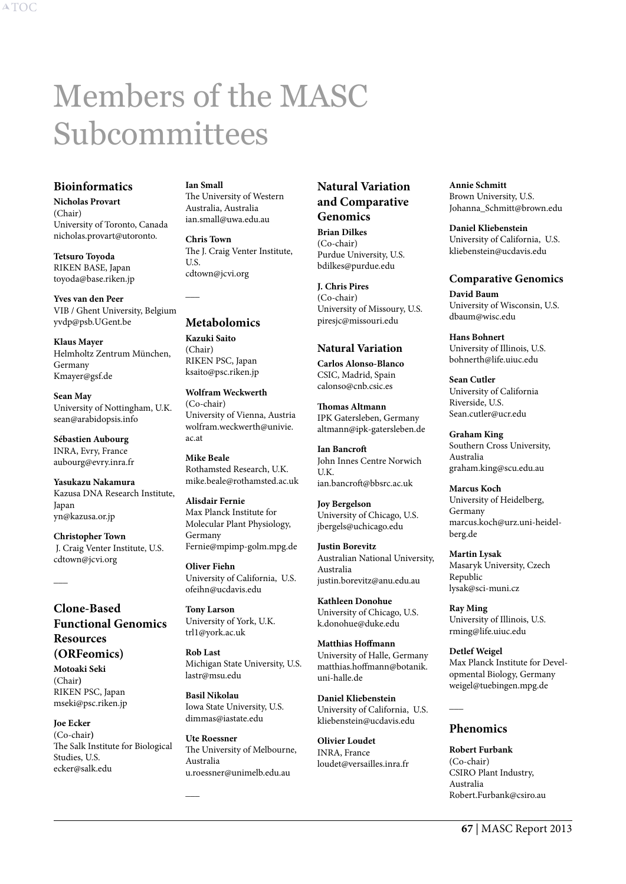# <span id="page-67-0"></span>Members of the MASC Subcommittees

## **Bioinformatics**

**Nicholas Provart**  (Chair) University of Toronto, Canada nicholas.provart@utoronto.

**Tetsuro Toyoda**  RIKEN BASE, Japan toyoda@base.riken.jp

**Yves van den Peer** VIB / Ghent University, Belgium yvdp@psb.UGent.be

**Klaus Mayer** Helmholtz Zentrum München, Germany Kmayer@gsf.de

**Sean May** University of Nottingham, U.K. sean@arabidopsis.info

**Sébastien Aubourg** INRA, Evry, France aubourg@evry.inra.fr

**Yasukazu Nakamura** Kazusa DNA Research Institute, Japan yn@kazusa.or.jp

**Christopher Town** J. Craig Venter Institute, U.S. cdtown@jcvi.org

# **Clone-Based Functional Genomics Resources (ORFeomics)**

**Motoaki Seki** (Chair**)** RIKEN PSC, Japan mseki@psc.riken.jp

 $\overline{\phantom{a}}$ 

**Joe Ecker** (Co-chair**)** The Salk Institute for Biological Studies, U.S. ecker@salk.edu

## **Ian Small**

The University of Western Australia, Australia ian.small@uwa.edu.au

**Chris Town** The J. Craig Venter Institute, U.S. cdtown@jcvi.org

# **Metabolomics**

 $\overline{\phantom{a}}$ 

**Kazuki Saito**  (Chair) RIKEN PSC, Japan ksaito@psc.riken.jp

**Wolfram Weckwerth** (Co-chair) University of Vienna, Austria wolfram.weckwerth@univie. ac.at

**Mike Beale** Rothamsted Research, U.K. mike.beale@rothamsted.ac.uk

**Alisdair Fernie** Max Planck Institute for Molecular Plant Physiology, Germany Fernie@mpimp-golm.mpg.de

**Oliver Fiehn** University of California, U.S. ofeihn@ucdavis.edu

**Tony Larson** University of York, U.K. trl1@york.ac.uk

**Rob Last** Michigan State University, U.S. lastr@msu.edu

**Basil Nikolau** Iowa State University, U.S. dimmas@iastate.edu

**Ute Roessner** The University of Melbourne, Australia u.roessner@unimelb.edu.au

 $\overline{\phantom{a}}$ 

# **Natural Variation and Comparative Genomics**

**Brian Dilkes**  (Co-chair) Purdue University, U.S. bdilkes@purdue.edu

**J. Chris Pires**  (Co-chair) University of Missoury, U.S. piresjc@missouri.edu

# **Natural Variation**

**Carlos Alonso-Blanco** CSIC, Madrid, Spain calonso@cnb.csic.es

**Thomas Altmann** IPK Gatersleben, Germany altmann@ipk-gatersleben.de

**Ian Bancroft** John Innes Centre Norwich  $IIK$ ian.bancroft@bbsrc.ac.uk

**Joy Bergelson** University of Chicago, U.S. jbergels@uchicago.edu

**Justin Borevitz** Australian National University, Australia justin.borevitz@anu.edu.au

**Kathleen Donohue** University of Chicago, U.S. k.donohue@duke.edu

**Matthias Hoffmann** University of Halle, Germany matthias.hoffmann@botanik. uni-halle.de

**Daniel Kliebenstein**  University of California, U.S. kliebenstein@ucdavis.edu

**Olivier Loudet** INRA, France loudet@versailles.inra.fr

**Annie Schmitt** Brown University, U.S. Johanna\_Schmitt@brown.edu

**Daniel Kliebenstein** University of California, U.S. kliebenstein@ucdavis.edu

**Comparative Genomics David Baum** University of Wisconsin, U.S.

**Hans Bohnert** University of Illinois, U.S. bohnerth@life.uiuc.edu

dbaum@wisc.edu

**Sean Cutler** University of California Riverside, U.S. Sean.cutler@ucr.edu

**Graham King** Southern Cross University, Australia graham.king@scu.edu.au

**Marcus Koch** University of Heidelberg, Germany marcus.koch@urz.uni-heidelberg.de

**Martin Lysak** Masaryk University, Czech Republic lysak@sci-muni.cz

**Ray Ming** University of Illinois, U.S. rming@life.uiuc.edu

**Detlef Weigel** Max Planck Institute for Developmental Biology, Germany weigel@tuebingen.mpg.de

# **Phenomics**

 $\overline{\phantom{a}}$ 

**Robert Furbank** (Co-chair) CSIRO Plant Industry, Australia Robert.Furbank@csiro.au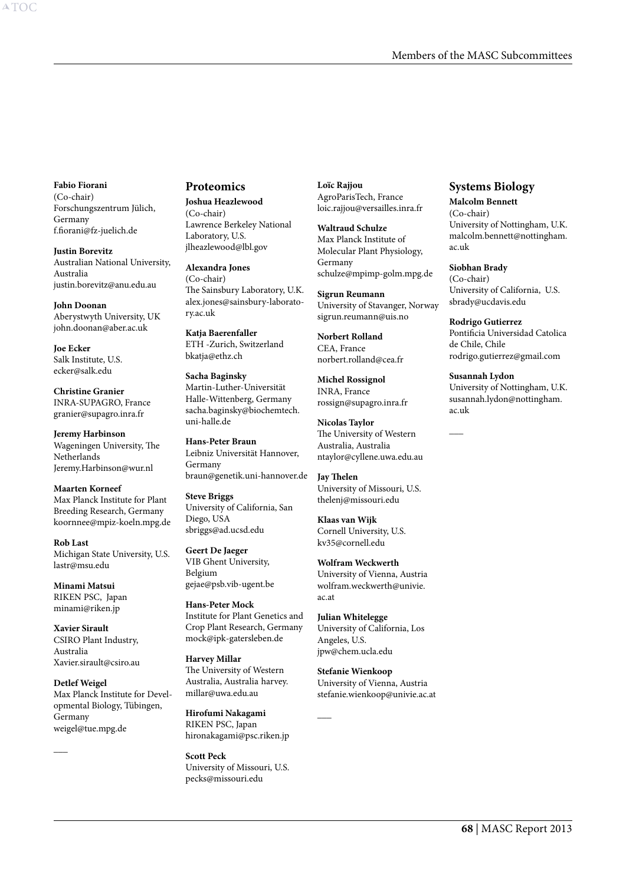**Fabio Fiorani** (Co-chair) Forschungszentrum Jülich, Germany f.fiorani@fz-juelich.de

**Justin Borevitz** Australian National University, Australia justin.borevitz@anu.edu.au

**John Doonan** Aberystwyth University, UK john.doonan@aber.ac.uk

**Joe Ecker** Salk Institute, U.S. ecker@salk.edu

**Christine Granier** INRA-SUPAGRO, France granier@supagro.inra.fr

**Jeremy Harbinson** Wageningen University, The **Netherlands** Jeremy.Harbinson@wur.nl

**Maarten Korneef** Max Planck Institute for Plant Breeding Research, Germany koornnee@mpiz-koeln.mpg.de

**Rob Last** Michigan State University, U.S. lastr@msu.edu

**Minami Matsui** RIKEN PSC, Japan minami@riken.jp

**Xavier Sirault** CSIRO Plant Industry, Australia Xavier.sirault@csiro.au

 $\overline{\phantom{a}}$ 

**Detlef Weigel** Max Planck Institute for Developmental Biology, Tübingen, Germany weigel@tue.mpg.de

#### **Proteomics**

**Joshua Heazlewood** (Co-chair) Lawrence Berkeley National Laboratory, U.S. jlheazlewood@lbl.gov

**Alexandra Jones** (Co-chair) The Sainsbury Laboratory, U.K. alex.jones@sainsbury-laboratory.ac.uk

**Katja Baerenfaller** ETH -Zurich, Switzerland bkatja@ethz.ch

**Sacha Baginsky** Martin-Luther-Universität Halle-Wittenberg, Germany sacha.baginsky@biochemtech. uni-halle.de

**Hans-Peter Braun** Leibniz Universität Hannover, Germany braun@genetik.uni-hannover.de

**Steve Briggs** University of California, San Diego, USA sbriggs@ad.ucsd.edu

**Geert De Jaeger** VIB Ghent University, Belgium gejae@psb.vib-ugent.be

**Hans-Peter Mock** Institute for Plant Genetics and Crop Plant Research, Germany mock@ipk-gatersleben.de

**Harvey Millar** The University of Western Australia, Australia harvey. millar@uwa.edu.au

**Hirofumi Nakagami** RIKEN PSC, Japan hironakagami@psc.riken.jp

**Scott Peck** University of Missouri, U.S. pecks@missouri.edu

**Loïc Rajjou**  AgroParisTech, France loic.rajjou@versailles.inra.fr

**Waltraud Schulze** Max Planck Institute of Molecular Plant Physiology, Germany schulze@mpimp-golm.mpg.de

**Sigrun Reumann** University of Stavanger, Norway sigrun.reumann@uis.no

**Norbert Rolland** CEA, France norbert.rolland@cea.fr

**Michel Rossignol** INRA, France rossign@supagro.inra.fr

**Nicolas Taylor**  The University of Western Australia, Australia ntaylor@cyllene.uwa.edu.au

**Jay Thelen** University of Missouri, U.S. thelenj@missouri.edu

**Klaas van Wijk** Cornell University, U.S. kv35@cornell.edu

**Wolfram Weckwerth** University of Vienna, Austria wolfram.weckwerth@univie. ac.at

**Julian Whitelegge** University of California, Los Angeles, U.S. jpw@chem.ucla.edu

**Stefanie Wienkoop** University of Vienna, Austria stefanie.wienkoop@univie.ac.at

 $\overline{\phantom{a}}$ 

# **Systems Biology**

**Malcolm Bennett** (Co-chair)

University of Nottingham, U.K. malcolm.bennett@nottingham. ac.uk

#### **Siobhan Brady**

 $\overline{\phantom{a}}$ 

(Co-chair) University of California, U.S. sbrady@ucdavis.edu

**Rodrigo Gutierrez** Pontificia Universidad Catolica de Chile, Chile

rodrigo.gutierrez@gmail.com **Susannah Lydon** University of Nottingham, U.K.

susannah.lydon@nottingham. ac.uk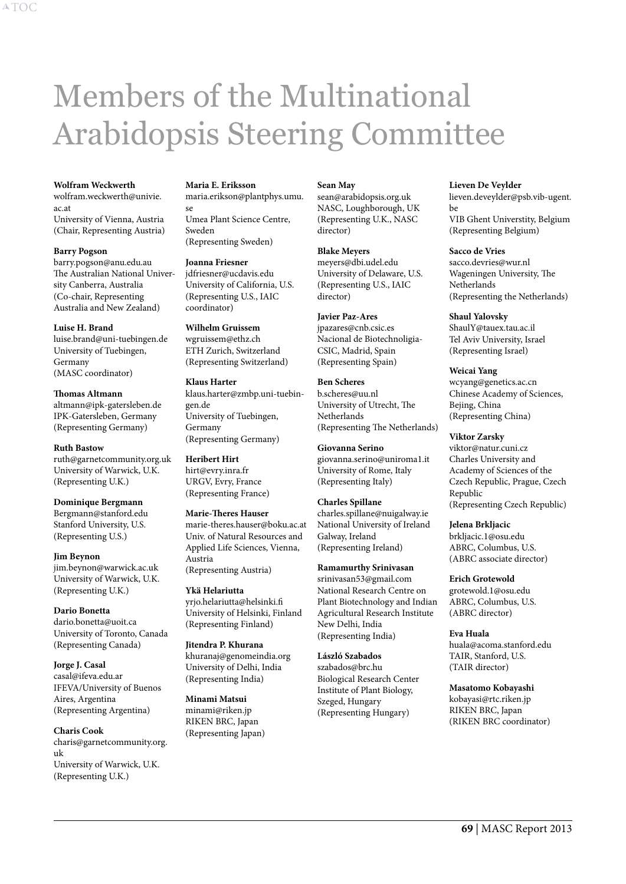# <span id="page-69-0"></span>Members of the Multinational Arabidopsis Steering Committee

#### **Wolfram Weckwerth**

wolfram.weckwerth@univie. ac.at University of Vienna, Austria (Chair, Representing Austria)

#### **Barry Pogson**

barry.pogson@anu.edu.au The Australian National University Canberra, Australia (Co-chair, Representing Australia and New Zealand)

**Luise H. Brand** luise.brand@uni-tuebingen.de University of Tuebingen, Germany (MASC coordinator)

**Thomas Altmann** altmann@ipk-gatersleben.de IPK-Gatersleben, Germany (Representing Germany)

**Ruth Bastow** ruth@garnetcommunity.org.uk University of Warwick, U.K. (Representing U.K.)

**Dominique Bergmann** Bergmann@stanford.edu Stanford University, U.S. (Representing U.S.)

**Jim Beynon** jim.beynon@warwick.ac.uk University of Warwick, U.K. (Representing U.K.)

**Dario Bonetta** dario.bonetta@uoit.ca University of Toronto, Canada (Representing Canada)

**Jorge J. Casal** casal@ifeva.edu.ar IFEVA/University of Buenos Aires, Argentina (Representing Argentina)

**Charis Cook** charis@garnetcommunity.org. uk University of Warwick, U.K. (Representing U.K.)

**Maria E. Eriksson**

maria.erikson@plantphys.umu. se Umea Plant Science Centre, Sweden (Representing Sweden)

#### **Joanna Friesner**

jdfriesner@ucdavis.edu University of California, U.S. (Representing U.S., IAIC coordinator)

**Wilhelm Gruissem** wgruissem@ethz.ch ETH Zurich, Switzerland (Representing Switzerland)

**Klaus Harter** klaus.harter@zmbp.uni-tuebingen.de University of Tuebingen, Germany (Representing Germany)

**Heribert Hirt** hirt@evry.inra.fr URGV, Evry, France (Representing France)

**Marie-Theres Hauser** marie-theres.hauser@boku.ac.at Univ. of Natural Resources and Applied Life Sciences, Vienna, Austria (Representing Austria)

**Ykä Helariutta** yrjo.helariutta@helsinki.fi University of Helsinki, Finland (Representing Finland)

**Jitendra P. Khurana** khuranaj@genomeindia.org University of Delhi, India (Representing India)

**Minami Matsui** minami@riken.jp RIKEN BRC, Japan (Representing Japan)

#### **Sean May**

sean@arabidopsis.org.uk NASC, Loughborough, UK (Representing U.K., NASC director)

**Blake Meyers** meyers@dbi.udel.edu University of Delaware, U.S. (Representing U.S., IAIC director)

**Javier Paz-Ares** jpazares@cnb.csic.es Nacional de Biotechnoligia-CSIC, Madrid, Spain (Representing Spain)

**Ben Scheres** b.scheres@uu.nl University of Utrecht, The Netherlands (Representing The Netherlands)

**Giovanna Serino** giovanna.serino@uniroma1.it University of Rome, Italy (Representing Italy)

**Charles Spillane** charles.spillane@nuigalway.ie National University of Ireland Galway, Ireland (Representing Ireland)

**Ramamurthy Srinivasan** srinivasan53@gmail.com National Research Centre on Plant Biotechnology and Indian Agricultural Research Institute New Delhi, India (Representing India)

**László Szabados** szabados@brc.hu Biological Research Center Institute of Plant Biology, Szeged, Hungary (Representing Hungary)

#### **Lieven De Veylder**

lieven.deveylder@psb.vib-ugent. be VIB Ghent Universtity, Belgium (Representing Belgium)

#### **Sacco de Vries**

sacco.devries@wur.nl Wageningen University, The Netherlands (Representing the Netherlands)

#### **Shaul Yalovsky**

ShaulY@tauex.tau.ac.il Tel Aviv University, Israel (Representing Israel)

#### **Weicai Yang**

wcyang@genetics.ac.cn Chinese Academy of Sciences, Bejing, China (Representing China)

**Viktor Zarsky**

viktor@natur.cuni.cz Charles University and Academy of Sciences of the Czech Republic, Prague, Czech Republic (Representing Czech Republic)

**Jelena Brkljacic** brkljacic.1@osu.edu ABRC, Columbus, U.S. (ABRC associate director)

**Erich Grotewold** grotewold.1@osu.edu ABRC, Columbus, U.S. (ABRC director)

**Eva Huala** huala@acoma.stanford.edu TAIR, Stanford, U.S. (TAIR director)

#### **Masatomo Kobayashi**

kobayasi@rtc.riken.jp RIKEN BRC, Japan (RIKEN BRC coordinator)